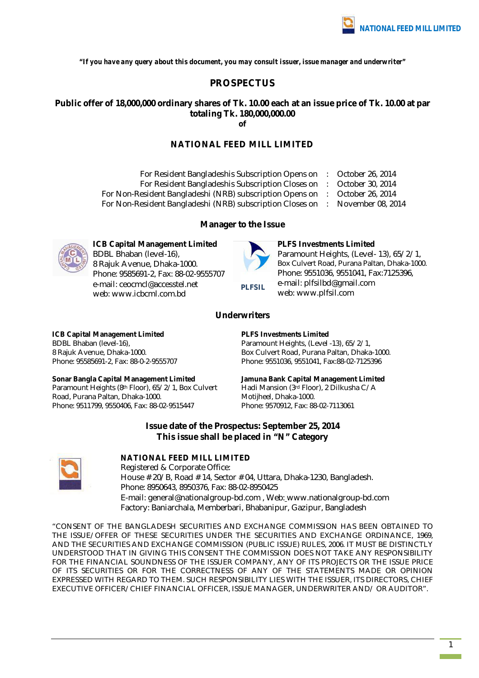

*"If you have any query about this document, you may consult issuer, issue manager and underwriter"*

# **PROSPECTUS**

# **Public offer of 18,000,000 ordinary shares of Tk. 10.00 each at an issue price of Tk. 10.00 at par totaling Tk. 180,000,000.00**

**of** 

#### **NATIONAL FEED MILL LIMITED**

For Resident Bangladeshis Subscription Opens on : October 26, 2014 For Resident Bangladeshis Subscription Closes on : October 30, 2014 For Non-Resident Bangladeshi (NRB) subscription Opens on : October 26, 2014

For Non-Resident Bangladeshi (NRB) subscription Closes on : November 08, 2014

# **Manager to the Issue**



#### **ICB Capital Management Limited** BDBL Bhaban (level-16), 8 Rajuk Avenue, Dhaka-1000. Phone: 9585691-2, Fax: 88-02-9555707 e-mail: ceocmcl@accesstel.net web: www.icbcml.com.bd

# **PLFSIL**

# **PLFS Investments Limited**

Paramount Heights, (Level- 13), 65/2/1, Box Culvert Road, Purana Paltan, Dhaka-1000. Phone: 9551036, 9551041, Fax:7125396, e-mail: plfsilbd@gmail.com web: www.plfsil.com

#### **Underwriters**

#### **ICB Capital Management Limited** BDBL Bhaban (level-16), 8 Rajuk Avenue, Dhaka-1000. Phone: 95585691-2, Fax: 88-0-2-9555707

**Sonar Bangla Capital Management Limited** Paramount Heights (8th Floor), 65/2/1, Box Culvert Road, Purana Paltan, Dhaka-1000. Phone: 9511799, 9550406, Fax: 88-02-9515447

#### **PLFS Investments Limited**

Paramount Heights, (Level -13), 65/2/1, Box Culvert Road, Purana Paltan, Dhaka-1000. Phone: 9551036, 9551041, Fax:88-02-7125396

**Jamuna Bank Capital Management Limited**  Hadi Mansion (3rd Floor), 2 Dilkusha C/A

Motijheel, Dhaka-1000. Phone: 9570912, Fax: 88-02-7113061

#### **Issue date of the Prospectus: September 25, 2014 This issue shall be placed in "N" Category**



#### **NATIONAL FEED MILL LIMITED**

Registered & Corporate Office: House # 20/B, Road # 14, Sector # 04, Uttara, Dhaka-1230, Bangladesh. Phone: 8950643, 8950376, Fax: 88-02-8950425 E-mail: general@nationalgroup-bd.com , Web: www.nationalgroup-bd.com Factory: Baniarchala, Memberbari, Bhabanipur, Gazipur, Bangladesh

"CONSENT OF THE BANGLADESH SECURITIES AND EXCHANGE COMMISSION HAS BEEN OBTAINED TO THE ISSUE/OFFER OF THESE SECURITIES UNDER THE SECURITIES AND EXCHANGE ORDINANCE, 1969, AND THE SECURITIES AND EXCHANGE COMMISSION (PUBLIC ISSUE) RULES, 2006. IT MUST BE DISTINCTLY UNDERSTOOD THAT IN GIVING THIS CONSENT THE COMMISSION DOES NOT TAKE ANY RESPONSIBILITY FOR THE FINANCIAL SOUNDNESS OF THE ISSUER COMPANY, ANY OF ITS PROJECTS OR THE ISSUE PRICE OF ITS SECURITIES OR FOR THE CORRECTNESS OF ANY OF THE STATEMENTS MADE OR OPINION EXPRESSED WITH REGARD TO THEM. SUCH RESPONSIBILITY LIES WITH THE ISSUER, ITS DIRECTORS, CHIEF EXECUTIVE OFFICER/CHIEF FINANCIAL OFFICER, ISSUE MANAGER, UNDERWRITER AND/ OR AUDITOR".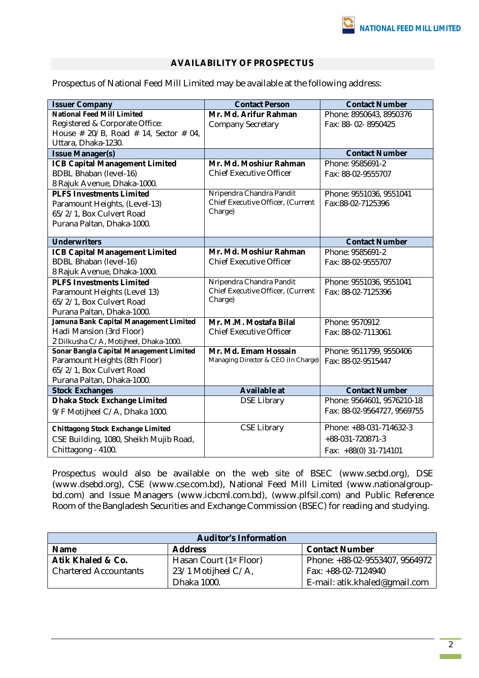# **AVAILABILITY OF PROSPECTUS**

Prospectus of National Feed Mill Limited may be available at the following address:

| <b>Issuer Company</b>                    | <b>Contact Person</b>                        | <b>Contact Number</b>       |
|------------------------------------------|----------------------------------------------|-----------------------------|
| <b>National Feed Mill Limited</b>        | Mr. Md. Arifur Rahman                        | Phone: 8950643, 8950376     |
| Registered & Corporate Office:           | <b>Company Secretary</b>                     | Fax: 88-02-8950425          |
| House # 20/B, Road # 14, Sector # 04,    |                                              |                             |
| Uttara, Dhaka-1230.                      |                                              |                             |
| <b>Issue Manager(s)</b>                  |                                              | <b>Contact Number</b>       |
| <b>ICB Capital Management Limited</b>    | Mr. Md. Moshiur Rahman                       | Phone: 9585691-2            |
| <b>BDBL Bhaban (level-16)</b>            | <b>Chief Executive Officer</b>               | Fax: 88-02-9555707          |
| 8 Rajuk Avenue, Dhaka-1000.              |                                              |                             |
| <b>PLFS Investments Limited</b>          | Nripendra Chandra Pandit                     | Phone: 9551036, 9551041     |
| Paramount Heights, (Level-13)            | Chief Executive Officer, (Current            | Fax:88-02-7125396           |
| 65/2/1, Box Culvert Road                 | Charge)                                      |                             |
| Purana Paltan, Dhaka-1000.               |                                              |                             |
|                                          |                                              |                             |
| <b>Underwriters</b>                      |                                              | <b>Contact Number</b>       |
| <b>ICB Capital Management Limited</b>    | Mr. Md. Moshiur Rahman                       | Phone: 9585691-2            |
| <b>BDBL Bhaban (level-16)</b>            | <b>Chief Executive Officer</b>               | Fax: 88-02-9555707          |
| 8 Rajuk Avenue, Dhaka-1000.              |                                              |                             |
| <b>PLFS Investments Limited</b>          | Nripendra Chandra Pandit                     | Phone: 9551036, 9551041     |
| Paramount Heights (Level 13)             | Chief Executive Officer, (Current<br>Charge) | Fax: 88-02-7125396          |
| 65/2/1, Box Culvert Road                 |                                              |                             |
| Purana Paltan, Dhaka-1000.               |                                              |                             |
| Jamuna Bank Capital Management Limited   | Mr. M.M. Mostafa Bilal                       | Phone: 9570912              |
| Hadi Mansion (3rd Floor)                 | <b>Chief Executive Officer</b>               | Fax: 88-02-7113061          |
| 2 Dilkusha C/A, Motijheel, Dhaka-1000.   |                                              |                             |
| Sonar Bangla Capital Management Limited  | Mr. Md. Emam Hossain                         | Phone: 9511799, 9550406     |
| Paramount Heights (8th Floor)            | Managing Director & CEO (In Charge)          | Fax: 88-02-9515447          |
| 65/2/1, Box Culvert Road                 |                                              |                             |
| Purana Paltan, Dhaka-1000.               |                                              |                             |
| <b>Stock Exchanges</b>                   | <b>Available at</b>                          | <b>Contact Number</b>       |
| <b>Dhaka Stock Exchange Limited</b>      | <b>DSE Library</b>                           | Phone: 9564601, 9576210-18  |
| 9/F Motijheel C/A, Dhaka 1000.           |                                              | Fax: 88-02-9564727, 9569755 |
| <b>Chittagong Stock Exchange Limited</b> | <b>CSE Library</b>                           | Phone: +88-031-714632-3     |
| CSE Building, 1080, Sheikh Mujib Road,   |                                              | +88-031-720871-3            |
| Chittagong - 4100.                       |                                              | Fax: +88(0) 31-714101       |

Prospectus would also be available on the web site of BSEC (www.secbd.org), DSE (www.dsebd.org), CSE (www.cse.com.bd), National Feed Mill Limited (www.nationalgroupbd.com) and Issue Managers (www.icbcml.com.bd), (www.plfsil.com) and Public Reference Room of the Bangladesh Securities and Exchange Commission (BSEC) for reading and studying.

| <b>Auditor's Information</b> |                                     |                                |  |
|------------------------------|-------------------------------------|--------------------------------|--|
| <b>Name</b>                  | <b>Address</b>                      | <b>Contact Number</b>          |  |
| Atik Khaled & Co.            | Hasan Court (1 <sup>st</sup> Floor) | Phone: +88-02-9553407, 9564972 |  |
| <b>Chartered Accountants</b> | 23/1 Motijheel C/A,                 | Fax: +88-02-7124940            |  |
|                              | Dhaka 1000.                         | E-mail: atik.khaled@gmail.com  |  |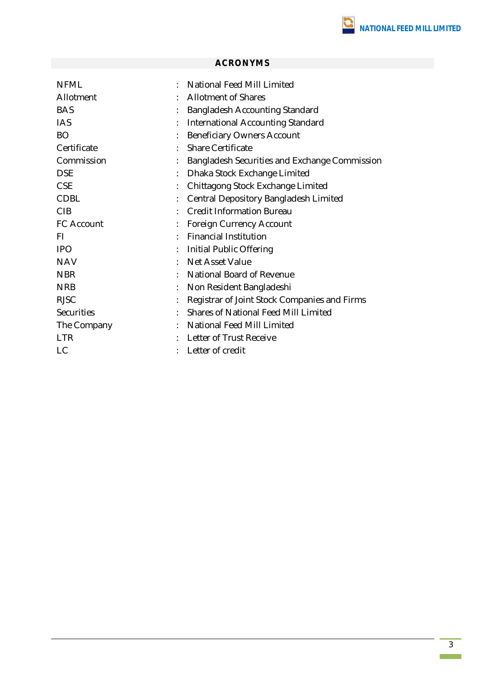# **ACRONYMS**

| NFMI              | ÷ | <b>National Feed Mill Limited</b>             |
|-------------------|---|-----------------------------------------------|
| Allotment         |   | <b>Allotment of Shares</b>                    |
| <b>BAS</b>        |   | <b>Bangladesh Accounting Standard</b>         |
| <b>IAS</b>        |   | <b>International Accounting Standard</b>      |
| <b>BO</b>         |   | <b>Beneficiary Owners Account</b>             |
| Certificate       |   | <b>Share Certificate</b>                      |
| Commission        |   | Bangladesh Securities and Exchange Commission |
| <b>DSE</b>        |   | Dhaka Stock Exchange Limited                  |
| <b>CSE</b>        |   | Chittagong Stock Exchange Limited             |
| <b>CDBL</b>       |   | Central Depository Bangladesh Limited         |
| <b>CIB</b>        |   | <b>Credit Information Bureau</b>              |
| <b>FC Account</b> |   | Foreign Currency Account                      |
| FI                |   | <b>Financial Institution</b>                  |
| <b>IPO</b>        |   | Initial Public Offering                       |
| <b>NAV</b>        |   | Net Asset Value                               |
| <b>NBR</b>        |   | National Board of Revenue                     |
| <b>NRB</b>        |   | Non Resident Bangladeshi                      |
| <b>RJSC</b>       |   | Registrar of Joint Stock Companies and Firms  |
| Securities        |   | <b>Shares of National Feed Mill Limited</b>   |
| The Company       |   | <b>National Feed Mill Limited</b>             |
| <b>LTR</b>        |   | Letter of Trust Receive                       |
| LC                |   | Letter of credit                              |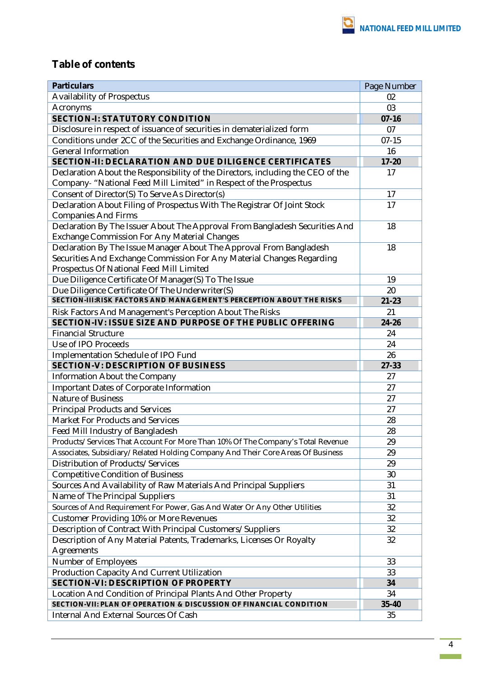# **Table of contents**

| <b>Particulars</b>                                                                                                                                                                       | Page Number |
|------------------------------------------------------------------------------------------------------------------------------------------------------------------------------------------|-------------|
| Availability of Prospectus                                                                                                                                                               | 02          |
| Acronyms                                                                                                                                                                                 | 03          |
| <b>SECTION-I: STATUTORY CONDITION</b>                                                                                                                                                    | $07 - 16$   |
| Disclosure in respect of issuance of securities in dematerialized form                                                                                                                   | 07          |
| Conditions under 2CC of the Securities and Exchange Ordinance, 1969                                                                                                                      | $07 - 15$   |
| <b>General Information</b>                                                                                                                                                               | 16          |
| <b>SECTION-II: DECLARATION AND DUE DILIGENCE CERTIFICATES</b>                                                                                                                            | $17 - 20$   |
| Declaration About the Responsibility of the Directors, including the CEO of the<br>Company- "National Feed Mill Limited" in Respect of the Prospectus                                    | 17          |
| Consent of Director(S) To Serve As Director(s)                                                                                                                                           | 17          |
| Declaration About Filing of Prospectus With The Registrar Of Joint Stock<br><b>Companies And Firms</b>                                                                                   | 17          |
| Declaration By The Issuer About The Approval From Bangladesh Securities And<br>Exchange Commission For Any Material Changes                                                              | 18          |
| Declaration By The Issue Manager About The Approval From Bangladesh<br>Securities And Exchange Commission For Any Material Changes Regarding<br>Prospectus Of National Feed Mill Limited | 18          |
| Due Diligence Certificate Of Manager(S) To The Issue                                                                                                                                     | 19          |
| Due Diligence Certificate Of The Underwriter(S)                                                                                                                                          | 20          |
| SECTION-III:RISK FACTORS AND MANAGEMENT'S PERCEPTION ABOUT THE RISKS                                                                                                                     | $21 - 23$   |
| Risk Factors And Management's Perception About The Risks                                                                                                                                 | 21          |
| SECTION-IV: ISSUE SIZE AND PURPOSE OF THE PUBLIC OFFERING                                                                                                                                | $24 - 26$   |
| <b>Financial Structure</b>                                                                                                                                                               | 24          |
| Use of IPO Proceeds                                                                                                                                                                      | 24          |
| Implementation Schedule of IPO Fund                                                                                                                                                      | 26          |
| <b>SECTION-V: DESCRIPTION OF BUSINESS</b>                                                                                                                                                | $27 - 33$   |
| Information About the Company                                                                                                                                                            | 27          |
| Important Dates of Corporate Information                                                                                                                                                 | 27          |
| <b>Nature of Business</b>                                                                                                                                                                | 27          |
| Principal Products and Services                                                                                                                                                          | 27          |
| Market For Products and Services                                                                                                                                                         | 28          |
| Feed Mill Industry of Bangladesh                                                                                                                                                         | 28          |
| Products/Services That Account For More Than 10% Of The Company's Total Revenue                                                                                                          | 29          |
| Associates, Subsidiary/Related Holding Company And Their Core Areas Of Business                                                                                                          | 29          |
| Distribution of Products/Services                                                                                                                                                        | 29          |
| <b>Competitive Condition of Business</b>                                                                                                                                                 | 30          |
| Sources And Availability of Raw Materials And Principal Suppliers                                                                                                                        | 31          |
| Name of The Principal Suppliers                                                                                                                                                          | 31          |
| Sources of And Requirement For Power, Gas And Water Or Any Other Utilities                                                                                                               | 32          |
| <b>Customer Providing 10% or More Revenues</b>                                                                                                                                           | 32          |
| Description of Contract With Principal Customers/Suppliers                                                                                                                               | 32          |
| Description of Any Material Patents, Trademarks, Licenses Or Royalty<br>Agreements                                                                                                       | 32          |
| Number of Employees                                                                                                                                                                      | 33          |
| Production Capacity And Current Utilization                                                                                                                                              | 33          |
| <b>SECTION-VI: DESCRIPTION OF PROPERTY</b>                                                                                                                                               | 34          |
| Location And Condition of Principal Plants And Other Property                                                                                                                            | 34          |
| SECTION-VII: PLAN OF OPERATION & DISCUSSION OF FINANCIAL CONDITION                                                                                                                       | 35-40       |
| Internal And External Sources Of Cash                                                                                                                                                    | 35          |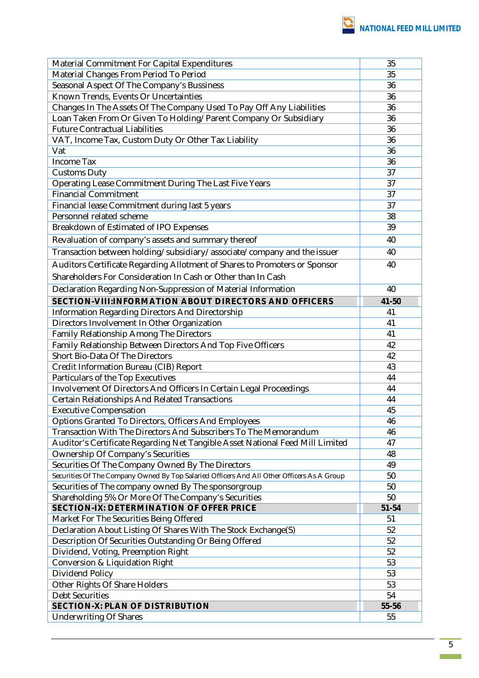

| Material Commitment For Capital Expenditures                                               | 35          |
|--------------------------------------------------------------------------------------------|-------------|
| Material Changes From Period To Period                                                     | 35          |
| Seasonal Aspect Of The Company's Bussiness                                                 | 36          |
| Known Trends, Events Or Uncertainties                                                      | 36          |
| Changes In The Assets Of The Company Used To Pay Off Any Liabilities                       | 36          |
| Loan Taken From Or Given To Holding/Parent Company Or Subsidiary                           | 36          |
| <b>Future Contractual Liabilities</b>                                                      | 36          |
| VAT, Income Tax, Custom Duty Or Other Tax Liability                                        | 36          |
| Vat                                                                                        | 36          |
| <b>Income Tax</b>                                                                          | 36          |
| <b>Customs Duty</b>                                                                        | 37          |
| Operating Lease Commitment During The Last Five Years                                      | 37          |
| <b>Financial Commitment</b>                                                                | 37          |
| Financial lease Commitment during last 5 years                                             | 37          |
| Personnel related scheme                                                                   | 38          |
| Breakdown of Estimated of IPO Expenses                                                     | 39          |
| Revaluation of company's assets and summary thereof                                        | 40          |
| Transaction between holding/subsidiary/associate/company and the issuer                    | 40          |
| Auditors Certificate Regarding Allotment of Shares to Promoters or Sponsor                 | 40          |
| Shareholders For Consideration In Cash or Other than In Cash                               |             |
| Declaration Regarding Non-Suppression of Material Information                              | 40          |
| <b>SECTION-VIII:INFORMATION ABOUT DIRECTORS AND OFFICERS</b>                               | 41-50       |
| Information Regarding Directors And Directorship                                           | 41          |
| Directors Involvement In Other Organization                                                | 41          |
| Family Relationship Among The Directors                                                    | 41          |
| Family Relationship Between Directors And Top Five Officers                                | 42          |
| Short Bio-Data Of The Directors                                                            | 42          |
| Credit Information Bureau (CIB) Report                                                     | 43          |
| Particulars of the Top Executives                                                          | 44          |
| Involvement Of Directors And Officers In Certain Legal Proceedings                         | 44          |
| Certain Relationships And Related Transactions                                             | 44          |
| <b>Executive Compensation</b>                                                              | 45          |
| Options Granted To Directors, Officers And Employees                                       | 46          |
| Transaction With The Directors And Subscribers To The Memorandum                           | 46          |
| Auditor's Certificate Regarding Net Tangible Asset National Feed Mill Limited              | 47          |
| Ownership Of Company's Securities                                                          | 48          |
| Securities Of The Company Owned By The Directors                                           | 49          |
| Securities Of The Company Owned By Top Salaried Officers And All Other Officers As A Group | 50          |
| Securities of The company owned By The sponsorgroup                                        | 50          |
| Shareholding 5% Or More Of The Company's Securities                                        | 50          |
| <b>SECTION-IX: DETERMINATION OF OFFER PRICE</b>                                            | 51-54       |
| Market For The Securities Being Offered                                                    | 51          |
| Declaration About Listing Of Shares With The Stock Exchange(S)                             | 52          |
| Description Of Securities Outstanding Or Being Offered                                     | 52          |
| Dividend, Voting, Preemption Right                                                         | 52          |
| Conversion & Liquidation Right                                                             | 53          |
| Dividend Policy                                                                            | 53          |
| Other Rights Of Share Holders                                                              | 53          |
| <b>Debt Securities</b><br><b>SECTION-X: PLAN OF DISTRIBUTION</b>                           | 54<br>55-56 |
| <b>Underwriting Of Shares</b>                                                              | 55          |
|                                                                                            |             |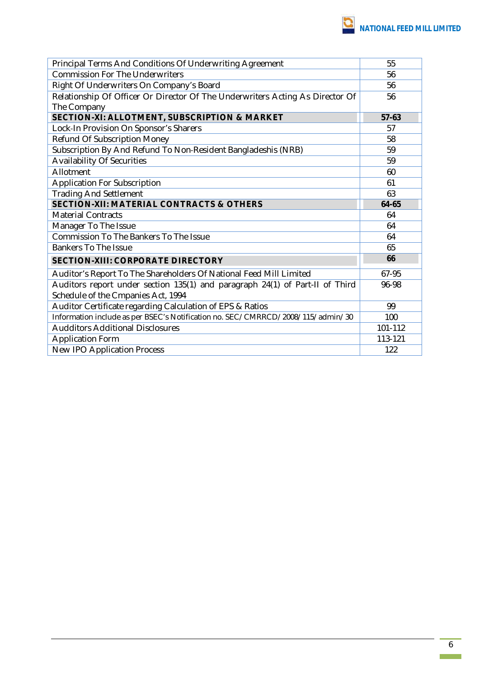

| Principal Terms And Conditions Of Underwriting Agreement                        | 55        |
|---------------------------------------------------------------------------------|-----------|
| <b>Commission For The Underwriters</b>                                          | 56        |
| Right Of Underwriters On Company's Board                                        | 56        |
| Relationship Of Officer Or Director Of The Underwriters Acting As Director Of   | 56        |
| The Company                                                                     |           |
| SECTION-XI: ALLOTMENT, SUBSCRIPTION & MARKET                                    | $57 - 63$ |
| Lock-In Provision On Sponsor's Sharers                                          | 57        |
| Refund Of Subscription Money                                                    | 58        |
| Subscription By And Refund To Non-Resident Bangladeshis (NRB)                   | 59        |
| <b>Availability Of Securities</b>                                               | 59        |
| Allotment                                                                       | 60        |
| <b>Application For Subscription</b>                                             | 61        |
| <b>Trading And Settlement</b>                                                   | 63        |
| <b>SECTION-XII: MATERIAL CONTRACTS &amp; OTHERS</b>                             | 64-65     |
| <b>Material Contracts</b>                                                       | 64        |
| Manager To The Issue                                                            | 64        |
| Commission To The Bankers To The Issue                                          | 64        |
| <b>Bankers To The Issue</b>                                                     | 65        |
| <b>SECTION-XIII: CORPORATE DIRECTORY</b>                                        | 66        |
| Auditor's Report To The Shareholders Of National Feed Mill Limited              | 67-95     |
| Auditors report under section 135(1) and paragraph 24(1) of Part-II of Third    | 96-98     |
| Schedule of the Cmpanies Act, 1994                                              |           |
| Auditor Certificate regarding Calculation of EPS & Ratios                       | 99        |
| Information include as per BSEC's Notification no. SEC/CMRRCD/2008/115/admin/30 | 100       |
| <b>Audditors Additional Disclosures</b>                                         | 101-112   |
| <b>Application Form</b>                                                         | 113-121   |
| <b>New IPO Application Process</b>                                              | 122       |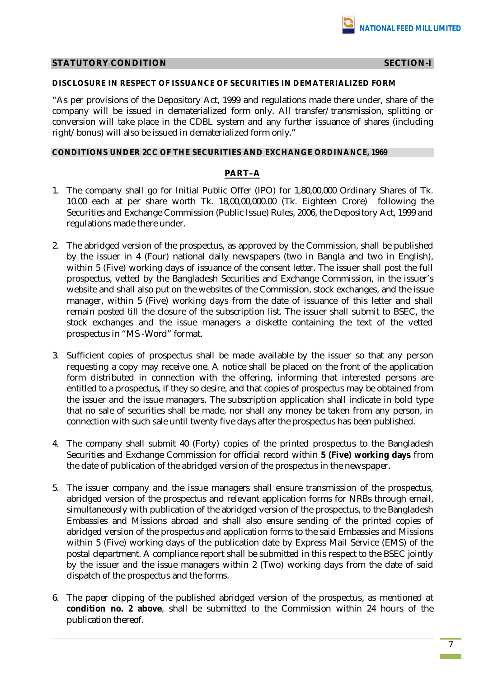#### **STATUTORY CONDITION SECTION-I**

#### **DISCLOSURE IN RESPECT OF ISSUANCE OF SECURITIES IN DEMATERIALIZED FORM**

"As per provisions of the Depository Act, 1999 and regulations made there under, share of the company will be issued in dematerialized form only. All transfer/transmission, splitting or conversion will take place in the CDBL system and any further issuance of shares (including right/bonus) will also be issued in dematerialized form only."

#### **CONDITIONS UNDER 2CC OF THE SECURITIES AND EXCHANGE ORDINANCE, 1969**

# **PART–A**

- 1. The company shall go for Initial Public Offer (IPO) for 1,80,00,000 Ordinary Shares of Tk. 10.00 each at per share worth Tk. 18,00,00,000.00 (Tk. Eighteen Crore) following the Securities and Exchange Commission (Public Issue) Rules, 2006, the Depository Act, 1999 and regulations made there under.
- 2. The abridged version of the prospectus, as approved by the Commission, shall be published by the issuer in 4 (Four) national daily newspapers (two in Bangla and two in English), within 5 (Five) working days of issuance of the consent letter. The issuer shall post the full prospectus, vetted by the Bangladesh Securities and Exchange Commission, in the issuer's website and shall also put on the websites of the Commission, stock exchanges, and the issue manager, within 5 (Five) working days from the date of issuance of this letter and shall remain posted till the closure of the subscription list. The issuer shall submit to BSEC, the stock exchanges and the issue managers a diskette containing the text of the vetted prospectus in "MS -Word" format.
- 3. Sufficient copies of prospectus shall be made available by the issuer so that any person requesting a copy may receive one. A notice shall be placed on the front of the application form distributed in connection with the offering, informing that interested persons are entitled to a prospectus, if they so desire, and that copies of prospectus may be obtained from the issuer and the issue managers. The subscription application shall indicate in bold type that no sale of securities shall be made, nor shall any money be taken from any person, in connection with such sale until twenty five days after the prospectus has been published.
- 4. The company shall submit 40 (Forty) copies of the printed prospectus to the Bangladesh Securities and Exchange Commission for official record within **5 (Five) working days** from the date of publication of the abridged version of the prospectus in the newspaper.
- 5. The issuer company and the issue managers shall ensure transmission of the prospectus, abridged version of the prospectus and relevant application forms for NRBs through email, simultaneously with publication of the abridged version of the prospectus, to the Bangladesh Embassies and Missions abroad and shall also ensure sending of the printed copies of abridged version of the prospectus and application forms to the said Embassies and Missions within 5 (Five) working days of the publication date by Express Mail Service (EMS) of the postal department. A compliance report shall be submitted in this respect to the BSEC jointly by the issuer and the issue managers within 2 (Two) working days from the date of said dispatch of the prospectus and the forms.
- 6. The paper clipping of the published abridged version of the prospectus, as mentioned at **condition no. 2 above**, shall be submitted to the Commission within 24 hours of the publication thereof.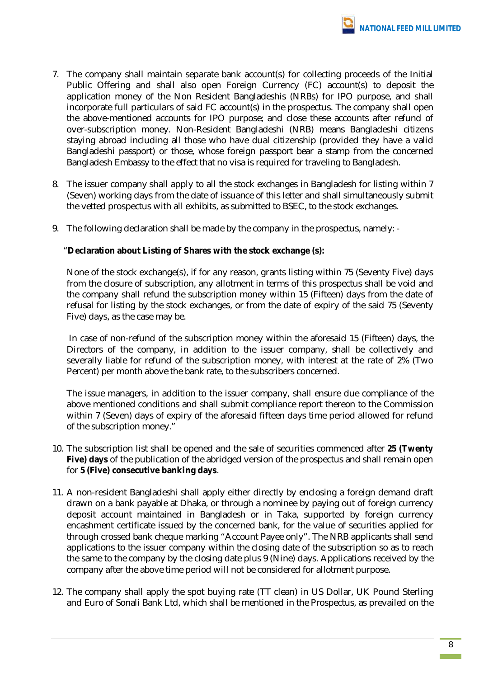- 7. The company shall maintain separate bank account(s) for collecting proceeds of the Initial Public Offering and shall also open Foreign Currency (FC) account(s) to deposit the application money of the Non Resident Bangladeshis (NRBs) for IPO purpose, and shall incorporate full particulars of said FC account(s) in the prospectus. The company shall open the above-mentioned accounts for IPO purpose; and close these accounts after refund of over-subscription money. Non-Resident Bangladeshi (NRB) means Bangladeshi citizens staying abroad including all those who have dual citizenship (provided they have a valid Bangladeshi passport) or those, whose foreign passport bear a stamp from the concerned Bangladesh Embassy to the effect that no visa is required for traveling to Bangladesh.
- 8. The issuer company shall apply to all the stock exchanges in Bangladesh for listing within 7 (Seven) working days from the date of issuance of this letter and shall simultaneously submit the vetted prospectus with all exhibits, as submitted to BSEC, to the stock exchanges.
- 9. The following declaration shall be made by the company in the prospectus, namely: -

# "**Declaration about Listing of Shares with the stock exchange (s):**

None of the stock exchange(s), if for any reason, grants listing within 75 (Seventy Five) days from the closure of subscription, any allotment in terms of this prospectus shall be void and the company shall refund the subscription money within 15 (Fifteen) days from the date of refusal for listing by the stock exchanges, or from the date of expiry of the said 75 (Seventy Five) days, as the case may be.

In case of non-refund of the subscription money within the aforesaid 15 (Fifteen) days, the Directors of the company, in addition to the issuer company, shall be collectively and severally liable for refund of the subscription money, with interest at the rate of 2% (Two Percent) per month above the bank rate, to the subscribers concerned.

The issue managers, in addition to the issuer company, shall ensure due compliance of the above mentioned conditions and shall submit compliance report thereon to the Commission within 7 (Seven) days of expiry of the aforesaid fifteen days time period allowed for refund of the subscription money."

- 10. The subscription list shall be opened and the sale of securities commenced after **25 (Twenty Five) days** of the publication of the abridged version of the prospectus and shall remain open for **5 (Five) consecutive banking days**.
- 11. A non-resident Bangladeshi shall apply either directly by enclosing a foreign demand draft drawn on a bank payable at Dhaka, or through a nominee by paying out of foreign currency deposit account maintained in Bangladesh or in Taka, supported by foreign currency encashment certificate issued by the concerned bank, for the value of securities applied for through crossed bank cheque marking "Account Payee only". The NRB applicants shall send applications to the issuer company within the closing date of the subscription so as to reach the same to the company by the closing date plus 9 (Nine) days. Applications received by the company after the above time period will not be considered for allotment purpose.
- 12. The company shall apply the spot buying rate (TT clean) in US Dollar, UK Pound Sterling and Euro of Sonali Bank Ltd, which shall be mentioned in the Prospectus, as prevailed on the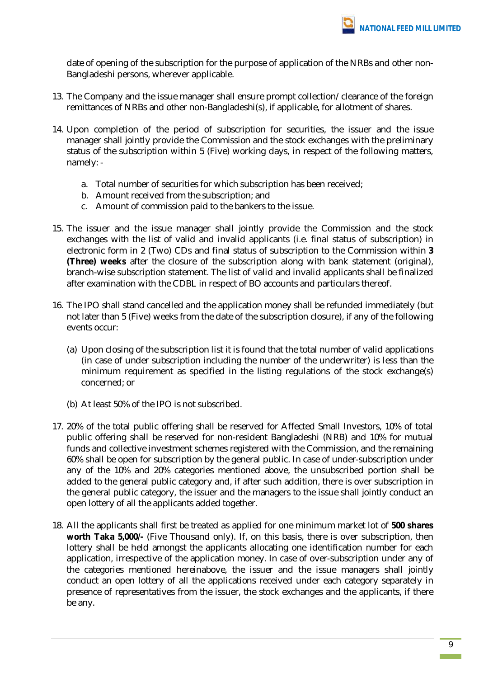date of opening of the subscription for the purpose of application of the NRBs and other non-Bangladeshi persons, wherever applicable.

- 13. The Company and the issue manager shall ensure prompt collection/clearance of the foreign remittances of NRBs and other non-Bangladeshi(s), if applicable, for allotment of shares.
- 14. Upon completion of the period of subscription for securities, the issuer and the issue manager shall jointly provide the Commission and the stock exchanges with the preliminary status of the subscription within 5 (Five) working days, in respect of the following matters, namely:
	- a. Total number of securities for which subscription has been received;
	- b. Amount received from the subscription; and
	- c. Amount of commission paid to the bankers to the issue.
- 15. The issuer and the issue manager shall jointly provide the Commission and the stock exchanges with the list of valid and invalid applicants (i.e. final status of subscription) in electronic form in 2 (Two) CDs and final status of subscription to the Commission within **3 (Three) weeks** after the closure of the subscription along with bank statement (original), branch-wise subscription statement. The list of valid and invalid applicants shall be finalized after examination with the CDBL in respect of BO accounts and particulars thereof.
- 16. The IPO shall stand cancelled and the application money shall be refunded immediately (but not later than 5 (Five) weeks from the date of the subscription closure), if any of the following events occur:
	- (a) Upon closing of the subscription list it is found that the total number of valid applications (in case of under subscription including the number of the underwriter) is less than the minimum requirement as specified in the listing regulations of the stock exchange(s) concerned; or
	- (b) At least 50% of the IPO is not subscribed.
- 17. 20% of the total public offering shall be reserved for Affected Small Investors, 10% of total public offering shall be reserved for non-resident Bangladeshi (NRB) and 10% for mutual funds and collective investment schemes registered with the Commission, and the remaining 60% shall be open for subscription by the general public. In case of under-subscription under any of the 10% and 20% categories mentioned above, the unsubscribed portion shall be added to the general public category and, if after such addition, there is over subscription in the general public category, the issuer and the managers to the issue shall jointly conduct an open lottery of all the applicants added together.
- 18. All the applicants shall first be treated as applied for one minimum market lot of **500 shares worth Taka 5,000/-** (Five Thousand only). If, on this basis, there is over subscription, then lottery shall be held amongst the applicants allocating one identification number for each application, irrespective of the application money. In case of over-subscription under any of the categories mentioned hereinabove, the issuer and the issue managers shall jointly conduct an open lottery of all the applications received under each category separately in presence of representatives from the issuer, the stock exchanges and the applicants, if there be any.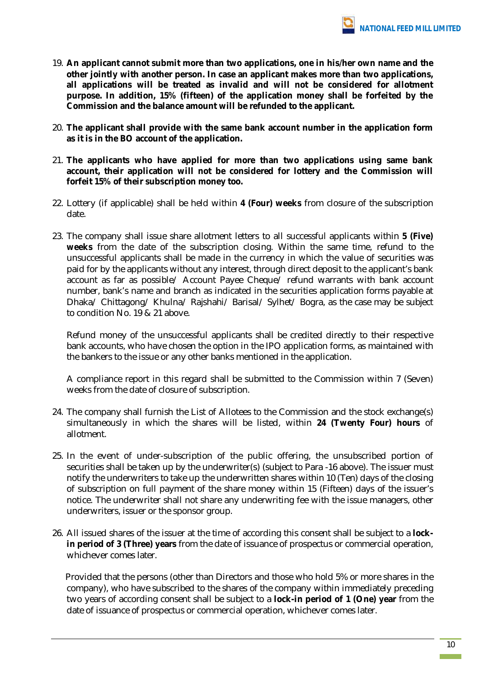- 19. **An applicant cannot submit more than two applications, one in his/her own name and the other jointly with another person. In case an applicant makes more than two applications, all applications will be treated as invalid and will not be considered for allotment purpose. In addition, 15% (fifteen) of the application money shall be forfeited by the Commission and the balance amount will be refunded to the applicant.**
- 20. **The applicant shall provide with the same bank account number in the application form as it is in the BO account of the application.**
- 21. **The applicants who have applied for more than two applications using same bank account, their application will not be considered for lottery and the Commission will forfeit 15% of their subscription money too.**
- 22. Lottery (if applicable) shall be held within **4 (Four) weeks** from closure of the subscription date.
- 23. The company shall issue share allotment letters to all successful applicants within **5 (Five) weeks** from the date of the subscription closing. Within the same time, refund to the unsuccessful applicants shall be made in the currency in which the value of securities was paid for by the applicants without any interest, through direct deposit to the applicant's bank account as far as possible/ Account Payee Cheque/ refund warrants with bank account number, bank's name and branch as indicated in the securities application forms payable at Dhaka/ Chittagong/ Khulna/ Rajshahi/ Barisal/ Sylhet/ Bogra, as the case may be subject to condition No. 19 & 21 above.

Refund money of the unsuccessful applicants shall be credited directly to their respective bank accounts, who have chosen the option in the IPO application forms, as maintained with the bankers to the issue or any other banks mentioned in the application.

A compliance report in this regard shall be submitted to the Commission within 7 (Seven) weeks from the date of closure of subscription.

- 24. The company shall furnish the List of Allotees to the Commission and the stock exchange(s) simultaneously in which the shares will be listed, within **24 (Twenty Four) hours** of allotment.
- 25. In the event of under-subscription of the public offering, the unsubscribed portion of securities shall be taken up by the underwriter(s) (subject to Para -16 above). The issuer must notify the underwriters to take up the underwritten shares within 10 (Ten) days of the closing of subscription on full payment of the share money within 15 (Fifteen) days of the issuer's notice. The underwriter shall not share any underwriting fee with the issue managers, other underwriters, issuer or the sponsor group.
- 26. All issued shares of the issuer at the time of according this consent shall be subject to a **lockin period of 3 (Three) years** from the date of issuance of prospectus or commercial operation, whichever comes later

 Provided that the persons (other than Directors and those who hold 5% or more shares in the company), who have subscribed to the shares of the company within immediately preceding two years of according consent shall be subject to a **lock-in period of 1 (One) year** from the date of issuance of prospectus or commercial operation, whichever comes later.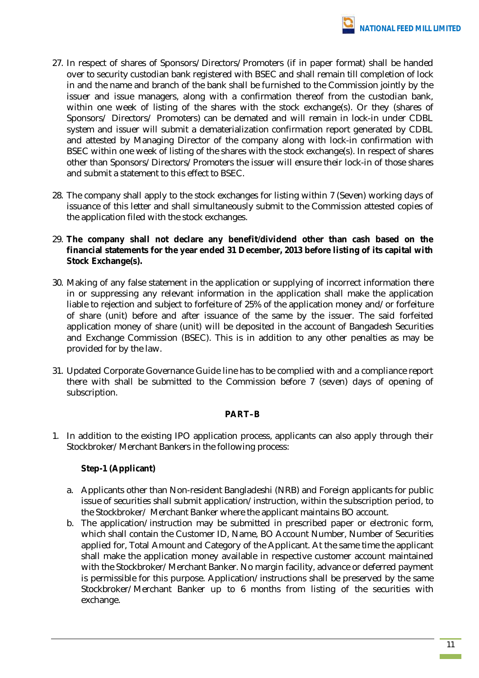- 27. In respect of shares of Sponsors/Directors/Promoters (if in paper format) shall be handed over to security custodian bank registered with BSEC and shall remain till completion of lock in and the name and branch of the bank shall be furnished to the Commission jointly by the issuer and issue managers, along with a confirmation thereof from the custodian bank, within one week of listing of the shares with the stock exchange(s). Or they (shares of Sponsors/ Directors/ Promoters) can be demated and will remain in lock-in under CDBL system and issuer will submit a dematerialization confirmation report generated by CDBL and attested by Managing Director of the company along with lock-in confirmation with BSEC within one week of listing of the shares with the stock exchange(s). In respect of shares other than Sponsors/Directors/Promoters the issuer will ensure their lock-in of those shares and submit a statement to this effect to BSEC.
- 28. The company shall apply to the stock exchanges for listing within 7 (Seven) working days of issuance of this letter and shall simultaneously submit to the Commission attested copies of the application filed with the stock exchanges.
- 29. **The company shall not declare any benefit/dividend other than cash based on the financial statements for the year ended 31 December, 2013 before listing of its capital with Stock Exchange(s).**
- 30. Making of any false statement in the application or supplying of incorrect information there in or suppressing any relevant information in the application shall make the application liable to rejection and subject to forfeiture of 25% of the application money and/or forfeiture of share (unit) before and after issuance of the same by the issuer. The said forfeited application money of share (unit) will be deposited in the account of Bangadesh Securities and Exchange Commission (BSEC). This is in addition to any other penalties as may be provided for by the law.
- 31. Updated Corporate Governance Guide line has to be complied with and a compliance report there with shall be submitted to the Commission before 7 (seven) days of opening of subscription.

# **PART–B**

1. In addition to the existing IPO application process, applicants can also apply through their Stockbroker/Merchant Bankers in the following process:

# **Step-1 (Applicant)**

- a. Applicants other than Non-resident Bangladeshi (NRB) and Foreign applicants for public issue of securities shall submit application/instruction, within the subscription period, to the Stockbroker/ Merchant Banker where the applicant maintains BO account.
- b. The application/instruction may be submitted in prescribed paper or electronic form, which shall contain the Customer ID, Name, BO Account Number, Number of Securities applied for, Total Amount and Category of the Applicant. At the same time the applicant shall make the application money available in respective customer account maintained with the Stockbroker/Merchant Banker. No margin facility, advance or deferred payment is permissible for this purpose. Application/instructions shall be preserved by the same Stockbroker/Merchant Banker up to 6 months from listing of the securities with exchange.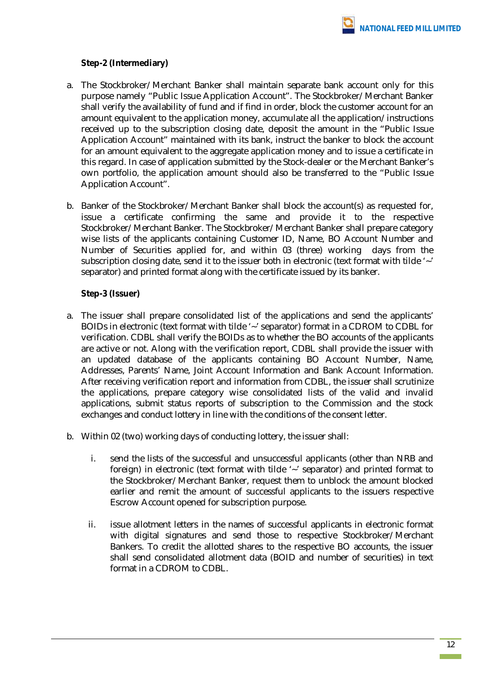# **Step-2 (Intermediary)**

- a. The Stockbroker/Merchant Banker shall maintain separate bank account only for this purpose namely "Public Issue Application Account". The Stockbroker/Merchant Banker shall verify the availability of fund and if find in order, block the customer account for an amount equivalent to the application money, accumulate all the application/instructions received up to the subscription closing date, deposit the amount in the "Public Issue Application Account" maintained with its bank, instruct the banker to block the account for an amount equivalent to the aggregate application money and to issue a certificate in this regard. In case of application submitted by the Stock-dealer or the Merchant Banker's own portfolio, the application amount should also be transferred to the "Public Issue Application Account".
- b. Banker of the Stockbroker/Merchant Banker shall block the account(s) as requested for, issue a certificate confirming the same and provide it to the respective Stockbroker/Merchant Banker. The Stockbroker/Merchant Banker shall prepare category wise lists of the applicants containing Customer ID, Name, BO Account Number and Number of Securities applied for, and within 03 (three) working days from the subscription closing date, send it to the issuer both in electronic (text format with tilde '~' separator) and printed format along with the certificate issued by its banker.

# **Step-3 (Issuer)**

- a. The issuer shall prepare consolidated list of the applications and send the applicants' BOIDs in electronic (text format with tilde '~' separator) format in a CDROM to CDBL for verification. CDBL shall verify the BOIDs as to whether the BO accounts of the applicants are active or not. Along with the verification report, CDBL shall provide the issuer with an updated database of the applicants containing BO Account Number, Name, Addresses, Parents' Name, Joint Account Information and Bank Account Information. After receiving verification report and information from CDBL, the issuer shall scrutinize the applications, prepare category wise consolidated lists of the valid and invalid applications, submit status reports of subscription to the Commission and the stock exchanges and conduct lottery in line with the conditions of the consent letter.
- b. Within 02 (two) working days of conducting lottery, the issuer shall:
	- i. send the lists of the successful and unsuccessful applicants (other than NRB and foreign) in electronic (text format with tilde '~' separator) and printed format to the Stockbroker/Merchant Banker, request them to unblock the amount blocked earlier and remit the amount of successful applicants to the issuers respective Escrow Account opened for subscription purpose.
	- ii. issue allotment letters in the names of successful applicants in electronic format with digital signatures and send those to respective Stockbroker/Merchant Bankers. To credit the allotted shares to the respective BO accounts, the issuer shall send consolidated allotment data (BOID and number of securities) in text format in a CDROM to CDBL.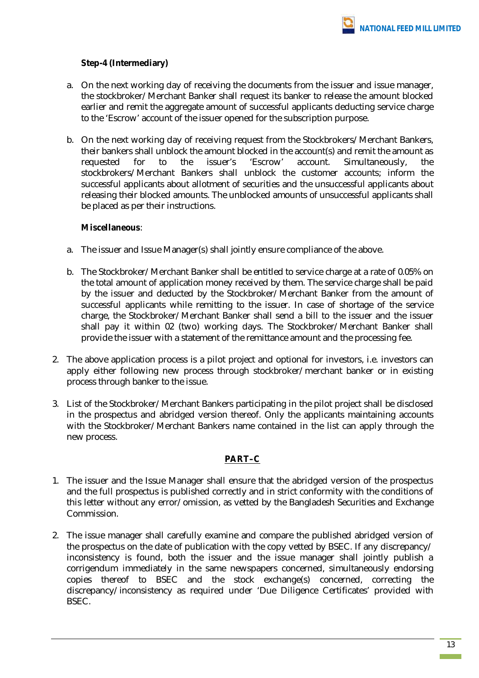# **Step-4 (Intermediary)**

- a. On the next working day of receiving the documents from the issuer and issue manager, the stockbroker/Merchant Banker shall request its banker to release the amount blocked earlier and remit the aggregate amount of successful applicants deducting service charge to the 'Escrow' account of the issuer opened for the subscription purpose.
- b. On the next working day of receiving request from the Stockbrokers/Merchant Bankers, their bankers shall unblock the amount blocked in the account(s) and remit the amount as<br>requested for to the issuer's 'Escrow' account. Simultaneously. the requested for to the issuer's 'Escrow' account. Simultaneously, the stockbrokers/Merchant Bankers shall unblock the customer accounts; inform the successful applicants about allotment of securities and the unsuccessful applicants about releasing their blocked amounts. The unblocked amounts of unsuccessful applicants shall be placed as per their instructions.

#### **Miscellaneous**:

- a. The issuer and Issue Manager(s) shall jointly ensure compliance of the above.
- b. The Stockbroker/Merchant Banker shall be entitled to service charge at a rate of 0.05% on the total amount of application money received by them. The service charge shall be paid by the issuer and deducted by the Stockbroker/Merchant Banker from the amount of successful applicants while remitting to the issuer. In case of shortage of the service charge, the Stockbroker/Merchant Banker shall send a bill to the issuer and the issuer shall pay it within 02 (two) working days. The Stockbroker/Merchant Banker shall provide the issuer with a statement of the remittance amount and the processing fee.
- 2. The above application process is a pilot project and optional for investors, i.e. investors can apply either following new process through stockbroker/merchant banker or in existing process through banker to the issue.
- 3. List of the Stockbroker/Merchant Bankers participating in the pilot project shall be disclosed in the prospectus and abridged version thereof. Only the applicants maintaining accounts with the Stockbroker/Merchant Bankers name contained in the list can apply through the new process.

# **PART–C**

- 1. The issuer and the Issue Manager shall ensure that the abridged version of the prospectus and the full prospectus is published correctly and in strict conformity with the conditions of this letter without any error/omission, as vetted by the Bangladesh Securities and Exchange Commission.
- 2. The issue manager shall carefully examine and compare the published abridged version of the prospectus on the date of publication with the copy vetted by BSEC. If any discrepancy/ inconsistency is found, both the issuer and the issue manager shall jointly publish a corrigendum immediately in the same newspapers concerned, simultaneously endorsing copies thereof to BSEC and the stock exchange(s) concerned, correcting the discrepancy/inconsistency as required under 'Due Diligence Certificates' provided with BSEC.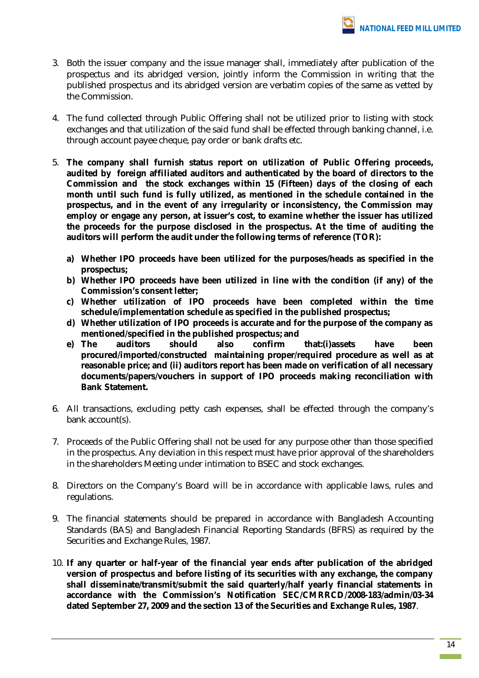- 3. Both the issuer company and the issue manager shall, immediately after publication of the prospectus and its abridged version, jointly inform the Commission in writing that the published prospectus and its abridged version are verbatim copies of the same as vetted by the Commission.
- 4. The fund collected through Public Offering shall not be utilized prior to listing with stock exchanges and that utilization of the said fund shall be effected through banking channel, i.e. through account payee cheque, pay order or bank drafts etc.
- 5. **The company shall furnish status report on utilization of Public Offering proceeds, audited by foreign affiliated auditors and authenticated by the board of directors to the Commission and the stock exchanges within 15 (Fifteen) days of the closing of each month until such fund is fully utilized, as mentioned in the schedule contained in the prospectus, and in the event of any irregularity or inconsistency, the Commission may employ or engage any person, at issuer's cost, to examine whether the issuer has utilized the proceeds for the purpose disclosed in the prospectus. At the time of auditing the auditors will perform the audit under the following terms of reference (TOR):**
	- **a) Whether IPO proceeds have been utilized for the purposes/heads as specified in the prospectus;**
	- **b) Whether IPO proceeds have been utilized in line with the condition (if any) of the Commission's consent letter;**
	- **c) Whether utilization of IPO proceeds have been completed within the time schedule/implementation schedule as specified in the published prospectus;**
	- **d) Whether utilization of IPO proceeds is accurate and for the purpose of the company as mentioned/specified in the published prospectus; and**
	- **e) The auditors should also confirm that:(i)assets have been procured/imported/constructed maintaining proper/required procedure as well as at reasonable price; and (ii) auditors report has been made on verification of all necessary documents/papers/vouchers in support of IPO proceeds making reconciliation with Bank Statement.**
- 6. All transactions, excluding petty cash expenses, shall be effected through the company's bank account(s).
- 7. Proceeds of the Public Offering shall not be used for any purpose other than those specified in the prospectus. Any deviation in this respect must have prior approval of the shareholders in the shareholders Meeting under intimation to BSEC and stock exchanges.
- 8. Directors on the Company's Board will be in accordance with applicable laws, rules and regulations.
- 9. The financial statements should be prepared in accordance with Bangladesh Accounting Standards (BAS) and Bangladesh Financial Reporting Standards (BFRS) as required by the Securities and Exchange Rules, 1987.
- 10. **If any quarter or half-year of the financial year ends after publication of the abridged version of prospectus and before listing of its securities with any exchange, the company shall disseminate/transmit/submit the said quarterly/half yearly financial statements in accordance with the Commission's Notification SEC/CMRRCD/2008-183/admin/03-34 dated September 27, 2009 and the section 13 of the Securities and Exchange Rules, 1987**.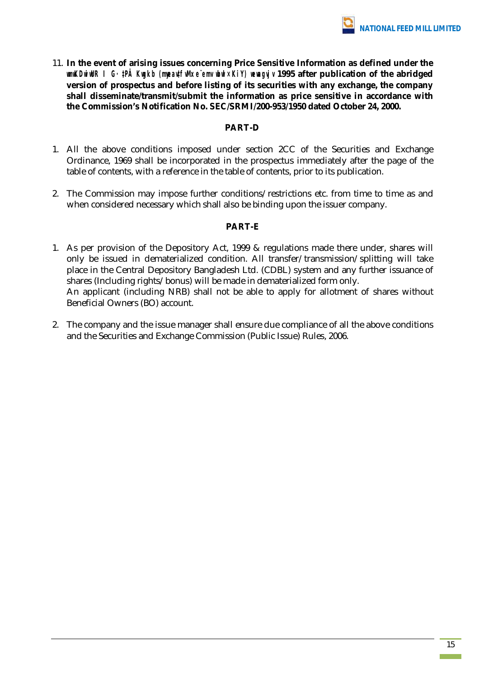11. **In the event of arising issues concerning Price Sensitive Information as defined under the**  *wmwKDwiwUR I G·‡PÄ Kwgkb (myweav‡fvMx e¨emv wbwl×KiY) wewagvjv* **1995 after publication of the abridged version of prospectus and before listing of its securities with any exchange, the company shall disseminate/transmit/submit the information as price sensitive in accordance with the Commission's Notification No. SEC/SRMI/200-953/1950 dated October 24, 2000.**

# **PART-D**

- 1. All the above conditions imposed under section 2CC of the Securities and Exchange Ordinance, 1969 shall be incorporated in the prospectus immediately after the page of the table of contents, with a reference in the table of contents, prior to its publication.
- 2. The Commission may impose further conditions/restrictions etc. from time to time as and when considered necessary which shall also be binding upon the issuer company.

# **PART-E**

- 1. As per provision of the Depository Act, 1999 & regulations made there under, shares will only be issued in dematerialized condition. All transfer/transmission/splitting will take place in the Central Depository Bangladesh Ltd. (CDBL) system and any further issuance of shares (Including rights/bonus) will be made in dematerialized form only. An applicant (including NRB) shall not be able to apply for allotment of shares without Beneficial Owners (BO) account.
- 2. The company and the issue manager shall ensure due compliance of all the above conditions and the Securities and Exchange Commission (Public Issue) Rules, 2006.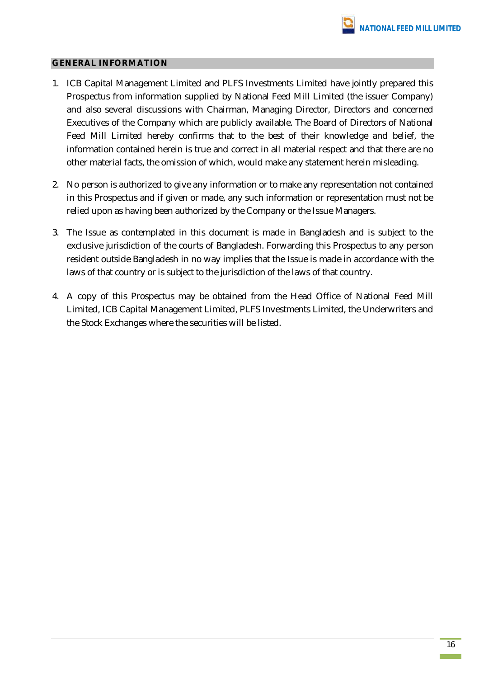#### **GENERAL INFORMATION**

- 1. ICB Capital Management Limited and PLFS Investments Limited have jointly prepared this Prospectus from information supplied by National Feed Mill Limited (the issuer Company) and also several discussions with Chairman, Managing Director, Directors and concerned Executives of the Company which are publicly available. The Board of Directors of National Feed Mill Limited hereby confirms that to the best of their knowledge and belief, the information contained herein is true and correct in all material respect and that there are no other material facts, the omission of which, would make any statement herein misleading.
- 2. No person is authorized to give any information or to make any representation not contained in this Prospectus and if given or made, any such information or representation must not be relied upon as having been authorized by the Company or the Issue Managers.
- 3. The Issue as contemplated in this document is made in Bangladesh and is subject to the exclusive jurisdiction of the courts of Bangladesh. Forwarding this Prospectus to any person resident outside Bangladesh in no way implies that the Issue is made in accordance with the laws of that country or is subject to the jurisdiction of the laws of that country.
- 4. A copy of this Prospectus may be obtained from the Head Office of National Feed Mill Limited, ICB Capital Management Limited, PLFS Investments Limited, the Underwriters and the Stock Exchanges where the securities will be listed.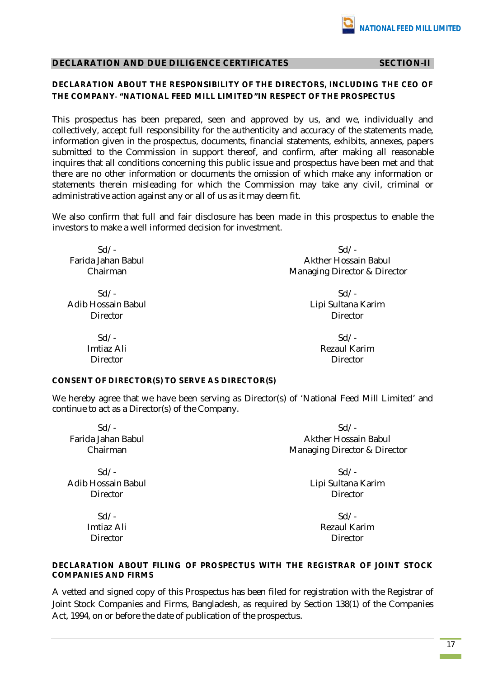#### **DECLARATION AND DUE DILIGENCE CERTIFICATES SECTION-II**

# **DECLARATION ABOUT THE RESPONSIBILITY OF THE DIRECTORS, INCLUDING THE CEO OF THE COMPANY‐ "NATIONAL FEED MILL LIMITED"IN RESPECT OF THE PROSPECTUS**

This prospectus has been prepared, seen and approved by us, and we, individually and collectively, accept full responsibility for the authenticity and accuracy of the statements made, information given in the prospectus, documents, financial statements, exhibits, annexes, papers submitted to the Commission in support thereof, and confirm, after making all reasonable inquires that all conditions concerning this public issue and prospectus have been met and that there are no other information or documents the omission of which make any information or statements therein misleading for which the Commission may take any civil, criminal or administrative action against any or all of us as it may deem fit.

We also confirm that full and fair disclosure has been made in this prospectus to enable the investors to make a well informed decision for investment.

> Sd/- Akther Hossain Babul Managing Director & Director

Sd/- Adib Hossain Babul **Director** 

Sd/- Farida Jahan Babul Chairman

> Sd/- Lipi Sultana Karim Director

Sd/- Imtiaz Ali Director

Sd/- Rezaul Karim Director

# **CONSENT OF DIRECTOR(S) TO SERVE AS DIRECTOR(S)**

We hereby agree that we have been serving as Director(s) of 'National Feed Mill Limited' and continue to act as a Director(s) of the Company.

Sd/- Farida Jahan Babul Chairman

Sd/- Adib Hossain Babul Director

> Sd/- Imtiaz Ali Director

Sd/- Akther Hossain Babul Managing Director & Director

> Sd/- Lipi Sultana Karim Director

> > Sd/- Rezaul Karim **Director**

#### **DECLARATION ABOUT FILING OF PROSPECTUS WITH THE REGISTRAR OF JOINT STOCK COMPANIES AND FIRMS**

A vetted and signed copy of this Prospectus has been filed for registration with the Registrar of Joint Stock Companies and Firms, Bangladesh, as required by Section 138(1) of the Companies Act, 1994, on or before the date of publication of the prospectus.

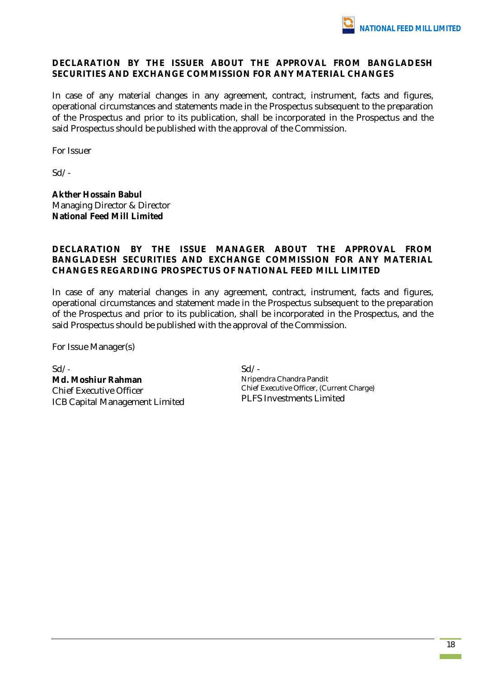# **DECLARATION BY THE ISSUER ABOUT THE APPROVAL FROM BANGLADESH SECURITIES AND EXCHANGE COMMISSION FOR ANY MATERIAL CHANGES**

In case of any material changes in any agreement, contract, instrument, facts and figures, operational circumstances and statements made in the Prospectus subsequent to the preparation of the Prospectus and prior to its publication, shall be incorporated in the Prospectus and the said Prospectus should be published with the approval of the Commission.

For Issuer

Sd/-

**Akther Hossain Babul** Managing Director & Director **National Feed Mill Limited**

# **DECLARATION BY THE ISSUE MANAGER ABOUT THE APPROVAL FROM BANGLADESH SECURITIES AND EXCHANGE COMMISSION FOR ANY MATERIAL CHANGES REGARDING PROSPECTUS OF NATIONAL FEED MILL LIMITED**

In case of any material changes in any agreement, contract, instrument, facts and figures, operational circumstances and statement made in the Prospectus subsequent to the preparation of the Prospectus and prior to its publication, shall be incorporated in the Prospectus, and the said Prospectus should be published with the approval of the Commission.

For Issue Manager(s)

Sd/‐ **Md. Moshiur Rahman** Chief Executive Officer ICB Capital Management Limited Sd/- Nripendra Chandra Pandit Chief Executive Officer, (Current Charge) PLFS Investments Limited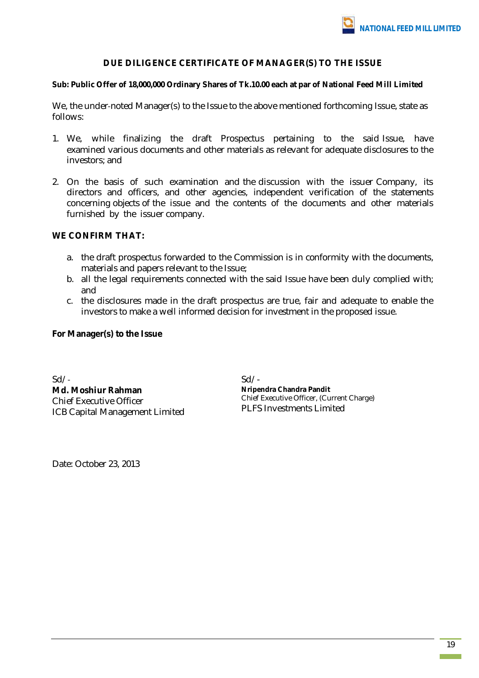#### **DUE DILIGENCE CERTIFICATE OF MANAGER(S) TO THE ISSUE**

#### **Sub: Public Offer of 18,000,000 Ordinary Shares of Tk.10.00 each at par of National Feed Mill Limited**

We, the under-noted Manager(s) to the Issue to the above mentioned forthcoming Issue, state as follows:

- 1. We, while finalizing the draft Prospectus pertaining to the said Issue, have examined various documents and other materials as relevant for adequate disclosures to the investors; and
- 2. On the basis of such examination and the discussion with the issuer Company, its directors and officers, and other agencies, independent verification of the statements concerning objects of the issue and the contents of the documents and other materials furnished by the issuer company.

#### **WE CONFIRM THAT:**

- a. the draft prospectus forwarded to the Commission is in conformity with the documents, materials and papers relevant to the Issue;
- b. all the legal requirements connected with the said Issue have been duly complied with; and
- c. the disclosures made in the draft prospectus are true, fair and adequate to enable the investors to make a well informed decision for investment in the proposed issue.

#### **For Manager(s) to the Issue**

Sd/‐ **Md. Moshiur Rahman** Chief Executive Officer ICB Capital Management Limited Sd/- **Nripendra Chandra Pandit** Chief Executive Officer, (Current Charge) PLFS Investments Limited

Date: October 23, 2013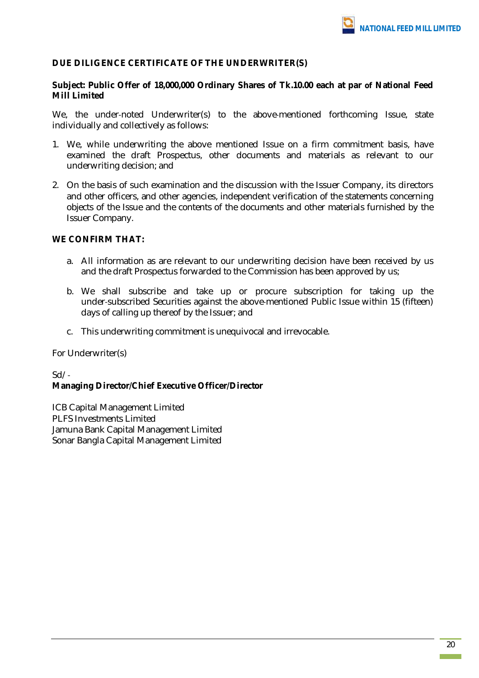# **DUE DILIGENCE CERTIFICATE OF THE UNDERWRITER(S)**

#### **Subject: Public Offer of 18,000,000 Ordinary Shares of Tk.10.00 each at par of National Feed Mill Limited**

We, the under-noted Underwriter(s) to the above-mentioned forthcoming Issue, state individually and collectively as follows:

- 1. We, while underwriting the above mentioned Issue on a firm commitment basis, have examined the draft Prospectus, other documents and materials as relevant to our underwriting decision; and
- 2. On the basis of such examination and the discussion with the Issuer Company, its directors and other officers, and other agencies, independent verification of the statements concerning objects of the Issue and the contents of the documents and other materials furnished by the Issuer Company.

#### **WE CONFIRM THAT:**

- a. All information as are relevant to our underwriting decision have been received by us and the draft Prospectus forwarded to the Commission has been approved by us;
- b. We shall subscribe and take up or procure subscription for taking up the under‐subscribed Securities against the above‐mentioned Public Issue within 15 (fifteen) days of calling up thereof by the Issuer; and
- c. This underwriting commitment is unequivocal and irrevocable.

For Underwriter(s)

Sd/‐ **Managing Director/Chief Executive Officer/Director**

ICB Capital Management Limited PLFS Investments Limited Jamuna Bank Capital Management Limited Sonar Bangla Capital Management Limited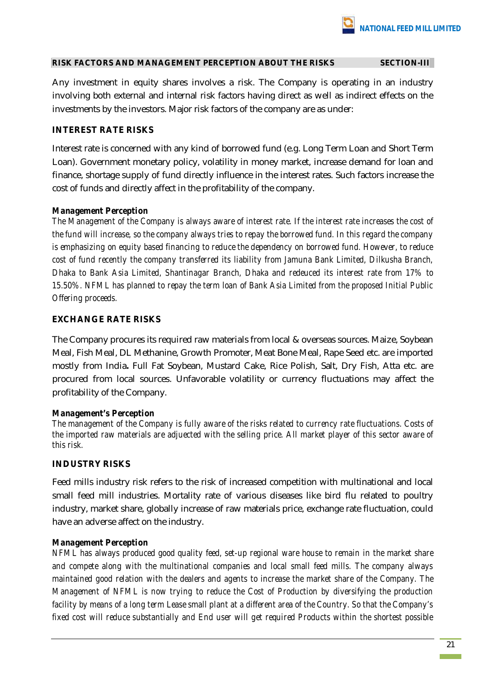

#### **RISK FACTORS AND MANAGEMENT PERCEPTION ABOUT THE RISKS SECTION-III**

Any investment in equity shares involves a risk. The Company is operating in an industry involving both external and internal risk factors having direct as well as indirect effects on the investments by the investors. Major risk factors of the company are as under:

# **INTEREST RATE RISKS**

Interest rate is concerned with any kind of borrowed fund (e.g. Long Term Loan and Short Term Loan). Government monetary policy, volatility in money market, increase demand for loan and finance, shortage supply of fund directly influence in the interest rates. Such factors increase the cost of funds and directly affect in the profitability of the company.

# *Management Perception*

*The Management of the Company is always aware of interest rate. If the interest rate increases the cost of the fund will increase, so the company always tries to repay the borrowed fund. In this regard the company is emphasizing on equity based financing to reduce the dependency on borrowed fund. However, to reduce cost of fund recently the company transferred its liability from Jamuna Bank Limited, Dilkusha Branch, Dhaka to Bank Asia Limited, Shantinagar Branch, Dhaka and redeuced its interest rate from 17% to 15.50%. NFML has planned to repay the term loan of Bank Asia Limited from the proposed Initial Public Offering proceeds.*

# **EXCHANGE RATE RISKS**

The Company procures its required raw materials from local & overseas sources. Maize, Soybean Meal, Fish Meal, DL Methanine, Growth Promoter, Meat Bone Meal, Rape Seed etc. are imported mostly from India**.** Full Fat Soybean, Mustard Cake, Rice Polish, Salt, Dry Fish, Atta etc. are procured from local sources. Unfavorable volatility or currency fluctuations may affect the profitability of the Company.

# *Management's Perception*

*The management of the Company is fully aware of the risks related to currency rate fluctuations. Costs of the imported raw materials are adjuected with the selling price. All market player of this sector aware of this risk.* 

# **INDUSTRY RISKS**

Feed mills industry risk refers to the risk of increased competition with multinational and local small feed mill industries. Mortality rate of various diseases like bird flu related to poultry industry, market share, globally increase of raw materials price, exchange rate fluctuation, could have an adverse affect on the industry.

# *Management Perception*

*NFML has always produced good quality feed, set-up regional ware house to remain in the market share and compete along with the multinational companies and local small feed mills. The company always maintained good relation with the dealers and agents to increase the market share of the Company. The Management of NFML is now trying to reduce the Cost of Production by diversifying the production facility by means of a long term Lease small plant at a different area of the Country. So that the Company's fixed cost will reduce substantially and End user will get required Products within the shortest possible*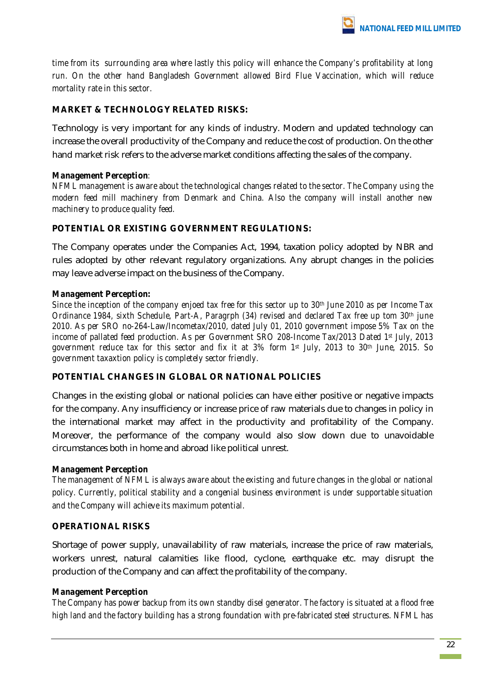*time from its surrounding area where lastly this policy will enhance the Company's profitability at long run. On the other hand Bangladesh Government allowed Bird Flue Vaccination, which will reduce mortality rate in this sector.*

# **MARKET & TECHNOLOGY RELATED RISKS:**

Technology is very important for any kinds of industry. Modern and updated technology can increase the overall productivity of the Company and reduce the cost of production. On the other hand market risk refers to the adverse market conditions affecting the sales of the company.

# *Management Perception:*

*NFML management is aware about the technological changes related to the sector. The Company using the modern feed mill machinery from Denmark and China. Also the company will install another new machinery to produce quality feed.* 

# **POTENTIAL OR EXISTING GOVERNMENT REGULATIONS:**

The Company operates under the Companies Act, 1994, taxation policy adopted by NBR and rules adopted by other relevant regulatory organizations. Any abrupt changes in the policies may leave adverse impact on the business of the Company.

# *Management Perception:*

*Since the inception of the company enjoed tax free for this sector up to 30th June 2010 as per Income Tax Ordinance 1984, sixth Schedule, Part-A, Paragrph (34) revised and declared Tax free up tom 30th june 2010. As per SRO no-264-Law/Incometax/2010, dated July 01, 2010 government impose 5% Tax on the income of pallated feed production. As per Government SRO 208-Income Tax/2013 Dated 1st July, 2013 government reduce tax for this sector and fix it at 3% form 1st July, 2013 to 30th June, 2015. So government taxaxtion policy is completely sector friendly.* 

# **POTENTIAL CHANGES IN GLOBAL OR NATIONAL POLICIES**

Changes in the existing global or national policies can have either positive or negative impacts for the company. Any insufficiency or increase price of raw materials due to changes in policy in the international market may affect in the productivity and profitability of the Company. Moreover, the performance of the company would also slow down due to unavoidable circumstances both in home and abroad like political unrest.

# *Management Perception*

*The management of NFML is always aware about the existing and future changes in the global or national policy. Currently, political stability and a congenial business environment is under supportable situation and the Company will achieve its maximum potential.* 

# **OPERATIONAL RISKS**

Shortage of power supply, unavailability of raw materials, increase the price of raw materials, workers unrest, natural calamities like flood, cyclone, earthquake etc. may disrupt the production of the Company and can affect the profitability of the company.

# *Management Perception*

*The Company has power backup from its own standby disel generator. The factory is situated at a flood free high land and the factory building has a strong foundation with pre-fabricated steel structures. NFML has*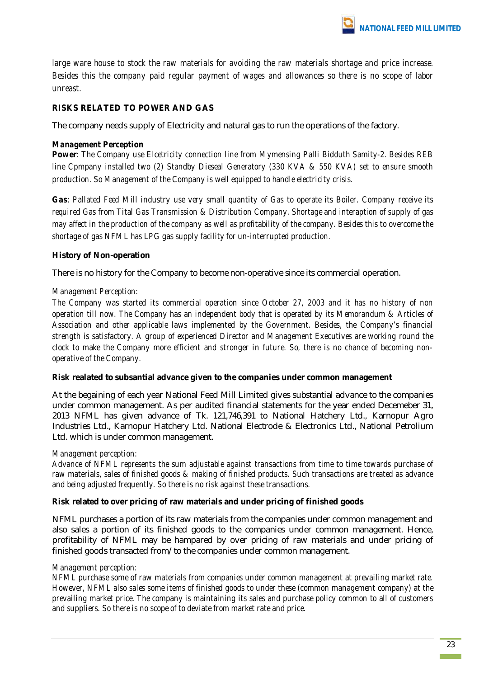*large ware house to stock the raw materials for avoiding the raw materials shortage and price increase. Besides this the company paid regular payment of wages and allowances so there is no scope of labor unreast.* 

# **RISKS RELATED TO POWER AND GAS**

The company needs supply of Electricity and natural gas to run the operations of the factory.

# *Management Perception*

*Power: The Company use Elcetricity connection line from Mymensing Palli Bidduth Samity-2. Besides REB line Cpmpany installed two (2) Standby Dieseal Generatory (330 KVA & 550 KVA) set to ensure smooth production. So Management of the Company is well equipped to handle electricity crisis.*

*Gas: Pallated Feed Mill industry use very small quantity of Gas to operate its Boiler. Company receive its required Gas from Tital Gas Transmission & Distribution Company. Shortage and interaption of supply of gas may affect in the production of the company as well as profitability of the company. Besides this to overcome the shortage of gas NFML has LPG gas supply facility for un-interrupted production.* 

#### **History of Non-operation**

There is no history for the Company to become non-operative since its commercial operation.

#### *Management Perception:*

*The Company was started its commercial operation since October 27, 2003 and it has no history of non operation till now. The Company has an independent body that is operated by its Memorandum & Articles of Association and other applicable laws implemented by the Government. Besides, the Company's financial strength is satisfactory. A group of experienced Director and Management Executives are working round the clock to make the Company more efficient and stronger in future. So, there is no chance of becoming nonoperative of the Company.* 

#### **Risk realated to subsantial advance given to the companies under common management**

At the begaining of each year National Feed Mill Limited gives substantial advance to the companies under common management. As per audited financial statements for the year ended Decemeber 31, 2013 NFML has given advance of Tk. 121,746,391 to National Hatchery Ltd., Karnopur Agro Industries Ltd., Karnopur Hatchery Ltd. National Electrode & Electronics Ltd., National Petrolium Ltd. which is under common management.

# *Management perception:*

*Advance of NFML represents the sum adjustable against transactions from time to time towards purchase of raw materials, sales of finished goods & making of finished products. Such transactions are treated as advance and being adjusted frequently. So there is no risk against these transactions.*

# **Risk related to over pricing of raw materials and under pricing of finished goods**

NFML purchases a portion of its raw materials from the companies under common management and also sales a portion of its finished goods to the companies under common management. Hence, profitability of NFML may be hampared by over pricing of raw materials and under pricing of finished goods transacted from/to the companies under common management.

# *Management perception:*

*NFML purchase some of raw materials from companies under common management at prevailing market rate. However, NFML also sales some items of finished goods to under these (common management company) at the prevailing market price. The company is maintaining its sales and purchase policy common to all of customers and suppliers. So there is no scope of to deviate from market rate and price.*

**NATIONAL FEED MILL LIMITED**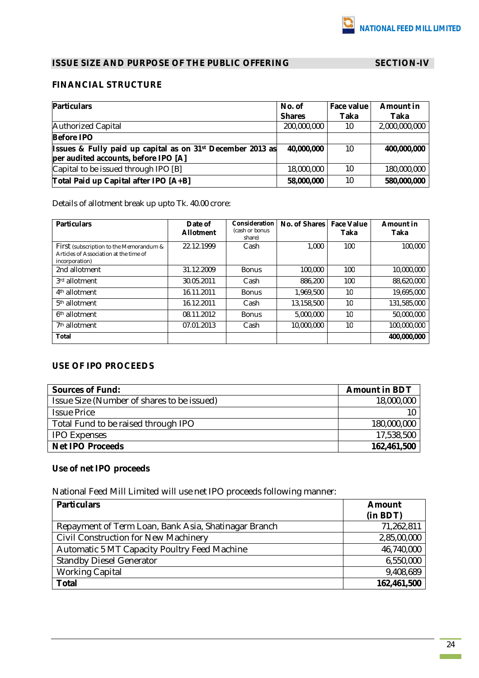# **ISSUE SIZE AND PURPOSE OF THE PUBLIC OFFERING SECTION-IV**

# **FINANCIAL STRUCTURE**

| <b>Particulars</b>                                                                                             | No. of        | Face value | <b>Amount in</b> |
|----------------------------------------------------------------------------------------------------------------|---------------|------------|------------------|
|                                                                                                                | <b>Shares</b> | Taka       | Taka             |
| <b>Authorized Capital</b>                                                                                      | 200,000,000   | 10         | 2,000,000,000    |
| <b>Before IPO</b>                                                                                              |               |            |                  |
| Issues & Fully paid up capital as on 31 <sup>st</sup> December 2013 as<br>per audited accounts, before IPO [A] | 40,000,000    | 10         | 400,000,000      |
| Capital to be issued through IPO [B]                                                                           | 18,000,000    | 10         | 180,000,000      |
| Total Paid up Capital after IPO [A+B]                                                                          | 58,000,000    | 10         | 580,000,000      |

Details of allotment break up upto Tk. 40.00 crore:

| <b>Particulars</b>                                                                                  | Date of<br><b>Allotment</b> | Consideration<br>(cash or bonus<br>share) | No. of Shares | <b>Face Value</b><br>Taka | Amount in<br>Taka |
|-----------------------------------------------------------------------------------------------------|-----------------------------|-------------------------------------------|---------------|---------------------------|-------------------|
| First (subscription to the Memorandum &<br>Articles of Association at the time of<br>incorporation) | 22.12.1999                  | Cash                                      | 1.000         | 100                       | 100,000           |
| 2nd allotment                                                                                       | 31.12.2009                  | Bonus                                     | 100,000       | 100                       | 10,000,000        |
| 3rd allotment                                                                                       | 30.05.2011                  | Cash                                      | 886,200       | 100                       | 88,620,000        |
| 4 <sup>th</sup> allotment                                                                           | 16.11.2011                  | <b>Bonus</b>                              | 1.969.500     | 10                        | 19,695,000        |
| 5 <sup>th</sup> allotment                                                                           | 16.12.2011                  | Cash                                      | 13,158,500    | 10                        | 131,585,000       |
| 6 <sup>th</sup> allotment                                                                           | 08.11.2012                  | <b>Bonus</b>                              | 5,000,000     | 10                        | 50,000,000        |
| 7 <sup>th</sup> allotment                                                                           | 07.01.2013                  | Cash                                      | 10,000,000    | 10                        | 100,000,000       |
| <b>Total</b>                                                                                        |                             |                                           |               |                           | 400,000,000       |

# **USE OF IPO PROCEEDS**

| <b>Sources of Fund:</b>                    | <b>Amount in BDT</b> |
|--------------------------------------------|----------------------|
| Issue Size (Number of shares to be issued) | 18,000,000           |
| <b>Issue Price</b>                         |                      |
| Total Fund to be raised through IPO        | 180,000,000          |
| <b>IPO Expenses</b>                        | 17,538,500           |
| <b>Net IPO Proceeds</b>                    | 162,461,500          |

#### **Use of net IPO proceeds**

National Feed Mill Limited will use net IPO proceeds following manner:

| <b>Particulars</b>                                   | Amount<br>(in BDT) |
|------------------------------------------------------|--------------------|
|                                                      |                    |
| Repayment of Term Loan, Bank Asia, Shatinagar Branch | 71,262,811         |
| Civil Construction for New Machinery                 | 2,85,00,000        |
| Automatic 5 MT Capacity Poultry Feed Machine         | 46,740,000         |
| <b>Standby Diesel Generator</b>                      | 6,550,000          |
| <b>Working Capital</b>                               | 9,408,689          |
| <b>Total</b>                                         | 162,461,500        |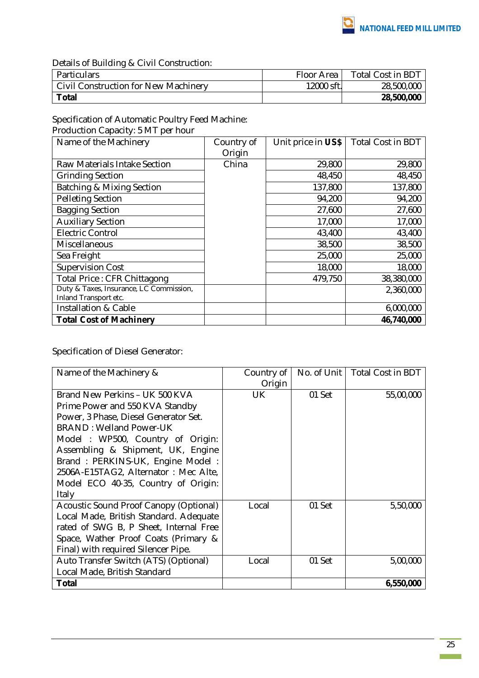Details of Building & Civil Construction:

| Particulars                                 | Floor Area | <b>Total Cost in BDT</b> |
|---------------------------------------------|------------|--------------------------|
| <b>Civil Construction for New Machinery</b> | 12000 sft. | 28,500,000               |
| Total                                       |            | 28,500,000               |

Specification of Automatic Poultry Feed Machine:

Production Capacity: 5 MT per hour

| Name of the Machinery                   | Country of | Unit price in US\$ | <b>Total Cost in BDT</b> |
|-----------------------------------------|------------|--------------------|--------------------------|
|                                         | Origin     |                    |                          |
| Raw Materials Intake Section            | China      | 29,800             | 29,800                   |
| <b>Grinding Section</b>                 |            | 48,450             | 48,450                   |
| Batching & Mixing Section               |            | 137,800            | 137,800                  |
| <b>Pelleting Section</b>                |            | 94,200             | 94,200                   |
| <b>Bagging Section</b>                  |            | 27,600             | 27,600                   |
| <b>Auxiliary Section</b>                |            | 17,000             | 17,000                   |
| <b>Electric Control</b>                 |            | 43,400             | 43,400                   |
| Miscellaneous                           |            | 38,500             | 38,500                   |
| Sea Freight                             |            | 25,000             | 25,000                   |
| <b>Supervision Cost</b>                 |            | 18,000             | 18,000                   |
| <b>Total Price: CFR Chittagong</b>      |            | 479,750            | 38,380,000               |
| Duty & Taxes, Insurance, LC Commission, |            |                    | 2,360,000                |
| Inland Transport etc.                   |            |                    |                          |
| Installation & Cable                    |            |                    | 6,000,000                |
| <b>Total Cost of Machinery</b>          |            |                    | 46,740,000               |

Specification of Diesel Generator:

| Name of the Machinery &                | Country of | No. of Unit | <b>Total Cost in BDT</b> |
|----------------------------------------|------------|-------------|--------------------------|
|                                        | Origin     |             |                          |
| Brand New Perkins - UK 500 KVA         | UK.        | 01 Set      | 55,00,000                |
| Prime Power and 550 KVA Standby        |            |             |                          |
| Power, 3 Phase, Diesel Generator Set.  |            |             |                          |
| <b>BRAND: Welland Power-UK</b>         |            |             |                          |
| Model: WP500, Country of Origin:       |            |             |                          |
| Assembling & Shipment, UK, Engine      |            |             |                          |
| Brand: PERKINS-UK, Engine Model:       |            |             |                          |
| 2506A-E15TAG2, Alternator: Mec Alte,   |            |             |                          |
| Model ECO 40-35, Country of Origin:    |            |             |                          |
| Italy                                  |            |             |                          |
| Acoustic Sound Proof Canopy (Optional) | Local      | 01 Set      | 5,50,000                 |
| Local Made, British Standard. Adequate |            |             |                          |
| rated of SWG B, P Sheet, Internal Free |            |             |                          |
| Space, Wather Proof Coats (Primary &   |            |             |                          |
| Final) with required Silencer Pipe.    |            |             |                          |
| Auto Transfer Switch (ATS) (Optional)  | Local      | 01 Set      | 5,00,000                 |
| Local Made, British Standard           |            |             |                          |
| Total                                  |            |             | 6,550,000                |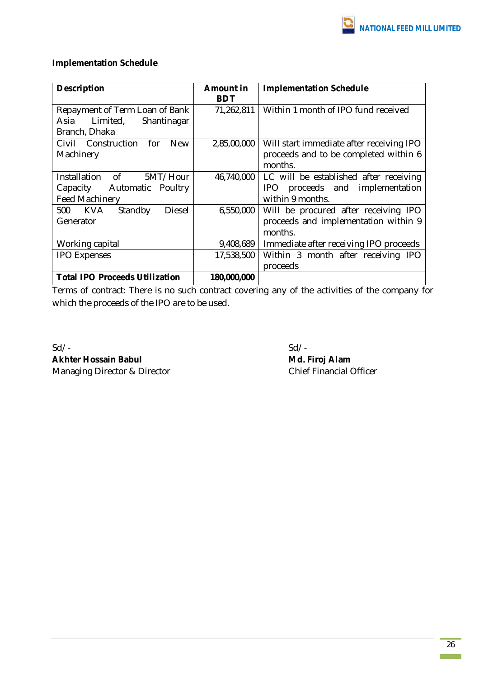# **Implementation Schedule**

| <b>Description</b>                    | <b>Amount in</b><br><b>BDT</b> | <b>Implementation Schedule</b>           |
|---------------------------------------|--------------------------------|------------------------------------------|
| Repayment of Term Loan of Bank        | 71,262,811                     | Within 1 month of IPO fund received      |
| Limited,<br>Shantinagar<br>Asia       |                                |                                          |
| Branch, Dhaka                         |                                |                                          |
| <b>New</b><br>Civil Construction for  | 2,85,00,000                    | Will start immediate after receiving IPO |
| Machinery                             |                                | proceeds and to be completed within 6    |
|                                       |                                | months.                                  |
| 5MT/Hour<br>Installation of           | 46,740,000                     | LC will be established after receiving   |
| Automatic Poultry<br>Capacity         |                                | proceeds and implementation<br>IPO.      |
| <b>Feed Machinery</b>                 |                                | within 9 months.                         |
| 500 KVA<br>Standby<br>Diesel          | 6,550,000                      | Will be procured after receiving IPO     |
| Generator                             |                                | proceeds and implementation within 9     |
|                                       |                                | months.                                  |
| Working capital                       | 9,408,689                      | Immediate after receiving IPO proceeds   |
| <b>IPO Expenses</b>                   | 17,538,500                     | Within 3 month after receiving IPO       |
|                                       |                                | proceeds                                 |
| <b>Total IPO Proceeds Utilization</b> | 180,000,000                    |                                          |

Terms of contract: There is no such contract covering any of the activities of the company for which the proceeds of the IPO are to be used.

Sd/- **Akhter Hossain Babul** Managing Director & Director Sd/- **Md. Firoj Alam**  Chief Financial Officer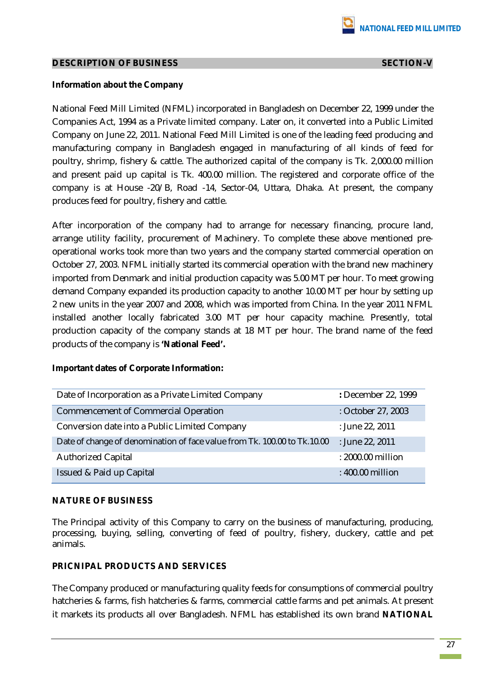#### **DESCRIPTION OF BUSINESS SECTION-V**

#### **Information about the Company**

National Feed Mill Limited (NFML) incorporated in Bangladesh on December 22, 1999 under the Companies Act, 1994 as a Private limited company. Later on, it converted into a Public Limited Company on June 22, 2011. National Feed Mill Limited is one of the leading feed producing and manufacturing company in Bangladesh engaged in manufacturing of all kinds of feed for poultry, shrimp, fishery & cattle. The authorized capital of the company is Tk. 2,000.00 million and present paid up capital is Tk. 400.00 million. The registered and corporate office of the company is at House -20/B, Road -14, Sector-04, Uttara, Dhaka. At present, the company produces feed for poultry, fishery and cattle.

After incorporation of the company had to arrange for necessary financing, procure land, arrange utility facility, procurement of Machinery. To complete these above mentioned preoperational works took more than two years and the company started commercial operation on October 27, 2003. NFML initially started its commercial operation with the brand new machinery imported from Denmark and initial production capacity was 5.00 MT per hour. To meet growing demand Company expanded its production capacity to another 10.00 MT per hour by setting up 2 new units in the year 2007 and 2008, which was imported from China. In the year 2011 NFML installed another locally fabricated 3.00 MT per hour capacity machine. Presently, total production capacity of the company stands at 18 MT per hour. The brand name of the feed products of the company is **'National Feed'.**

#### **Important dates of Corporate Information:**

| Date of Incorporation as a Private Limited Company                       | : December 22, 1999 |
|--------------------------------------------------------------------------|---------------------|
| Commencement of Commercial Operation                                     | : October 27, 2003  |
| Conversion date into a Public Limited Company                            | : June 22, 2011     |
| Date of change of denomination of face value from Tk. 100.00 to Tk.10.00 | : June 22, 2011     |
| <b>Authorized Capital</b>                                                | : 2000.00 million   |
| Issued & Paid up Capital                                                 | : 400.00 million    |

# **NATURE OF BUSINESS**

The Principal activity of this Company to carry on the business of manufacturing, producing, processing, buying, selling, converting of feed of poultry, fishery, duckery, cattle and pet animals.

# **PRICNIPAL PRODUCTS AND SERVICES**

The Company produced or manufacturing quality feeds for consumptions of commercial poultry hatcheries & farms, fish hatcheries & farms, commercial cattle farms and pet animals. At present it markets its products all over Bangladesh. NFML has established its own brand **NATIONAL**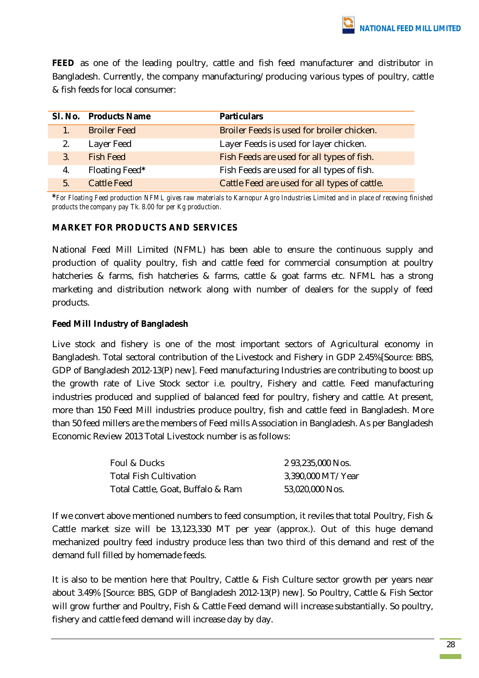

**FEED** as one of the leading poultry, cattle and fish feed manufacturer and distributor in Bangladesh. Currently, the company manufacturing/producing various types of poultry, cattle & fish feeds for local consumer:

|                | SI. No. Products Name | <b>Particulars</b>                            |
|----------------|-----------------------|-----------------------------------------------|
| 1 <sup>1</sup> | <b>Broiler Feed</b>   | Broiler Feeds is used for broiler chicken.    |
| 2.             | Layer Feed            | Layer Feeds is used for layer chicken.        |
| 3.             | <b>Fish Feed</b>      | Fish Feeds are used for all types of fish.    |
| 4.             | Floating Feed*        | Fish Feeds are used for all types of fish.    |
| 5.             | Cattle Feed           | Cattle Feed are used for all types of cattle. |

*\*For Floating Feed production NFML gives raw materials to Karnopur Agro Industries Limited and in place of receving finished products the company pay Tk. 8.00 for per Kg production.*

# **MARKET FOR PRODUCTS AND SERVICES**

National Feed Mill Limited (NFML) has been able to ensure the continuous supply and production of quality poultry, fish and cattle feed for commercial consumption at poultry hatcheries & farms, fish hatcheries & farms, cattle & goat farms etc. NFML has a strong marketing and distribution network along with number of dealers for the supply of feed products.

#### **Feed Mill Industry of Bangladesh**

Live stock and fishery is one of the most important sectors of Agricultural economy in Bangladesh. Total sectoral contribution of the Livestock and Fishery in GDP 2.45%[Source: BBS, GDP of Bangladesh 2012-13(P) new]. Feed manufacturing Industries are contributing to boost up the growth rate of Live Stock sector i.e. poultry, Fishery and cattle. Feed manufacturing industries produced and supplied of balanced feed for poultry, fishery and cattle. At present, more than 150 Feed Mill industries produce poultry, fish and cattle feed in Bangladesh. More than 50 feed millers are the members of Feed mills Association in Bangladesh. As per Bangladesh Economic Review 2013 Total Livestock number is as follows:

| Foul & Ducks                      | 2 93,235,000 Nos. |
|-----------------------------------|-------------------|
| <b>Total Fish Cultivation</b>     | 3,390,000 MT/Year |
| Total Cattle, Goat, Buffalo & Ram | 53,020,000 Nos.   |

If we convert above mentioned numbers to feed consumption, it reviles that total Poultry, Fish & Cattle market size will be 13,123,330 MT per year (approx.). Out of this huge demand mechanized poultry feed industry produce less than two third of this demand and rest of the demand full filled by homemade feeds.

It is also to be mention here that Poultry, Cattle & Fish Culture sector growth per years near about 3.49% [Source: BBS, GDP of Bangladesh 2012-13(P) new]. So Poultry, Cattle & Fish Sector will grow further and Poultry, Fish & Cattle Feed demand will increase substantially. So poultry, fishery and cattle feed demand will increase day by day.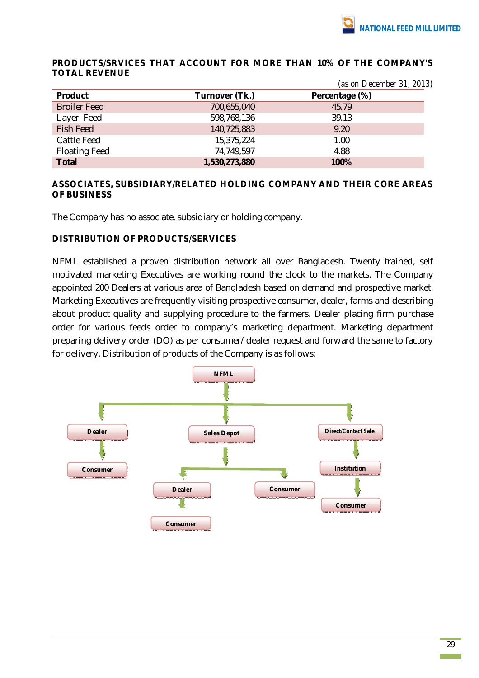|                      |                | (as on December 31, 2013) |
|----------------------|----------------|---------------------------|
| <b>Product</b>       | Turnover (Tk.) | Percentage (%)            |
| <b>Broiler Feed</b>  | 700,655,040    | 45.79                     |
| Layer Feed           | 598,768,136    | 39.13                     |
| <b>Fish Feed</b>     | 140,725,883    | 9.20                      |
| <b>Cattle Feed</b>   | 15,375,224     | 1.00                      |
| <b>Floating Feed</b> | 74,749,597     | 4.88                      |
| <b>Total</b>         | 1,530,273,880  | 100%                      |

# **PRODUCTS/SRVICES THAT ACCOUNT FOR MORE THAN 10% OF THE COMPANY'S TOTAL REVENUE**

# **ASSOCIATES, SUBSIDIARY/RELATED HOLDING COMPANY AND THEIR CORE AREAS OF BUSINESS**

The Company has no associate, subsidiary or holding company.

# **DISTRIBUTION OF PRODUCTS/SERVICES**

NFML established a proven distribution network all over Bangladesh. Twenty trained, self motivated marketing Executives are working round the clock to the markets. The Company appointed 200 Dealers at various area of Bangladesh based on demand and prospective market. Marketing Executives are frequently visiting prospective consumer, dealer, farms and describing about product quality and supplying procedure to the farmers. Dealer placing firm purchase order for various feeds order to company's marketing department. Marketing department preparing delivery order (DO) as per consumer/dealer request and forward the same to factory for delivery. Distribution of products of the Company is as follows:

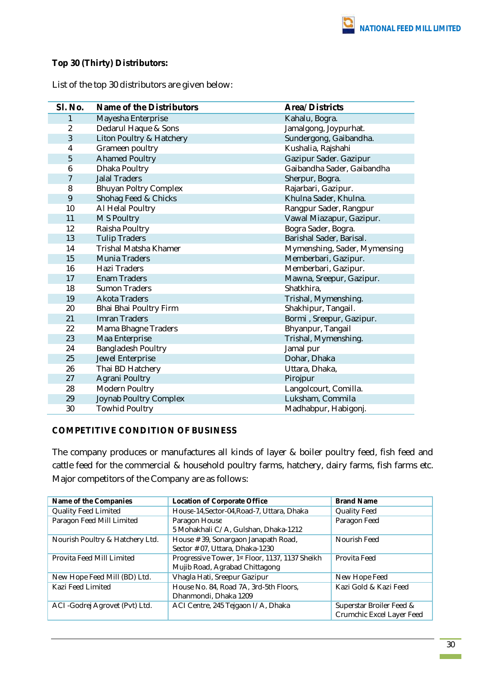# **Top 30 (Thirty) Distributors:**

List of the top 30 distributors are given below:

| SI. No. | <b>Name of the Distributors</b> | <b>Area/Districts</b>        |  |
|---------|---------------------------------|------------------------------|--|
| 1       | Mayesha Enterprise              | Kahalu, Bogra.               |  |
| 2       | Dedarul Haque & Sons            | Jamalgong, Joypurhat.        |  |
| 3       | Liton Poultry & Hatchery        | Sundergong, Gaibandha.       |  |
| 4       | Grameen poultry                 | Kushalia, Rajshahi           |  |
| 5       | <b>Ahamed Poultry</b>           | Gazipur Sader. Gazipur       |  |
| 6       | Dhaka Poultry                   | Gaibandha Sader, Gaibandha   |  |
| 7       | <b>Jalal Traders</b>            | Sherpur, Bogra.              |  |
| 8       | <b>Bhuyan Poltry Complex</b>    | Rajarbari, Gazipur.          |  |
| 9       | Shohag Feed & Chicks            | Khulna Sader, Khulna.        |  |
| 10      | Al Helal Poultry                | Rangpur Sader, Rangpur       |  |
| 11      | M S Poultry                     | Vawal Miazapur, Gazipur.     |  |
| 12      | Raisha Poultry                  | Bogra Sader, Bogra.          |  |
| 13      | <b>Tulip Traders</b>            | Barishal Sader, Barisal.     |  |
| 14      | <b>Trishal Matsha Khamer</b>    | Mymenshing, Sader, Mymensing |  |
| 15      | <b>Munia Traders</b>            | Memberbari, Gazipur.         |  |
| 16      | <b>Hazi Traders</b>             | Memberbari, Gazipur.         |  |
| 17      | <b>Enam Traders</b>             | Mawna, Sreepur, Gazipur.     |  |
| 18      | <b>Sumon Traders</b>            | Shatkhira,                   |  |
| 19      | <b>Akota Traders</b>            | Trishal, Mymenshing.         |  |
| 20      | Bhai Bhai Poultry Firm          | Shakhipur, Tangail.          |  |
| 21      | <b>Imran Traders</b>            | Bormi, Sreepur, Gazipur.     |  |
| 22      | Mama Bhagne Traders             | Bhyanpur, Tangail            |  |
| 23      | Maa Enterprise                  | Trishal, Mymenshing.         |  |
| 24      | <b>Bangladesh Poultry</b>       | Jamal pur                    |  |
| 25      | Jewel Enterprise                | Dohar, Dhaka                 |  |
| 26      | Thai BD Hatchery                | Uttara, Dhaka,               |  |
| 27      | Agrani Poultry                  | Pirojpur                     |  |
| 28      | Modern Poultry                  | Langolcourt, Comilla.        |  |
| 29      | Joynab Poultry Complex          | Luksham, Commila             |  |
| 30      | <b>Towhid Poultry</b>           | Madhabpur, Habigonj.         |  |

# **COMPETITIVE CONDITION OF BUSINESS**

The company produces or manufactures all kinds of layer & boiler poultry feed, fish feed and cattle feed for the commercial & household poultry farms, hatchery, dairy farms, fish farms etc. Major competitors of the Company are as follows:

| Name of the Companies           | <b>Location of Corporate Office</b>                                               | <b>Brand Name</b>                                     |
|---------------------------------|-----------------------------------------------------------------------------------|-------------------------------------------------------|
| Quality Feed Limited            | House-14, Sector-04, Road-7, Uttara, Dhaka                                        | <b>Quality Feed</b>                                   |
| Paragon Feed Mill Limited       | Paragon House<br>5 Mohakhali C/A, Gulshan, Dhaka-1212                             | Paragon Feed                                          |
| Nourish Poultry & Hatchery Ltd. | House #39, Sonargaon Janapath Road,<br>Sector # 07, Uttara, Dhaka-1230            | Nourish Feed                                          |
| Provita Feed Mill Limited       | Progressive Tower, 1st Floor, 1137, 1137 Sheikh<br>Mujib Road, Agrabad Chittagong | Provita Feed                                          |
| New Hope Feed Mill (BD) Ltd.    | Vhagla Hati, Sreepur Gazipur                                                      | New Hope Feed                                         |
| Kazi Feed Limited               | House No. 84, Road 7A, 3rd-5th Floors,<br>Dhanmondi, Dhaka 1209                   | Kazi Gold & Kazi Feed                                 |
| ACI - Godrej Agrovet (Pvt) Ltd. | ACI Centre, 245 Tejgaon I/A, Dhaka                                                | Superstar Broiler Feed &<br>Crumchic Excel Layer Feed |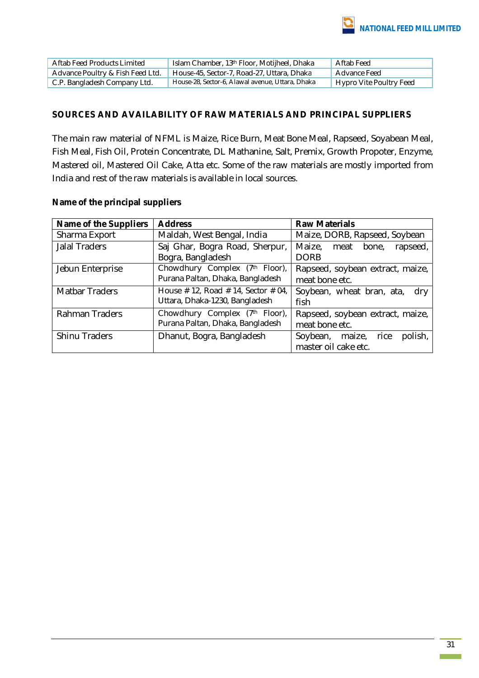| Aftab Feed Products Limited      | Islam Chamber, 13th Floor, Motijheel, Dhaka      | Aftab Feed              |
|----------------------------------|--------------------------------------------------|-------------------------|
| Advance Poultry & Fish Feed Ltd. | House-45, Sector-7, Road-27, Uttara, Dhaka       | Advance Feed            |
| C.P. Bangladesh Company Ltd.     | House-28, Sector-6, Alawal avenue, Uttara, Dhaka | Hypro Vite Poultry Feed |

# **SOURCES AND AVAILABILITY OF RAW MATERIALS AND PRINCIPAL SUPPLIERS**

The main raw material of NFML is Maize, Rice Burn, Meat Bone Meal, Rapseed, Soyabean Meal, Fish Meal, Fish Oil, Protein Concentrate, DL Mathanine, Salt, Premix, Growth Propoter, Enzyme, Mastered oil, Mastered Oil Cake, Atta etc. Some of the raw materials are mostly imported from India and rest of the raw materials is available in local sources.

#### **Name of the principal suppliers**

| <b>Name of the Suppliers</b> | <b>Address</b>                                                        | <b>Raw Materials</b>                                    |  |  |
|------------------------------|-----------------------------------------------------------------------|---------------------------------------------------------|--|--|
| Sharma Export                | Maldah, West Bengal, India                                            | Maize, DORB, Rapseed, Soybean                           |  |  |
| <b>Jalal Traders</b>         | Saj Ghar, Bogra Road, Sherpur,                                        | Maize, meat bone,<br>rapseed,                           |  |  |
|                              | Bogra, Bangladesh                                                     | <b>DORB</b>                                             |  |  |
| Jebun Enterprise             | Chowdhury Complex (7th Floor),                                        | Rapseed, soybean extract, maize,                        |  |  |
|                              | Purana Paltan, Dhaka, Bangladesh                                      | meat bone etc.                                          |  |  |
| <b>Matbar Traders</b>        | House # 12, Road # 14, Sector # 04,<br>Uttara, Dhaka-1230, Bangladesh | Soybean, wheat bran, ata,<br>dry<br>fish                |  |  |
| <b>Rahman Traders</b>        | Chowdhury Complex (7th Floor),<br>Purana Paltan, Dhaka, Bangladesh    | Rapseed, soybean extract, maize,<br>meat bone etc.      |  |  |
| <b>Shinu Traders</b>         | Dhanut, Bogra, Bangladesh                                             | Soybean, maize, rice<br>polish,<br>master oil cake etc. |  |  |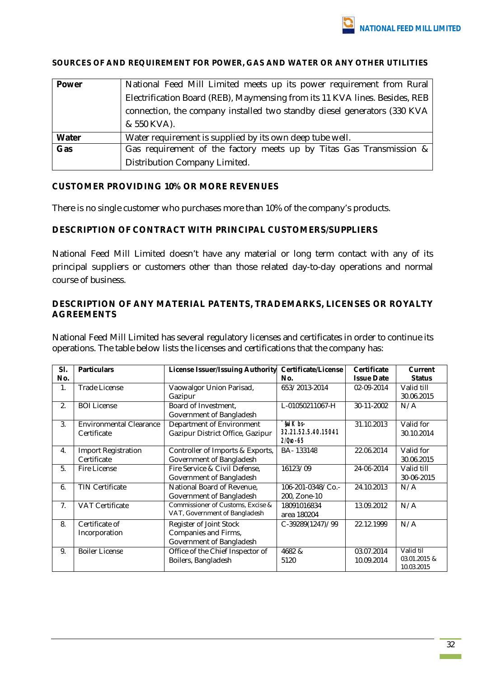#### **SOURCES OF AND REQUIREMENT FOR POWER, GAS AND WATER OR ANY OTHER UTILITIES**

| <b>Power</b> | National Feed Mill Limited meets up its power requirement from Rural        |  |  |  |
|--------------|-----------------------------------------------------------------------------|--|--|--|
|              | Electrification Board (REB), Maymensing from its 11 KVA lines. Besides, REB |  |  |  |
|              | connection, the company installed two standby diesel generators (330 KVA    |  |  |  |
|              | & 550 KVA).                                                                 |  |  |  |
| <b>Water</b> | Water requirement is supplied by its own deep tube well.                    |  |  |  |
| Gas          | Gas requirement of the factory meets up by Titas Gas Transmission &         |  |  |  |
|              | Distribution Company Limited.                                               |  |  |  |

#### **CUSTOMER PROVIDING 10% OR MORE REVENUES**

There is no single customer who purchases more than 10% of the company's products.

# **DESCRIPTION OF CONTRACT WITH PRINCIPAL CUSTOMERS/SUPPLIERS**

National Feed Mill Limited doesn't have any material or long term contact with any of its principal suppliers or customers other than those related day-to-day operations and normal course of business.

# **DESCRIPTION OF ANY MATERIAL PATENTS, TRADEMARKS, LICENSES OR ROYALTY AGREEMENTS**

National Feed Mill Limited has several regulatory licenses and certificates in order to continue its operations. The table below lists the licenses and certifications that the company has:

| SI. | <b>Particulars</b>             | <b>License Issuer/Issuing Authority</b> | <b>Certificate/License</b> | Certificate       | Current       |
|-----|--------------------------------|-----------------------------------------|----------------------------|-------------------|---------------|
| No. |                                |                                         | No.                        | <b>Issue Date</b> | <b>Status</b> |
| 1.  | <b>Trade License</b>           | Vaowalgor Union Parisad,                | 653/2013-2014              | 02-09-2014        | Valid till    |
|     |                                | Gazipur                                 |                            |                   | 30.06.2015    |
| 2.  | <b>BOI License</b>             | Board of Investment,                    | L-01050211067-H            | 30-11-2002        | N/A           |
|     |                                | Government of Bangladesh                |                            |                   |               |
| 3.  | <b>Environmental Clearance</b> | Department of Environment               | -§wiK bs-                  | 31.10.2013        | Valid for     |
|     | Certificate                    | Gazipur District Office, Gazipur        | 32.21.52.5.40.15041        |                   | 30.10.2014    |
|     |                                |                                         | $2$ /Qvo-65                |                   |               |
| 4.  | <b>Import Registration</b>     | Controller of Imports & Exports,        | BA-133148                  | 22.06.2014        | Valid for     |
|     | Certificate                    | Government of Bangladesh                |                            |                   | 30.06.2015    |
| 5.  | <b>Fire License</b>            | Fire Service & Civil Defense,           | 16123/09                   | 24-06-2014        | Valid till    |
|     |                                | Government of Bangladesh                |                            |                   | 30-06-2015    |
| 6.  | <b>TIN Certificate</b>         | National Board of Revenue,              | 106-201-0348/Co.-          | 24.10.2013        | N/A           |
|     |                                | Government of Bangladesh                | 200, Zone-10               |                   |               |
| 7.  | <b>VAT Certificate</b>         | Commissioner of Customs, Excise &       | 18091016834                | 13.09.2012        | N/A           |
|     |                                | VAT, Government of Bangladesh           | area 180204                |                   |               |
| 8.  | Certificate of                 | Register of Joint Stock                 | C-39289(1247)/99           | 22.12.1999        | N/A           |
|     | Incorporation                  | Companies and Firms,                    |                            |                   |               |
|     |                                | Government of Bangladesh                |                            |                   |               |
| 9.  | <b>Boiler License</b>          | Office of the Chief Inspector of        | 4682 &                     | 03.07.2014        | Valid til     |
|     |                                | Boilers, Bangladesh                     | 5120                       | 10.09.2014        | 03.01.2015 &  |
|     |                                |                                         |                            |                   | 10.03.2015    |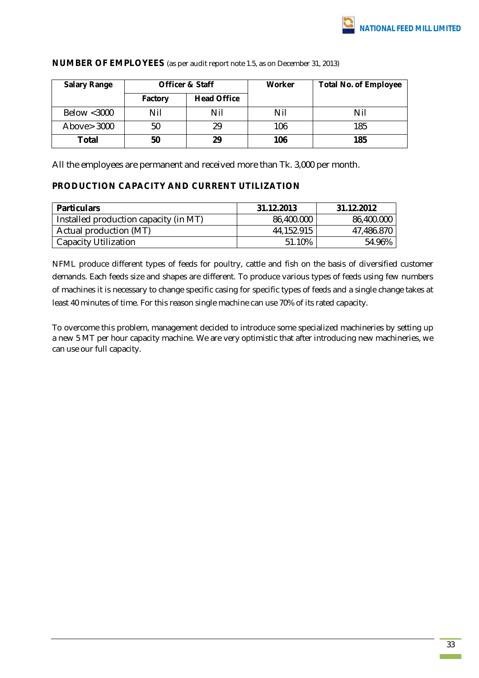#### **NUMBER OF EMPLOYEES** (as per audit report note 1.5, as on December 31, 2013)

| <b>Salary Range</b> | <b>Officer &amp; Staff</b> |                    | <b>Worker</b> | <b>Total No. of Employee</b> |
|---------------------|----------------------------|--------------------|---------------|------------------------------|
|                     | Factory                    | <b>Head Office</b> |               |                              |
| Below <3000         | Nil                        | Nil                | Nil           | Nil                          |
| Above> 3000         | 50                         | 29                 | 106           | 185                          |
| Total               | 50                         | 29                 | 106           | 185                          |

All the employees are permanent and received more than Tk. 3,000 per month.

#### **PRODUCTION CAPACITY AND CURRENT UTILIZATION**

| <b>Particulars</b>                    | 31.12.2013 | 31.12.2012 |
|---------------------------------------|------------|------------|
| Installed production capacity (in MT) | 86,400.000 | 86,400.000 |
| Actual production (MT)                | 44,152.915 | 47,486.870 |
| Capacity Utilization                  | 51.10%     | 54.96%     |

NFML produce different types of feeds for poultry, cattle and fish on the basis of diversified customer demands. Each feeds size and shapes are different. To produce various types of feeds using few numbers of machines it is necessary to change specific casing for specific types of feeds and a single change takes at least 40 minutes of time. For this reason single machine can use 70% of its rated capacity.

To overcome this problem, management decided to introduce some specialized machineries by setting up a new 5 MT per hour capacity machine. We are very optimistic that after introducing new machineries, we can use our full capacity.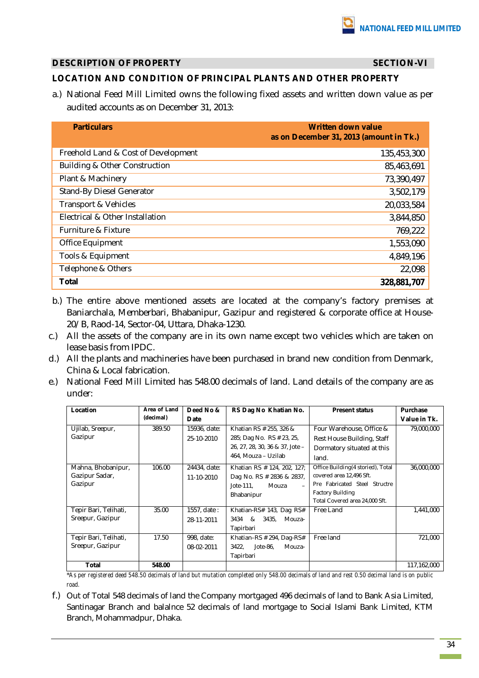#### **DESCRIPTION OF PROPERTY SECTION-VI**

# **LOCATION AND CONDITION OF PRINCIPAL PLANTS AND OTHER PROPERTY**

a.) National Feed Mill Limited owns the following fixed assets and written down value as per audited accounts as on December 31, 2013:

| <b>Particulars</b>                  | <b>Written down value</b><br>as on December 31, 2013 (amount in Tk.) |
|-------------------------------------|----------------------------------------------------------------------|
| Freehold Land & Cost of Development | 135,453,300                                                          |
| Building & Other Construction       | 85,463,691                                                           |
| Plant & Machinery                   | 73,390,497                                                           |
| <b>Stand-By Diesel Generator</b>    | 3,502,179                                                            |
| Transport & Vehicles                | 20,033,584                                                           |
| Electrical & Other Installation     | 3,844,850                                                            |
| Furniture & Fixture                 | 769,222                                                              |
| Office Equipment                    | 1,553,090                                                            |
| Tools & Equipment                   | 4,849,196                                                            |
| Telephone & Others                  | 22,098                                                               |
| Total                               | 328,881,707                                                          |

- b.) The entire above mentioned assets are located at the company's factory premises at Baniarchala, Memberbari, Bhabanipur, Gazipur and registered & corporate office at House-20/B, Raod-14, Sector-04, Uttara, Dhaka-1230.
- c.) All the assets of the company are in its own name except two vehicles which are taken on lease basis from IPDC.
- d.) All the plants and machineries have been purchased in brand new condition from Denmark, China & Local fabrication.
- e.) National Feed Mill Limited has 548.00 decimals of land. Land details of the company are as under:

| Location              | Area of Land | Deed No &    | RS Dag No Khatian No.           | <b>Present status</b>             | Purchase     |
|-----------------------|--------------|--------------|---------------------------------|-----------------------------------|--------------|
|                       | (decimal)    | Date         |                                 |                                   | Value in Tk. |
| Ujilab, Sreepur,      | 389.50       | 15936, date: | Khatian RS # 255, 326 &         | Four Warehouse, Office &          | 79,000,000   |
| Gazipur               |              | 25-10-2010   | 285; Dag No. RS # 23, 25,       | Rest House Building, Staff        |              |
|                       |              |              | 26, 27, 28, 30, 36 & 37, Jote - | Dormatory situated at this        |              |
|                       |              |              | 464, Mouza - Uzilab             | land.                             |              |
| Mahna, Bhobanipur,    | 106.00       | 24434, date: | Khatian RS # 124, 202, 127;     | Office Building(4 storied), Total | 36,000,000   |
| Gazipur Sadar,        |              | 11-10-2010   | Dag No. RS # 2836 & 2837,       | covered area 12,496 Sft.          |              |
| Gazipur               |              |              | Mouza<br>Jote-111,              | Pre Fabricated Steel Structre     |              |
|                       |              |              | Bhabanipur                      | <b>Factory Building</b>           |              |
|                       |              |              |                                 | Total Covered area 24,000 Sft.    |              |
| Tepir Bari, Telihati, | 35.00        | 1557, date : | Khatian-RS# 143, Dag RS#        | Free Land                         | 1,441,000    |
| Sreepur, Gazipur      |              | 28-11-2011   | 3434 &<br>3435.<br>Mouza-       |                                   |              |
|                       |              |              | Tapirbari                       |                                   |              |
| Tepir Bari, Telihati, | 17.50        | 998, date:   | Khatian-RS $#$ 294, Dag-RS $#$  | Free land                         | 721,000      |
| Sreepur, Gazipur      |              | 08-02-2011   | 3422.<br>Jote-86,<br>Mouza-     |                                   |              |
|                       |              |              | Tapirbari                       |                                   |              |
| <b>Total</b>          | 548.00       |              |                                 |                                   | 117,162,000  |

\**As per registered deed 548.50 decimals of land but mutation completed only 548.00 decimals of land and rest 0.50 decimal land is on public road.*

f.) Out of Total 548 decimals of land the Company mortgaged 496 decimals of land to Bank Asia Limited, Santinagar Branch and balalnce 52 decimals of land mortgage to Social Islami Bank Limited, KTM Branch, Mohammadpur, Dhaka.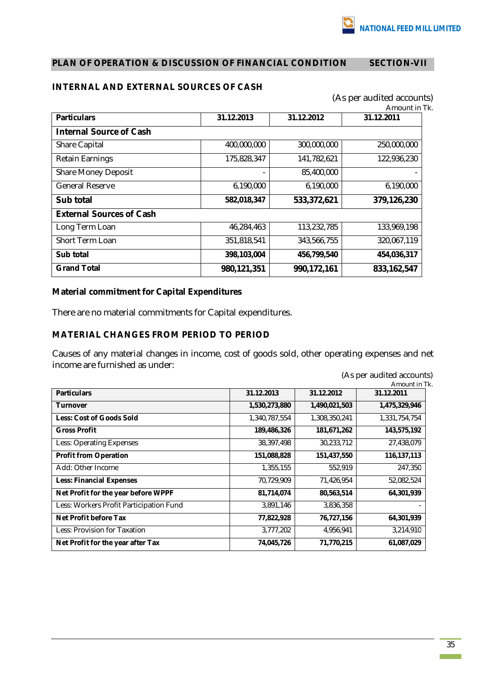# **PLAN OF OPERATION & DISCUSSION OF FINANCIAL CONDITION SECTION-VII**

(As per audited accounts)

(As per audited accounts)

|             |             | Amount in Tk. |
|-------------|-------------|---------------|
| 31.12.2013  | 31.12.2012  | 31.12.2011    |
|             |             |               |
| 400,000,000 | 300,000,000 | 250,000,000   |
| 175,828,347 | 141,782,621 | 122,936,230   |
|             | 85,400,000  |               |
| 6,190,000   | 6,190,000   | 6,190,000     |
| 582,018,347 | 533,372,621 | 379,126,230   |
|             |             |               |
| 46,284,463  | 113,232,785 | 133,969,198   |
| 351,818,541 | 343.566.755 | 320,067,119   |
| 398,103,004 | 456,799,540 | 454,036,317   |
| 980,121,351 | 990,172,161 | 833, 162, 547 |
|             |             |               |

# **INTERNAL AND EXTERNAL SOURCES OF CASH**

**Material commitment for Capital Expenditures**

There are no material commitments for Capital expenditures.

# **MATERIAL CHANGES FROM PERIOD TO PERIOD**

Causes of any material changes in income, cost of goods sold, other operating expenses and net income are furnished as under:

|                                         |               |               | Amount in Tk. |
|-----------------------------------------|---------------|---------------|---------------|
| <b>Particulars</b>                      | 31.12.2013    | 31.12.2012    | 31.12.2011    |
| <b>Turnover</b>                         | 1,530,273,880 | 1,490,021,503 | 1,475,329,946 |
| <b>Less: Cost of Goods Sold</b>         | 1,340,787,554 | 1,308,350,241 | 1,331,754,754 |
| <b>Gross Profit</b>                     | 189,486,326   | 181,671,262   | 143,575,192   |
| Less: Operating Expenses                | 38,397,498    | 30,233,712    | 27,438,079    |
| <b>Profit from Operation</b>            | 151,088,828   | 151,437,550   | 116,137,113   |
| Add: Other Income                       | 1,355,155     | 552,919       | 247,350       |
| <b>Less: Financial Expenses</b>         | 70,729,909    | 71,426,954    | 52,082,524    |
| Net Profit for the year before WPPF     | 81,714,074    | 80,563,514    | 64,301,939    |
| Less: Workers Profit Participation Fund | 3,891,146     | 3,836,358     |               |
| Net Profit before Tax                   | 77,822,928    | 76,727,156    | 64,301,939    |
| Less: Provision for Taxation            | 3,777,202     | 4,956,941     | 3,214,910     |
| Net Profit for the year after Tax       | 74,045,726    | 71,770,215    | 61,087,029    |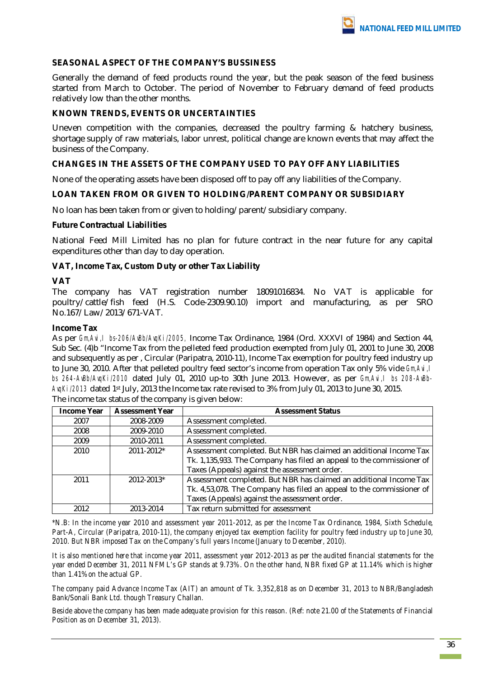#### **SEASONAL ASPECT OF THE COMPANY'S BUSSINESS**

Generally the demand of feed products round the year, but the peak season of the feed business started from March to October. The period of November to February demand of feed products relatively low than the other months.

#### **KNOWN TRENDS, EVENTS OR UNCERTAINTIES**

Uneven competition with the companies, decreased the poultry farming & hatchery business, shortage supply of raw materials, labor unrest, political change are known events that may affect the business of the Company.

#### **CHANGES IN THE ASSETS OF THE COMPANY USED TO PAY OFF ANY LIABILITIES**

None of the operating assets have been disposed off to pay off any liabilities of the Company.

#### **LOAN TAKEN FROM OR GIVEN TO HOLDING/PARENT COMPANY OR SUBSIDIARY**

No loan has been taken from or given to holding/parent/subsidiary company.

#### **Future Contractual Liabilities**

National Feed Mill Limited has no plan for future contract in the near future for any capital expenditures other than day to day operation.

#### **VAT, Income Tax, Custom Duty or other Tax Liability**

#### **VAT**

The company has VAT registration number 18091016834. No VAT is applicable for poultry/cattle/fish feed (H.S. Code-2309.90.10) import and manufacturing, as per SRO No.167/Law/2013/671-VAT.

#### **Income Tax**

As per *Gm,Avi,I bs-206/AvBb/AvqKi/2005,* Income Tax Ordinance, 1984 (Ord. XXXVI of 1984) and Section 44, Sub Sec. (4)b "Income Tax from the pelleted feed production exempted from July 01, 2001 to June 30, 2008 and subsequently as per , Circular (Paripatra, 2010-11), Income Tax exemption for poultry feed industry up to June 30, 2010. After that pelleted poultry feed sector's income from operation Tax only 5% vide *Gm,Avi,I bs 264-AvBb/AvqKi/2010* dated July 01, 2010 up-to 30th June 2013. However, as per *Gm,Avi,I bs 208-AvBb-AvqKi/2013* dated 1st July, 2013 the Income tax rate revised to 3% from July 01, 2013 to June 30, 2015. The income tax status of the company is given below:

| <b>Income Year</b> | <b>Assessment Year</b> | <b>Assessment Status</b>                                              |
|--------------------|------------------------|-----------------------------------------------------------------------|
| 2007               | 2008-2009              | Assessment completed.                                                 |
| 2008               | 2009-2010              | Assessment completed.                                                 |
| 2009               | 2010-2011              | Assessment completed.                                                 |
| 2010               | 2011-2012*             | Assessment completed. But NBR has claimed an additional Income Tax    |
|                    |                        | Tk. 1,135,933. The Company has filed an appeal to the commissioner of |
|                    |                        | Taxes (Appeals) against the assessment order.                         |
| 2011               | 2012-2013*             | Assessment completed. But NBR has claimed an additional Income Tax    |
|                    |                        | Tk. 4,53,078. The Company has filed an appeal to the commissioner of  |
|                    |                        | Taxes (Appeals) against the assessment order.                         |
| 2012               | 2013-2014              | Tax return submitted for assessment                                   |

*\*N.B: In the income year 2010 and assessment year 2011-2012, as per the Income Tax Ordinance, 1984, Sixth Schedule, Part-A, Circular (Paripatra, 2010-11), the company enjoyed tax exemption facility for poultry feed industry up to June 30, 2010. But NBR imposed Tax on the Company's full years Income (January to December, 2010).*

*It is also mentioned here that income year 2011, assessment year 2012-2013 as per the audited financial statements for the year ended December 31, 2011 NFML's GP stands at 9.73%. On the other hand, NBR fixed GP at 11.14% which is higher than 1.41%on the actual GP.*

*The company paid Advance Income Tax (AIT) an amount of Tk. 3,352,818 as on December 31, 2013 to NBR/Bangladesh Bank/Sonali Bank Ltd. though Treasury Challan.* 

*Beside above the company has been made adequate provision for this reason. (Ref: note 21.00 of the Statements of Financial Position as on December 31, 2013).*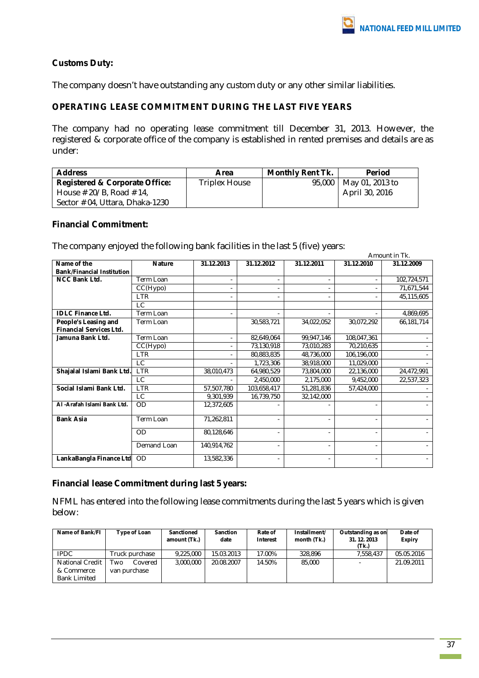#### **Customs Duty:**

The company doesn't have outstanding any custom duty or any other similar liabilities.

## **OPERATING LEASE COMMITMENT DURING THE LAST FIVE YEARS**

The company had no operating lease commitment till December 31, 2013. However, the registered & corporate office of the company is established in rented premises and details are as under:

| <b>Address</b>                  | Area          | <b>Monthly Rent Tk.</b> | Period          |
|---------------------------------|---------------|-------------------------|-----------------|
| Registered & Corporate Office:  | Triplex House | 95,000                  | May 01, 2013 to |
| House # 20/B. Road # 14.        |               |                         | April 30, 2016  |
| Sector # 04, Uttara, Dhaka-1230 |               |                         |                 |

#### **Financial Commitment:**

The company enjoyed the following bank facilities in the last 5 (five) years:

|                                   |               |             |                          |                |             | Amount in Tk. |
|-----------------------------------|---------------|-------------|--------------------------|----------------|-------------|---------------|
| Name of the                       | <b>Nature</b> | 31.12.2013  | 31.12.2012               | 31.12.2011     | 31.12.2010  | 31.12.2009    |
| <b>Bank/Financial Institution</b> |               |             |                          |                |             |               |
| NCC Bank Ltd.                     | Term Loan     |             | ٠                        | ٠              |             | 102,724,571   |
|                                   | CC(Hypo)      |             |                          | ٠              |             | 71,671,544    |
|                                   | <b>LTR</b>    |             | $\overline{\phantom{a}}$ | ٠              |             | 45,115,605    |
|                                   | <b>LC</b>     |             |                          |                |             |               |
| <b>IDLC Finance Ltd.</b>          | Term Loan     | $\sim$      |                          |                |             | 4,869,695     |
| People's Leasing and              | Term Loan     |             | 30,583,721               | 34,022,052     | 30,072,292  | 66,181,714    |
| <b>Financial Services Ltd.</b>    |               |             |                          |                |             |               |
| Jamuna Bank Ltd.                  | Term Loan     |             | 82,649,064               | 99,947,146     | 108,047,361 |               |
|                                   | CC(Hypo)      |             | 73,130,918               | 73,010,283     | 70,210,635  |               |
|                                   | <b>LTR</b>    |             | 80,883,835               | 48,736,000     | 106,196,000 |               |
|                                   | <b>LC</b>     |             | 1,723,306                | 38,918,000     | 11,029,000  |               |
| Shajalal Islami Bank Ltd.         | <b>LTR</b>    | 38,010,473  | 64,980,529               | 73,804,000     | 22,136,000  | 24,472,991    |
|                                   | <b>LC</b>     |             | 2,450,000                | 2,175,000      | 9,452,000   | 22,537,323    |
| Social Islami Bank Ltd.           | <b>LTR</b>    | 57,507,780  | 103,658,417              | 51,281,836     | 57,424,000  |               |
|                                   | <b>LC</b>     | 9,301,939   | 16,739,750               | 32,142,000     |             |               |
| AI - Arafah Islami Bank Ltd.      | <b>OD</b>     | 12,372,605  |                          |                |             |               |
| <b>Bank Asia</b>                  | Term Loan     | 71,262,811  | $\overline{\phantom{a}}$ | $\overline{a}$ |             | $\sim$        |
|                                   | OD            | 80,128,646  |                          | $\overline{a}$ |             |               |
|                                   | Demand Loan   | 140,914,762 | ٠                        | ٠              |             |               |
| LankaBangla Finance Ltd           | <b>OD</b>     | 13,582,336  | ٠                        | ٠              |             |               |

#### **Financial lease Commitment during last 5 years:**

NFML has entered into the following lease commitments during the last 5 years which is given below:

| Name of Bank/FI        | Type of Loan   | Sanctioned<br>amount (Tk.) | <b>Sanction</b><br>date | Rate of<br>Interest | Installment/<br>month (Tk.) | Outstanding as on<br>31. 12. 2013<br>(Tk.) | Date of<br><b>Expiry</b> |
|------------------------|----------------|----------------------------|-------------------------|---------------------|-----------------------------|--------------------------------------------|--------------------------|
| <b>IPDC</b>            | Truck purchase | 9.225.000                  | 15.03.2013              | '7.00%              | 328.896                     | 7.558.437                                  | 05.05.2016               |
| <b>National Credit</b> | Two<br>Covered | 3,000,000                  | 20.08.2007              | 14.50%              | 85,000                      | $\overline{\phantom{0}}$                   | 21.09.2011               |
| & Commerce             | van purchase   |                            |                         |                     |                             |                                            |                          |
| Bank Limited           |                |                            |                         |                     |                             |                                            |                          |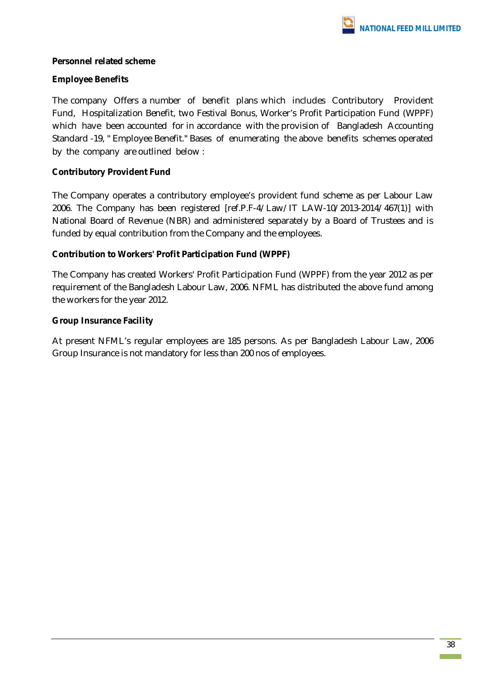#### **Personnel related scheme**

#### **Employee Benefits**

The company Offers a number of benefit plans which includes Contributory Provident Fund, Hospitalization Benefit, two Festival Bonus, Worker's Profit Participation Fund (WPPF) which have been accounted for in accordance with the provision of Bangladesh Accounting Standard -19, " Employee Benefit." Bases of enumerating the above benefits schemes operated by the company are outlined below :

#### **Contributory Provident Fund**

The Company operates a contributory employee's provident fund scheme as per Labour Law 2006. The Company has been registered [ref.P.F-4/Law/IT LAW-10/2013-2014/467(1)] with National Board of Revenue (NBR) and administered separately by a Board of Trustees and is funded by equal contribution from the Company and the employees.

#### **Contribution to Workers' Profit Participation Fund (WPPF)**

The Company has created Workers' Profit Participation Fund (WPPF) from the year 2012 as per requirement of the Bangladesh Labour Law, 2006. NFML has distributed the above fund among the workers for the year 2012.

#### **Group Insurance Facility**

At present NFML's regular employees are 185 persons. As per Bangladesh Labour Law, 2006 Group Insurance is not mandatory for less than 200 nos of employees.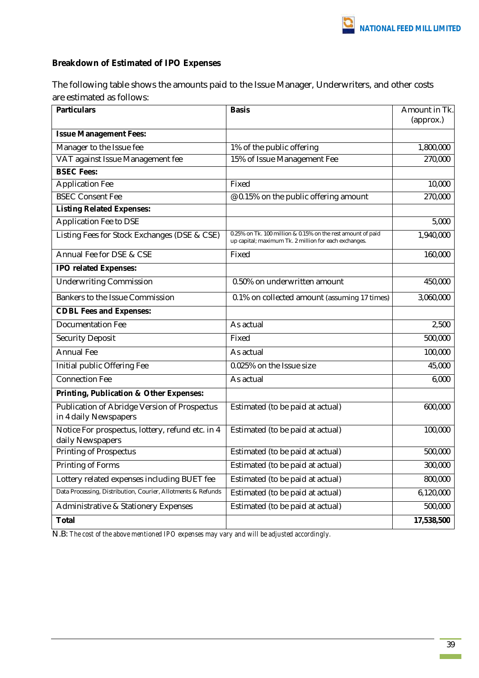## **Breakdown of Estimated of IPO Expenses**

The following table shows the amounts paid to the Issue Manager, Underwriters, and other costs are estimated as follows:

| <b>Particulars</b>                                                    | <b>Basis</b>                                                                                                         | Amount in Tk. |
|-----------------------------------------------------------------------|----------------------------------------------------------------------------------------------------------------------|---------------|
|                                                                       |                                                                                                                      | (approx.)     |
| <b>Issue Management Fees:</b>                                         |                                                                                                                      |               |
| Manager to the Issue fee                                              | 1% of the public offering                                                                                            | 1,800,000     |
| VAT against Issue Management fee                                      | 15% of Issue Management Fee                                                                                          | 270,000       |
| <b>BSEC Fees:</b>                                                     |                                                                                                                      |               |
| <b>Application Fee</b>                                                | Fixed                                                                                                                | 10,000        |
| <b>BSEC Consent Fee</b>                                               | @ 0.15% on the public offering amount                                                                                | 270,000       |
| <b>Listing Related Expenses:</b>                                      |                                                                                                                      |               |
| <b>Application Fee to DSE</b>                                         |                                                                                                                      | 5,000         |
| Listing Fees for Stock Exchanges (DSE & CSE)                          | 0.25% on Tk. 100 million & 0.15% on the rest amount of paid<br>up capital; maximum Tk. 2 million for each exchanges. | 1,940,000     |
| Annual Fee for DSE & CSE                                              | Fixed                                                                                                                | 160,000       |
| <b>IPO related Expenses:</b>                                          |                                                                                                                      |               |
| <b>Underwriting Commission</b>                                        | 0.50% on underwritten amount                                                                                         | 450,000       |
| Bankers to the Issue Commission                                       | 0.1% on collected amount (assuming 17 times)                                                                         | 3,060,000     |
| <b>CDBL Fees and Expenses:</b>                                        |                                                                                                                      |               |
| <b>Documentation Fee</b>                                              | As actual                                                                                                            | 2,500         |
| <b>Security Deposit</b>                                               | Fixed                                                                                                                | 500,000       |
| <b>Annual Fee</b>                                                     | As actual                                                                                                            | 100,000       |
| Initial public Offering Fee                                           | 0.025% on the Issue size                                                                                             | 45,000        |
| <b>Connection Fee</b>                                                 | As actual                                                                                                            | 6,000         |
| Printing, Publication & Other Expenses:                               |                                                                                                                      |               |
| Publication of Abridge Version of Prospectus<br>in 4 daily Newspapers | Estimated (to be paid at actual)                                                                                     | 600,000       |
| Notice For prospectus, lottery, refund etc. in 4<br>daily Newspapers  | Estimated (to be paid at actual)                                                                                     | 100,000       |
| Printing of Prospectus                                                | Estimated (to be paid at actual)                                                                                     | 500,000       |
| Printing of Forms                                                     | Estimated (to be paid at actual)                                                                                     | 300,000       |
| Lottery related expenses including BUET fee                           | Estimated (to be paid at actual)                                                                                     | 800,000       |
| Data Processing, Distribution, Courier, Allotments & Refunds          | Estimated (to be paid at actual)                                                                                     | 6,120,000     |
| Administrative & Stationery Expenses                                  | Estimated (to be paid at actual)                                                                                     | 500,000       |
| <b>Total</b>                                                          |                                                                                                                      | 17,538,500    |

N.B: *The cost of the above mentioned IPO expenses may vary and will be adjusted accordingly.*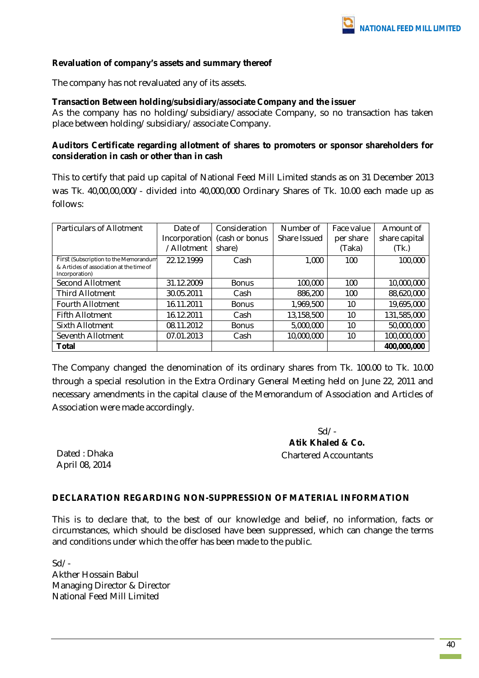#### **Revaluation of company's assets and summary thereof**

The company has not revaluated any of its assets.

#### **Transaction Between holding/subsidiary/associate Company and the issuer**

As the company has no holding/subsidiary/associate Company, so no transaction has taken place between holding/subsidiary/associate Company.

#### **Auditors Certificate regarding allotment of shares to promoters or sponsor shareholders for consideration in cash or other than in cash**

This to certify that paid up capital of National Feed Mill Limited stands as on 31 December 2013 was Tk. 40,00,00,000/- divided into 40,000,000 Ordinary Shares of Tk. 10.00 each made up as follows:

| <b>Particulars of Allotment</b>                                                                     | Date of       | Consideration  | Number of    | Face value | Amount of     |
|-----------------------------------------------------------------------------------------------------|---------------|----------------|--------------|------------|---------------|
|                                                                                                     | Incorporation | (cash or bonus | Share Issued | per share  | share capital |
|                                                                                                     | /Allotment    | share)         |              | (Taka)     | (Tk.)         |
| First (Subscription to the Memorandum<br>& Articles of association at the time of<br>Incorporation) | 22.12.1999    | Cash           | 1,000        | 100        | 100,000       |
| Second Allotment                                                                                    | 31.12.2009    | <b>Bonus</b>   | 100,000      | 100        | 10,000,000    |
| <b>Third Allotment</b>                                                                              | 30.05.2011    | Cash           | 886,200      | 100        | 88,620,000    |
| Fourth Allotment                                                                                    | 16.11.2011    | <b>Bonus</b>   | 1,969,500    | 10         | 19,695,000    |
| Fifth Allotment                                                                                     | 16.12.2011    | Cash           | 13,158,500   | 10         | 131,585,000   |
| Sixth Allotment                                                                                     | 08.11.2012    | <b>Bonus</b>   | 5,000,000    | 10         | 50,000,000    |
| Seventh Allotment                                                                                   | 07.01.2013    | Cash           | 10,000,000   | 10         | 100,000,000   |
| <b>Total</b>                                                                                        |               |                |              |            | 400,000,000   |

The Company changed the denomination of its ordinary shares from Tk. 100.00 to Tk. 10.00 through a special resolution in the Extra Ordinary General Meeting held on June 22, 2011 and necessary amendments in the capital clause of the Memorandum of Association and Articles of Association were made accordingly.

Dated : Dhaka April 08, 2014

Sd/- **Atik Khaled & Co.** Chartered Accountants

#### **DECLARATION REGARDING NON-SUPPRESSION OF MATERIAL INFORMATION**

This is to declare that, to the best of our knowledge and belief, no information, facts or circumstances, which should be disclosed have been suppressed, which can change the terms and conditions under which the offer has been made to the public.

Sd/- Akther Hossain Babul Managing Director & Director National Feed Mill Limited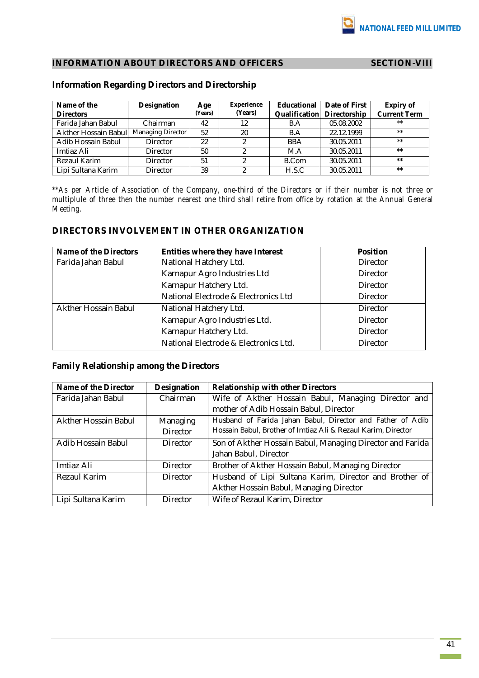#### **INFORMATION ABOUT DIRECTORS AND OFFICERS SECTION-VIII**

| Name of the           | <b>Designation</b>       | Age     | <b>Experience</b> | Educational   | Date of First | <b>Expiry of</b>    |
|-----------------------|--------------------------|---------|-------------------|---------------|---------------|---------------------|
| <b>Directors</b>      |                          | (Years) | (Years)           | Qualification | Directorship  | <b>Current Term</b> |
| Farida Jahan Babul    | Chairman                 | 42      | 12                | B.A           | 05.08.2002    | $***$               |
| Akther Hossain Babull | <b>Managing Director</b> | 52      | 20                | B.A           | 22.12.1999    | $***$               |
| Adib Hossain Babul    | Director                 | 22      |                   | <b>BBA</b>    | 30.05.2011    | $***$               |
| Imtiaz Ali            | <b>Director</b>          | 50      |                   | M.A           | 30.05.2011    | $***$               |
| Rezaul Karim          | <b>Director</b>          | 51      |                   | B.Com         | 30.05.2011    | $***$               |
| Lipi Sultana Karim    | Director                 | 39      |                   | H.S.C.        | 30.05.2011    | $***$               |

#### **Information Regarding Directors and Directorship**

*\*\*As per Article of Association of the Company, one-third of the Directors or if their number is not three or multiplule of three then the number nearest one third shall retire from office by rotation at the Annual General Meeting.* 

#### **DIRECTORS INVOLVEMENT IN OTHER ORGANIZATION**

| <b>Name of the Directors</b> | <b>Entities where they have Interest</b> | <b>Position</b> |
|------------------------------|------------------------------------------|-----------------|
| Farida Jahan Babul           | National Hatchery Ltd.                   | Director        |
|                              | Karnapur Agro Industries Ltd             | Director        |
|                              | Karnapur Hatchery Ltd.                   | <b>Director</b> |
|                              | National Electrode & Electronics Ltd     | <b>Director</b> |
| Akther Hossain Babul         | National Hatchery Ltd.                   | Director        |
|                              | Karnapur Agro Industries Ltd.            | <b>Director</b> |
|                              | Karnapur Hatchery Ltd.                   | Director        |
|                              | National Electrode & Electronics Ltd.    | Director        |

#### **Family Relationship among the Directors**

| Name of the Director        | Designation     | <b>Relationship with other Directors</b>                      |
|-----------------------------|-----------------|---------------------------------------------------------------|
| Farida Jahan Babul          | Chairman        | Wife of Akther Hossain Babul, Managing Director and           |
|                             |                 | mother of Adib Hossain Babul, Director                        |
| <b>Akther Hossain Babul</b> | Managing        | Husband of Farida Jahan Babul, Director and Father of Adib    |
|                             | Director        | Hossain Babul, Brother of Imtiaz Ali & Rezaul Karim, Director |
| Adib Hossain Babul          | <b>Director</b> | Son of Akther Hossain Babul, Managing Director and Farida     |
|                             |                 | Jahan Babul, Director                                         |
| Imtiaz Ali                  | <b>Director</b> | Brother of Akther Hossain Babul, Managing Director            |
| Rezaul Karim                | <b>Director</b> | Husband of Lipi Sultana Karim, Director and Brother of        |
|                             |                 | Akther Hossain Babul, Managing Director                       |
| Lipi Sultana Karim          | <b>Director</b> | Wife of Rezaul Karim, Director                                |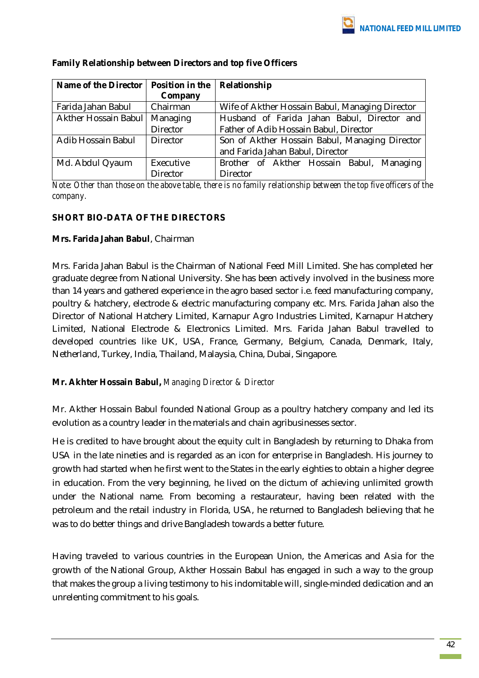| Name of the Director | Position in the | Relationship                                    |  |  |  |
|----------------------|-----------------|-------------------------------------------------|--|--|--|
|                      | Company         |                                                 |  |  |  |
| Farida Jahan Babul   | Chairman        | Wife of Akther Hossain Babul, Managing Director |  |  |  |
| Akther Hossain Babul | Managing        | Husband of Farida Jahan Babul, Director and     |  |  |  |
|                      | <b>Director</b> | Father of Adib Hossain Babul, Director          |  |  |  |
| Adib Hossain Babul   | <b>Director</b> | Son of Akther Hossain Babul, Managing Director  |  |  |  |
|                      |                 | and Farida Jahan Babul, Director                |  |  |  |
| Md. Abdul Qyaum      | Executive       | Brother of Akther Hossain Babul, Managing       |  |  |  |
|                      | <b>Director</b> | <b>Director</b>                                 |  |  |  |

#### **Family Relationship between Directors and top five Officers**

*Note: Other than those on the above table, there is no family relationship between the top five officers of the company.*

#### **SHORT BIO-DATA OF THE DIRECTORS**

#### **Mrs. Farida Jahan Babul**, Chairman

Mrs. Farida Jahan Babul is the Chairman of National Feed Mill Limited. She has completed her graduate degree from National University. She has been actively involved in the business more than 14 years and gathered experience in the agro based sector i.e. feed manufacturing company, poultry & hatchery, electrode & electric manufacturing company etc. Mrs. Farida Jahan also the Director of National Hatchery Limited, Karnapur Agro Industries Limited, Karnapur Hatchery Limited, National Electrode & Electronics Limited. Mrs. Farida Jahan Babul travelled to developed countries like UK, USA, France, Germany, Belgium, Canada, Denmark, Italy, Netherland, Turkey, India, Thailand, Malaysia, China, Dubai, Singapore.

#### **Mr. Akhter Hossain Babul,** *Managing Director & Director*

Mr. Akther Hossain Babul founded National Group as a poultry hatchery company and led its evolution as a country leader in the materials and chain agribusinesses sector.

He is credited to have brought about the equity cult in Bangladesh by returning to Dhaka from USA in the late nineties and is regarded as an icon for enterprise in Bangladesh. His journey to growth had started when he first went to the States in the early eighties to obtain a higher degree in education. From the very beginning, he lived on the dictum of achieving unlimited growth under the National name. From becoming a restaurateur, having been related with the petroleum and the retail industry in Florida, USA, he returned to Bangladesh believing that he was to do better things and drive Bangladesh towards a better future.

Having traveled to various countries in the European Union, the Americas and Asia for the growth of the National Group, Akther Hossain Babul has engaged in such a way to the group that makes the group a living testimony to his indomitable will, single-minded dedication and an unrelenting commitment to his goals.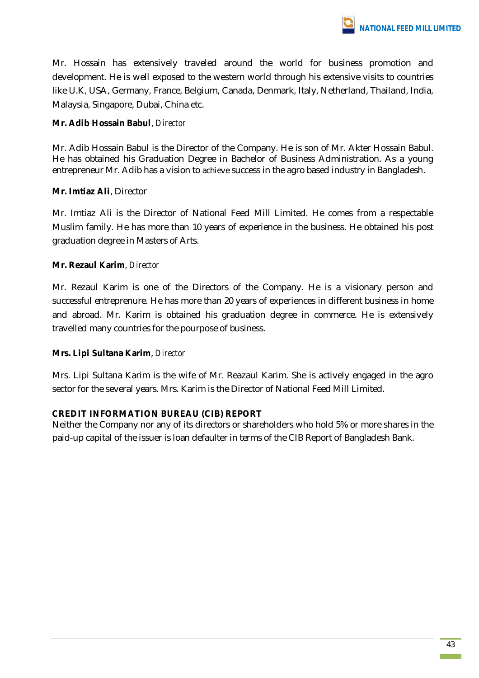

Mr. Hossain has extensively traveled around the world for business promotion and development. He is well exposed to the western world through his extensive visits to countries like U.K, USA, Germany, France, Belgium, Canada, Denmark, Italy, Netherland, Thailand, India, Malaysia, Singapore, Dubai, China etc.

#### **Mr. Adib Hossain Babul**, *Director*

Mr. Adib Hossain Babul is the Director of the Company. He is son of Mr. Akter Hossain Babul. He has obtained his Graduation Degree in Bachelor of Business Administration. As a young entrepreneur Mr. Adib has a vision to achieve success in the agro based industry in Bangladesh.

#### **Mr. Imtiaz Ali**, Director

Mr. Imtiaz Ali is the Director of National Feed Mill Limited. He comes from a respectable Muslim family. He has more than 10 years of experience in the business. He obtained his post graduation degree in Masters of Arts.

#### **Mr. Rezaul Karim**, *Director*

Mr. Rezaul Karim is one of the Directors of the Company. He is a visionary person and successful entreprenure. He has more than 20 years of experiences in different business in home and abroad. Mr. Karim is obtained his graduation degree in commerce. He is extensively travelled many countries for the pourpose of business.

#### **Mrs. Lipi Sultana Karim**, *Director*

Mrs. Lipi Sultana Karim is the wife of Mr. Reazaul Karim. She is actively engaged in the agro sector for the several years. Mrs. Karim is the Director of National Feed Mill Limited.

#### **CREDIT INFORMATION BUREAU (CIB) REPORT**

Neither the Company nor any of its directors or shareholders who hold 5% or more shares in the paid-up capital of the issuer is loan defaulter in terms of the CIB Report of Bangladesh Bank.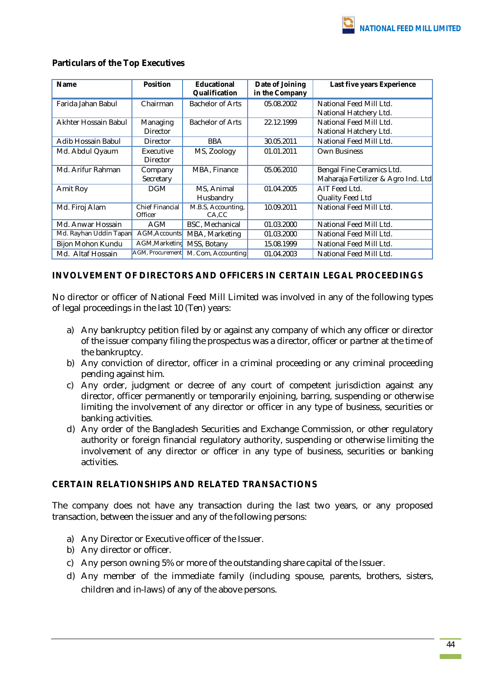| <b>Name</b>                 | <b>Position</b>        | Educational<br>Qualification | Date of Joining<br>in the Company | Last five years Experience          |
|-----------------------------|------------------------|------------------------------|-----------------------------------|-------------------------------------|
| Farida Jahan Babul          | Chairman               | <b>Bachelor of Arts</b>      | 05.08.2002                        | National Feed Mill Ltd.             |
|                             |                        |                              |                                   | National Hatchery Ltd.              |
| <b>Akhter Hossain Babul</b> | Managing               | Bachelor of Arts             | 22.12.1999                        | National Feed Mill Ltd.             |
|                             | <b>Director</b>        |                              |                                   | National Hatchery Ltd.              |
| Adib Hossain Babul          | <b>Director</b>        | <b>BBA</b>                   | 30.05.2011                        | National Feed Mill Ltd.             |
| Md. Abdul Qyaum             | Executive              | MS, Zoology                  | 01.01.2011                        | <b>Own Business</b>                 |
|                             | <b>Director</b>        |                              |                                   |                                     |
| Md. Arifur Rahman           | Company                | MBA, Finance                 | 05.06.2010                        | Bengal Fine Ceramics Ltd.           |
|                             | Secretary              |                              |                                   | Maharaja Fertilizer & Agro Ind. Ltd |
| Amit Roy                    | <b>DGM</b>             | MS, Animal                   | 01.04.2005                        | AIT Feed Ltd.                       |
|                             |                        | Husbandry                    |                                   | Quality Feed Ltd                    |
| Md. Firoj Alam              | <b>Chief Financial</b> | M.B.S, Accounting,           | 10.09.2011                        | National Feed Mill Ltd.             |
|                             | Officer                | CA,CC                        |                                   |                                     |
| Md. Anwar Hossain           | AGM                    | BSC, Mechanical              | 01.03.2000                        | National Feed Mill Ltd.             |
| Md. Rayhan Uddin Tapan      | AGM, Accounts          | MBA, Marketing               | 01.03.2000                        | National Feed Mill Ltd.             |
| Bijon Mohon Kundu           | AGM, Marketing         | MSS, Botany                  | 15.08.1999                        | National Feed Mill Ltd.             |
| Md. Altaf Hossain           | AGM, Procurement       | M. Com, Accounting           | 01.04.2003                        | National Feed Mill Ltd.             |

#### **Particulars of the Top Executives**

#### **INVOLVEMENT OF DIRECTORS AND OFFICERS IN CERTAIN LEGAL PROCEEDINGS**

No director or officer of National Feed Mill Limited was involved in any of the following types of legal proceedings in the last 10 (Ten) years:

- a) Any bankruptcy petition filed by or against any company of which any officer or director of the issuer company filing the prospectus was a director, officer or partner at the time of the bankruptcy.
- b) Any conviction of director, officer in a criminal proceeding or any criminal proceeding pending against him.
- c) Any order, judgment or decree of any court of competent jurisdiction against any director, officer permanently or temporarily enjoining, barring, suspending or otherwise limiting the involvement of any director or officer in any type of business, securities or banking activities.
- d) Any order of the Bangladesh Securities and Exchange Commission, or other regulatory authority or foreign financial regulatory authority, suspending or otherwise limiting the involvement of any director or officer in any type of business, securities or banking activities.

#### **CERTAIN RELATIONSHIPS AND RELATED TRANSACTIONS**

The company does not have any transaction during the last two years, or any proposed transaction, between the issuer and any of the following persons:

- a) Any Director or Executive officer of the Issuer.
- b) Any director or officer.
- c) Any person owning 5% or more of the outstanding share capital of the Issuer.
- d) Any member of the immediate family (including spouse, parents, brothers, sisters, children and in-laws) of any of the above persons.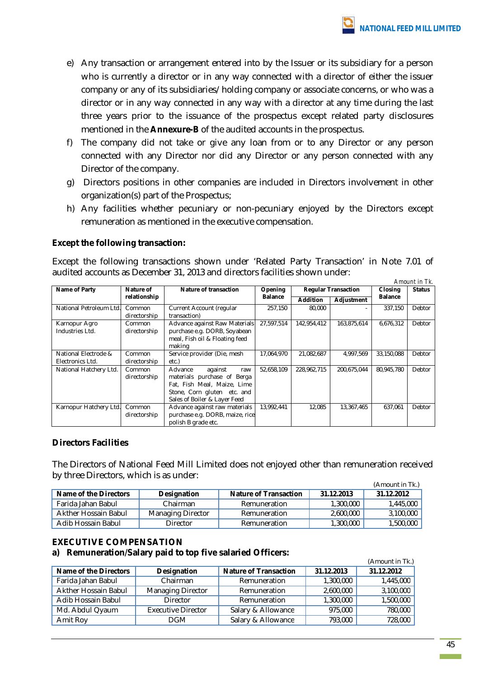- e) Any transaction or arrangement entered into by the Issuer or its subsidiary for a person who is currently a director or in any way connected with a director of either the issuer company or any of its subsidiaries/holding company or associate concerns, or who was a director or in any way connected in any way with a director at any time during the last three years prior to the issuance of the prospectus except related party disclosures mentioned in the **Annexure-B** of the audited accounts in the prospectus.
- f) The company did not take or give any loan from or to any Director or any person connected with any Director nor did any Director or any person connected with any Director of the company.
- g) Directors positions in other companies are included in Directors involvement in other organization(s) part of the Prospectus;
- h) Any facilities whether pecuniary or non-pecuniary enjoyed by the Directors except remuneration as mentioned in the executive compensation.

#### **Except the following transaction:**

Except the following transactions shown under 'Related Party Transaction' in Note 7.01 of audited accounts as December 31, 2013 and directors facilities shown under: *Amount in Tk.*

|                                          |                                           |                                                                                                                                                        |                |                 |                            |                | Allivulit III TN. |
|------------------------------------------|-------------------------------------------|--------------------------------------------------------------------------------------------------------------------------------------------------------|----------------|-----------------|----------------------------|----------------|-------------------|
| Name of Party                            | <b>Nature of transaction</b><br>Nature of |                                                                                                                                                        | Opening        |                 | <b>Regular Transaction</b> | Closing        | <b>Status</b>     |
|                                          | relationship                              |                                                                                                                                                        | <b>Balance</b> | <b>Addition</b> | Adjustment                 | <b>Balance</b> |                   |
| National Petroleum Ltd.                  | Common<br>directorship                    | Current Account (regular<br>transaction)                                                                                                               | 257.150        | 80,000          |                            | 337.150        | Debtor            |
| Karnopur Agro<br>Industries Ltd.         | Common<br>directorship                    | Advance against Raw Materials<br>purchase e.g. DORB, Soyabean<br>meal, Fish oil & Floating feed<br>making                                              | 27,597,514     | 142,954,412     | 163,875,614                | 6,676,312      | Debtor            |
| National Electrode &<br>Electronics Ltd. | Common<br>directorship                    | Service provider (Die, mesh<br>etc.)                                                                                                                   | 17,064,970     | 21,082,687      | 4,997,569                  | 33.150.088     | Debtor            |
| National Hatchery Ltd.                   | Common<br>directorship                    | Advance<br>against<br>raw<br>materials purchase of Berga<br>Fat, Fish Meal, Maize, Lime<br>Stone, Corn gluten etc. and<br>Sales of Boiler & Layer Feed | 52.658.109     | 228.962.715     | 200.675.044                | 80.945.780     | Debtor            |
| Karnopur Hatchery Ltd.                   | Common<br>directorship                    | Advance against raw materials<br>purchase e.g. DORB, maize, rice<br>polish B grade etc.                                                                | 13,992,441     | 12,085          | 13.367.465                 | 637,061        | Debtor            |

#### **Directors Facilities**

The Directors of National Feed Mill Limited does not enjoyed other than remuneration received by three Directors, which is as under:

|                       |                    |                              |            | (Amount in Tk.) |
|-----------------------|--------------------|------------------------------|------------|-----------------|
| Name of the Directors | <b>Designation</b> | <b>Nature of Transaction</b> | 31.12.2013 | 31.12.2012      |
| Farida Jahan Babul    | Chairman           | Remuneration                 | 1,300,000  | 1,445,000       |
| Akther Hossain Babul  | Managing Director  | Remuneration                 | 2,600,000  | 3,100,000       |
| Adib Hossain Babul    | <b>Director</b>    | Remuneration                 | 1,300,000  | 1,500,000       |

#### **EXECUTIVE COMPENSATION**

#### **a) Remuneration/Salary paid to top five salaried Officers:**

|                             |                           |                              |            | (Amount in Tk.) |
|-----------------------------|---------------------------|------------------------------|------------|-----------------|
| Name of the Directors       | Designation               | <b>Nature of Transaction</b> | 31.12.2013 | 31.12.2012      |
| Farida Jahan Babul          | Chairman                  | Remuneration                 | 1,300,000  | 1,445,000       |
| <b>Akther Hossain Babul</b> | Managing Director         | <b>Remuneration</b>          | 2,600,000  | 3,100,000       |
| Adib Hossain Babul          | <b>Director</b>           | <b>Remuneration</b>          | 1,300,000  | 1,500,000       |
| Md. Abdul Qyaum             | <b>Executive Director</b> | Salary & Allowance           | 975,000    | 780,000         |
| Amit Roy                    | DGM                       | Salary & Allowance           | 793,000    | 728,000         |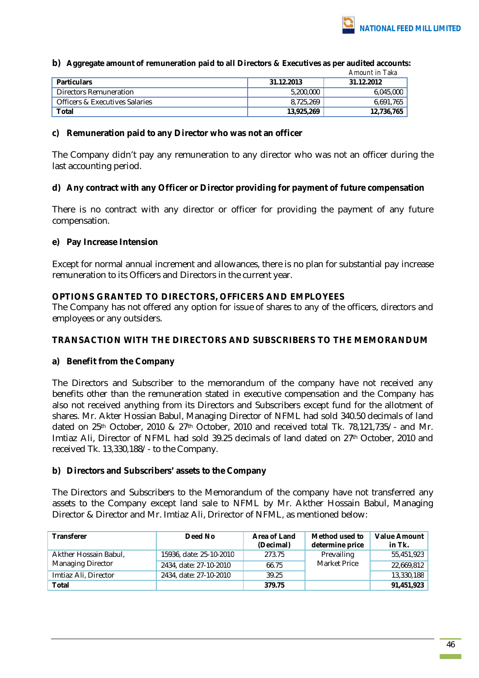

|                                           |            | Amount in Taka |
|-------------------------------------------|------------|----------------|
| <b>Particulars</b>                        | 31.12.2013 | 31.12.2012     |
| Directors Remuneration                    | 5,200,000  | 6.045.000      |
| <b>Officers &amp; Executives Salaries</b> | 8.725.269  | 6.691.765      |
| Total                                     | 13,925,269 | 12.736.765     |

## **b) Aggregate amount of remuneration paid to all Directors & Executives as per audited accounts:**

#### **c) Remuneration paid to any Director who was not an officer**

The Company didn't pay any remuneration to any director who was not an officer during the last accounting period.

#### **d) Any contract with any Officer or Director providing for payment of future compensation**

There is no contract with any director or officer for providing the payment of any future compensation.

#### **e) Pay Increase Intension**

Except for normal annual increment and allowances, there is no plan for substantial pay increase remuneration to its Officers and Directors in the current year.

#### **OPTIONS GRANTED TO DIRECTORS, OFFICERS AND EMPLOYEES**

The Company has not offered any option for issue of shares to any of the officers, directors and employees or any outsiders.

#### **TRANSACTION WITH THE DIRECTORS AND SUBSCRIBERS TO THE MEMORANDUM**

#### **a) Benefit from the Company**

The Directors and Subscriber to the memorandum of the company have not received any benefits other than the remuneration stated in executive compensation and the Company has also not received anything from its Directors and Subscribers except fund for the allotment of shares. Mr. Akter Hossian Babul, Managing Director of NFML had sold 340.50 decimals of land dated on 25<sup>th</sup> October, 2010 & 27<sup>th</sup> October, 2010 and received total Tk. 78,121,735/- and Mr. Imtiaz Ali, Director of NFML had sold 39.25 decimals of land dated on 27th October, 2010 and received Tk. 13,330,188/- to the Company.

#### **b) Directors and Subscribers' assets to the Company**

The Directors and Subscribers to the Memorandum of the company have not transferred any assets to the Company except land sale to NFML by Mr. Akther Hossain Babul, Managing Director & Director and Mr. Imtiaz Ali, Drirector of NFML, as mentioned below:

| <b>Transferer</b>        | Deed No                 | Area of Land<br>(Decimal) | Method used to<br>determine price | <b>Value Amount</b><br>in Tk. |
|--------------------------|-------------------------|---------------------------|-----------------------------------|-------------------------------|
| Akther Hossain Babul,    | 15936, date: 25-10-2010 | 273.75                    | Prevailing<br>Market Price        | 55,451,923                    |
| <b>Managing Director</b> | 2434, date: 27-10-2010  | 66.75                     |                                   | 22,669,812                    |
| Imtiaz Ali, Director     | 2434, date: 27-10-2010  | 39.25                     |                                   | 13,330,188                    |
| Total                    |                         | 379.75                    |                                   | 91,451,923                    |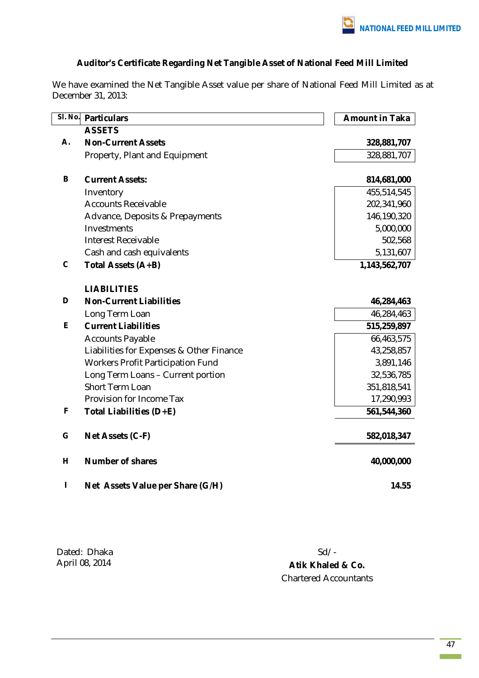

## **Auditor's Certificate Regarding Net Tangible Asset of National Feed Mill Limited**

We have examined the Net Tangible Asset value per share of National Feed Mill Limited as at December 31, 2013:

| SI. No.     | <b>Particulars</b>                       | <b>Amount in Taka</b> |
|-------------|------------------------------------------|-----------------------|
|             | <b>ASSETS</b>                            |                       |
| А.          | <b>Non-Current Assets</b>                | 328,881,707           |
|             | Property, Plant and Equipment            | 328,881,707           |
|             |                                          |                       |
| В           | <b>Current Assets:</b>                   | 814,681,000           |
|             | Inventory                                | 455,514,545           |
|             | <b>Accounts Receivable</b>               | 202,341,960           |
|             | Advance, Deposits & Prepayments          | 146,190,320           |
|             | Investments                              | 5,000,000             |
|             | <b>Interest Receivable</b>               | 502,568               |
|             | Cash and cash equivalents                | 5,131,607             |
| $\mathbf c$ | Total Assets (A+B)                       | 1,143,562,707         |
|             | <b>LIABILITIES</b>                       |                       |
| D           | <b>Non-Current Liabilities</b>           | 46,284,463            |
|             | Long Term Loan                           | 46,284,463            |
| E           | <b>Current Liabilities</b>               | 515,259,897           |
|             | <b>Accounts Payable</b>                  | 66,463,575            |
|             | Liabilities for Expenses & Other Finance | 43,258,857            |
|             | Workers Profit Participation Fund        | 3,891,146             |
|             | Long Term Loans - Current portion        | 32,536,785            |
|             | Short Term Loan                          | 351,818,541           |
|             | Provision for Income Tax                 | 17,290,993            |
| F           | Total Liabilities (D+E)                  | 561,544,360           |
| G           | Net Assets (C-F)                         | 582,018,347           |
|             |                                          |                       |
| н           | <b>Number of shares</b>                  | 40,000,000            |
| п           | Net Assets Value per Share (G/H)         | 14.55                 |

Dated: Dhaka April 08, 2014

Sd/- **Atik Khaled & Co.** Chartered Accountants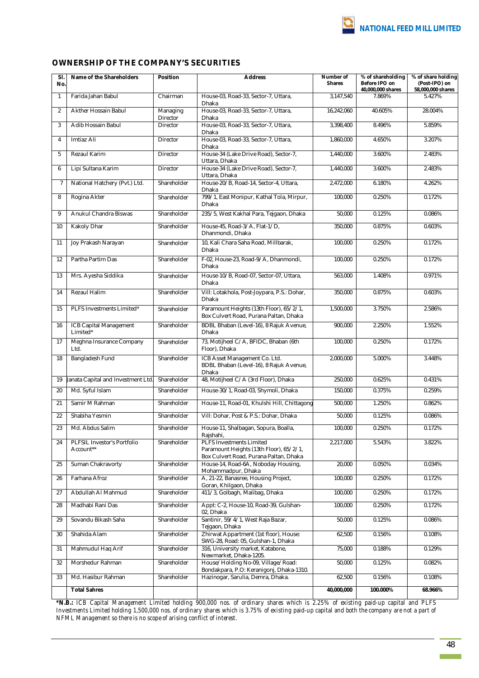#### **OWNERSHIP OF THE COMPANY'S SECURITIES**

| SI.<br>No. | Name of the Shareholders                 | <b>Position</b>      | <b>Address</b>                                                                                                | Number of<br><b>Shares</b> | % of shareholding<br>Before IPO on<br>40,000,000 shares | % of share holding<br>(Post-IPO) on<br>58,000,000 shares |
|------------|------------------------------------------|----------------------|---------------------------------------------------------------------------------------------------------------|----------------------------|---------------------------------------------------------|----------------------------------------------------------|
| 1          | Farida Jahan Babul                       | Chairman             | House-03, Road-33, Sector-7, Uttara,                                                                          | 3,147,540                  | 7.869%                                                  | 5.427%                                                   |
| 2          | <b>Akther Hossain Babul</b>              | Managing             | <b>Dhaka</b><br>House-03, Road-33, Sector-7, Uttara,                                                          | 16,242,060                 | 40.605%                                                 | 28.004%                                                  |
| 3          | Adib Hossain Babul                       | Director<br>Director | <b>Dhaka</b><br>House-03, Road-33, Sector-7, Uttara,                                                          | 3,398,400                  | 8.496%                                                  | 5.859%                                                   |
|            |                                          |                      | <b>Dhaka</b>                                                                                                  |                            |                                                         |                                                          |
| 4          | Imtiaz Ali                               | Director             | House-03, Road-33, Sector-7, Uttara,<br><b>Dhaka</b>                                                          | 1,860,000                  | 4.650%                                                  | 3.207%                                                   |
| 5          | Rezaul Karim                             | Director             | House-34 (Lake Drive Road), Sector-7,<br>Uttara, Dhaka                                                        | 1,440,000                  | 3.600%                                                  | 2.483%                                                   |
| 6          | Lipi Sultana Karim                       | Director             | House-34 (Lake Drive Road), Sector-7,<br>Uttara, Dhaka                                                        | 1.440.000                  | 3.600%                                                  | 2.483%                                                   |
| 7          | National Hatchery (Pvt.) Ltd.            | Shareholder          | House-20/B, Road-14, Sector-4, Uttara,<br>Dhaka                                                               | 2,472,000                  | 6.180%                                                  | 4.262%                                                   |
| 8          | Rogina Akter                             | Shareholder          | 799/1, East Monipur, Kathal Tola, Mirpur,<br><b>Dhaka</b>                                                     | 100,000                    | 0.250%                                                  | 0.172%                                                   |
| 9          | Anukul Chandra Biswas                    | Shareholder          | 235/5, West Kakhal Para, Tejgaon, Dhaka                                                                       | 50,000                     | 0.125%                                                  | 0.086%                                                   |
| 10         | Kakoly Dhar                              | Shareholder          | House-45, Road-3/A, Flat-1/D,<br>Dhanmondi, Dhaka                                                             | 350,000                    | 0.875%                                                  | 0.603%                                                   |
| 11         | Joy Prakash Narayan                      | Shareholder          | 10, Kali Chara Saha Road, Millbarak,<br>Dhaka                                                                 | 100.000                    | 0.250%                                                  | 0.172%                                                   |
| 12         | Partha Partim Das                        | Shareholder          | F-02, House-23, Road-9/A, Dhanmondi,<br><b>Dhaka</b>                                                          | 100,000                    | 0.250%                                                  | 0.172%                                                   |
| 13         | Mrs. Ayesha Siddika                      | Shareholder          | House-10/B, Road-07, Sector-07, Uttara,<br>Dhaka                                                              | 563,000                    | 1.408%                                                  | 0.971%                                                   |
| 14         | Rezaul Halim                             | Shareholder          | Vill: Lotakhola, Post-Joypara, P.S.: Dohar,<br><b>Dhaka</b>                                                   | 350,000                    | 0.875%                                                  | 0.603%                                                   |
| 15         | PLFS Investments Limited*                | Shareholder          | Paramount Heights (13th Floor), 65/2/1,<br>Box Culvert Road, Purana Paltan, Dhaka                             | 1,500,000                  | 3.750%                                                  | 2.586%                                                   |
| 16         | ICB Capital Management<br>Limited*       | Shareholder          | BDBL Bhaban (Level-16), 8 Rajuk Avenue,<br>Dhaka                                                              | 900,000                    | 2.250%                                                  | 1.552%                                                   |
| 17         | Meghna Insurance Company<br>Ltd.         | Shareholder          | 73, Motijheel C/A, BFIDC, Bhaban (6th<br>Floor), Dhaka                                                        | 100,000                    | 0.250%                                                  | 0.172%                                                   |
| 18         | Bangladesh Fund                          | Shareholder          | ICB Asset Management Co. Ltd.<br>BDBL Bhaban (Level-16), 8 Rajuk Avenue,<br>Dhaka                             | 2,000,000                  | 5.000%                                                  | 3.448%                                                   |
| 19         | Janata Capital and Investment Ltd.       | Shareholder          | 48, Motijheel C/A (3rd Floor), Dhaka                                                                          | 250,000                    | 0.625%                                                  | 0.431%                                                   |
| 20         | Md. Syful Islam                          | Shareholder          | House-30/1, Road-03, Shymoli, Dhaka                                                                           | 150,000                    | 0.375%                                                  | 0.259%                                                   |
| 21         | Samir M Rahman                           | Shareholder          | House-11, Road-01, Khulshi Hill, Chittagong                                                                   | 500,000                    | 1.250%                                                  | 0.862%                                                   |
| 22         | Shabiha Yesmin                           | Shareholder          | Vill: Dohar, Post & P.S.: Dohar, Dhaka                                                                        | 50.000                     | 0.125%                                                  | 0.086%                                                   |
| 23         | Md. Abdus Salim                          | Shareholder          | House-11, Shalbagan, Sopura, Boalla,<br>Rajshahi,                                                             | 100,000                    | 0.250%                                                  | 0.172%                                                   |
| 24         | PLFSIL Investor's Portfolio<br>Account** | Shareholder          | PLFS Investments Limited<br>Paramount Heights (13th Floor), 65/2/1,<br>Box Culvert Road, Purana Paltan, Dhaka | 2,217,000                  | 5.543%                                                  | 3.822%                                                   |
| 25         | Suman Chakravorty                        | Shareholder          | House-14, Road-6A, Noboday Housing,<br>Mohammadpur, Dhaka                                                     | 20,000                     | 0.050%                                                  | 0.034%                                                   |
| 26         | Farhana Afroz                            | Shareholder          | A, 21-22, Banasree, Housing Project,<br>Goran, Khilgaon, Dhaka                                                | 100,000                    | 0.250%                                                  | 0.172%                                                   |
| 27         | Abdullah Al Mahmud                       | Shareholder          | 411/3, Golbagh, Malibag, Dhaka                                                                                | 100,000                    | 0.250%                                                  | 0.172%                                                   |
| 28         | Madhabi Rani Das                         | Shareholder          | Appt: C-2, House-10, Road-39, Gulshan-<br>02, Dhaka                                                           | 100.000                    | 0.250%                                                  | 0.172%                                                   |
| 29         | Sovandu Bikash Saha                      | Shareholder          | Santinir, 59/4/1, West Raja Bazar,<br>Tejgaon, Dhaka                                                          | 50,000                     | 0.125%                                                  | 0.086%                                                   |
| 30         | Shahida Alam                             | Shareholder          | Zhirwat Appartment (1st floor), House:<br>SWG-28, Road: 05, Gulshan-1, Dhaka                                  | 62,500                     | 0.156%                                                  | 0.108%                                                   |
| 31         | Mahmudul Hag Arif                        | Shareholder          | 316, University market, Katabone,<br>Newmarket, Dhaka-1205.                                                   | 75,000                     | 0.188%                                                  | 0.129%                                                   |
| 32         | Morshedur Rahman                         | Shareholder          | House/Holding No-09, Village/Road:<br>Bondakpara, P.O: Keranigonj, Dhaka-1310.                                | 50,000                     | 0.125%                                                  | 0.082%                                                   |
| 33         | Md. Hasibur Rahman                       | Shareholder          | Hazinogar, Sarulia, Demra, Dhaka.                                                                             | 62,500                     | 0.156%                                                  | 0.108%                                                   |
|            | <b>Total Sahres</b>                      |                      |                                                                                                               | 40,000,000                 | 100.000%                                                | 68.966%                                                  |

*\*N.B.: ICB Capital Management Limited holding 900,000 nos. of ordinary shares which is 2.25% of existing paid-up capital and PLFS Investments Limited holding 1,500,000 nos. of ordinary shares which is 3.75% of existing paid-up capital and both the company are not a part of NFML Management so there is no scope of arising conflict of interest.*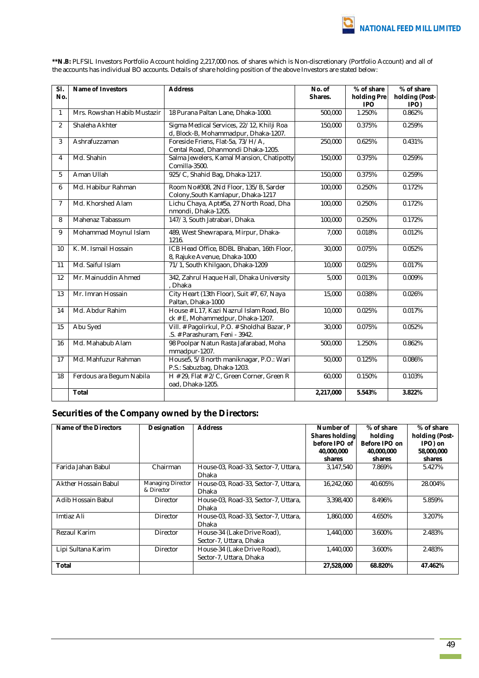**\*\*N.B:** PLFSIL Investors Portfolio Account holding 2,217,000 nos. of shares which is Non-discretionary (Portfolio Account) and all of the accounts has individual BO accounts. Details of share holding position of the above Investors are stated below:

| SI.<br>No.     | Name of Investors           | <b>Address</b>                                                                    | No. of<br>Shares. | % of share<br>holding Pre | % of share<br>holding (Post- |
|----------------|-----------------------------|-----------------------------------------------------------------------------------|-------------------|---------------------------|------------------------------|
|                |                             |                                                                                   |                   | <b>IPO</b>                | IPO)                         |
| $\mathbf{1}$   | Mrs. Rowshan Habib Mustazir | 18 Purana Paltan Lane, Dhaka-1000.                                                | 500,000           | 1.250%                    | 0.862%                       |
| 2              | Shaleha Akhter              | Sigma Medical Services, 22/12, Khilji Roa<br>d, Block-B, Mohammadpur, Dhaka-1207. | 150,000           | 0.375%                    | 0.259%                       |
| 3              | Ashrafuzzaman               | Foreside Friens, Flat-5a, 73/H/A,<br>Cental Road, Dhanmondi Dhaka-1205.           | 250,000           | 0.625%                    | 0.431%                       |
| 4              | Md. Shahin                  | Salma Jewelers, Kamal Mansion, Chatipotty<br>Comilla-3500.                        | 150,000           | 0.375%                    | 0.259%                       |
| 5              | Aman Ullah                  | 925/C, Shahid Bag, Dhaka-1217.                                                    | 150,000           | 0.375%                    | 0.259%                       |
| 6              | Md. Habibur Rahman          | Room No#308, 2Nd Floor, 135/B, Sarder<br>Colony, South Kamlapur, Dhaka-1217       | 100,000           | 0.250%                    | 0.172%                       |
| $\overline{7}$ | Md. Khorshed Alam           | Lichu Chaya, Apt#5a, 27 North Road, Dha<br>nmondi, Dhaka-1205.                    | 100,000           | 0.250%                    | 0.172%                       |
| 8              | Mahenaz Tabassum            | 147/3, South Jatrabari, Dhaka.                                                    | 100,000           | 0.250%                    | 0.172%                       |
| 9              | Mohammad Moynul Islam       | 489, West Shewrapara, Mirpur, Dhaka-<br>1216.                                     | 7,000             | 0.018%                    | 0.012%                       |
| 10             | K. M. Ismail Hossain        | ICB Head Office, BDBL Bhaban, 16th Floor,<br>8, Rajuke Avenue, Dhaka-1000         | 30,000            | 0.075%                    | 0.052%                       |
| 11             | Md. Saiful Islam            | 71/1, South Khilgaon, Dhaka-1209                                                  | 10,000            | 0.025%                    | 0.017%                       |
| 12             | Mr. Mainuddin Ahmed         | 342, Zahrul Haque Hall, Dhaka University<br>Dhaka                                 | 5,000             | 0.013%                    | 0.009%                       |
| 13             | Mr. Imran Hossain           | City Heart (13th Floor), Suit #7, 67, Naya<br>Paltan, Dhaka-1000                  | 15,000            | 0.038%                    | 0.026%                       |
| 14             | Md. Abdur Rahim             | House # L17, Kazi Nazrul Islam Road, Blo<br>ck # E, Mohammedpur, Dhaka-1207.      | 10,000            | 0.025%                    | 0.017%                       |
| 15             | Abu Syed                    | Vill. # Pagolirkul, P.O. # Sholdhal Bazar, P<br>.S. # Parashuram, Feni - 3942.    | 30,000            | 0.075%                    | 0.052%                       |
| 16             | Md. Mahabub Alam            | 98 Poolpar Natun Rasta Jafarabad, Moha<br>mmadpur-1207.                           | 500,000           | 1.250%                    | 0.862%                       |
| 17             | Md. Mahfuzur Rahman         | House5, 5/8 north maniknagar, P.O.: Wari<br>P.S.: Sabuzbag, Dhaka-1203.           | 50,000            | 0.125%                    | 0.086%                       |
| 18             | Ferdous ara Begum Nabila    | H # 29, Flat # 2/C, Green Corner, Green R<br>oad, Dhaka-1205.                     | 60,000            | 0.150%                    | 0.103%                       |
|                | <b>Total</b>                |                                                                                   | 2,217,000         | 5.543%                    | 3.822%                       |

## **Securities of the Company owned by the Directors:**

| Name of the Directors       | Designation                     | <b>Address</b>                                         | Number of<br><b>Shares holding</b><br>before IPO of<br>40,000,000<br>shares | % of share<br>holding<br>Before IPO on<br>40,000,000<br>shares | % of share<br>holding (Post-<br>IPO) on<br>58,000,000<br>shares |
|-----------------------------|---------------------------------|--------------------------------------------------------|-----------------------------------------------------------------------------|----------------------------------------------------------------|-----------------------------------------------------------------|
| Farida Jahan Babul          | Chairman                        | House-03, Road-33, Sector-7, Uttara,<br>Dhaka          | 3.147.540                                                                   | 7.869%                                                         | 5.427%                                                          |
| <b>Akther Hossain Babul</b> | Managing Director<br>& Director | House-03, Road-33, Sector-7, Uttara,<br><b>Dhaka</b>   | 16,242,060                                                                  | 40.605%                                                        | 28.004%                                                         |
| Adib Hossain Babul          | Director                        | House-03, Road-33, Sector-7, Uttara,<br><b>Dhaka</b>   | 3.398.400                                                                   | 8.496%                                                         | 5.859%                                                          |
| Imtiaz Ali                  | Director                        | House-03, Road-33, Sector-7, Uttara,<br><b>Dhaka</b>   | 1.860.000                                                                   | 4.650%                                                         | 3.207%                                                          |
| Rezaul Karim                | Director                        | House-34 (Lake Drive Road),<br>Sector-7, Uttara, Dhaka | 1.440.000                                                                   | 3.600%                                                         | 2.483%                                                          |
| Lipi Sultana Karim          | Director                        | House-34 (Lake Drive Road),<br>Sector-7, Uttara, Dhaka | 1.440.000                                                                   | 3.600%                                                         | 2.483%                                                          |
| <b>Total</b>                |                                 |                                                        | 27,528,000                                                                  | 68.820%                                                        | 47.462%                                                         |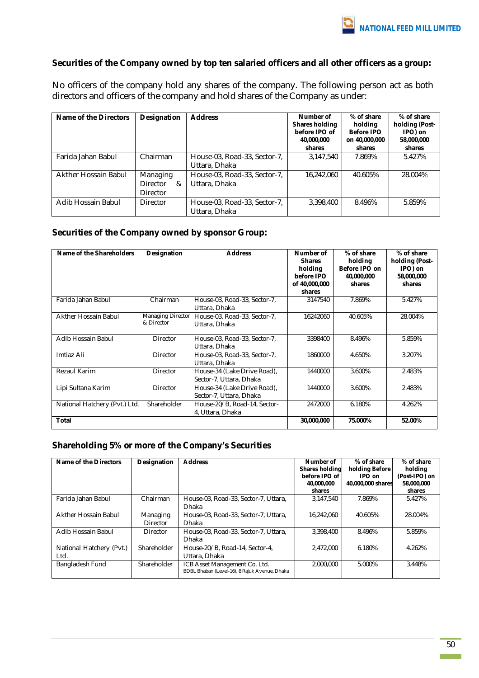

#### **Securities of the Company owned by top ten salaried officers and all other officers as a group:**

No officers of the company hold any shares of the company. The following person act as both directors and officers of the company and hold shares of the Company as under:

| Name of the Directors | Designation          | <b>Address</b>               | Number of<br><b>Shares holding</b><br>before IPO of<br>40,000,000 | % of share<br>holding<br><b>Before IPO</b><br>on 40,000,000 | % of share<br>holding (Post-<br>IPO) on<br>58,000,000 |
|-----------------------|----------------------|------------------------------|-------------------------------------------------------------------|-------------------------------------------------------------|-------------------------------------------------------|
|                       |                      |                              | shares                                                            | shares                                                      | shares                                                |
| Farida Jahan Babul    | Chairman             | House-03, Road-33, Sector-7, | 3,147,540                                                         | 7.869%                                                      | 5.427%                                                |
|                       |                      | Uttara, Dhaka                |                                                                   |                                                             |                                                       |
| Akther Hossain Babul  | Managing             | House-03, Road-33, Sector-7, | 16,242,060                                                        | 40.605%                                                     | 28.004%                                               |
|                       | <b>Director</b><br>& | Uttara, Dhaka                |                                                                   |                                                             |                                                       |
|                       | <b>Director</b>      |                              |                                                                   |                                                             |                                                       |
| Adib Hossain Babul    | Director             | House-03, Road-33, Sector-7, | 3,398,400                                                         | 8.496%                                                      | 5.859%                                                |
|                       |                      | Uttara, Dhaka                |                                                                   |                                                             |                                                       |

#### **Securities of the Company owned by sponsor Group:**

| Name of the Shareholders      | Designation                     | <b>Address</b>                                         | Number of<br><b>Shares</b><br>holding<br>before IPO<br>of 40,000,000<br>shares | % of share<br>holding<br>Before IPO on<br>40,000,000<br>shares | % of share<br>holding (Post-<br>IPO) on<br>58,000,000<br>shares |
|-------------------------------|---------------------------------|--------------------------------------------------------|--------------------------------------------------------------------------------|----------------------------------------------------------------|-----------------------------------------------------------------|
| Farida Jahan Babul            | Chairman                        | House-03, Road-33, Sector-7,<br>Uttara, Dhaka          | 3147540                                                                        | 7.869%                                                         | 5.427%                                                          |
| <b>Akther Hossain Babul</b>   | Managing Director<br>& Director | House-03, Road-33, Sector-7,<br>Uttara, Dhaka          | 16242060                                                                       | 40.605%                                                        | 28.004%                                                         |
| Adib Hossain Babul            | Director                        | House-03, Road-33, Sector-7,<br>Uttara, Dhaka          | 3398400                                                                        | 8.496%                                                         | 5.859%                                                          |
| Imtiaz Ali                    | <b>Director</b>                 | House-03, Road-33, Sector-7,<br>Uttara, Dhaka          | 1860000                                                                        | 4.650%                                                         | 3.207%                                                          |
| Rezaul Karim                  | Director                        | House-34 (Lake Drive Road),<br>Sector-7, Uttara, Dhaka | 1440000                                                                        | 3.600%                                                         | 2.483%                                                          |
| Lipi Sultana Karim            | <b>Director</b>                 | House-34 (Lake Drive Road),<br>Sector-7, Uttara, Dhaka | 1440000                                                                        | 3.600%                                                         | 2.483%                                                          |
| National Hatchery (Pvt.) Ltd. | Shareholder                     | House-20/B, Road-14, Sector-<br>4, Uttara, Dhaka       | 2472000                                                                        | 6.180%                                                         | 4.262%                                                          |
| Total                         |                                 |                                                        | 30,000,000                                                                     | 75.000%                                                        | 52.00%                                                          |

#### **Shareholding 5% or more of the Company's Securities**

| Name of the Directors            | Designation          | <b>Address</b>                                                                 | Number of<br><b>Shares holding</b><br>before IPO of<br>40,000,000<br>shares | % of share<br>holding Before<br>IPO on<br>40,000,000 shares | % of share<br>holding<br>(Post-IPO) on<br>58,000,000<br>shares |
|----------------------------------|----------------------|--------------------------------------------------------------------------------|-----------------------------------------------------------------------------|-------------------------------------------------------------|----------------------------------------------------------------|
| Farida Jahan Babul               | Chairman             | House-03, Road-33, Sector-7, Uttara,<br><b>Dhaka</b>                           | 3.147.540                                                                   | 7.869%                                                      | 5.427%                                                         |
| <b>Akther Hossain Babul</b>      | Managing<br>Director | House-03, Road-33, Sector-7, Uttara,<br><b>Dhaka</b>                           | 16.242.060                                                                  | 40.605%                                                     | 28.004%                                                        |
| Adib Hossain Babul               | Director             | House-03, Road-33, Sector-7, Uttara,<br><b>Dhaka</b>                           | 3,398,400                                                                   | 8.496%                                                      | 5.859%                                                         |
| National Hatchery (Pvt.)<br>Ltd. | Shareholder          | House-20/B. Road-14. Sector-4.<br>Uttara, Dhaka                                | 2.472.000                                                                   | 6.180%                                                      | 4.262%                                                         |
| Bangladesh Fund                  | Shareholder          | ICB Asset Management Co. Ltd.<br>BDBL Bhaban (Level-16), 8 Rajuk Avenue, Dhaka | 2.000.000                                                                   | 5.000%                                                      | 3.448%                                                         |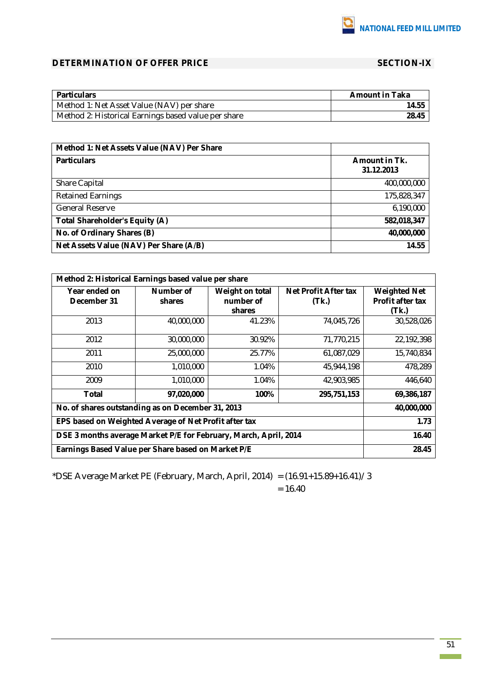## **DETERMINATION OF OFFER PRICE SECTION-IX**

| <b>Particulars</b>                                  | <b>Amount in Taka</b> |
|-----------------------------------------------------|-----------------------|
| Method 1: Net Asset Value (NAV) per share           | 14.55                 |
| Method 2: Historical Earnings based value per share | 28.45                 |

| Method 1: Net Assets Value (NAV) Per Share |                             |
|--------------------------------------------|-----------------------------|
| <b>Particulars</b>                         | Amount in Tk.<br>31.12.2013 |
| <b>Share Capital</b>                       | 400,000,000                 |
| <b>Retained Earnings</b>                   | 175,828,347                 |
| <b>General Reserve</b>                     | 6,190,000                   |
| Total Shareholder's Equity (A)             | 582,018,347                 |
| No. of Ordinary Shares (B)                 | 40,000,000                  |
| Net Assets Value (NAV) Per Share (A/B)     | 14.55                       |

| Method 2: Historical Earnings based value per share              |                     |                                        |                                      |                                                  |
|------------------------------------------------------------------|---------------------|----------------------------------------|--------------------------------------|--------------------------------------------------|
| Year ended on<br>December 31                                     | Number of<br>shares | Weight on total<br>number of<br>shares | <b>Net Profit After tax</b><br>(Tk.) | <b>Weighted Net</b><br>Profit after tax<br>(Tk.) |
| 2013                                                             | 40,000,000          | 41.23%                                 | 74,045,726                           | 30,528,026                                       |
| 2012                                                             | 30,000,000          | 30.92%                                 | 71,770,215                           | 22,192,398                                       |
| 2011                                                             | 25,000,000          | 25.77%                                 | 61,087,029                           | 15,740,834                                       |
| 2010                                                             | 1,010,000           | 1.04%                                  | 45,944,198                           | 478,289                                          |
| 2009                                                             | 1,010,000           | 1.04%                                  | 42,903,985                           | 446,640                                          |
| <b>Total</b>                                                     | 97,020,000          | 100%                                   | 295,751,153                          | 69,386,187                                       |
| No. of shares outstanding as on December 31, 2013                | 40,000,000          |                                        |                                      |                                                  |
| EPS based on Weighted Average of Net Profit after tax            | 1.73                |                                        |                                      |                                                  |
| DSE 3 months average Market P/E for February, March, April, 2014 | 16.40               |                                        |                                      |                                                  |
| Earnings Based Value per Share based on Market P/E               | 28.45               |                                        |                                      |                                                  |

\*DSE Average Market PE (February, March, April, 2014) = (16.91+15.89+16.41)/3

 $= 16.40$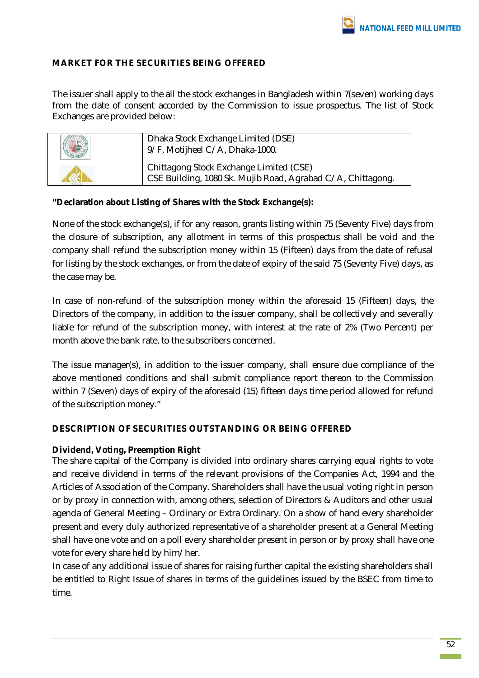#### **MARKET FOR THE SECURITIES BEING OFFERED**

The issuer shall apply to the all the stock exchanges in Bangladesh within 7(seven) working days from the date of consent accorded by the Commission to issue prospectus. The list of Stock Exchanges are provided below:

| Dhaka Stock Exchange Limited (DSE)<br>9/F, Motijheel C/A, Dhaka-1000.                                  |
|--------------------------------------------------------------------------------------------------------|
| Chittagong Stock Exchange Limited (CSE)<br>CSE Building, 1080 Sk. Mujib Road, Agrabad C/A, Chittagong. |

#### **"Declaration about Listing of Shares with the Stock Exchange(s):**

None of the stock exchange(s), if for any reason, grants listing within 75 (Seventy Five) days from the closure of subscription, any allotment in terms of this prospectus shall be void and the company shall refund the subscription money within 15 (Fifteen) days from the date of refusal for listing by the stock exchanges, or from the date of expiry of the said 75 (Seventy Five) days, as the case may be.

In case of non-refund of the subscription money within the aforesaid 15 (Fifteen) days, the Directors of the company, in addition to the issuer company, shall be collectively and severally liable for refund of the subscription money, with interest at the rate of 2% (Two Percent) per month above the bank rate, to the subscribers concerned.

The issue manager(s), in addition to the issuer company, shall ensure due compliance of the above mentioned conditions and shall submit compliance report thereon to the Commission within 7 (Seven) days of expiry of the aforesaid (15) fifteen days time period allowed for refund of the subscription money."

#### **DESCRIPTION OF SECURITIES OUTSTANDING OR BEING OFFERED**

#### **Dividend, Voting, Preemption Right**

The share capital of the Company is divided into ordinary shares carrying equal rights to vote and receive dividend in terms of the relevant provisions of the Companies Act, 1994 and the Articles of Association of the Company. Shareholders shall have the usual voting right in person or by proxy in connection with, among others, selection of Directors & Auditors and other usual agenda of General Meeting – Ordinary or Extra Ordinary. On a show of hand every shareholder present and every duly authorized representative of a shareholder present at a General Meeting shall have one vote and on a poll every shareholder present in person or by proxy shall have one vote for every share held by him/her.

In case of any additional issue of shares for raising further capital the existing shareholders shall be entitled to Right Issue of shares in terms of the guidelines issued by the BSEC from time to time.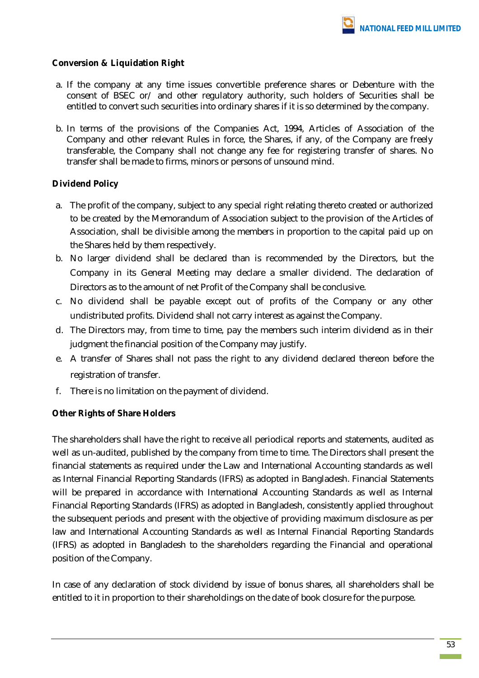#### **Conversion & Liquidation Right**

- a. If the company at any time issues convertible preference shares or Debenture with the consent of BSEC or/ and other regulatory authority, such holders of Securities shall be entitled to convert such securities into ordinary shares if it is so determined by the company.
- b. In terms of the provisions of the Companies Act, 1994, Articles of Association of the Company and other relevant Rules in force, the Shares, if any, of the Company are freely transferable, the Company shall not change any fee for registering transfer of shares. No transfer shall be made to firms, minors or persons of unsound mind.

#### **Dividend Policy**

- a. The profit of the company, subject to any special right relating thereto created or authorized to be created by the Memorandum of Association subject to the provision of the Articles of Association, shall be divisible among the members in proportion to the capital paid up on the Shares held by them respectively.
- b. No larger dividend shall be declared than is recommended by the Directors, but the Company in its General Meeting may declare a smaller dividend. The declaration of Directors as to the amount of net Profit of the Company shall be conclusive.
- c. No dividend shall be payable except out of profits of the Company or any other undistributed profits. Dividend shall not carry interest as against the Company.
- d. The Directors may, from time to time, pay the members such interim dividend as in their judgment the financial position of the Company may justify.
- e. A transfer of Shares shall not pass the right to any dividend declared thereon before the registration of transfer.
- f. There is no limitation on the payment of dividend.

## **Other Rights of Share Holders**

The shareholders shall have the right to receive all periodical reports and statements, audited as well as un-audited, published by the company from time to time. The Directors shall present the financial statements as required under the Law and International Accounting standards as well as Internal Financial Reporting Standards (IFRS) as adopted in Bangladesh. Financial Statements will be prepared in accordance with International Accounting Standards as well as Internal Financial Reporting Standards (IFRS) as adopted in Bangladesh, consistently applied throughout the subsequent periods and present with the objective of providing maximum disclosure as per law and International Accounting Standards as well as Internal Financial Reporting Standards (IFRS) as adopted in Bangladesh to the shareholders regarding the Financial and operational position of the Company.

In case of any declaration of stock dividend by issue of bonus shares, all shareholders shall be entitled to it in proportion to their shareholdings on the date of book closure for the purpose.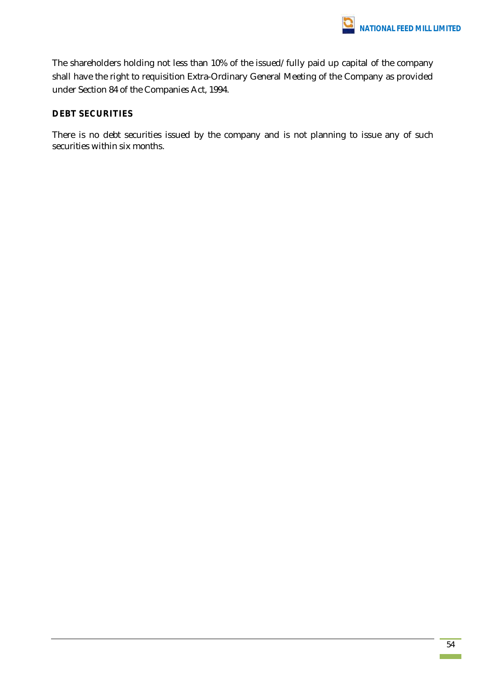

The shareholders holding not less than 10% of the issued/fully paid up capital of the company shall have the right to requisition Extra-Ordinary General Meeting of the Company as provided under Section 84 of the Companies Act, 1994.

#### **DEBT SECURITIES**

There is no debt securities issued by the company and is not planning to issue any of such securities within six months.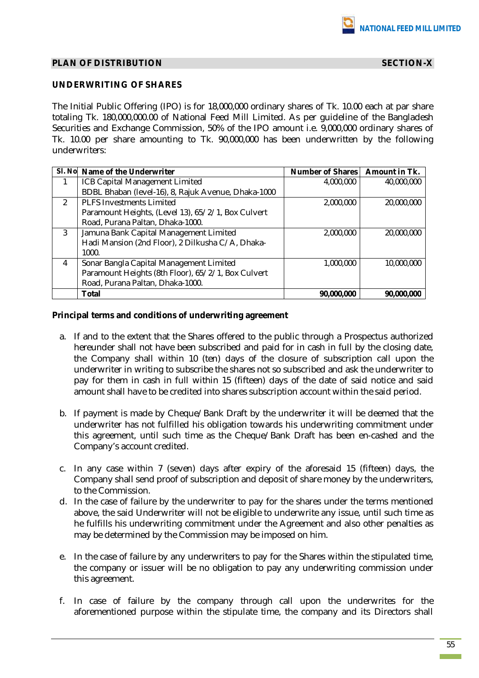#### **UNDERWRITING OF SHARES**

The Initial Public Offering (IPO) is for 18,000,000 ordinary shares of Tk. 10.00 each at par share totaling Tk. 180,000,000.00 of National Feed Mill Limited. As per guideline of the Bangladesh Securities and Exchange Commission, 50% of the IPO amount i.e. 9,000,000 ordinary shares of Tk. 10.00 per share amounting to Tk. 90,000,000 has been underwritten by the following underwriters:

|               | SI. No Name of the Underwriter                      | Number of Shares | Amount in Tk. |
|---------------|-----------------------------------------------------|------------------|---------------|
|               | ICB Capital Management Limited                      | 4,000,000        | 40,000,000    |
|               | BDBL Bhaban (level-16), 8, Rajuk Avenue, Dhaka-1000 |                  |               |
| $\mathcal{P}$ | <b>PLFS Investments Limited</b>                     | 2,000,000        | 20,000,000    |
|               | Paramount Heights, (Level 13), 65/2/1, Box Culvert  |                  |               |
|               | Road, Purana Paltan, Dhaka-1000.                    |                  |               |
| 3             | Jamuna Bank Capital Management Limited              | 2,000,000        | 20,000,000    |
|               | Hadi Mansion (2nd Floor), 2 Dilkusha C/A, Dhaka-    |                  |               |
|               | 1000.                                               |                  |               |
| 4             | Sonar Bangla Capital Management Limited             | 1,000,000        | 10,000,000    |
|               | Paramount Heights (8th Floor), 65/2/1, Box Culvert  |                  |               |
|               | Road, Purana Paltan, Dhaka-1000.                    |                  |               |
|               | Total                                               | 90,000,000       | 90,000,000    |

#### **Principal terms and conditions of underwriting agreement**

- a. If and to the extent that the Shares offered to the public through a Prospectus authorized hereunder shall not have been subscribed and paid for in cash in full by the closing date, the Company shall within 10 (ten) days of the closure of subscription call upon the underwriter in writing to subscribe the shares not so subscribed and ask the underwriter to pay for them in cash in full within 15 (fifteen) days of the date of said notice and said amount shall have to be credited into shares subscription account within the said period.
- b. If payment is made by Cheque/Bank Draft by the underwriter it will be deemed that the underwriter has not fulfilled his obligation towards his underwriting commitment under this agreement, until such time as the Cheque/Bank Draft has been en-cashed and the Company's account credited.
- c. In any case within 7 (seven) days after expiry of the aforesaid 15 (fifteen) days, the Company shall send proof of subscription and deposit of share money by the underwriters, to the Commission.
- d. In the case of failure by the underwriter to pay for the shares under the terms mentioned above, the said Underwriter will not be eligible to underwrite any issue, until such time as he fulfills his underwriting commitment under the Agreement and also other penalties as may be determined by the Commission may be imposed on him.
- e. In the case of failure by any underwriters to pay for the Shares within the stipulated time, the company or issuer will be no obligation to pay any underwriting commission under this agreement.
- f. In case of failure by the company through call upon the underwrites for the aforementioned purpose within the stipulate time, the company and its Directors shall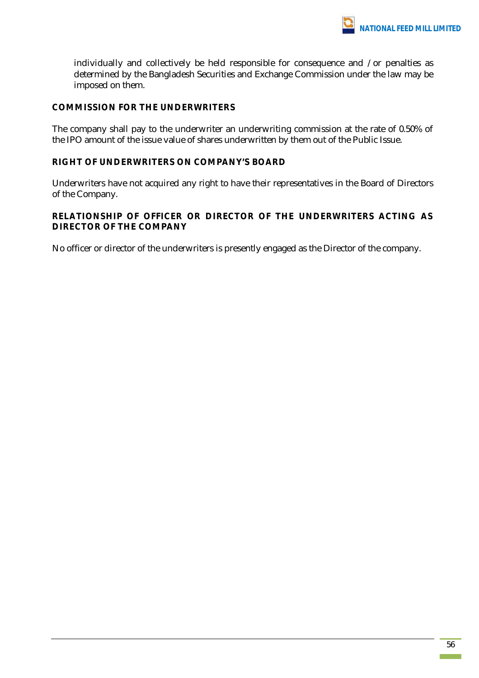individually and collectively be held responsible for consequence and /or penalties as determined by the Bangladesh Securities and Exchange Commission under the law may be imposed on them.

#### **COMMISSION FOR THE UNDERWRITERS**

The company shall pay to the underwriter an underwriting commission at the rate of 0.50% of the IPO amount of the issue value of shares underwritten by them out of the Public Issue.

#### **RIGHT OF UNDERWRITERS ON COMPANY'S BOARD**

Underwriters have not acquired any right to have their representatives in the Board of Directors of the Company.

## **RELATIONSHIP OF OFFICER OR DIRECTOR OF THE UNDERWRITERS ACTING AS DIRECTOR OF THE COMPANY**

No officer or director of the underwriters is presently engaged as the Director of the company.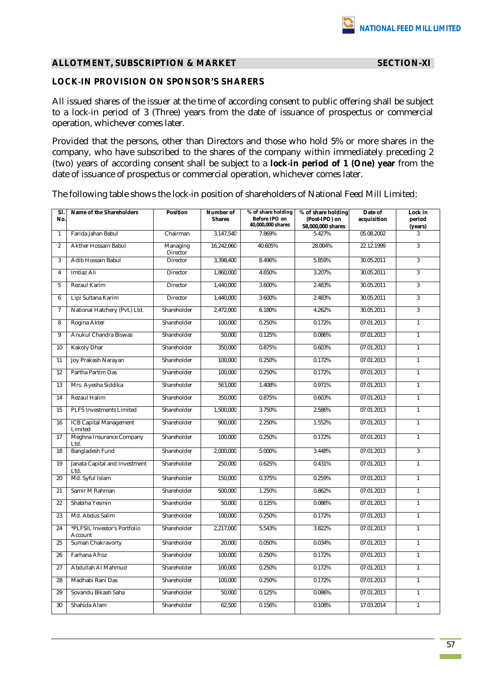#### **ALLOTMENT, SUBSCRIPTION & MARKET SECTION-XI**

## **LOCK‐IN PROVISION ON SPONSOR'S SHARERS**

All issued shares of the issuer at the time of according consent to public offering shall be subject to a lock‐in period of 3 (Three) years from the date of issuance of prospectus or commercial operation, whichever comes later.

Provided that the persons, other than Directors and those who hold 5% or more shares in the company, who have subscribed to the shares of the company within immediately preceding 2 (two) years of according consent shall be subject to a **lock‐in period of 1 (One) year** from the date of issuance of prospectus or commercial operation, whichever comes later.

The following table shows the lock‐in position of shareholders of National Feed Mill Limited:

| SI.<br>No.     | Name of the Shareholders                 | <b>Position</b>      | Number of<br><b>Shares</b> | % of share holding<br>Before IPO on<br>40.000.000 shares | % of share holding<br>(Post-IPO) on<br>58,000,000 shares | Date of<br>acquisition | Lock in<br>period<br>(years) |
|----------------|------------------------------------------|----------------------|----------------------------|----------------------------------------------------------|----------------------------------------------------------|------------------------|------------------------------|
| 1              | Farida Jahan Babul                       | Chairman             | 3,147,540                  | 7.869%                                                   | 5.427%                                                   | 05.08.2002             | 3                            |
| $\overline{2}$ | <b>Akther Hossain Babul</b>              | Managing<br>Director | 16,242,060                 | 40.605%                                                  | 28.004%                                                  | 22.12.1999             | 3                            |
| 3              | Adib Hossain Babul                       | <b>Director</b>      | 3,398,400                  | 8.496%                                                   | 5.859%                                                   | 30.05.2011             | 3                            |
| $\overline{4}$ | Imtiaz Ali                               | Director             | 1,860,000                  | 4.650%                                                   | 3.207%                                                   | 30.05.2011             | $\overline{3}$               |
| 5              | Rezaul Karim                             | Director             | 1.440.000                  | 3.600%                                                   | 2.483%                                                   | 30.05.2011             | $\overline{3}$               |
| 6              | Lipi Sultana Karim                       | Director             | 1,440,000                  | 3.600%                                                   | 2.483%                                                   | 30.05.2011             | 3                            |
| $\overline{7}$ | National Hatchery (Pvt.) Ltd.            | Shareholder          | 2,472,000                  | 6.180%                                                   | 4.262%                                                   | 30.05.2011             | 3                            |
| 8              | Rogina Akter                             | Shareholder          | 100,000                    | 0.250%                                                   | 0.172%                                                   | 07.01.2013             | 1                            |
| 9              | Anukul Chandra Biswas                    | Shareholder          | 50,000                     | 0.125%                                                   | 0.086%                                                   | 07.01.2013             | 1                            |
| 10             | Kakoly Dhar                              | Shareholder          | 350,000                    | 0.875%                                                   | 0.603%                                                   | 07.01.2013             | 1                            |
| 11             | Joy Prakash Narayan                      | Shareholder          | 100,000                    | 0.250%                                                   | 0.172%                                                   | 07.01.2013             | $\mathbf{1}$                 |
| 12             | Partha Partim Das                        | Shareholder          | 100,000                    | 0.250%                                                   | 0.172%                                                   | 07.01.2013             | 1                            |
| 13             | Mrs. Ayesha Siddika                      | Shareholder          | 563,000                    | 1.408%                                                   | 0.971%                                                   | 07.01.2013             | 1                            |
| 14             | <b>Rezaul Halim</b>                      | Shareholder          | 350.000                    | 0.875%                                                   | 0.603%                                                   | 07.01.2013             | 1                            |
| 15             | <b>PLFS Investments Limited</b>          | Shareholder          | 1,500,000                  | 3.750%                                                   | 2.586%                                                   | 07.01.2013             | $\mathbf{1}$                 |
| 16             | <b>ICB Capital Management</b><br>Limited | Shareholder          | 900,000                    | 2.250%                                                   | 1.552%                                                   | 07.01.2013             | $\mathbf{1}$                 |
| 17             | Meghna Insurance Company<br>Ltd.         | Shareholder          | 100,000                    | 0.250%                                                   | 0.172%                                                   | 07.01.2013             | $\mathbf{1}$                 |
| 18             | Bangladesh Fund                          | Shareholder          | 2,000,000                  | 5.000%                                                   | 3.448%                                                   | 07.01.2013             | 3                            |
| 19             | Janata Capital and Investment<br>Ltd.    | Shareholder          | 250,000                    | 0.625%                                                   | 0.431%                                                   | 07.01.2013             | 1                            |
| 20             | Md. Syful Islam                          | Shareholder          | 150,000                    | 0.375%                                                   | 0.259%                                                   | 07.01.2013             | $\mathbf{1}$                 |
| 21             | Samir M Rahman                           | Shareholder          | 500,000                    | 1.250%                                                   | 0.862%                                                   | 07.01.2013             | $\mathbf{1}$                 |
| 22             | Shabiha Yesmin                           | Shareholder          | 50,000                     | 0.125%                                                   | 0.086%                                                   | 07.01.2013             | $\mathbf{1}$                 |
| 23             | Md. Abdus Salim                          | Shareholder          | 100,000                    | 0.250%                                                   | 0.172%                                                   | 07.01.2013             | 1                            |
| 24             | *PLFSIL Investor's Portfolio<br>Account  | Shareholder          | 2,217,000                  | 5.543%                                                   | 3.822%                                                   | 07.01.2013             | $\mathbf{1}$                 |
| 25             | Suman Chakravorty                        | Shareholder          | 20,000                     | 0.050%                                                   | 0.034%                                                   | 07.01.2013             | 1                            |
| 26             | Farhana Afroz                            | Shareholder          | 100,000                    | 0.250%                                                   | 0.172%                                                   | 07.01.2013             | $\mathbf{1}$                 |
| 27             | Abdullah Al Mahmud                       | Shareholder          | 100.000                    | 0.250%                                                   | 0.172%                                                   | 07.01.2013             | $\mathbf{1}$                 |
| 28             | Madhabi Rani Das                         | Shareholder          | 100,000                    | 0.250%                                                   | 0.172%                                                   | 07.01.2013             | $\overline{1}$               |
| 29             | Sovandu Bikash Saha                      | Shareholder          | 50,000                     | 0.125%                                                   | 0.086%                                                   | 07.01.2013             | 1                            |
| 30             | Shahida Alam                             | Shareholder          | 62,500                     | 0.156%                                                   | 0.108%                                                   | 17.03.2014             | 1                            |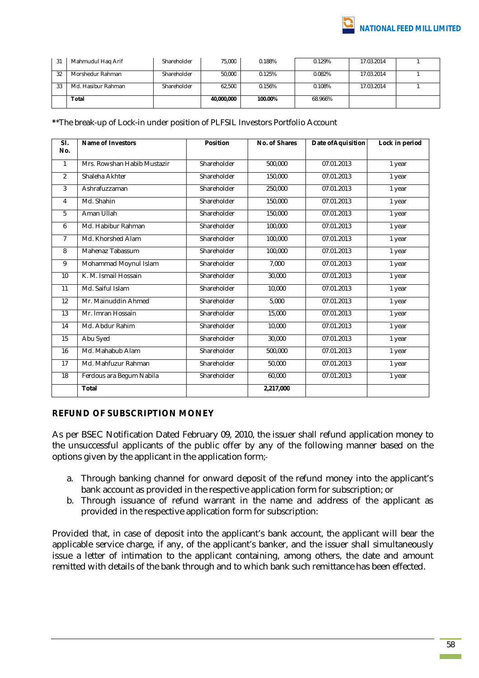

| 33 | Md. Hasibur Rahman<br>Total | Shareholder | 62.500<br>40,000,000 | 0.156%<br>100.00% | 0.108%<br>68.966% | 17.03.2014 |  |
|----|-----------------------------|-------------|----------------------|-------------------|-------------------|------------|--|
|    |                             |             |                      |                   |                   |            |  |
| 32 | Morshedur Rahman            | Shareholder | 50.000               | 0.125%            | 0.082%            | 17.03.2014 |  |
| 31 | Mahmudul Hag Arif           | Shareholder | 75.000               | 0.188%            | 0.129%            | 17.03.2014 |  |

**\***\*The break-up of Lock-in under position of PLFSIL Investors Portfolio Account

| SI.<br>No.     | <b>Name of Investors</b>    | <b>Position</b> | No. of Shares | Date of Aquisition | Lock in period      |
|----------------|-----------------------------|-----------------|---------------|--------------------|---------------------|
| $\mathbf{1}$   | Mrs. Rowshan Habib Mustazir | Shareholder     | 500,000       | 07.01.2013         | 1 year              |
| $\overline{2}$ | Shaleha Akhter              | Shareholder     | 150,000       | 07.01.2013         | 1 year              |
| 3              | Ashrafuzzaman               | Shareholder     | 250,000       | 07.01.2013         | 1 year              |
| 4              | Md. Shahin                  | Shareholder     | 150,000       | 07.01.2013         | $\overline{1}$ year |
| 5              | Aman Ullah                  | Shareholder     | 150,000       | 07.01.2013         | 1 year              |
| 6              | Md. Habibur Rahman          | Shareholder     | 100,000       | 07.01.2013         | 1 year              |
| $\overline{7}$ | Md. Khorshed Alam           | Shareholder     | 100,000       | 07.01.2013         | 1 year              |
| 8              | Mahenaz Tabassum            | Shareholder     | 100,000       | 07.01.2013         | 1 year              |
| 9              | Mohammad Moynul Islam       | Shareholder     | 7,000         | 07.01.2013         | 1 year              |
| 10             | K. M. Ismail Hossain        | Shareholder     | 30,000        | 07.01.2013         | 1 year              |
| 11             | Md. Saiful Islam            | Shareholder     | 10,000        | 07.01.2013         | 1 year              |
| 12             | Mr. Mainuddin Ahmed         | Shareholder     | 5,000         | 07.01.2013         | 1 year              |
| 13             | Mr. Imran Hossain           | Shareholder     | 15,000        | 07.01.2013         | 1 year              |
| 14             | Md. Abdur Rahim             | Shareholder     | 10,000        | 07.01.2013         | 1 year              |
| 15             | Abu Syed                    | Shareholder     | 30,000        | 07.01.2013         | 1 year              |
| 16             | Md. Mahabub Alam            | Shareholder     | 500,000       | 07.01.2013         | 1 year              |
| 17             | Md. Mahfuzur Rahman         | Shareholder     | 50,000        | 07.01.2013         | 1 year              |
| 18             | Ferdous ara Begum Nabila    | Shareholder     | 60,000        | 07.01.2013         | 1 year              |
|                | <b>Total</b>                |                 | 2,217,000     |                    |                     |

#### **REFUND OF SUBSCRIPTION MONEY**

As per BSEC Notification Dated February 09, 2010, the issuer shall refund application money to the unsuccessful applicants of the public offer by any of the following manner based on the options given by the applicant in the application form;‐

- a. Through banking channel for onward deposit of the refund money into the applicant's bank account as provided in the respective application form for subscription; or
- b. Through issuance of refund warrant in the name and address of the applicant as provided in the respective application form for subscription:

Provided that, in case of deposit into the applicant's bank account, the applicant will bear the applicable service charge, if any, of the applicant's banker, and the issuer shall simultaneously issue a letter of intimation to the applicant containing, among others, the date and amount remitted with details of the bank through and to which bank such remittance has been effected.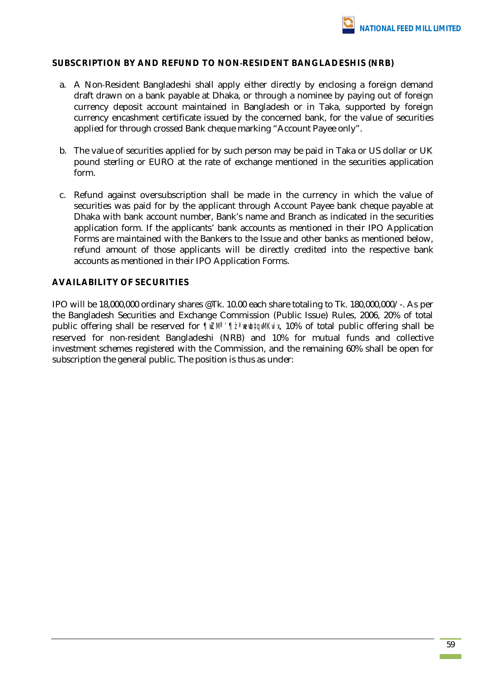#### **SUBSCRIPTION BY AND REFUND TO NON‐RESIDENT BANGLADESHIS (NRB)**

- a. A Non-Resident Bangladeshi shall apply either directly by enclosing a foreign demand draft drawn on a bank payable at Dhaka, or through a nominee by paying out of foreign currency deposit account maintained in Bangladesh or in Taka, supported by foreign currency encashment certificate issued by the concerned bank, for the value of securities applied for through crossed Bank cheque marking "Account Payee only".
- b. The value of securities applied for by such person may be paid in Taka or US dollar or UK pound sterling or EURO at the rate of exchange mentioned in the securities application form.
- c. Refund against oversubscription shall be made in the currency in which the value of securities was paid for by the applicant through Account Payee bank cheque payable at Dhaka with bank account number, Bank's name and Branch as indicated in the securities application form. If the applicants' bank accounts as mentioned in their IPO Application Forms are maintained with the Bankers to the Issue and other banks as mentioned below, refund amount of those applicants will be directly credited into the respective bank accounts as mentioned in their IPO Application Forms.

#### **AVAILABILITY OF SECURITIES**

IPO will be 18,000,000 ordinary shares @Tk. 10.00 each share totaling to Tk. 180,000,000/-. As per the Bangladesh Securities and Exchange Commission (Public Issue) Rules, 2006, 20% of total public offering shall be reserved for *¶wZM<sup>+</sup>' ¶z<sup>\*</sup> wewbtqwMKvix*, 10% of total public offering shall be reserved for non‐resident Bangladeshi (NRB) and 10% for mutual funds and collective investment schemes registered with the Commission, and the remaining 60% shall be open for subscription the general public. The position is thus as under: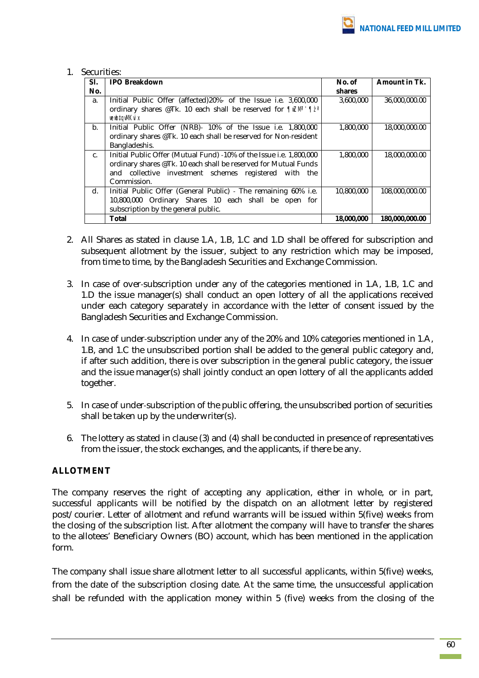#### 1. Securities:

| SI.            | <b>IPO Breakdown</b>                                                                 | No. of     | Amount in Tk.  |
|----------------|--------------------------------------------------------------------------------------|------------|----------------|
| No.            |                                                                                      | shares     |                |
| a.             | Initial Public Offer (affected) 20%- of the Issue i.e. 3,600,000                     | 3,600,000  | 36,000,000.00  |
|                | ordinary shares @Tk. 10 each shall be reserved for $\int \frac{1}{W} \sqrt{2} \, dx$ |            |                |
|                | wewbtqwMKvix                                                                         |            |                |
| b <sub>1</sub> | Initial Public Offer (NRB)- 10% of the Issue i.e. 1,800,000                          | 1,800,000  | 18,000,000.00  |
|                | ordinary shares @Tk. 10 each shall be reserved for Non-resident                      |            |                |
|                | Bangladeshis.                                                                        |            |                |
| $C_{1}$        | Initial Public Offer (Mutual Fund) -10% of the Issue i.e. 1,800,000                  | 1,800,000  | 18,000,000.00  |
|                | ordinary shares @Tk. 10 each shall be reserved for Mutual Funds                      |            |                |
|                | and collective investment schemes registered with the                                |            |                |
|                | Commission.                                                                          |            |                |
| d.             | Initial Public Offer (General Public) - The remaining 60% i.e.                       | 10,800,000 | 108,000,000.00 |
|                | 10,800,000 Ordinary Shares 10 each shall be open for                                 |            |                |
|                | subscription by the general public.                                                  |            |                |
|                | Total                                                                                | 18,000,000 | 180,000,000.00 |

- 2. All Shares as stated in clause 1.A, 1.B, 1.C and 1.D shall be offered for subscription and subsequent allotment by the issuer, subject to any restriction which may be imposed, from time to time, by the Bangladesh Securities and Exchange Commission.
- 3. In case of over-subscription under any of the categories mentioned in 1.A, 1.B, 1.C and 1.D the issue manager(s) shall conduct an open lottery of all the applications received under each category separately in accordance with the letter of consent issued by the Bangladesh Securities and Exchange Commission.
- 4. In case of under-subscription under any of the 20% and 10% categories mentioned in 1.A, 1.B, and 1.C the unsubscribed portion shall be added to the general public category and, if after such addition, there is over subscription in the general public category, the issuer and the issue manager(s) shall jointly conduct an open lottery of all the applicants added together.
- 5. In case of under-subscription of the public offering, the unsubscribed portion of securities shall be taken up by the underwriter(s).
- 6. The lottery as stated in clause (3) and (4) shall be conducted in presence of representatives from the issuer, the stock exchanges, and the applicants, if there be any.

#### **ALLOTMENT**

The company reserves the right of accepting any application, either in whole, or in part, successful applicants will be notified by the dispatch on an allotment letter by registered post/courier. Letter of allotment and refund warrants will be issued within 5(five) weeks from the closing of the subscription list. After allotment the company will have to transfer the shares to the allotees' Beneficiary Owners (BO) account, which has been mentioned in the application form.

The company shall issue share allotment letter to all successful applicants, within 5(five) weeks, from the date of the subscription closing date. At the same time, the unsuccessful application shall be refunded with the application money within 5 (five) weeks from the closing of the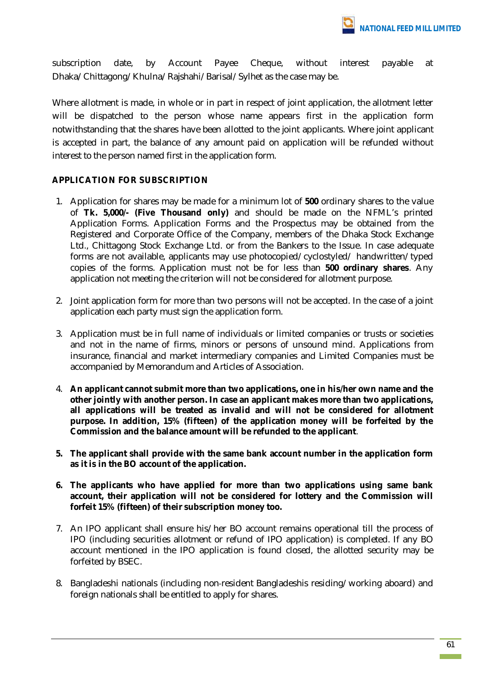subscription date, by Account Payee Cheque, without interest payable at Dhaka/Chittagong/Khulna/Rajshahi/Barisal/Sylhet as the case may be.

Where allotment is made, in whole or in part in respect of joint application, the allotment letter will be dispatched to the person whose name appears first in the application form notwithstanding that the shares have been allotted to the joint applicants. Where joint applicant is accepted in part, the balance of any amount paid on application will be refunded without interest to the person named first in the application form.

#### **APPLICATION FOR SUBSCRIPTION**

- 1. Application for shares may be made for a minimum lot of **500** ordinary shares to the value of **Tk. 5,000/- (Five Thousand only)** and should be made on the NFML's printed Application Forms. Application Forms and the Prospectus may be obtained from the Registered and Corporate Office of the Company, members of the Dhaka Stock Exchange Ltd., Chittagong Stock Exchange Ltd. or from the Bankers to the Issue. In case adequate forms are not available, applicants may use photocopied/cyclostyled/ handwritten/typed copies of the forms. Application must not be for less than **500 ordinary shares**. Any application not meeting the criterion will not be considered for allotment purpose.
- 2. Joint application form for more than two persons will not be accepted. In the case of a joint application each party must sign the application form.
- 3. Application must be in full name of individuals or limited companies or trusts or societies and not in the name of firms, minors or persons of unsound mind. Applications from insurance, financial and market intermediary companies and Limited Companies must be accompanied by Memorandum and Articles of Association.
- 4. **An applicant cannot submit more than two applications, one in his/her own name and the other jointly with another person. In case an applicant makes more than two applications, all applications will be treated as invalid and will not be considered for allotment purpose. In addition, 15% (fifteen) of the application money will be forfeited by the Commission and the balance amount will be refunded to the applicant**.
- **5. The applicant shall provide with the same bank account number in the application form as it is in the BO account of the application.**
- **6. The applicants who have applied for more than two applications using same bank account, their application will not be considered for lottery and the Commission will forfeit 15% (fifteen) of their subscription money too.**
- 7. An IPO applicant shall ensure his/her BO account remains operational till the process of IPO (including securities allotment or refund of IPO application) is completed. If any BO account mentioned in the IPO application is found closed, the allotted security may be forfeited by BSEC.
- 8. Bangladeshi nationals (including non-resident Bangladeshis residing/working aboard) and foreign nationals shall be entitled to apply for shares.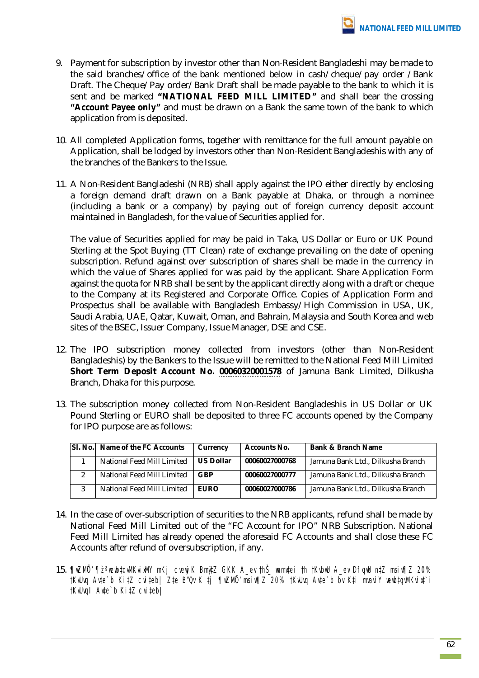- 9. Payment for subscription by investor other than Non‐Resident Bangladeshi may be made to the said branches/office of the bank mentioned below in cash/cheque/pay order /Bank Draft. The Cheque/Pay order/Bank Draft shall be made payable to the bank to which it is sent and be marked **"NATIONAL FEED MILL LIMITED"** and shall bear the crossing **"Account Payee only"** and must be drawn on a Bank the same town of the bank to which application from is deposited.
- 10. All completed Application forms, together with remittance for the full amount payable on Application, shall be lodged by investors other than Non‐Resident Bangladeshis with any of the branches of the Bankers to the Issue.
- 11. A Non-Resident Bangladeshi (NRB) shall apply against the IPO either directly by enclosing a foreign demand draft drawn on a Bank payable at Dhaka, or through a nominee (including a bank or a company) by paying out of foreign currency deposit account maintained in Bangladesh, for the value of Securities applied for.

The value of Securities applied for may be paid in Taka, US Dollar or Euro or UK Pound Sterling at the Spot Buying (TT Clean) rate of exchange prevailing on the date of opening subscription. Refund against over subscription of shares shall be made in the currency in which the value of Shares applied for was paid by the applicant. Share Application Form against the quota for NRB shall be sent by the applicant directly along with a draft or cheque to the Company at its Registered and Corporate Office. Copies of Application Form and Prospectus shall be available with Bangladesh Embassy/High Commission in USA, UK, Saudi Arabia, UAE, Qatar, Kuwait, Oman, and Bahrain, Malaysia and South Korea and web sites of the BSEC, Issuer Company, Issue Manager, DSE and CSE.

- 12. The IPO subscription money collected from investors (other than Non-Resident Bangladeshis) by the Bankers to the Issue will be remitted to the National Feed Mill Limited **Short Term Deposit Account No. 00060320001578** of Jamuna Bank Limited, Dilkusha Branch, Dhaka for this purpose.
- 13. The subscription money collected from Non-Resident Bangladeshis in US Dollar or UK Pound Sterling or EURO shall be deposited to three FC accounts opened by the Company for IPO purpose are as follows:

|  | SI. No. Name of the FC Accounts | Currency         | <b>Accounts No.</b> | <b>Bank &amp; Branch Name</b>     |
|--|---------------------------------|------------------|---------------------|-----------------------------------|
|  | National Feed Mill Limited      | <b>US Dollar</b> | 00060027000768      | Jamuna Bank Ltd., Dilkusha Branch |
|  | National Feed Mill Limited      | GBP              | 00060027000777      | Jamuna Bank Ltd., Dilkusha Branch |
|  | National Feed Mill Limited      | <b>EURO</b>      | 00060027000786      | Jamuna Bank Ltd., Dilkusha Branch |

- 14. In the case of over-subscription of securities to the NRB applicants, refund shall be made by National Feed Mill Limited out of the "FC Account for IPO" NRB Subscription. National Feed Mill Limited has already opened the aforesaid FC Accounts and shall close these FC Accounts after refund of oversubscription, if any.
- 15. ¶wZMÖ' ¶żª wewbtawMKvixMY mKi cvewiK BmÿZ GKK A\_ev thŠ\_ wnmvtei th †KvbwU A\_ev DfawU ntZ msiw¶Z 20% *†KvUvq Av‡e`b Ki‡Z cvi‡eb| Z‡e B"Qv Ki‡j ¶wZMÖ¯' msiw¶Z 20% †KvUvq Av‡e`b bv K‡i mvaviY wewb‡qvMKvix‡`i †KvUvqI Av‡e`b Ki‡Z cvi‡eb|*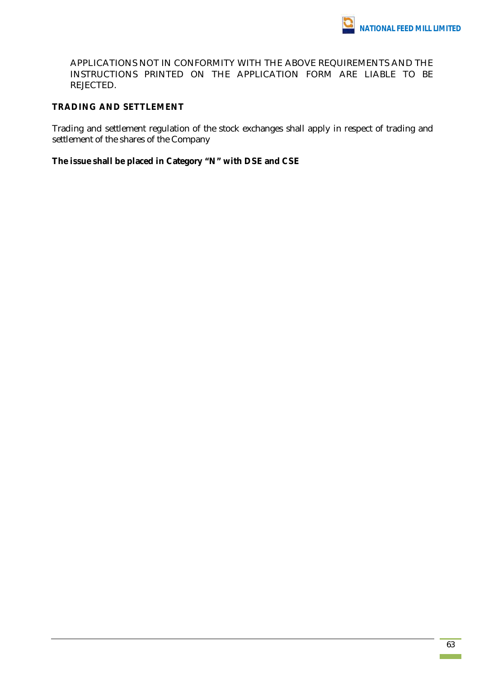APPLICATIONS NOT IN CONFORMITY WITH THE ABOVE REQUIREMENTS AND THE INSTRUCTIONS PRINTED ON THE APPLICATION FORM ARE LIABLE TO BE REJECTED.

## **TRADING AND SETTLEMENT**

Trading and settlement regulation of the stock exchanges shall apply in respect of trading and settlement of the shares of the Company

**The issue shall be placed in Category "N" with DSE and CSE**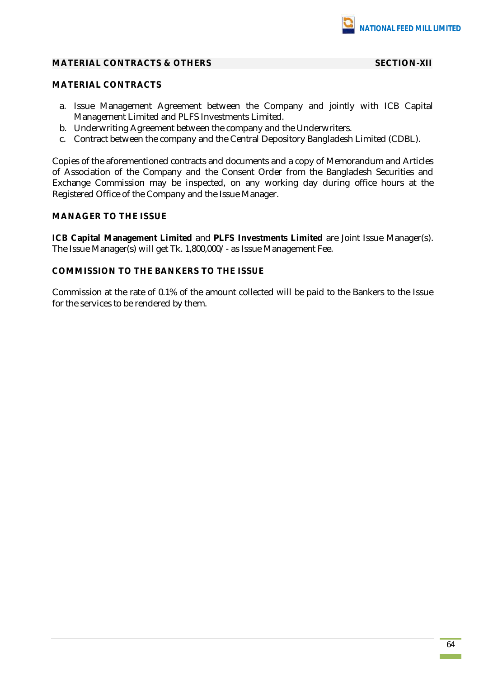#### **MATERIAL CONTRACTS & OTHERS SECTION-XII**

#### **MATERIAL CONTRACTS**

- a. Issue Management Agreement between the Company and jointly with ICB Capital Management Limited and PLFS Investments Limited.
- b. Underwriting Agreement between the company and the Underwriters.
- c. Contract between the company and the Central Depository Bangladesh Limited (CDBL).

Copies of the aforementioned contracts and documents and a copy of Memorandum and Articles of Association of the Company and the Consent Order from the Bangladesh Securities and Exchange Commission may be inspected, on any working day during office hours at the Registered Office of the Company and the Issue Manager.

#### **MANAGER TO THE ISSUE**

**ICB Capital Management Limited** and **PLFS Investments Limited** are Joint Issue Manager(s). The Issue Manager(s) will get Tk. 1,800,000/- as Issue Management Fee.

## **COMMISSION TO THE BANKERS TO THE ISSUE**

Commission at the rate of 0.1% of the amount collected will be paid to the Bankers to the Issue for the services to be rendered by them.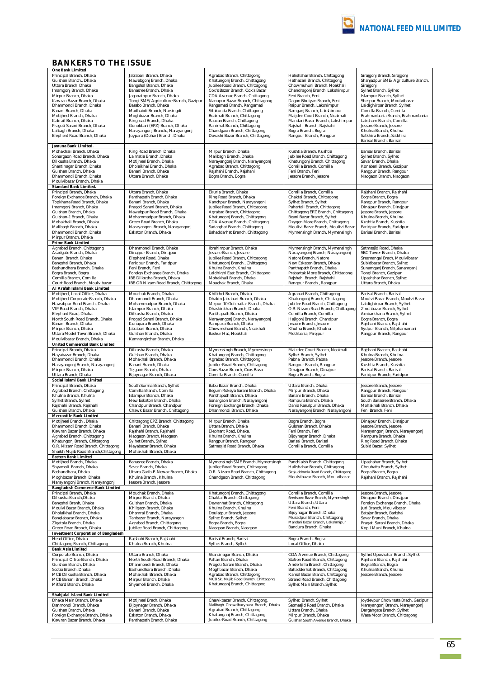## **BANKERS TO THE ISSUE**

| One Bank Limited                                                                                                                                                                                                                                                                                                                                                                 |                                                                                                                                                                                                                                                                                                                                                                                               |                                                                                                                                                                                                                                                                                                                                                                                                                                      |                                                                                                                                                                                                                                                                                                                                                                                                   |                                                                                                                                                                                                                                                                                                                                                                                                         |
|----------------------------------------------------------------------------------------------------------------------------------------------------------------------------------------------------------------------------------------------------------------------------------------------------------------------------------------------------------------------------------|-----------------------------------------------------------------------------------------------------------------------------------------------------------------------------------------------------------------------------------------------------------------------------------------------------------------------------------------------------------------------------------------------|--------------------------------------------------------------------------------------------------------------------------------------------------------------------------------------------------------------------------------------------------------------------------------------------------------------------------------------------------------------------------------------------------------------------------------------|---------------------------------------------------------------------------------------------------------------------------------------------------------------------------------------------------------------------------------------------------------------------------------------------------------------------------------------------------------------------------------------------------|---------------------------------------------------------------------------------------------------------------------------------------------------------------------------------------------------------------------------------------------------------------------------------------------------------------------------------------------------------------------------------------------------------|
| Principal Branch, Dhaka<br>Gulshan Branch., Dhaka<br>Uttara Branch, Dhaka<br>Imamgonj Branch. Dhaka<br>Mirpur Branch, Dhaka<br>Kawran Bazar Branch, Dhaka<br>Dhanmondi Branch. Dhaka<br>Banani Branch, Dhaka<br>Motijheel Branch, Dhaka<br>Kakrail Branch, Dhaka<br>Pragoti Sarani Branch, Dhaka<br>Lalbagh Branch, Dhaka<br>Elephent Road Branch, Dhaka<br>Jamuna Bank Limited. | Jatrabari Branch, Dhaka<br>Nawabqonj Branch, Dhaka<br>Bangshal Branch, Dhaka<br>Banasree Branch, Dhaka<br>Jaganathpur Branch, Dhaka<br>Tongi SME/Agriculture Branch, Gazipur<br>Basabo Branch, Dhaka<br>Madhabdi Branch, Narsingdi<br>Moghbazar Branch, Dhaka<br>Ringroad Branch, Dhaka<br>Gonokbari (EPZ) Branch, Dhaka<br>Narayangonj Branch., Narayangonj<br>Joypara (Dohar) Branch, Dhaka | Agrabad Branch, Chittagong<br>Khatungonj Branch, Chittagong<br>Jubilee Road Branch, Chittagong<br>Cox's Bazar Branch, Cox's Bazar<br>CDA Avenue Branch, Chittagong<br>Nanupur Bazar Branch, Chittagong<br>Rangamati Branch, Rangamati<br>Sitakunda Branch, Chittagong<br>Boakhali Branch, Chittagong<br>Raozan Branch, Chittagong<br>Ranirhat Branch, Chittagong<br>Chandgaon Branch, Chittagong<br>Dovashi Bazar Branch, Chittagong | Halishahar Branch, Chittagong<br>Hathazari Branch, Chittagong<br>Chowmuhuni Branch, Noakhali<br>Chandragonj Branch, Lakshimpur<br>Feni Branch, Feni<br>Dagon Bhuiyan Branch, Feni<br>Raipur Branch, Lakshimpur<br>Ramganj Branch, Lakshimpur<br>Maijdee Court Branch, Noakhali<br>Mandari Bazar Branch, Lakshimpur<br>Rajshahi Branch, Rajshahi<br>Bogra Branch, Bogra<br>Rangpur Branch, Rangpur | Sirajgonj Branch, Sirajgonj<br>Shahjadpur SME/Agriculture Branch,<br>Sirajgonj<br>Sylhet Branch, Sylhet<br>Islampur Branch, Sylhet<br>Sherpur Branch, Moulvibazar<br>Laldighirpar Branch, Sylhet<br>Comilla Branch, Comilla<br>Brahmanbaria Branch, Brahmanbaria<br>Laksham Branch, Comilla<br>Jessore Branch, Jessore<br>Khulna Branch, Khulna<br>Satkhira Branch, Satkhira<br>Barisal Branch, Barisal |
| Mohakhali Branch, Dhaka<br>Sonargaon Road Branch, Dhaka<br>Dilkusha Branch, Dhaka<br>Shantinagar Branch, Dhaka<br>Gulshan Branch, Dhaka<br>Dhanmondi Branch, Dhaka<br>Moulvibazar Branch, Dhaka<br><b>Standard Bank Limited.</b>                                                                                                                                                 | Ring Road Branch, Dhaka<br>Lalmatia Branch, Dhaka<br>Motijheel Branch, Dhaka<br>Dholaikhal Branch, Dhaka<br>Banani Branch, Dhaka<br>Uttara Branch, Dhaka                                                                                                                                                                                                                                      | Mirpur Branch, Dhaka<br>Malibagh Branch, Dhaka<br>Narayangonj Branch, Narayangonj<br>Agrabad Branch, Chittagong<br>Rajshahi Branch, Rajshahi<br>Bogra Branch, Bogra                                                                                                                                                                                                                                                                  | Kushtia Branch, Kushtia<br>Jubilee Road Branch, Chittagong<br>Khatungonj Branch. Chittagong<br>Comilla Branch, Comilla<br>Feni Branch, Feni<br>Jessore Branch, Jessore                                                                                                                                                                                                                            | Barisal Branch, Barisal<br>Sylhet Branch, Sylhet<br>Savar Branch, Dhaka<br>Konabari Branch, Gazipur<br>Rangpur Branch, Rangpur<br>Naogaon Branch, Naogaon                                                                                                                                                                                                                                               |
| Principal Branch, Dhaka<br>Foreign Exchange Branch, Dhaka<br>Topkhana Road Branch, Dhaka<br>Imamgonj Branch, Dhaka<br>Gulshan Branch, Dhaka<br>Gulshan-1 Branch, Dhaka<br>Mohakhali Branch, Dhaka<br>Malibagh Branch, Dhaka<br>Dhanmondi Branch, Dhaka<br>Mirpur Branch, Dhaka                                                                                                   | Uttara Branch, Dhaka<br>Panthapath Branch, Dhaka<br>Banani Branch, Dhaka<br>Pragoti Sarani Branch, Dhaka<br>Nawabpur Road Branch, Dhaka<br>Mohammadpur Branch, Dhaka<br>Green Road Branch, Dhaka<br>Narayangonj Branch, Narayangonj<br>Eskaton Branch, Dhaka                                                                                                                                  | Ekuria Branch, Dhaka<br>Ring Road Branch, Dhaka<br>Kanchpur Branch, Narayangonj<br>Jubilee Road Branch, Chittagong<br>Agrabad Branch, Chittagong<br>Khatungonj Branch, Chittagong<br>CDA Avenue Branch, Chittagong<br>Sadarghat Branch, Chittagong<br>Bahaddarhat Branch, Chittagong                                                                                                                                                 | Comilla Branch, Comilla<br>Chaktai Branch, Chittagong<br>Sylhet Branch, Sylhet<br>Pahartali Branch, Chittagong<br>Chittagong EPZ Branch, Chittagong<br>Beani Bazar Branch, Sylhet<br>Oxygen More Branch, Chittagong<br>Moulivi Bazar Branch, Moulivi Bazar<br>Mymensingh Branch, Mymensingh                                                                                                       | Rajshahi Branch, Rajshahi<br>Bogra Branch, Bogra<br>Rangpur Branch, Rangpur<br>Dinajpur Branch, Dinajpur<br>Jessore Branch, Jessore<br>Khulna Branch, Khulna<br>Kushtia Branch, Kushtia<br>Faridpur Branch, Faridpur<br>Barisal Branch, Barisal                                                                                                                                                         |
| <b>Prime Bank Limited</b><br>Agrabad Branch, Chittagong<br>Asadgate Branch, Dhaka<br>Banani Branch, Dhaka<br>Bangshal Branch, Dhaka<br>Bashundhara Branch, Dhaka<br>Bogra Branch, Bogra<br>Comilla Branch, Comilla<br>Court Road Branch, Moulvibazar<br>Al Arafah Islami Bank Limited                                                                                            | Dhanmondi Branch, Dhaka<br>Dinajpur Branch, Dinajpur<br>Elephant Road, Dhaka<br>Faridpur Branch, Faridpur<br>Feni Branch, Feni<br>Foreign Exchange Branch, Dhaka<br>IBB Dilkusha Branch, Dhaka<br>IBB OR Nizam Road Branch, Chittagong                                                                                                                                                        | Ibrahimpur Branch, Dhaka<br>Jessore Branch, Jessore<br>Jubilee Road Branch, Chittagong<br>Khatungonj Branch, Chittagong<br>Khulna Branch, Khulna<br>Laldhighi East Branch, Chittagong<br>Mohakhali Branch, Dhaka<br>Mouchak Branch, Dhaka                                                                                                                                                                                            | Mymensingh Branch, Mymensingh<br>Narayangonj Branch, Narayangonj<br>Natore Branch, Natore<br>New Eskaton Branch, Dhaka<br>Panthapath Branch, Dhaka<br>Prabartak More Branch, Chittagong<br>Rajshahi Branch, Rajshahi<br>Rangpur Branch, Rangpur                                                                                                                                                   | Satmasjid Road, Dhaka<br>SBC Tower Branch, Dhaka<br>Sreemangal Brach, Moulvibazar<br>Subidbazar Branch, Sylhet<br>Sunamganj Branch, Sunamganj<br>Tongi Branch, Gazipur<br>Upashshar Branch, Sylhet<br>Uttara Branch, Dhaka                                                                                                                                                                              |
| Motiiheel, Local Office, Dhaka<br>Motijheel Corporate Branch, Dhaka<br>Nawabpur Road Branch, Dhaka<br>VIP Road Branch, Dhaka<br>Elephant Road, Dhaka<br>North South Road Branch, Dhaka<br>Banani Branch, Dhaka<br>Mirpur Branch, Dhaka<br>Uttara Model Town Branch, Dhaka<br>Moulvibazar Branch, Dhaka<br><b>United Commercial Bank Limited</b>                                  | Mouchak Branch, Dhaka<br>Dhanmondi Branch, Dhaka<br>Mohammadpur Branch, Dhaka<br>Islampur Branch, Dhaka<br>Dilkusha Branch, Dhaka<br>Progati Sarani Branch, Dhaka<br>Konapara Branch, Dhaka<br>Jatrabari Branch, Dhaka<br>Gulshan Branch, Dhaka<br>Kamrangirchar Branch, Dhaka                                                                                                                | Khilkhet Branch, Dhaka<br>Dhakin Jatrabari Branch, Dhaka<br>Mirpur-10 Golchattar Branch, Dhaka<br>Dhaskinkhan Branch, Dhaka<br>Panthapath Branch, Dhaka<br>Narayangonj Branch, Narayangonj<br>Rampura Branch, Dhaka<br>Chowmohani Branch, Noakhali<br>Bashur Hat, Noakhali                                                                                                                                                           | Agrabad Branch, Chittagong<br>Khatungonj Branch, Chittagong<br>Jubilee Road Branch, Chittagong<br>O.R. Nizam Road Branch, Chittagong<br>Comilla Branch, Comilla<br>Hajigonj Branch, Chandpur<br>Jessore Branch, Jessore<br>Khulna Branch, Khulna<br>Mothbaria, Pirojpur                                                                                                                           | Barisal Branch, Barisal<br>Moulvi Bazar Branch, Moulvi Bazar<br>Laldighirpar Branch, Sylhet<br>Zindabazar Branch, Sylhet<br>Ambarkhana Branch, Sylhet<br>Bogra Branch, Bogra<br>Rajshahi Branch, Rajshahi<br>Sydpur Branch, Nilphamamari<br>Rangpur Branch, Rangpur                                                                                                                                     |
| Principal Branch, Dhaka.<br>Nayabazar Branch, Dhaka<br>Dhanmondi Branch, Dhaka<br>Narayangonj Branch, Narayangonj<br>Mirpur Branch, Dhaka<br>Uttara Branch, Dhaka<br>Social Islami Bank Limited                                                                                                                                                                                  | Dilkusha Branch, Dhaka<br>Gulshan Branch, Dhaka<br>Mohakhali Branch, Dhaka<br>Banani Branch, Dhaka<br>Tejgaon Branch, Dhaka<br>Bijoynagar Branch, Dhaka                                                                                                                                                                                                                                       | Mymensingh Branch, Mymensingh<br>Khatungonj Branch, Chittagong<br>Agrabad Branch, Chittagong<br>Jubilee Road Branch, Chittagong<br>Coxs Bazar Branch, Coxs Bazar<br>Comilla Branch, Comilla                                                                                                                                                                                                                                          | Maizdee Court Branch, Noakhali<br>Sylhet Branch, Sylhet<br>Pabna Branch, Pabna<br>Rangpur Branch, Rangpur<br>Dinajpur Branch, Dinajpur<br>Bogra Branch, Bogra                                                                                                                                                                                                                                     | Rajshahi Branch, Rajshahi<br>Khulna Branch, Khulna<br>Jessore Branch, Jessore<br>Kushtia Branch, Kushtia<br>Barisal Branch, Barisal<br>Faridpur Branch, Faridpur                                                                                                                                                                                                                                        |
| Principal Branch, Dhaka<br>Agrabad Branch, Chittagong<br>Khulna Branch, Khulna<br>Sylhet Branch, Sylhet<br>Rajshahi Branch, Rajshahi<br>Gulshan Branch, Dhaka<br><b>Mercantile Bank Limited</b>                                                                                                                                                                                  | South Surma Branch, Sylhet<br>Comilla Branch, Comilla<br>Islampur Branch, Dhaka<br>New Eskaton Branch, Dhaka<br>Chandpur Branch, Chandpur<br>Chawk Bazar Branch, Chittagong                                                                                                                                                                                                                   | Babu Bazar Branch, Dhaka<br>Begum Rokeya Sarani Branch, Dhaka<br>Panthapath Branch, Dhaka<br>Sonargaon Branch, Narayangonj<br>Foreign Exchange Branch, Dhaka<br>Dhanmondi Branch, Dhaka                                                                                                                                                                                                                                              | Uttara Branch, Dhaka<br>Mirpur Branch, Dhaka<br>Banani Branch, Dhaka<br>Rampura Branch, Dhaka<br>Dania Rasulpur Branch, Dhaka<br>Narayangonj Branch, Narayangonj                                                                                                                                                                                                                                  | Jessore Branch, Jessore<br>Rangpur Branch, Rangpur<br>Barisal Branch, Barisal<br>South Banasree Branch, Dhaka<br>Mohakhali Branch. Dhaka<br>Feni Branch, Feni                                                                                                                                                                                                                                           |
| Motijheel Branch, Dhaka<br>Dhanmondi Branch, Dhaka<br>Kawran Bazar Branch, Dhaka<br>Agrabad Branch, Chittagong<br>Khatungonj Branch, Chittagong<br>O.R. Nizam Road Branch, Chittagong<br>Shaikh Mujib Road Branch, Chittagong<br><b>Eastern Bank Limited</b>                                                                                                                     | Chittagong EPZ Branch, Chittagong<br>Banani Branch, Dhaka<br>Rajshahi Branch, Rajshahi<br>Naogaon Branch, Naogaon<br>Sylhet Branch, Sylhet<br>Nayabazar Branch, Dhaka<br>Mohakhali Branch, Dhaka                                                                                                                                                                                              | Mirpur Branch, Dhaka<br>Uttara Branch, Dhaka<br>Elephant Road, Dhaka.<br>Khulna Branch, Khulna<br>Rangpur Branch, Rangpur<br>Satmasjid Road Branch, Dhaka                                                                                                                                                                                                                                                                            | Bogra Branch, Bogra<br>Gulshan Branch, Dhaka<br>Feni Branch, Feni<br>Bijoynagar Branch, Dhaka<br>Barisal Branch, Barisal<br>Comilla Branch, Comilla                                                                                                                                                                                                                                               | Dinajpur Branch, Dinajpur<br>Jessore Branch, Jessore<br>Narayangonj Branch, Narayangonj<br>Rampura Branch, Dhaka<br>Ring Road Branch, Dhaka<br>Subid Bazar, Sylhet                                                                                                                                                                                                                                      |
| Motijheel Branch, Dhaka<br>Shyamoli Branch, Dhaka<br>Bashundhara, Dhaka<br>Moghbazar Branch, Dhaka<br>Narayangonj Branch, Narayangonj<br><b>Bangladesh Commerce Bank Limited</b>                                                                                                                                                                                                 | Banasree Branch, Dhaka<br>Savar Branch, Dhaka<br>Uttara Garib-E-Newaz Branch, Dhaka<br>Khulna Branch, Khulna<br>Jessore Branch, Jessore                                                                                                                                                                                                                                                       | Mymensingh SME Branch, Mymensingh<br>Jubilee Road Branch, Chittagong<br>O.R. Nizam Road Branch, Chittagong<br>Chandgaon Branch, Chittagong                                                                                                                                                                                                                                                                                           | Panchlaish Branch, Chittagong<br>Halishahar Branch, Chittagong<br>Sirajuddowla Road Branch, Chittagong<br>Moulvibazar Branch, Moulvibazar                                                                                                                                                                                                                                                         | Upashahar Branch, Sylhet<br>Chouhatta Branch, Sylhet<br>Bogra Branch, Bogra<br>Rajshahi Branch, Rajshahi                                                                                                                                                                                                                                                                                                |
| Principal Branch, Dhaka<br>Dilkusha Branch, Dhaka<br>Bangshal Branh, Dhaka<br>Moulvi Bazar Branch, Dhaka<br>Dholaikhal Branch, Dhaka<br>Banglabazar Branch, Dhaka<br>Zigatola Branch, Dhaka<br>Green Road Branch, Dhaka<br><b>Investment Corporation of Bangladesh</b>                                                                                                           | Mouchak Branch, Dhaka<br>Mirpur Branch, Dhaka<br>Gulshan Branch, Dhaka<br>Khilgaon Branch, Dhaka<br>Dhamrai Branch, Dhaka<br>Tanbazar Branch, Narayangon<br>Agrabad Branch, Chittagong<br>Jubilee Road Branch, Chittagong                                                                                                                                                                     | Khatungonj Branch, Chittagong<br>Chaktai Branch, Chittagong<br>Dewanhat Branch, Chittagong<br>Khulna Branch, Khulna<br>Doulatpur Branch, Jessore<br>Sylhet Branch, Sylhet<br>Bogra Branch, Bogra<br>Naogaon Branch, Naogaon                                                                                                                                                                                                          | Comilla Branch, Comilla<br>Seedstore Bazar Branch, Mymensingh<br>Uttara Branch, Uttara<br>Feni Branch, Feni<br>Bijoynagar Branch, Dhaka<br>Muradpur Branch, Chittagong<br>Mandari Bazar Branch, Lakshmipur<br>Bandura Branch, Dhaka                                                                                                                                                               | Jessore Branch, Jessore<br>Dinajpur Branch, Dinajpur<br>Foreign Exchange Branch, Dhaka<br>Juri Branch, Moulvibazar<br>Batajor Branch, Barishal<br>Savar Branch, Dhaka<br>Pragati Sarani Branch, Dhaka<br>Kopil Muni Branch, Khulna                                                                                                                                                                      |
| Head Office, Dhaka<br>Chittagong Branch, Chittagong                                                                                                                                                                                                                                                                                                                              | Rajshahi Branch, Rajshahi<br>Khulna Branch, Khulna                                                                                                                                                                                                                                                                                                                                            | Barisal Branch, Barisal<br>Sylhet Branch, Sylhet                                                                                                                                                                                                                                                                                                                                                                                     | Bogra Branch, Bogra<br>Local Office, Dhaka                                                                                                                                                                                                                                                                                                                                                        |                                                                                                                                                                                                                                                                                                                                                                                                         |
| <b>Bank Asia Limited</b><br>Corporate Branch, Dhaka<br>Principal Office Branch, Dhaka<br>Gulshan Branch, Dhaka<br>Scotia Branch, Dhaka<br>MCB Dilkusha Branch, Dhaka<br>MCB Banani Branch, Dhaka<br>Mitford Branch, Dhaka                                                                                                                                                        | Uttara Branch, Dhaka<br>North South Road Branch, Dhaka<br>Dhanmondi Branch, Dhaka<br>Bashundhara Branch, Dhaka<br>Mohakhali Branch, Dhaka<br>Mirpur Branch, Dhaka<br>Shyamoli Branch, Dhaka                                                                                                                                                                                                   | Shantinagar Branch, Dhaka<br>Paltan Branch, Dhaka<br>Progoti Sarani Branch, Dhaka<br>Moghbazar Branch, Dhaka<br>Agrabad Branch, Chittagong<br>MCB Sk. Mujib Road Branch, Chittagong<br>Khatunganj Branch, Chittagong                                                                                                                                                                                                                 | CDA Avenue Branch, Chittagong<br>Station Road Branch, Chittagong<br>Anderkilla Branch, Chittagong<br>Bahadderhat Branch, Chittagong<br>Kamal Bazar Branch, Chittagong<br>Strand Road Branch, Chittagong<br>Sylhet Main Branch, Sylhet                                                                                                                                                             | Sylhet Uposhahar Branch, Sylhet<br>Rajshahi Branch, Rajshahi<br>Bogra Branch, Bogra<br>Khulna Branch, Khulna<br>Jessore Branch, Jessore                                                                                                                                                                                                                                                                 |
| Shahjalal Islami Bank Limited<br>Dhaka Main Branch, Dhaka<br>Danmondi Branch, Dhaka<br>Gulshan Branch, Dhaka<br>Foreign Exchange Branch, Dhaka<br>Kawran Bazar Branch, Dhaka                                                                                                                                                                                                     | Motijheel Brach, Dhaka<br>Bijoynagar Branch, Dhaka<br>Banani Branch, Dhaka<br>Eskaton Branch, Dhaka<br>Panthapath Branch, Dhaka                                                                                                                                                                                                                                                               | Chawkbazar Branch, Chittagong.<br>Malibagh Chowdhurypara Branch, Dhaka<br>Agrabad Branch, Chittagong<br>Khatunganj Branch, Chittagong<br>Jubilee Road Branch, Chittagong                                                                                                                                                                                                                                                             | Sylhet Branch, Sylhet<br>Satmasjid Road Branch, Dhaka<br>Uttara Branch, Dhaka<br>Mirpur Branch, Dhaka<br>Gulshan South Avenue Branch, Dhaka                                                                                                                                                                                                                                                       | Joydevpur Chowrasta Brach, Gazipur<br>Narayangonj Branch, Narayangonj<br>Dargahgate Branch, Sylhet<br>Wasa Moor Branch, Chittagong                                                                                                                                                                                                                                                                      |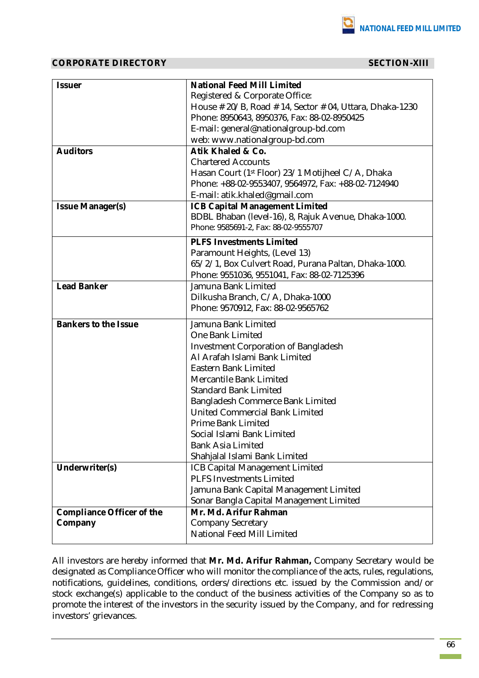#### **CORPORATE DIRECTORY SECTION-XIII**

| <b>Issuer</b>                    | <b>National Feed Mill Limited</b>                        |  |  |
|----------------------------------|----------------------------------------------------------|--|--|
|                                  | Registered & Corporate Office:                           |  |  |
|                                  | House # 20/B, Road # 14, Sector # 04, Uttara, Dhaka-1230 |  |  |
|                                  | Phone: 8950643, 8950376, Fax: 88-02-8950425              |  |  |
|                                  | E-mail: general@nationalgroup-bd.com                     |  |  |
|                                  | web: www.nationalgroup-bd.com                            |  |  |
| <b>Auditors</b>                  | <b>Atik Khaled &amp; Co.</b>                             |  |  |
|                                  | <b>Chartered Accounts</b>                                |  |  |
|                                  | Hasan Court (1st Floor) 23/1 Motijheel C/A, Dhaka        |  |  |
|                                  | Phone: +88-02-9553407, 9564972, Fax: +88-02-7124940      |  |  |
|                                  | E-mail: atik.khaled@gmail.com                            |  |  |
| <b>Issue Manager(s)</b>          | <b>ICB Capital Management Limited</b>                    |  |  |
|                                  | BDBL Bhaban (level-16), 8, Rajuk Avenue, Dhaka-1000.     |  |  |
|                                  | Phone: 9585691-2, Fax: 88-02-9555707                     |  |  |
|                                  | <b>PLFS Investments Limited</b>                          |  |  |
|                                  | Paramount Heights, (Level 13)                            |  |  |
|                                  | 65/2/1, Box Culvert Road, Purana Paltan, Dhaka-1000.     |  |  |
|                                  | Phone: 9551036, 9551041, Fax: 88-02-7125396              |  |  |
| <b>Lead Banker</b>               | Jamuna Bank Limited                                      |  |  |
|                                  | Dilkusha Branch, C/A, Dhaka-1000                         |  |  |
|                                  | Phone: 9570912, Fax: 88-02-9565762                       |  |  |
| <b>Bankers to the Issue</b>      | Jamuna Bank Limited                                      |  |  |
|                                  | One Bank Limited                                         |  |  |
|                                  | <b>Investment Corporation of Bangladesh</b>              |  |  |
|                                  | Al Arafah Islami Bank Limited                            |  |  |
|                                  | <b>Eastern Bank Limited</b>                              |  |  |
|                                  | <b>Mercantile Bank Limited</b>                           |  |  |
|                                  | <b>Standard Bank Limited</b>                             |  |  |
|                                  | Bangladesh Commerce Bank Limited                         |  |  |
|                                  | United Commercial Bank Limited                           |  |  |
|                                  | Prime Bank Limited                                       |  |  |
|                                  | Social Islami Bank Limited                               |  |  |
|                                  | <b>Bank Asia Limited</b>                                 |  |  |
|                                  | Shahjalal Islami Bank Limited                            |  |  |
| Underwriter(s)                   | <b>ICB Capital Management Limited</b>                    |  |  |
|                                  | <b>PLFS Investments Limited</b>                          |  |  |
|                                  | Jamuna Bank Capital Management Limited                   |  |  |
|                                  | Sonar Bangla Capital Management Limited                  |  |  |
| <b>Compliance Officer of the</b> | Mr. Md. Arifur Rahman                                    |  |  |
| Company                          | <b>Company Secretary</b>                                 |  |  |
|                                  | National Feed Mill Limited                               |  |  |

All investors are hereby informed that **Mr. Md. Arifur Rahman,** Company Secretary would be designated as Compliance Officer who will monitor the compliance of the acts, rules, regulations, notifications, guidelines, conditions, orders/directions etc. issued by the Commission and/or stock exchange(s) applicable to the conduct of the business activities of the Company so as to promote the interest of the investors in the security issued by the Company, and for redressing investors' grievances.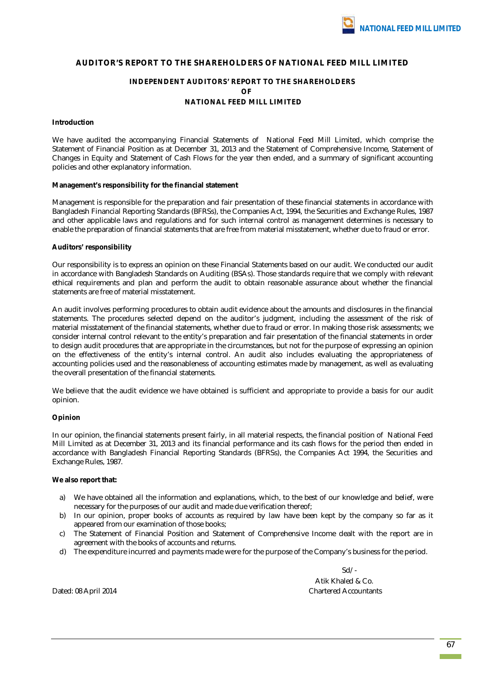#### **AUDITOR'S REPORT TO THE SHAREHOLDERS OF NATIONAL FEED MILL LIMITED**

#### **INDEPENDENT AUDITORS' REPORT TO THE SHAREHOLDERS**  $\Omega$ **NATIONAL FEED MILL LIMITED**

#### **Introduction**

We have audited the accompanying Financial Statements of National Feed Mill Limited, which comprise the Statement of Financial Position as at December 31, 2013 and the Statement of Comprehensive Income, Statement of Changes in Equity and Statement of Cash Flows for the year then ended, and a summary of significant accounting policies and other explanatory information.

#### **Management's responsibility for the financial statement**

Management is responsible for the preparation and fair presentation of these financial statements in accordance with Bangladesh Financial Reporting Standards (BFRSs), the Companies Act, 1994, the Securities and Exchange Rules, 1987 and other applicable laws and regulations and for such internal control as management determines is necessary to enable the preparation of financial statements that are free from material misstatement, whether due to fraud or error.

#### **Auditors' responsibility**

Our responsibility is to express an opinion on these Financial Statements based on our audit. We conducted our audit in accordance with Bangladesh Standards on Auditing (BSAs). Those standards require that we comply with relevant ethical requirements and plan and perform the audit to obtain reasonable assurance about whether the financial statements are free of material misstatement.

An audit involves performing procedures to obtain audit evidence about the amounts and disclosures in the financial statements. The procedures selected depend on the auditor's judgment, including the assessment of the risk of material misstatement of the financial statements, whether due to fraud or error. In making those risk assessments; we consider internal control relevant to the entity's preparation and fair presentation of the financial statements in order to design audit procedures that are appropriate in the circumstances, but not for the purpose of expressing an opinion on the effectiveness of the entity's internal control. An audit also includes evaluating the appropriateness of accounting policies used and the reasonableness of accounting estimates made by management, as well as evaluating the overall presentation of the financial statements.

We believe that the audit evidence we have obtained is sufficient and appropriate to provide a basis for our audit opinion.

#### **Opinion**

In our opinion, the financial statements present fairly, in all material respects, the financial position of National Feed Mill Limited as at December 31, 2013 and its financial performance and its cash flows for the period then ended in accordance with Bangladesh Financial Reporting Standards (BFRSs), the Companies Act 1994, the Securities and Exchange Rules, 1987.

#### **We also report that:**

- a) We have obtained all the information and explanations, which, to the best of our knowledge and belief, were necessary for the purposes of our audit and made due verification thereof;
- b) In our opinion, proper books of accounts as required by law have been kept by the company so far as it appeared from our examination of those books;
- c) The Statement of Financial Position and Statement of Comprehensive Income dealt with the report are in agreement with the books of accounts and returns.
- d) The expenditure incurred and payments made were for the purpose of the Company's business for the period.

Sd/- Atik Khaled & Co. Dated: 08 April 2014 **Chartered Accountants**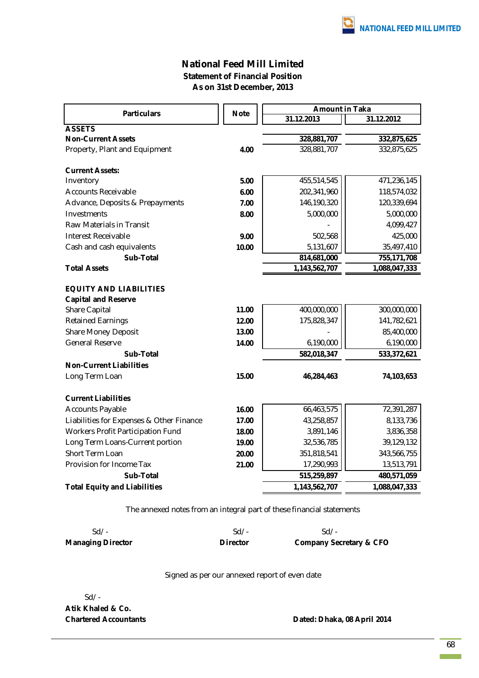# **National Feed Mill Limited**

**Statement of Financial Position**

**As on 31st December, 2013**

| <b>Particulars</b>                                          | <b>Note</b> | <b>Amount in Taka</b> |               |  |
|-------------------------------------------------------------|-------------|-----------------------|---------------|--|
|                                                             |             | 31.12.2013            | 31.12.2012    |  |
| <b>ASSETS</b>                                               |             |                       |               |  |
| <b>Non-Current Assets</b>                                   |             | 328,881,707           | 332,875,625   |  |
| Property, Plant and Equipment                               | 4.00        | 328,881,707           | 332,875,625   |  |
| <b>Current Assets:</b>                                      |             |                       |               |  |
| Inventory                                                   | 5.00        | 455,514,545           | 471,236,145   |  |
| <b>Accounts Receivable</b>                                  | 6.00        | 202,341,960           | 118,574,032   |  |
| Advance, Deposits & Prepayments                             | 7.00        | 146,190,320           | 120,339,694   |  |
| Investments                                                 | 8.00        | 5,000,000             | 5,000,000     |  |
| Raw Materials in Transit                                    |             |                       | 4,099,427     |  |
| <b>Interest Receivable</b>                                  | 9.00        | 502,568               | 425,000       |  |
| Cash and cash equivalents                                   | 10.00       | 5,131,607             | 35,497,410    |  |
| Sub-Total                                                   |             | 814,681,000           | 755,171,708   |  |
| <b>Total Assets</b>                                         |             | 1,143,562,707         | 1,088,047,333 |  |
| <b>EQUITY AND LIABILITIES</b><br><b>Capital and Reserve</b> |             |                       |               |  |
| Share Capital                                               | 11.00       | 400,000,000           | 300,000,000   |  |
| <b>Retained Earnings</b>                                    | 12.00       | 175,828,347           | 141,782,621   |  |
| <b>Share Money Deposit</b>                                  | 13.00       |                       | 85,400,000    |  |
| General Reserve                                             | 14.00       | 6,190,000             | 6,190,000     |  |
| Sub-Total                                                   |             | 582,018,347           | 533,372,621   |  |
| <b>Non-Current Liabilities</b>                              |             |                       |               |  |
| Long Term Loan                                              | 15.00       | 46,284,463            | 74,103,653    |  |
| <b>Current Liabilities</b>                                  |             |                       |               |  |
| <b>Accounts Payable</b>                                     | 16.00       | 66,463,575            | 72,391,287    |  |
| Liabilities for Expenses & Other Finance                    | 17.00       | 43,258,857            | 8,133,736     |  |
| Workers Profit Participation Fund                           | 18.00       | 3,891,146             | 3,836,358     |  |
| Long Term Loans-Current portion                             | 19.00       | 32,536,785            | 39,129,132    |  |
| Short Term Loan                                             | 20.00       | 351,818,541           | 343,566,755   |  |
| Provision for Income Tax                                    | 21.00       | 17,290,993            | 13,513,791    |  |
| Sub-Total                                                   |             | 515,259,897           | 480,571,059   |  |
| <b>Total Equity and Liabilities</b>                         |             | 1,143,562,707         | 1,088,047,333 |  |
|                                                             |             |                       |               |  |

The annexed notes from an integral part of these financial statements

| $Sd/-$                   | $Sd$ /-         | Sd/-                               |
|--------------------------|-----------------|------------------------------------|
| <b>Managing Director</b> | <b>Director</b> | <b>Company Secretary &amp; CFO</b> |

Signed as per our annexed report of even date

Sd/-

**Atik Khaled & Co. Chartered Accountants**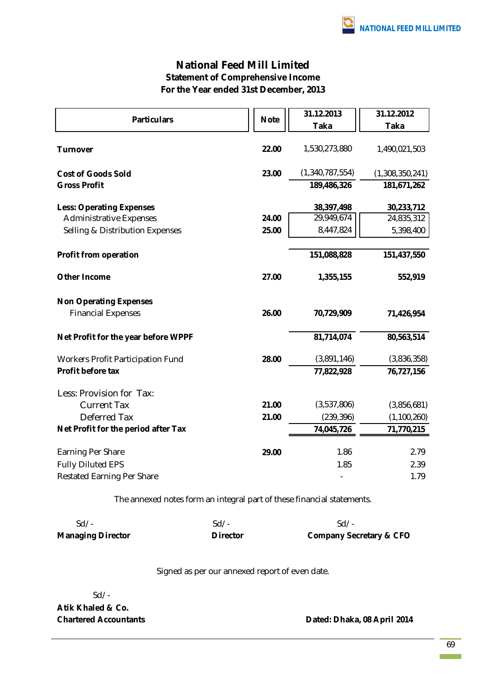## **National Feed Mill Limited Statement of Comprehensive Income For the Year ended 31st December, 2013**

| <b>Particulars</b>                  | <b>Note</b> | 31.12.2013         | 31.12.2012      |  |
|-------------------------------------|-------------|--------------------|-----------------|--|
|                                     |             | <b>Taka</b>        | <b>Taka</b>     |  |
| <b>Turnover</b>                     | 22.00       | 1,530,273,880      | 1,490,021,503   |  |
|                                     |             |                    |                 |  |
| <b>Cost of Goods Sold</b>           | 23.00       | (1, 340, 787, 554) | (1,308,350,241) |  |
| <b>Gross Profit</b>                 |             | 189,486,326        | 181,671,262     |  |
| <b>Less: Operating Expenses</b>     |             | 38,397,498         | 30,233,712      |  |
| <b>Administrative Expenses</b>      | 24.00       | 29,949,674         | 24,835,312      |  |
| Selling & Distribution Expenses     | 25.00       | 8,447,824          | 5,398,400       |  |
|                                     |             |                    |                 |  |
| Profit from operation               |             | 151,088,828        | 151,437,550     |  |
| <b>Other Income</b>                 | 27.00       | 1,355,155          | 552,919         |  |
| <b>Non Operating Expenses</b>       |             |                    |                 |  |
| <b>Financial Expenses</b>           | 26.00       | 70,729,909         | 71,426,954      |  |
| Net Profit for the year before WPPF |             | 81,714,074         | 80,563,514      |  |
| Workers Profit Participation Fund   | 28.00       | (3,891,146)        | (3,836,358)     |  |
| Profit before tax                   |             | 77,822,928         | 76,727,156      |  |
| Less: Provision for Tax:            |             |                    |                 |  |
| <b>Current Tax</b>                  | 21.00       | (3,537,806)        | (3,856,681)     |  |
| Deferred Tax                        | 21.00       | (239, 396)         | (1, 100, 260)   |  |
| Net Profit for the period after Tax |             | 74,045,726         | 71,770,215      |  |
| Earning Per Share                   | 29.00       | 1.86               | 2.79            |  |
| <b>Fully Diluted EPS</b>            |             | 1.85               | 2.39            |  |
| <b>Restated Earning Per Share</b>   |             |                    | 1.79            |  |

The annexed notes form an integral part of these financial statements.

| $Sd$ .                   | $Sd$ .          | $Sd/$ -                            |
|--------------------------|-----------------|------------------------------------|
| <b>Managing Director</b> | <b>Director</b> | <b>Company Secretary &amp; CFO</b> |

Signed as per our annexed report of even date.

Sd/-

**Atik Khaled & Co. Chartered Accountants**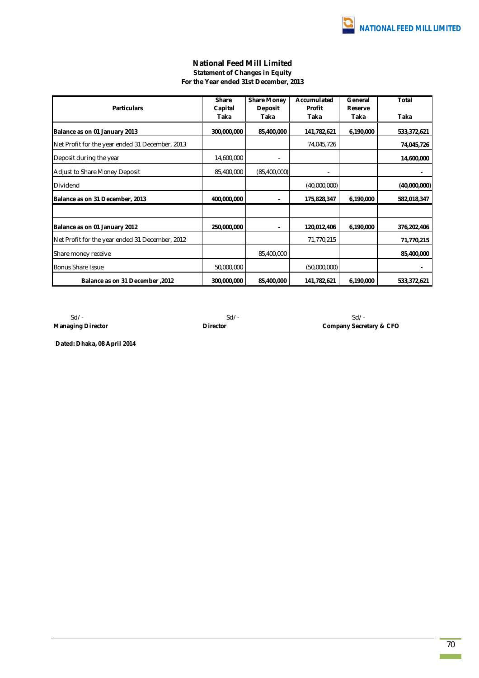#### **Statement of Changes in Equity For the Year ended 31st December, 2013 National Feed Mill Limited**

| <b>Particulars</b>                              | <b>Share</b><br>Capital | <b>Share Money</b><br>Deposit | Accumulated<br>Profit | General<br>Reserve | Total        |
|-------------------------------------------------|-------------------------|-------------------------------|-----------------------|--------------------|--------------|
|                                                 | Taka                    | Taka                          | Taka                  | Taka               | Taka         |
| Balance as on 01 January 2013                   | 300,000,000             | 85,400,000                    | 141,782,621           | 6,190,000          | 533,372,621  |
| Net Profit for the year ended 31 December, 2013 |                         |                               | 74,045,726            |                    | 74,045,726   |
| Deposit during the year                         | 14,600,000              |                               |                       |                    | 14,600,000   |
| Adjust to Share Money Deposit                   | 85,400,000              | (85,400,000)                  |                       |                    |              |
| Dividend                                        |                         |                               | (40,000,000)          |                    | (40,000,000) |
| Balance as on 31 December, 2013                 | 400,000,000             |                               | 175,828,347           | 6,190,000          | 582,018,347  |
|                                                 |                         |                               |                       |                    |              |
| Balance as on 01 January 2012                   | 250,000,000             |                               | 120,012,406           | 6,190,000          | 376,202,406  |
| Net Profit for the year ended 31 December, 2012 |                         |                               | 71,770,215            |                    | 71,770,215   |
| Share money receive                             |                         | 85,400,000                    |                       |                    | 85,400,000   |
| Bonus Share Issue                               | 50,000,000              |                               | (50,000,000)          |                    |              |
| <b>Balance as on 31 December, 2012</b>          | 300,000,000             | 85,400,000                    | 141,782,621           | 6,190,000          | 533,372,621  |

 $Sd$  /-  $Sd$  /-  $Sd$  /-  $Sd$  /-**Managing Director Director Director** 

**Company Secretary & CFO**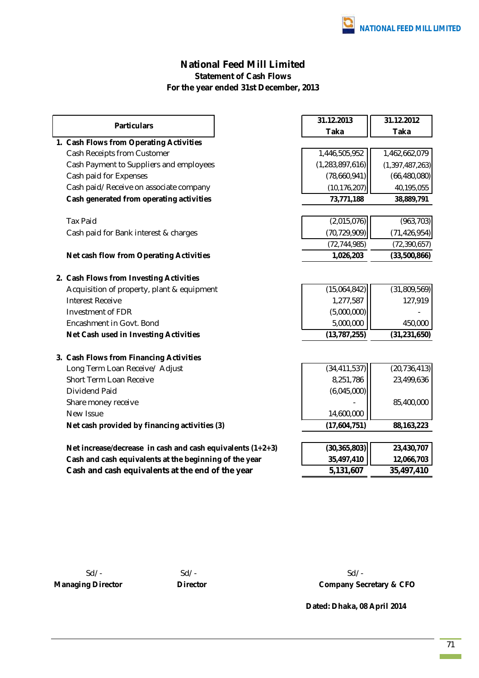## **National Feed Mill Limited Statement of Cash Flows For the year ended 31st December, 2013**

| <b>Particulars</b>                                           | 31.12.2013         | 31.12.2012         |
|--------------------------------------------------------------|--------------------|--------------------|
|                                                              | <b>Taka</b>        | <b>Taka</b>        |
| 1. Cash Flows from Operating Activities                      |                    |                    |
| Cash Receipts from Customer                                  | 1,446,505,952      | 1,462,662,079      |
| Cash Payment to Suppliers and employees                      | (1, 283, 897, 616) | (1, 397, 487, 263) |
| Cash paid for Expenses                                       | (78,660,941)       | (66, 480, 080)     |
| Cash paid/Receive on associate company                       | (10, 176, 207)     | 40,195,055         |
| Cash generated from operating activities                     | 73,771,188         | 38,889,791         |
|                                                              |                    |                    |
| <b>Tax Paid</b>                                              | (2,015,076)        | (963, 703)         |
| Cash paid for Bank interest & charges                        | (70, 729, 909)     | (71, 426, 954)     |
|                                                              | (72, 744, 985)     | (72, 390, 657)     |
| Net cash flow from Operating Activities                      | 1,026,203          | (33,500,866)       |
|                                                              |                    |                    |
| 2. Cash Flows from Investing Activities                      |                    |                    |
| Acquisition of property, plant & equipment                   | (15,064,842)       | (31,809,569)       |
| <b>Interest Receive</b>                                      | 1,277,587          | 127,919            |
| Investment of FDR                                            | (5,000,000)        |                    |
| Encashment in Govt. Bond                                     | 5,000,000          | 450,000            |
| Net Cash used in Investing Activities                        | (13, 787, 255)     | (31, 231, 650)     |
|                                                              |                    |                    |
| 3. Cash Flows from Financing Activities                      |                    |                    |
| Long Term Loan Receive/ Adjust                               | (34, 411, 537)     | (20, 736, 413)     |
| Short Term Loan Receive                                      | 8,251,786          | 23,499,636         |
| Dividend Paid                                                | (6,045,000)        |                    |
| Share money receive                                          |                    | 85,400,000         |
| New Issue                                                    | 14,600,000         |                    |
| Net cash provided by financing activities (3)                | (17,604,751)       | 88, 163, 223       |
|                                                              |                    |                    |
| Net increase/decrease in cash and cash equivalents $(1+2+3)$ | (30, 365, 803)     | 23,430,707         |
| Cash and cash equivalents at the beginning of the year       | 35,497,410         | 12,066,703         |
| Cash and cash equivalents at the end of the year             | 5,131,607          | 35,497,410         |
|                                                              |                    |                    |

Sd/- Sd/- Sd/-

**Managing Director Director Company Secretary & CFO**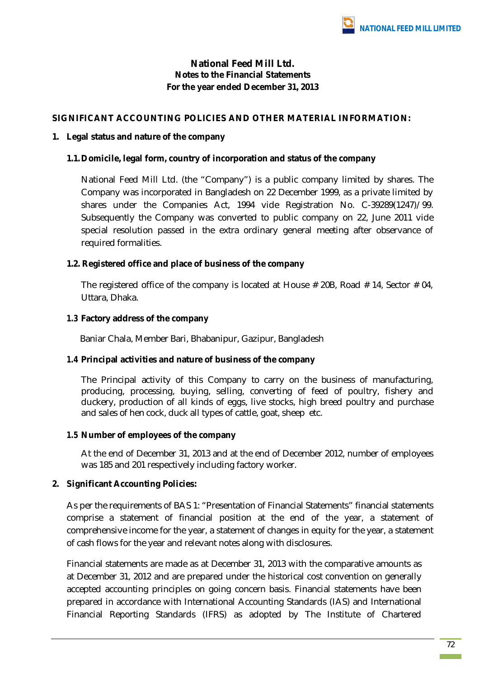## **National Feed Mill Ltd. Notes to the Financial Statements For the year ended December 31, 2013**

#### **SIGNIFICANT ACCOUNTING POLICIES AND OTHER MATERIAL INFORMATION:**

#### **1. Legal status and nature of the company**

#### **1.1.Domicile, legal form, country of incorporation and status of the company**

National Feed Mill Ltd. (the "Company") is a public company limited by shares. The Company was incorporated in Bangladesh on 22 December 1999, as a private limited by shares under the Companies Act, 1994 vide Registration No. C-39289(1247)/99. Subsequently the Company was converted to public company on 22, June 2011 vide special resolution passed in the extra ordinary general meeting after observance of required formalities.

#### **1.2. Registered office and place of business of the company**

The registered office of the company is located at House  $# 20B$ , Road  $# 14$ , Sector  $# 04$ , Uttara, Dhaka.

#### **1.3 Factory address of the company**

Baniar Chala, Member Bari, Bhabanipur, Gazipur, Bangladesh

#### **1.4 Principal activities and nature of business of the company**

The Principal activity of this Company to carry on the business of manufacturing, producing, processing, buying, selling, converting of feed of poultry, fishery and duckery, production of all kinds of eggs, live stocks, high breed poultry and purchase and sales of hen cock, duck all types of cattle, goat, sheep etc.

#### **1.5 Number of employees of the company**

At the end of December 31, 2013 and at the end of December 2012, number of employees was 185 and 201 respectively including factory worker.

## **2. Significant Accounting Policies:**

As per the requirements of BAS 1: "Presentation of Financial Statements" financial statements comprise a statement of financial position at the end of the year, a statement of comprehensive income for the year, a statement of changes in equity for the year, a statement of cash flows for the year and relevant notes along with disclosures.

Financial statements are made as at December 31, 2013 with the comparative amounts as at December 31, 2012 and are prepared under the historical cost convention on generally accepted accounting principles on going concern basis. Financial statements have been prepared in accordance with International Accounting Standards (IAS) and International Financial Reporting Standards (IFRS) as adopted by The Institute of Chartered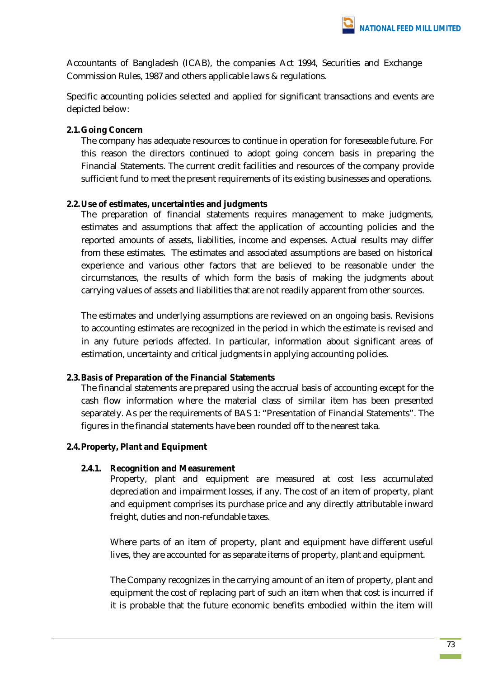Accountants of Bangladesh (ICAB), the companies Act 1994, Securities and Exchange Commission Rules, 1987 and others applicable laws & regulations.

Specific accounting policies selected and applied for significant transactions and events are depicted below:

# **2.1.Going Concern**

The company has adequate resources to continue in operation for foreseeable future. For this reason the directors continued to adopt going concern basis in preparing the Financial Statements. The current credit facilities and resources of the company provide sufficient fund to meet the present requirements of its existing businesses and operations.

# **2.2.Use of estimates, uncertainties and judgments**

The preparation of financial statements requires management to make judgments, estimates and assumptions that affect the application of accounting policies and the reported amounts of assets, liabilities, income and expenses. Actual results may differ from these estimates. The estimates and associated assumptions are based on historical experience and various other factors that are believed to be reasonable under the circumstances, the results of which form the basis of making the judgments about carrying values of assets and liabilities that are not readily apparent from other sources.

The estimates and underlying assumptions are reviewed on an ongoing basis. Revisions to accounting estimates are recognized in the period in which the estimate is revised and in any future periods affected. In particular, information about significant areas of estimation, uncertainty and critical judgments in applying accounting policies.

# **2.3.Basis of Preparation of the Financial Statements**

The financial statements are prepared using the accrual basis of accounting except for the cash flow information where the material class of similar item has been presented separately. As per the requirements of BAS 1: "Presentation of Financial Statements". The figures in the financial statements have been rounded off to the nearest taka.

# **2.4.Property, Plant and Equipment**

# **2.4.1. Recognition and Measurement**

Property, plant and equipment are measured at cost less accumulated depreciation and impairment losses, if any. The cost of an item of property, plant and equipment comprises its purchase price and any directly attributable inward freight, duties and non-refundable taxes.

Where parts of an item of property, plant and equipment have different useful lives, they are accounted for as separate items of property, plant and equipment.

The Company recognizes in the carrying amount of an item of property, plant and equipment the cost of replacing part of such an item when that cost is incurred if it is probable that the future economic benefits embodied within the item will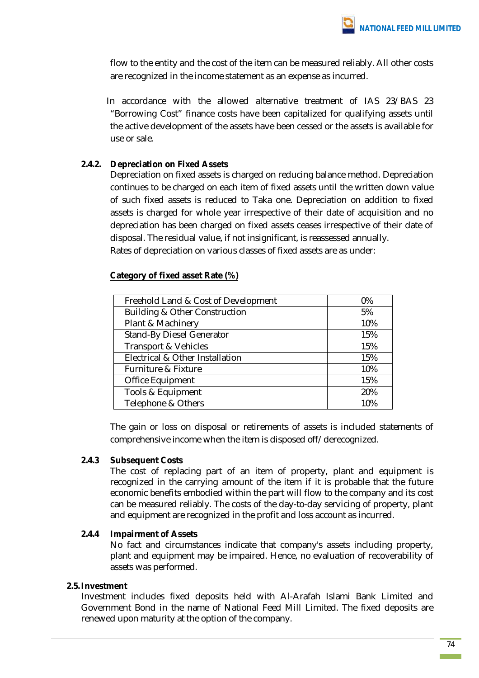flow to the entity and the cost of the item can be measured reliably. All other costs are recognized in the income statement as an expense as incurred.

In accordance with the allowed alternative treatment of IAS 23/BAS 23 "Borrowing Cost" finance costs have been capitalized for qualifying assets until the active development of the assets have been cessed or the assets is available for use or sale.

# **2.4.2. Depreciation on Fixed Assets**

Depreciation on fixed assets is charged on reducing balance method. Depreciation continues to be charged on each item of fixed assets until the written down value of such fixed assets is reduced to Taka one. Depreciation on addition to fixed assets is charged for whole year irrespective of their date of acquisition and no depreciation has been charged on fixed assets ceases irrespective of their date of disposal. The residual value, if not insignificant, is reassessed annually. Rates of depreciation on various classes of fixed assets are as under:

## **Category of fixed asset Rate (%)**

| Freehold Land & Cost of Development | 0%  |
|-------------------------------------|-----|
| Building & Other Construction       | 5%  |
| Plant & Machinery                   | 10% |
| <b>Stand-By Diesel Generator</b>    | 15% |
| <b>Transport &amp; Vehicles</b>     | 15% |
| Electrical & Other Installation     | 15% |
| Furniture & Fixture                 | 10% |
| Office Equipment                    | 15% |
| Tools & Equipment                   | 20% |
| Telephone & Others                  | 10% |

The gain or loss on disposal or retirements of assets is included statements of comprehensive income when the item is disposed off/derecognized.

# **2.4.3 Subsequent Costs**

The cost of replacing part of an item of property, plant and equipment is recognized in the carrying amount of the item if it is probable that the future economic benefits embodied within the part will flow to the company and its cost can be measured reliably. The costs of the day-to-day servicing of property, plant and equipment are recognized in the profit and loss account as incurred.

### **2.4.4 Impairment of Assets**

No fact and circumstances indicate that company's assets including property, plant and equipment may be impaired. Hence, no evaluation of recoverability of assets was performed.

### **2.5.Investment**

Investment includes fixed deposits held with Al-Arafah Islami Bank Limited and Government Bond in the name of National Feed Mill Limited. The fixed deposits are renewed upon maturity at the option of the company.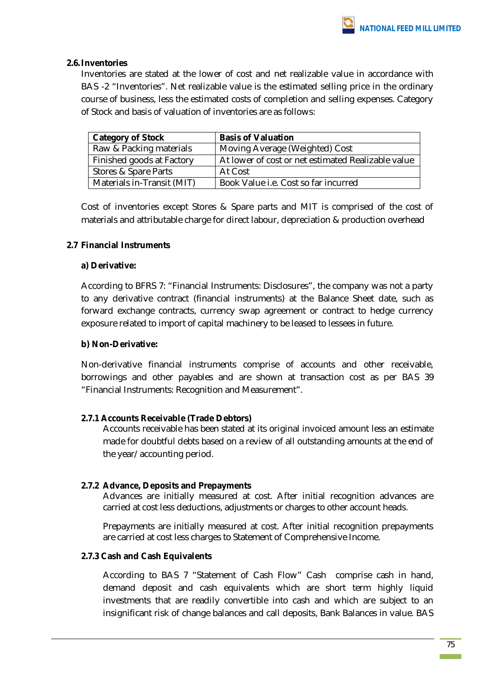# **2.6.Inventories**

Inventories are stated at the lower of cost and net realizable value in accordance with BAS -2 "Inventories". Net realizable value is the estimated selling price in the ordinary course of business, less the estimated costs of completion and selling expenses. Category of Stock and basis of valuation of inventories are as follows:

| <b>Category of Stock</b>   | <b>Basis of Valuation</b>                          |
|----------------------------|----------------------------------------------------|
| Raw & Packing materials    | Moving Average (Weighted) Cost                     |
| Finished goods at Factory  | At lower of cost or net estimated Realizable value |
| Stores & Spare Parts       | At Cost                                            |
| Materials in-Transit (MIT) | Book Value <i>i.e.</i> Cost so far incurred        |

Cost of inventories except Stores & Spare parts and MIT is comprised of the cost of materials and attributable charge for direct labour, depreciation & production overhead

# **2.7 Financial Instruments**

# **a) Derivative:**

According to BFRS 7: "Financial Instruments: Disclosures", the company was not a party to any derivative contract (financial instruments) at the Balance Sheet date, such as forward exchange contracts, currency swap agreement or contract to hedge currency exposure related to import of capital machinery to be leased to lessees in future.

# **b) Non-Derivative:**

Non-derivative financial instruments comprise of accounts and other receivable, borrowings and other payables and are shown at transaction cost as per BAS 39 "Financial Instruments: Recognition and Measurement".

# **2.7.1 Accounts Receivable (Trade Debtors)**

Accounts receivable has been stated at its original invoiced amount less an estimate made for doubtful debts based on a review of all outstanding amounts at the end of the year/accounting period.

# **2.7.2 Advance, Deposits and Prepayments**

Advances are initially measured at cost. After initial recognition advances are carried at cost less deductions, adjustments or charges to other account heads.

Prepayments are initially measured at cost. After initial recognition prepayments are carried at cost less charges to Statement of Comprehensive Income.

# **2.7.3 Cash and Cash Equivalents**

According to BAS 7 "Statement of Cash Flow" Cash comprise cash in hand, demand deposit and cash equivalents which are short term highly liquid investments that are readily convertible into cash and which are subject to an insignificant risk of change balances and call deposits, Bank Balances in value. BAS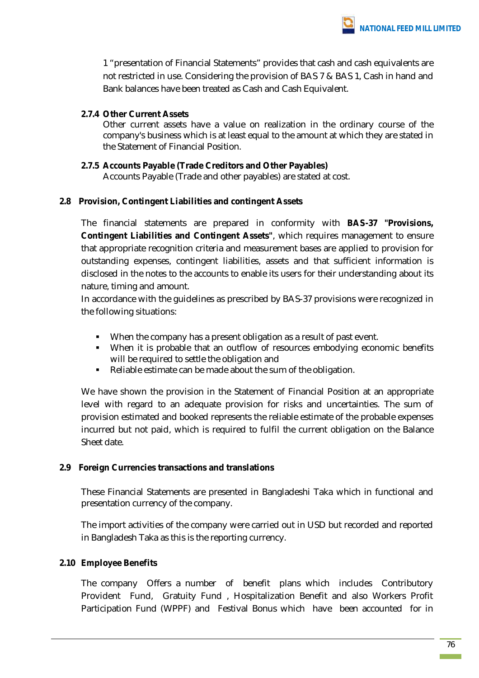1 "presentation of Financial Statements" provides that cash and cash equivalents are not restricted in use. Considering the provision of BAS 7 & BAS 1, Cash in hand and Bank balances have been treated as Cash and Cash Equivalent.

**NATIONAL FEED MILL LIMITED**

# **2.7.4 Other Current Assets**

Other current assets have a value on realization in the ordinary course of the company's business which is at least equal to the amount at which they are stated in the Statement of Financial Position.

# **2.7.5 Accounts Payable (Trade Creditors and Other Payables)**

Accounts Payable (Trade and other payables) are stated at cost.

# **2.8 Provision, Contingent Liabilities and contingent Assets**

The financial statements are prepared in conformity with **BAS-37 "Provisions, Contingent Liabilities and Contingent Assets"**, which requires management to ensure that appropriate recognition criteria and measurement bases are applied to provision for outstanding expenses, contingent liabilities, assets and that sufficient information is disclosed in the notes to the accounts to enable its users for their understanding about its nature, timing and amount.

In accordance with the guidelines as prescribed by BAS-37 provisions were recognized in the following situations:

- When the company has a present obligation as a result of past event.
- When it is probable that an outflow of resources embodying economic benefits will be required to settle the obligation and
- Reliable estimate can be made about the sum of the obligation.

We have shown the provision in the Statement of Financial Position at an appropriate level with regard to an adequate provision for risks and uncertainties. The sum of provision estimated and booked represents the reliable estimate of the probable expenses incurred but not paid, which is required to fulfil the current obligation on the Balance Sheet date.

## **2.9 Foreign Currencies transactions and translations**

These Financial Statements are presented in Bangladeshi Taka which in functional and presentation currency of the company.

The import activities of the company were carried out in USD but recorded and reported in Bangladesh Taka as this is the reporting currency.

# **2.10 Employee Benefits**

The company Offers a number of benefit plans which includes Contributory Provident Fund, Gratuity Fund , Hospitalization Benefit and also Workers Profit Participation Fund (WPPF) and Festival Bonus which have been accounted for in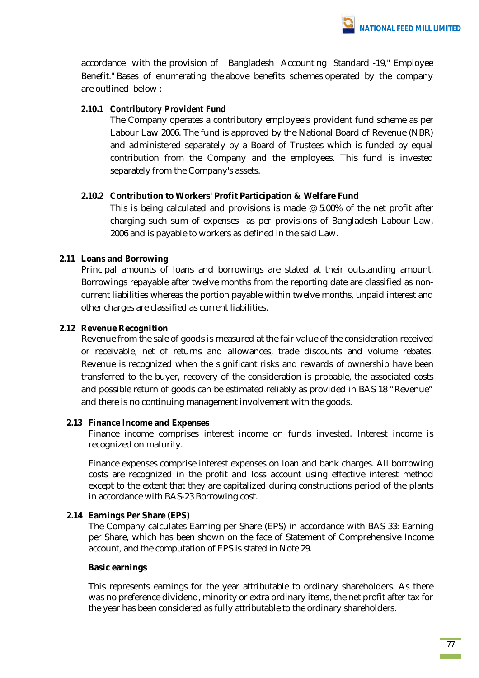accordance with the provision of Bangladesh Accounting Standard -19," Employee Benefit." Bases of enumerating the above benefits schemes operated by the company are outlined below :

# *2.10.1 Contributory Provident Fund*

The Company operates a contributory employee's provident fund scheme as per Labour Law 2006. The fund is approved by the National Board of Revenue (NBR) and administered separately by a Board of Trustees which is funded by equal contribution from the Company and the employees. This fund is invested separately from the Company's assets.

# **2.10.2 Contribution to Workers' Profit Participation & Welfare Fund**

This is being calculated and provisions is made  $\omega$  5.00% of the net profit after charging such sum of expenses as per provisions of Bangladesh Labour Law, 2006 and is payable to workers as defined in the said Law.

# **2.11 Loans and Borrowing**

Principal amounts of loans and borrowings are stated at their outstanding amount. Borrowings repayable after twelve months from the reporting date are classified as noncurrent liabilities whereas the portion payable within twelve months, unpaid interest and other charges are classified as current liabilities.

# **2.12 Revenue Recognition**

Revenue from the sale of goods is measured at the fair value of the consideration received or receivable, net of returns and allowances, trade discounts and volume rebates. Revenue is recognized when the significant risks and rewards of ownership have been transferred to the buyer, recovery of the consideration is probable, the associated costs and possible return of goods can be estimated reliably as provided in BAS 18 "Revenue" and there is no continuing management involvement with the goods.

## **2.13 Finance Income and Expenses**

Finance income comprises interest income on funds invested. Interest income is recognized on maturity.

Finance expenses comprise interest expenses on loan and bank charges. All borrowing costs are recognized in the profit and loss account using effective interest method except to the extent that they are capitalized during constructions period of the plants in accordance with BAS-23 Borrowing cost.

## **2.14 Earnings Per Share (EPS)**

The Company calculates Earning per Share (EPS) in accordance with BAS 33: Earning per Share, which has been shown on the face of Statement of Comprehensive Income account, and the computation of EPS is stated in Note 29.

# **Basic earnings**

This represents earnings for the year attributable to ordinary shareholders. As there was no preference dividend, minority or extra ordinary items, the net profit after tax for the year has been considered as fully attributable to the ordinary shareholders.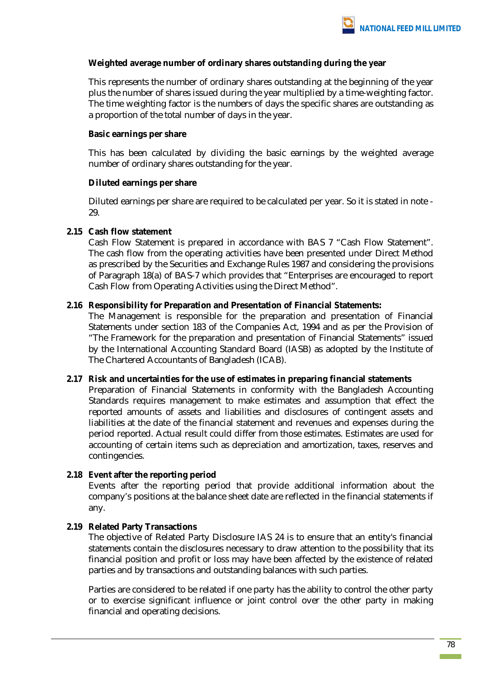# **Weighted average number of ordinary shares outstanding during the year**

This represents the number of ordinary shares outstanding at the beginning of the year plus the number of shares issued during the year multiplied by a time-weighting factor. The time weighting factor is the numbers of days the specific shares are outstanding as a proportion of the total number of days in the year.

### **Basic earnings per share**

This has been calculated by dividing the basic earnings by the weighted average number of ordinary shares outstanding for the year.

## **Diluted earnings per share**

Diluted earnings per share are required to be calculated per year. So it is stated in note - 29.

## **2.15 Cash flow statement**

Cash Flow Statement is prepared in accordance with BAS 7 "Cash Flow Statement". The cash flow from the operating activities have been presented under Direct Method as prescribed by the Securities and Exchange Rules 1987 and considering the provisions of Paragraph 18(a) of BAS-7 which provides that "Enterprises are encouraged to report Cash Flow from Operating Activities using the Direct Method".

# **2.16 Responsibility for Preparation and Presentation of Financial Statements:**

The Management is responsible for the preparation and presentation of Financial Statements under section 183 of the Companies Act, 1994 and as per the Provision of "The Framework for the preparation and presentation of Financial Statements" issued by the International Accounting Standard Board (IASB) as adopted by the Institute of The Chartered Accountants of Bangladesh (ICAB).

# **2.17 Risk and uncertainties for the use of estimates in preparing financial statements**

Preparation of Financial Statements in conformity with the Bangladesh Accounting Standards requires management to make estimates and assumption that effect the reported amounts of assets and liabilities and disclosures of contingent assets and liabilities at the date of the financial statement and revenues and expenses during the period reported. Actual result could differ from those estimates. Estimates are used for accounting of certain items such as depreciation and amortization, taxes, reserves and contingencies.

## **2.18 Event after the reporting period**

Events after the reporting period that provide additional information about the company's positions at the balance sheet date are reflected in the financial statements if any.

# **2.19 Related Party Transactions**

The objective of Related Party Disclosure IAS 24 is to ensure that an entity's financial statements contain the disclosures necessary to draw attention to the possibility that its financial position and profit or loss may have been affected by the existence of related parties and by transactions and outstanding balances with such parties.

Parties are considered to be related if one party has the ability to control the other party or to exercise significant influence or joint control over the other party in making financial and operating decisions.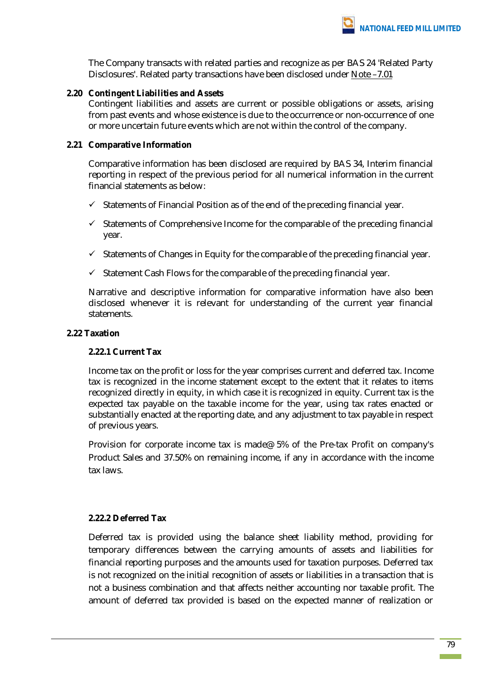The Company transacts with related parties and recognize as per BAS 24 'Related Party Disclosures'. Related party transactions have been disclosed under Note –7.01

# **2.20 Contingent Liabilities and Assets**

Contingent liabilities and assets are current or possible obligations or assets, arising from past events and whose existence is due to the occurrence or non-occurrence of one or more uncertain future events which are not within the control of the company.

# **2.21 Comparative Information**

Comparative information has been disclosed are required by BAS 34, Interim financial reporting in respect of the previous period for all numerical information in the current financial statements as below:

- $\checkmark$  Statements of Financial Position as of the end of the preceding financial year.
- $\checkmark$  Statements of Comprehensive Income for the comparable of the preceding financial year.
- $\checkmark$  Statements of Changes in Equity for the comparable of the preceding financial year.
- $\checkmark$  Statement Cash Flows for the comparable of the preceding financial year.

Narrative and descriptive information for comparative information have also been disclosed whenever it is relevant for understanding of the current year financial statements.

# **2.22 Taxation**

# **2.22.1 Current Tax**

Income tax on the profit or loss for the year comprises current and deferred tax. Income tax is recognized in the income statement except to the extent that it relates to items recognized directly in equity, in which case it is recognized in equity. Current tax is the expected tax payable on the taxable income for the year, using tax rates enacted or substantially enacted at the reporting date, and any adjustment to tax payable in respect of previous years.

Provision for corporate income tax is made@ 5% of the Pre-tax Profit on company's Product Sales and 37.50% on remaining income, if any in accordance with the income tax laws.

# **2.22.2 Deferred Tax**

Deferred tax is provided using the balance sheet liability method, providing for temporary differences between the carrying amounts of assets and liabilities for financial reporting purposes and the amounts used for taxation purposes. Deferred tax is not recognized on the initial recognition of assets or liabilities in a transaction that is not a business combination and that affects neither accounting nor taxable profit. The amount of deferred tax provided is based on the expected manner of realization or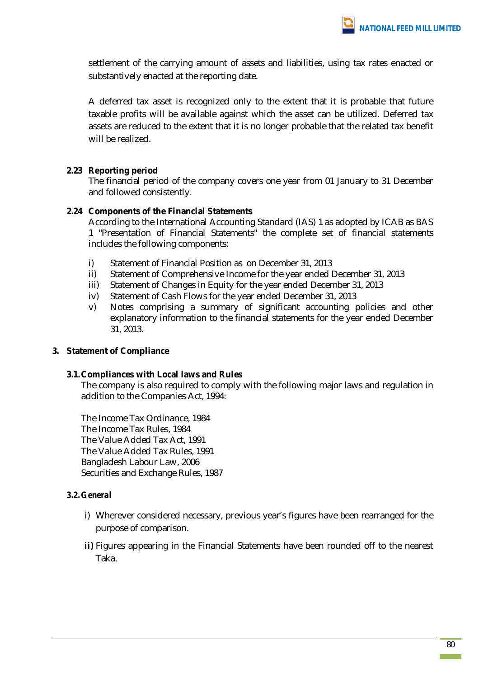settlement of the carrying amount of assets and liabilities, using tax rates enacted or substantively enacted at the reporting date.

A deferred tax asset is recognized only to the extent that it is probable that future taxable profits will be available against which the asset can be utilized. Deferred tax assets are reduced to the extent that it is no longer probable that the related tax benefit will be realized.

# **2.23 Reporting period**

The financial period of the company covers one year from 01 January to 31 December and followed consistently.

# **2.24 Components of the Financial Statements**

According to the International Accounting Standard (IAS) 1 as adopted by ICAB as BAS 1 "Presentation of Financial Statements" the complete set of financial statements includes the following components:

- i) Statement of Financial Position as on December 31, 2013
- ii) Statement of Comprehensive Income for the year ended December 31, 2013
- iii) Statement of Changes in Equity for the year ended December 31, 2013
- iv) Statement of Cash Flows for the year ended December 31, 2013
- v) Notes comprising a summary of significant accounting policies and other explanatory information to the financial statements for the year ended December 31, 2013.

# **3. Statement of Compliance**

# **3.1.Compliances with Local laws and Rules**

The company is also required to comply with the following major laws and regulation in addition to the Companies Act, 1994:

The Income Tax Ordinance, 1984 The Income Tax Rules, 1984 The Value Added Tax Act, 1991 The Value Added Tax Rules, 1991 Bangladesh Labour Law, 2006 Securities and Exchange Rules, 1987

# *3.2.General*

- i) Wherever considered necessary, previous year's figures have been rearranged for the purpose of comparison.
- *ii*) Figures appearing in the Financial Statements have been rounded off to the nearest Taka.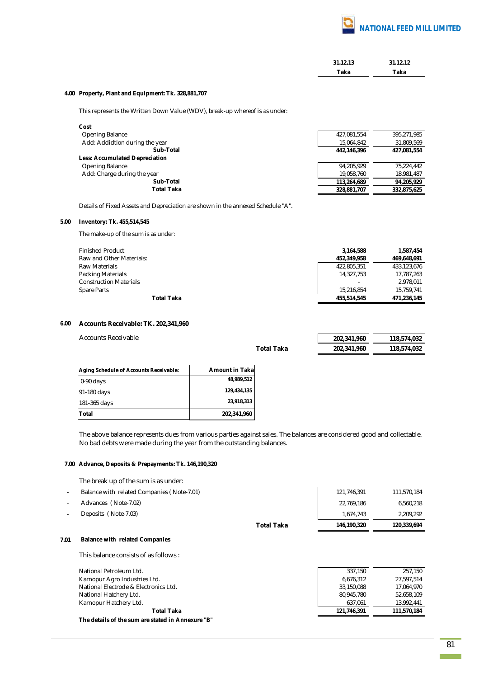| 31.12.13 | 31.12.12 |
|----------|----------|
| Taka     | Taka     |

#### **4.00 Property, Plant and Equipment: Tk. 328,881,707**

This represents the Written Down Value (WDV), break-up whereof is as under:

| Cost                                  |             |             |
|---------------------------------------|-------------|-------------|
| Opening Balance                       | 427.081.554 | 395,271,985 |
| Add: Addidtion during the year        | 15,064,842  | 31,809,569  |
| Sub-Total                             | 442,146,396 | 427,081,554 |
| <b>Less: Accumulated Depreciation</b> |             |             |
| Opening Balance                       | 94.205.929  | 75,224,442  |
| Add: Charge during the year           | 19,058,760  | 18,981,487  |
| Sub-Total                             | 113,264,689 | 94,205,929  |
| <b>Total Taka</b>                     | 328,881,707 | 332.875.625 |

Details of Fixed Assets and Depreciation are shown in the annexed Schedule "A".

#### **5.00 Inventory: Tk. 455,514,545**

The make-up of the sum is as under:

| <b>Finished Product</b>       | 3.164.588   | 1,587,454   |
|-------------------------------|-------------|-------------|
| Raw and Other Materials:      | 452,349,958 | 469.648.691 |
| Raw Materials                 | 422,805,351 | 433,123,676 |
| Packing Materials             | 14,327,753  | 17,787,263  |
| <b>Construction Materials</b> |             | 2,978,011   |
| Spare Parts                   | 15.216.854  | 15.759.741  |
| Total Taka                    | 455,514,545 | 471.236.145 |

#### **6.00 Accounts Receivable: TK. 202,341,960**

Accounts Receivable **202,341,960 118,574,032**

Total Taka 202

| 2,341,960 | 118,574,032 |
|-----------|-------------|
| 1,341,960 | 118,574,032 |

| Aging Schedule of Accounts Receivable: | <b>Amount in Taka</b> |
|----------------------------------------|-----------------------|
| $0-90$ days                            | 48,989,512            |
| 91-180 days                            | 129,434,135           |
| 181-365 days                           | 23,918,313            |
| Total                                  | 202,341,960           |

The above balance represents dues from various parties against sales. The balances are considered good and collectable. No bad debts were made during the year from the outstanding balances.

### **7.00 Advance, Deposits & Prepayments: Tk. 146,190,320**

The break up of the sum is as under:

- 
- 

| Deposits (Note-7.03)<br><b>Total Taka</b>  | 1,674,743<br>146.190.320 | 2,209,292<br>120.339.694 |
|--------------------------------------------|--------------------------|--------------------------|
| Advances (Note-7.02)                       | 22,769,186               | 6,560,218                |
| Balance with related Companies (Note-7.01) | 121,746,391              | 111,570,184              |

#### **7.01 Balance with related Companies**

This balance consists of as follows :

| The details of the sum are stated in Annexure "B" |             |             |
|---------------------------------------------------|-------------|-------------|
| Total Taka                                        | 121.746.391 | 111,570,184 |
| Karnopur Hatchery Ltd.                            | 637.061     | 13.992.441  |
| National Hatchery Ltd.                            | 80.945.780  | 52.658.109  |
| National Electrode & Electronics Ltd.             | 33.150.088  | 17.064.970  |
| Karnopur Agro Industries Ltd.                     | 6,676,312   | 27.597.514  |
| National Petroleum Ltd.                           | 337.150     | 257.150     |
|                                                   |             |             |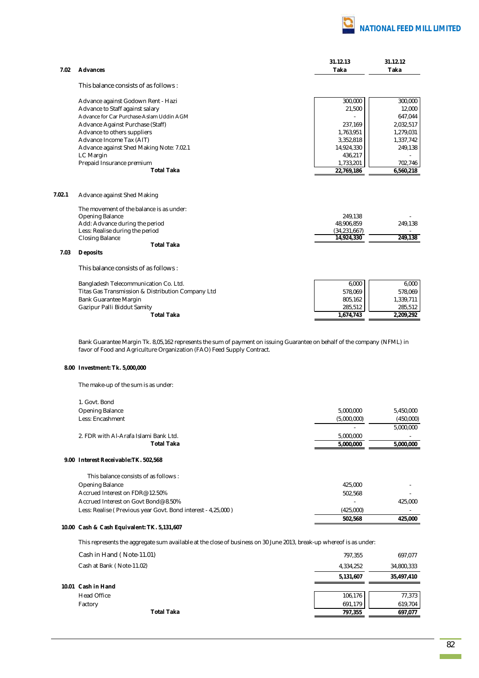

| 7.02           | <b>Advances</b>                                                                                                                                                                                                                   | 31.12.13<br>Taka                                      | 31.12.12<br>Taka                                      |
|----------------|-----------------------------------------------------------------------------------------------------------------------------------------------------------------------------------------------------------------------------------|-------------------------------------------------------|-------------------------------------------------------|
|                | This balance consists of as follows:                                                                                                                                                                                              |                                                       |                                                       |
|                | Advance against Godown Rent - Hazi                                                                                                                                                                                                | 300,000                                               | 300,000                                               |
|                | Advance to Staff against salary<br>Advance for Car Purchase-Aslam Uddin AGM                                                                                                                                                       | 21,500                                                | 12,000                                                |
|                |                                                                                                                                                                                                                                   | 237,169                                               | 647,044<br>2,032,517                                  |
|                | Advance Against Purchase (Staff)<br>Advance to others suppliers                                                                                                                                                                   | 1,763,951                                             | 1,279,031                                             |
|                | Advance Income Tax (AIT)                                                                                                                                                                                                          | 3,352,818                                             | 1,337,742                                             |
|                | Advance against Shed Making Note: 7.02.1                                                                                                                                                                                          | 14,924,330                                            | 249,138                                               |
|                | LC Margin                                                                                                                                                                                                                         | 436,217                                               |                                                       |
|                | Prepaid Insurance premium                                                                                                                                                                                                         | 1,733,201                                             | 702,746                                               |
|                | <b>Total Taka</b>                                                                                                                                                                                                                 | 22,769,186                                            | 6,560,218                                             |
| 7.02.1<br>7.03 | Advance against Shed Making<br>The movement of the balance is as under:<br>Opening Balance<br>Add: Advance during the period<br>Less: Realise during the period<br><b>Closing Balance</b><br><b>Total Taka</b><br><b>Deposits</b> | 249,138<br>48,906,859<br>(34, 231, 667)<br>14,924,330 | 249,138<br>249,138                                    |
|                | This balance consists of as follows:                                                                                                                                                                                              |                                                       |                                                       |
|                | Bangladesh Telecommunication Co. Ltd.<br>Titas Gas Transmission & Distribution Company Ltd<br><b>Bank Guarantee Margin</b><br>Gazipur Palli Biddut Samity<br><b>Total Taka</b>                                                    | 6,000<br>578,069<br>805,162<br>285,512<br>1,674,743   | 6,000<br>578,069<br>1,339,711<br>285,512<br>2,209,292 |

Bank Guarantee Margin Tk. 8,05,162 represents the sum of payment on issuing Guarantee on behalf of the company (NFML) in favor of Food and Agriculture Organization (FAO) Feed Supply Contract.

#### **8.00 Investment: Tk. 5,000,000**

The make-up of the sum is as under:

| 1. Govt. Bond                                                |             |           |
|--------------------------------------------------------------|-------------|-----------|
| Opening Balance                                              | 5,000,000   | 5,450,000 |
| Less: Encashment                                             | (5,000,000) | (450,000) |
|                                                              |             | 5,000,000 |
| 2. FDR with AI-Arafa Islami Bank Ltd.                        | 5,000,000   |           |
| Total Taka                                                   | 5,000,000   | 5,000,000 |
| Interest Receivable: TK. 502,568<br>9.00                     |             |           |
| This balance consists of as follows:                         |             |           |
| <b>Opening Balance</b>                                       | 425.000     |           |
| Accrued Interest on FDR@ 12.50%                              | 502,568     |           |
| Accrued Interest on Govt Bond@ 8.50%                         |             | 425.000   |
| Less: Realise (Previous year Govt. Bond interest - 4,25,000) | (425,000)   |           |
|                                                              | 502,568     | 425,000   |

### **10.00 Cash & Cash Equivalent: TK. 5,131,607**

This represents the aggregate sum available at the close of business on 30 June 2013, break-up whereof is as under:

| Cash in Hand (Note-11.01) | 797.355   | 697,077    |
|---------------------------|-----------|------------|
| Cash at Bank (Note-11.02) | 4,334,252 | 34,800,333 |
|                           | 5,131,607 | 35,497,410 |
| 10.01 Cash in Hand        |           |            |
| Head Office               | 106,176   | 77,373     |
| Factory                   | 691,179   | 619.704    |
| <b>Total Taka</b>         | 797,355   | 697,077    |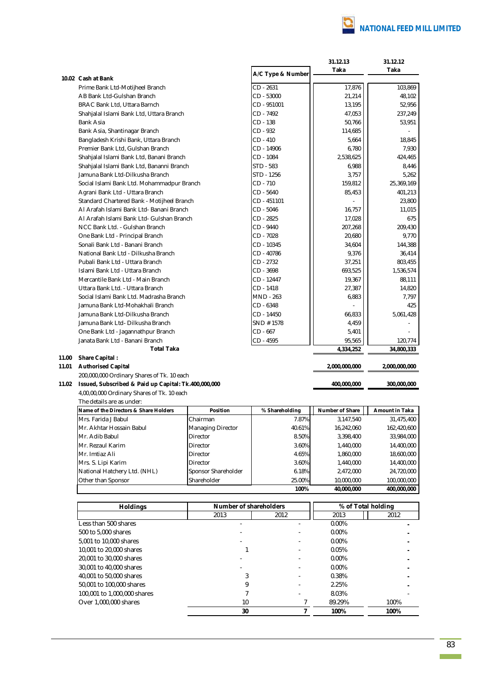|       |                                                      |                          |                   | 31.12.13<br>Taka | 31.12.12<br>Taka      |
|-------|------------------------------------------------------|--------------------------|-------------------|------------------|-----------------------|
|       | 10.02 Cash at Bank                                   |                          | A/C Type & Number |                  |                       |
|       | Prime Bank Ltd-Motijheel Branch                      |                          | CD - 2631         | 17,876           | 103,869               |
|       | AB Bank Ltd-Gulshan Branch                           |                          | CD - 53000        | 21,214           | 48,102                |
|       | <b>BRAC Bank Ltd, Uttara Barnch</b>                  |                          | CD - 951001       | 13,195           | 52,956                |
|       | Shahjalal Islami Bank Ltd, Uttara Branch             |                          | CD - 7492         | 47,053           | 237,249               |
|       | Bank Asia                                            |                          | CD - 138          | 50,766           | 53,951                |
|       | Bank Asia, Shantinagar Branch                        |                          | CD - 932          | 114,685          |                       |
|       | Bangladesh Krishi Bank, Uttara Branch                |                          | CD - 410          | 5,664            | 18,845                |
|       | Premier Bank Ltd, Gulshan Branch                     |                          | CD - 14906        | 6,780            | 7,930                 |
|       | Shahjalal Islami Bank Ltd, Banani Branch             |                          | CD - 1084         | 2,538,625        | 424,465               |
|       | Shahjalal Islami Bank Ltd, Bananni Branch            |                          | STD - 583         | 6,988            | 8,446                 |
|       | Jamuna Bank Ltd-Dilkusha Branch                      |                          | STD - 1256        | 3,757            | 5,262                 |
|       | Social Islami Bank Ltd. Mohammadpur Branch           |                          | CD - 710          | 159,812          | 25,369,169            |
|       | Agrani Bank Ltd - Uttara Branch                      |                          | CD - 5640         | 85,453           | 401,213               |
|       | Standard Chartered Bank - Motijheel Branch           |                          | CD - 451101       |                  | 23,800                |
|       | Al Arafah Islami Bank Ltd- Banani Branch             |                          | CD - 5046         | 16,757           | 11,015                |
|       | AI Arafah Islami Bank Ltd- Gulshan Branch            |                          | CD - 2825         | 17,028           | 675                   |
|       | NCC Bank Ltd. - Gulshan Branch                       |                          | CD - 9440         | 207,268          | 209,430               |
|       | One Bank Ltd - Principal Branch                      |                          | CD-7028           | 20,680           | 9,770                 |
|       | Sonali Bank Ltd - Banani Branch                      |                          | CD - 10345        | 34,604           | 144,388               |
|       | National Bank Ltd - Dilkusha Branch                  |                          | CD - 40786        | 9,376            | 36,414                |
|       | Pubali Bank Ltd - Uttara Branch                      |                          | CD - 2732         | 37,251           | 803,455               |
|       | Islami Bank Ltd - Uttara Branch                      |                          | CD - 3698         | 693,525          | 1,536,574             |
|       | Mercantile Bank Ltd - Main Branch                    |                          | CD - 12447        | 19,367           | 88,111                |
|       | Uttara Bank Ltd. - Uttara Branch                     |                          | CD - 1418         | 27,387           | 14,820                |
|       | Social Islami Bank Ltd. Madrasha Branch              |                          | MND - 263         | 6,883            | 7,797                 |
|       | Jamuna Bank Ltd-Mohakhali Branch                     |                          | CD - 6348         |                  | 425                   |
|       | Jamuna Bank Ltd-Dilkusha Branch                      |                          | CD - 14450        | 66,833           | 5,061,428             |
|       | Jamuna Bank Ltd- Dilkusha Branch                     |                          | SND #1578         | 4,459            |                       |
|       | One Bank Ltd - Jagannathpur Branch                   |                          | CD - 667          | 5,401            |                       |
|       | Janata Bank Ltd - Banani Branch                      |                          | CD - 4595         | 95,565           | 120,774               |
|       | <b>Total Taka</b>                                    |                          |                   | 4,334,252        | 34,800,333            |
| 11.00 | <b>Share Capital:</b>                                |                          |                   |                  |                       |
| 11.01 | <b>Authorised Capital</b>                            |                          |                   | 2,000,000,000    | 2,000,000,000         |
|       | 200,000,000 Ordinary Shares of Tk. 10 each           |                          |                   |                  |                       |
| 11.02 | Issued, Subscribed & Paid up Capital: Tk.400,000,000 |                          |                   | 400,000,000      | 300,000,000           |
|       | 4,00,00,000 Ordinary Shares of Tk. 10 each           |                          |                   |                  |                       |
|       | The details are as under:                            |                          |                   |                  |                       |
|       | Name of the Directors & Share Holders                | <b>Position</b>          | % Shareholding    | Number of Share  | <b>Amount in Taka</b> |
|       | Mrs. Farida J Babul                                  | Chairman                 | 7.87%             | 3,147,540        | 31,475,400            |
|       | Mr. Akhtar Hossain Babul                             | <b>Managing Director</b> | 40.61%            | 16,242,060       | 162,420,600           |
|       | Mr. Adib Babul                                       | Director                 | 8.50%             | 3,398,400        | 33,984,000            |
|       | Mr. Rezaul Karim                                     | Director                 | 3.60%             | 1,440,000        | 14,400,000            |
|       | Mr. Imtiaz Ali                                       | Director                 | 4.65%             | 1,860,000        | 18,600,000            |
|       | Mrs. S. Lipi Karim                                   | Director                 | 3.60%             | 1,440,000        | 14,400,000            |
|       | National Hatchery Ltd. (NHL)                         | Sponsor Shareholder      | 6.18%             | 2,472,000        | 24,720,000            |

| <b>Holdings</b>             | Number of shareholders |      | % of Total holding |      |
|-----------------------------|------------------------|------|--------------------|------|
|                             | 2013                   | 2012 | 2013               | 2012 |
| Less than 500 shares        |                        |      | $0.00\%$           |      |
| 500 to 5,000 shares         |                        |      | $0.00\%$           |      |
| 5,001 to 10,000 shares      |                        |      | $0.00\%$           |      |
| 10,001 to 20,000 shares     |                        |      | 0.05%              |      |
| 20,001 to 30,000 shares     |                        |      | $0.00\%$           |      |
| 30,001 to 40,000 shares     |                        |      | $0.00\%$           |      |
| 40,001 to 50,000 shares     | 3                      |      | 0.38%              |      |
| 50,001 to 100,000 shares    | 9                      |      | 2.25%              |      |
| 100,001 to 1,000,000 shares |                        |      | 8.03%              |      |
| Over 1,000,000 shares       | 10                     |      | 89.29%             | 100% |
|                             | 30                     |      | 100%               | 100% |

National Hatchery Ltd. (NHL) Sponsor Shareholder 6.18% 2,472,000 24,720,000 24,720,000 24,720,000 25.00% 26.18% 2,4720,000 25.00% 25.00% 25.00% 25.00% 25.00% 26.18% 2,4720,000 25.00% 25.00% 25.00% 25.00% 25.00% 25.00% 25.0

Other than Sponsor Shareholder 25.00% 10,000,000 100% 10,000,000

**100% 40,000,000 400,000,000**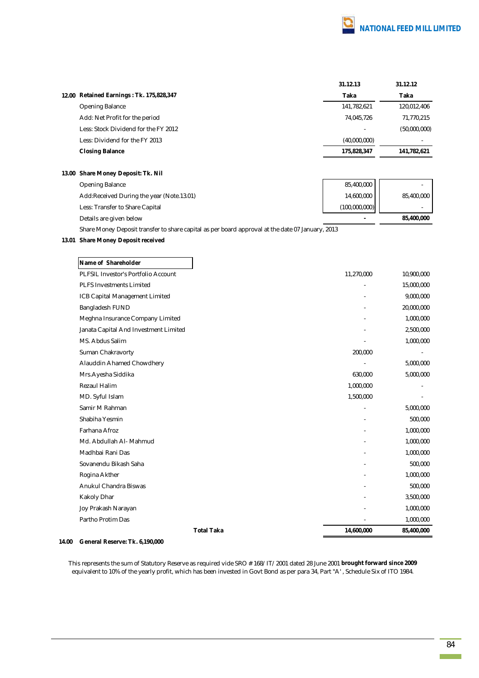|                                          | 31.12.13                 | 31.12.12                 |
|------------------------------------------|--------------------------|--------------------------|
| 12.00 Retained Earnings: Tk. 175,828,347 | Taka                     | Taka                     |
| Opening Balance                          | 141,782,621              | 120,012,406              |
| Add: Net Profit for the period           | 74.045.726               | 71.770.215               |
| Less: Stock Dividend for the FY 2012     | $\overline{\phantom{a}}$ | (50,000,000)             |
| Less: Dividend for the FY 2013           | (40,000,000)             | $\overline{\phantom{a}}$ |
| <b>Closing Balance</b>                   | 175,828,347              | 141,782,621              |
|                                          |                          |                          |

#### **13.00 Share Money Deposit: Tk. Nil**

| <b>Opening Balance</b>                                                                           | 85,400,000    |            |
|--------------------------------------------------------------------------------------------------|---------------|------------|
| Add: Received During the year (Note. 13.01)                                                      | 14,600,000    | 85,400,000 |
| Less: Transfer to Share Capital                                                                  | (100,000,000) |            |
| Details are given below                                                                          |               | 85,400,000 |
| Share Money Deposit transfer to share capital as per board approval at the date 07 January, 2013 |               |            |

### **13.01 Share Money Deposit received**

| Name of Shareholder                   |            |            |
|---------------------------------------|------------|------------|
| PLFSIL Investor's Portfolio Account   | 11,270,000 | 10,900,000 |
| <b>PLFS Investments Limited</b>       | ÷.         | 15,000,000 |
| ICB Capital Management Limited        |            | 9,000,000  |
| Bangladesh FUND                       |            | 20,000,000 |
| Meghna Insurance Company Limited      |            | 1,000,000  |
| Janata Capital And Investment Limited |            | 2,500,000  |
| MS. Abdus Salim                       |            | 1,000,000  |
| Suman Chakravorty                     | 200,000    |            |
| Alauddin Ahamed Chowdhery             |            | 5,000,000  |
| Mrs. Ayesha Siddika                   | 630,000    | 5,000,000  |
| Rezaul Halim                          | 1,000,000  |            |
| MD. Syful Islam                       | 1,500,000  |            |
| Samir M Rahman                        |            | 5,000,000  |
| Shabiha Yesmin                        |            | 500,000    |
| Farhana Afroz                         |            | 1,000,000  |
| Md. Abdullah Al- Mahmud               |            | 1,000,000  |
| Madhbai Rani Das                      |            | 1,000,000  |
| Sovanendu Bikash Saha                 |            | 500,000    |
| Rogina Akther                         |            | 1,000,000  |
| Anukul Chandra Biswas                 |            | 500,000    |
| Kakoly Dhar                           |            | 3,500,000  |
| Joy Prakash Narayan                   |            | 1,000,000  |
| Partho Protim Das                     |            | 1,000,000  |
| <b>Total Taka</b>                     | 14,600,000 | 85,400,000 |

#### **14.00 General Reserve: Tk. 6,190,000**

This represents the sum of Statutory Reserve as required vide SRO # 168/IT/2001 dated 28 June 2001 **brought forward since 2009**  equivalent to 10% of the yearly profit, which has been invested in Govt Bond as per para 34, Part "A' , Schedule Six of ITO 1984.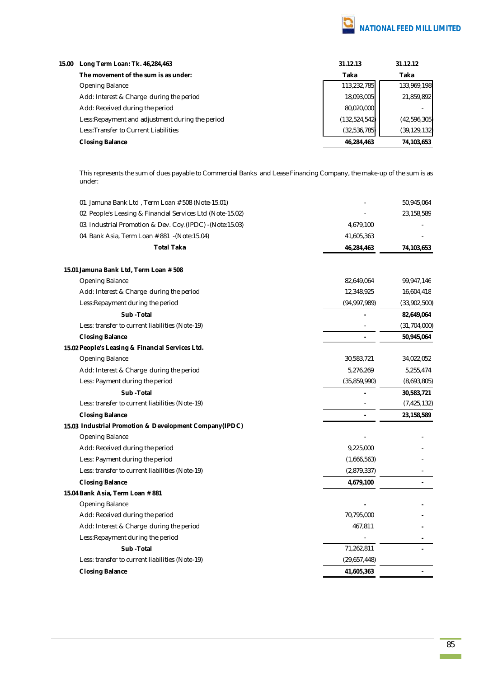

| 15.00 | Long Term Loan: Tk. 46,284,463                   | 31.12.13        | 31.12.12       |
|-------|--------------------------------------------------|-----------------|----------------|
|       | The movement of the sum is as under:             | Taka            | Taka           |
|       | <b>Opening Balance</b>                           | 113,232,785     | 133,969,198    |
|       | Add: Interest & Charge during the period         | 18,093,005      | 21,859,892     |
|       | Add: Received during the period                  | 80,020,000      |                |
|       | Less: Repayment and adjustment during the period | (132, 524, 542) | (42, 596, 305) |
|       | Less:Transfer to Current Liabilities             | (32,536,785)    | (39, 129, 132) |
|       | <b>Closing Balance</b>                           | 46,284,463      | 74,103,653     |

This represents the sum of dues payable to Commercial Banks and Lease Financing Company, the make-up of the sum is as under:

| 01. Jamuna Bank Ltd, Term Loan # 508 (Note-15.01)          |                | 50,945,064     |
|------------------------------------------------------------|----------------|----------------|
| 02. People's Leasing & Financial Services Ltd (Note-15.02) |                | 23,158,589     |
| 03. Industrial Promotion & Dev. Coy.(IPDC) -(Note:15.03)   | 4,679,100      |                |
| 04. Bank Asia, Term Loan # 881 - (Note:15.04)              | 41,605,363     |                |
| <b>Total Taka</b>                                          | 46,284,463     | 74,103,653     |
| 15.01 Jamuna Bank Ltd, Term Loan # 508                     |                |                |
| Opening Balance                                            | 82,649,064     | 99,947,146     |
| Add: Interest & Charge during the period                   | 12,348,925     | 16,604,418     |
| Less: Repayment during the period                          | (94, 997, 989) | (33,902,500)   |
| Sub-Total                                                  |                | 82,649,064     |
| Less: transfer to current liabilities (Note-19)            |                | (31, 704, 000) |
| <b>Closing Balance</b>                                     |                | 50,945,064     |
| 15.02 People's Leasing & Financial Services Ltd.           |                |                |
| Opening Balance                                            | 30,583,721     | 34,022,052     |
| Add: Interest & Charge during the period                   | 5,276,269      | 5,255,474      |
| Less: Payment during the period                            | (35,859,990)   | (8,693,805)    |
| Sub-Total                                                  |                | 30,583,721     |
| Less: transfer to current liabilities (Note-19)            |                | (7, 425, 132)  |
| <b>Closing Balance</b>                                     |                | 23,158,589     |
| 15.03 Industrial Promotion & Development Company(IPDC)     |                |                |
| Opening Balance                                            |                |                |
| Add: Received during the period                            | 9,225,000      |                |
| Less: Payment during the period                            | (1,666,563)    |                |
| Less: transfer to current liabilities (Note-19)            | (2,879,337)    |                |
| <b>Closing Balance</b>                                     | 4,679,100      |                |
| 15.04 Bank Asia, Term Loan # 881                           |                |                |
| Opening Balance                                            |                |                |
| Add: Received during the period                            | 70,795,000     |                |
| Add: Interest & Charge during the period                   | 467,811        |                |
| Less: Repayment during the period                          |                |                |
| Sub-Total                                                  | 71,262,811     |                |
| Less: transfer to current liabilities (Note-19)            | (29,657,448)   |                |
| <b>Closing Balance</b>                                     | 41,605,363     |                |
|                                                            |                |                |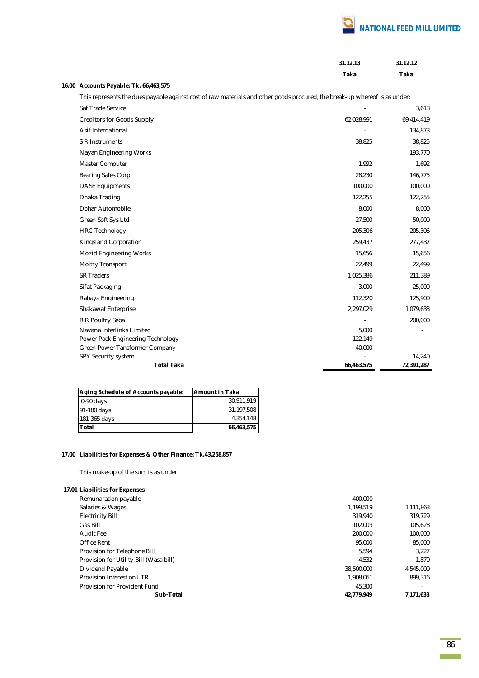| Taka                                                          | Taka                                                                                                    |
|---------------------------------------------------------------|---------------------------------------------------------------------------------------------------------|
| <b>04.40.40</b><br>. J<br>the contract of the contract of the | <b>34.49.49</b><br>.<br>the contract of the contract of the contract of the contract of the contract of |

 **16.00 Accounts Payable: Tk. 66,463,575**

This represents the dues payable against cost of raw materials and other goods procured, the break-up whereof is as under:

| Saf Trade Service                 |            | 3,618      |
|-----------------------------------|------------|------------|
| <b>Creditors for Goods Supply</b> | 62,028,991 | 69,414,419 |
| Asif International                |            | 134,873    |
| S R Instruments                   | 38,825     | 38,825     |
| Nayan Engineering Works           |            | 193,770    |
| Master Computer                   | 1,992      | 1,692      |
| Bearing Sales Corp                | 28,230     | 146,775    |
| <b>DASF Equipments</b>            | 100,000    | 100,000    |
| Dhaka Trading                     | 122,255    | 122,255    |
| Dohar Automobile                  | 8,000      | 8,000      |
| Green Soft Sys Ltd                | 27,500     | 50,000     |
| <b>HRC Technology</b>             | 205,306    | 205,306    |
| Kingsland Corporation             | 259,437    | 277,437    |
| Mozid Engineering Works           | 15,656     | 15,656     |
| Moitry Transport                  | 22,499     | 22,499     |
| <b>SR Traders</b>                 | 1,025,386  | 211,389    |
| Sifat Packaging                   | 3,000      | 25,000     |
| Rabaya Engineering                | 112,320    | 125,900    |
| Shakawat Enterprise               | 2,297,029  | 1,079,633  |
| R R Poultry Seba                  |            | 200,000    |
| Navana Interlinks Limited         | 5,000      |            |
| Power Pack Engineering Technology | 122,149    |            |
| Green Power Tansformer Company    | 40,000     |            |
| SPY Security system               |            | 14,240     |
| <b>Total Taka</b>                 | 66,463,575 | 72,391,287 |

| Aging Schedule of Accounts payable: | <b>Amount in Taka</b> |
|-------------------------------------|-----------------------|
| $0-90$ days                         | 30,911,919            |
| 91-180 days                         | 31,197,508            |
| 181-365 days                        | 4,354,148             |
| <b>Total</b>                        | 66,463,575            |

#### **17.00 Liabilities for Expenses & Other Finance: Tk.43,258,857**

This make-up of the sum is as under:

### **17.01 Liabilities for Expenses**

| Salaries & Wages<br>1,199,519<br>1,111,863<br><b>Electricity Bill</b><br>319.940<br>319.729 |  |
|---------------------------------------------------------------------------------------------|--|
|                                                                                             |  |
|                                                                                             |  |
| Gas Bill<br>102.003<br>105,628                                                              |  |
| 200.000<br>100,000<br>Audit Fee                                                             |  |
| Office Rent<br>95.000<br>85,000                                                             |  |
| Provision for Telephone Bill<br>5.594<br>3.227                                              |  |
| Provision for Utility Bill (Wasa bill)<br>1.870<br>4.532                                    |  |
| Dividend Payable<br>4.545.000<br>38,500,000                                                 |  |
| Provision Interest on LTR<br>1.908.061<br>899.316                                           |  |
| Provision for Provident Fund<br>45.300<br>۰                                                 |  |
| 7,171,633<br>Sub-Total<br>42,779,949                                                        |  |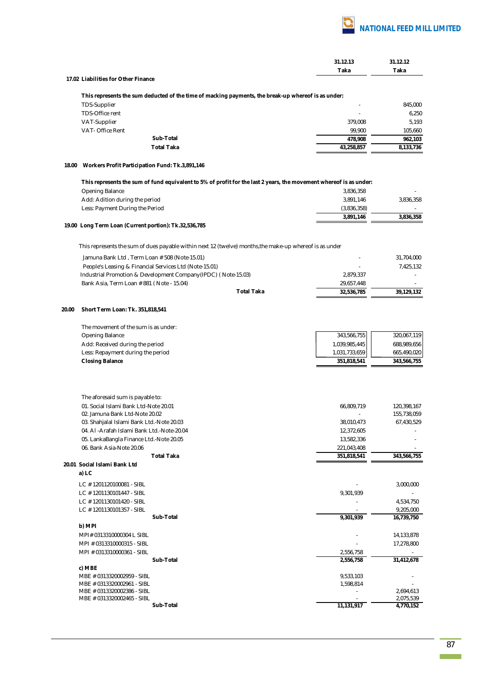|                                     | 31.12.13 | 31.12.12 |
|-------------------------------------|----------|----------|
|                                     | Taka     | Taka     |
| 17.02 Liabilities for Other Finance |          |          |

**This represents the sum deducted of the time of macking payments, the break-up whereof is as under:**

| <b>Total Taka</b> | 43,258,857               | 8,133,736 |
|-------------------|--------------------------|-----------|
| Sub-Total         | 478.908                  | 962,103   |
| VAT- Office Rent  | 99.900                   | 105,660   |
| VAT-Supplier      | 379.008                  | 5,193     |
| TDS-Office rent   | $\overline{\phantom{0}}$ | 6,250     |
| TDS-Supplier      | $\overline{\phantom{a}}$ | 845,000   |
|                   |                          |           |

#### **18.00 Workers Profit Participation Fund: Tk.3,891,146**

| Opening Balance<br>3,836,358<br>Add: Adition during the period<br>3,891,146<br>Less: Payment During the Period<br>(3,836,358)<br>3,891,146<br>19.00 Long Term Loan (Current portion): Tk.32,536,785<br>This represents the sum of dues payable within next 12 (twelve) months, the make-up whereof is as under<br>Jamuna Bank Ltd, Term Loan # 508 (Note-15.01)<br>People's Leasing & Financial Services Ltd (Note-15.01)<br>Industrial Promotion & Development Company(IPDC) (Note-15.03)<br>2,879,337<br>Bank Asia, Term Loan # 881 (Note - 15.04)<br>29,657,448<br><b>Total Taka</b><br>39,129,132<br>32,536,785<br>Short Term Loan: Tk. 351,818,541<br>The movement of the sum is as under:<br>343,566,755<br>Opening Balance<br>Add: Received during the period<br>1,039,985,445<br>Less: Repayment during the period<br>1,031,733,659<br><b>Closing Balance</b><br>351,818,541<br>The aforesaid sum is payable to:<br>01. Social Islami Bank Ltd-Note 20.01<br>66,809,719<br>02. Jamuna Bank Ltd-Note 20.02<br>38,010,473<br>03. Shahjalal Islami Bank Ltd.-Note 20.03<br>04. Al -Arafah Islami Bank Ltd.-Note-20.04<br>12,372,605<br>05. LankaBangla Finance Ltd.-Note 20.05<br>13,582,336<br>06. Bank Asia-Note 20.06<br>221,043,408<br><b>Total Taka</b><br>343,566,755<br>351,818,541<br>20.01 Social Islami Bank Ltd<br>a) LC<br>LC #1201120100081 - SIBL<br>3,000,000<br>LC #1201130101447 - SIBL<br>9,301,939<br>LC #1201130101420 - SIBL<br>4,534,750<br>LC #1201130101357 - SIBL<br>9,205,000<br>Sub-Total<br>9,301,939<br>16,739,750<br>b) MPI<br>MPI# 0313310000304 L SIBL<br>14,133,878<br>MPI # 0313310000315 - SIBL<br>17,278,800<br>MPI # 0313310000361 - SIBL<br>2,556,758<br>Sub-Total<br>2,556,758<br>31,412,678<br>c) MBE<br>MBE # 0313320002959 - SIBL<br>9,533,103<br>MBE # 0313320002961 - SIBL<br>1,598,814<br>2,694,613<br>MBE # 0313320002386 - SIBL<br>MBE # 0313320002465 - SIBL<br>2,075,539 | This represents the sum of fund equivalent to 5% of profit for the last 2 years, the movement whereof is as under: |           |  |            |                                          |
|--------------------------------------------------------------------------------------------------------------------------------------------------------------------------------------------------------------------------------------------------------------------------------------------------------------------------------------------------------------------------------------------------------------------------------------------------------------------------------------------------------------------------------------------------------------------------------------------------------------------------------------------------------------------------------------------------------------------------------------------------------------------------------------------------------------------------------------------------------------------------------------------------------------------------------------------------------------------------------------------------------------------------------------------------------------------------------------------------------------------------------------------------------------------------------------------------------------------------------------------------------------------------------------------------------------------------------------------------------------------------------------------------------------------------------------------------------------------------------------------------------------------------------------------------------------------------------------------------------------------------------------------------------------------------------------------------------------------------------------------------------------------------------------------------------------------------------------------------------------------------------------------------------------------------------|--------------------------------------------------------------------------------------------------------------------|-----------|--|------------|------------------------------------------|
| 20.00                                                                                                                                                                                                                                                                                                                                                                                                                                                                                                                                                                                                                                                                                                                                                                                                                                                                                                                                                                                                                                                                                                                                                                                                                                                                                                                                                                                                                                                                                                                                                                                                                                                                                                                                                                                                                                                                                                                          |                                                                                                                    |           |  |            |                                          |
|                                                                                                                                                                                                                                                                                                                                                                                                                                                                                                                                                                                                                                                                                                                                                                                                                                                                                                                                                                                                                                                                                                                                                                                                                                                                                                                                                                                                                                                                                                                                                                                                                                                                                                                                                                                                                                                                                                                                |                                                                                                                    |           |  |            | 3,836,358                                |
|                                                                                                                                                                                                                                                                                                                                                                                                                                                                                                                                                                                                                                                                                                                                                                                                                                                                                                                                                                                                                                                                                                                                                                                                                                                                                                                                                                                                                                                                                                                                                                                                                                                                                                                                                                                                                                                                                                                                |                                                                                                                    |           |  |            |                                          |
|                                                                                                                                                                                                                                                                                                                                                                                                                                                                                                                                                                                                                                                                                                                                                                                                                                                                                                                                                                                                                                                                                                                                                                                                                                                                                                                                                                                                                                                                                                                                                                                                                                                                                                                                                                                                                                                                                                                                |                                                                                                                    |           |  |            | 3,836,358                                |
|                                                                                                                                                                                                                                                                                                                                                                                                                                                                                                                                                                                                                                                                                                                                                                                                                                                                                                                                                                                                                                                                                                                                                                                                                                                                                                                                                                                                                                                                                                                                                                                                                                                                                                                                                                                                                                                                                                                                |                                                                                                                    |           |  |            |                                          |
|                                                                                                                                                                                                                                                                                                                                                                                                                                                                                                                                                                                                                                                                                                                                                                                                                                                                                                                                                                                                                                                                                                                                                                                                                                                                                                                                                                                                                                                                                                                                                                                                                                                                                                                                                                                                                                                                                                                                |                                                                                                                    |           |  |            |                                          |
|                                                                                                                                                                                                                                                                                                                                                                                                                                                                                                                                                                                                                                                                                                                                                                                                                                                                                                                                                                                                                                                                                                                                                                                                                                                                                                                                                                                                                                                                                                                                                                                                                                                                                                                                                                                                                                                                                                                                |                                                                                                                    |           |  |            | 31,704,000                               |
|                                                                                                                                                                                                                                                                                                                                                                                                                                                                                                                                                                                                                                                                                                                                                                                                                                                                                                                                                                                                                                                                                                                                                                                                                                                                                                                                                                                                                                                                                                                                                                                                                                                                                                                                                                                                                                                                                                                                |                                                                                                                    |           |  |            | 7,425,132                                |
|                                                                                                                                                                                                                                                                                                                                                                                                                                                                                                                                                                                                                                                                                                                                                                                                                                                                                                                                                                                                                                                                                                                                                                                                                                                                                                                                                                                                                                                                                                                                                                                                                                                                                                                                                                                                                                                                                                                                |                                                                                                                    |           |  |            |                                          |
|                                                                                                                                                                                                                                                                                                                                                                                                                                                                                                                                                                                                                                                                                                                                                                                                                                                                                                                                                                                                                                                                                                                                                                                                                                                                                                                                                                                                                                                                                                                                                                                                                                                                                                                                                                                                                                                                                                                                |                                                                                                                    |           |  |            |                                          |
|                                                                                                                                                                                                                                                                                                                                                                                                                                                                                                                                                                                                                                                                                                                                                                                                                                                                                                                                                                                                                                                                                                                                                                                                                                                                                                                                                                                                                                                                                                                                                                                                                                                                                                                                                                                                                                                                                                                                |                                                                                                                    |           |  |            |                                          |
|                                                                                                                                                                                                                                                                                                                                                                                                                                                                                                                                                                                                                                                                                                                                                                                                                                                                                                                                                                                                                                                                                                                                                                                                                                                                                                                                                                                                                                                                                                                                                                                                                                                                                                                                                                                                                                                                                                                                |                                                                                                                    |           |  |            |                                          |
|                                                                                                                                                                                                                                                                                                                                                                                                                                                                                                                                                                                                                                                                                                                                                                                                                                                                                                                                                                                                                                                                                                                                                                                                                                                                                                                                                                                                                                                                                                                                                                                                                                                                                                                                                                                                                                                                                                                                |                                                                                                                    |           |  |            |                                          |
|                                                                                                                                                                                                                                                                                                                                                                                                                                                                                                                                                                                                                                                                                                                                                                                                                                                                                                                                                                                                                                                                                                                                                                                                                                                                                                                                                                                                                                                                                                                                                                                                                                                                                                                                                                                                                                                                                                                                |                                                                                                                    |           |  |            | 320,067,119                              |
|                                                                                                                                                                                                                                                                                                                                                                                                                                                                                                                                                                                                                                                                                                                                                                                                                                                                                                                                                                                                                                                                                                                                                                                                                                                                                                                                                                                                                                                                                                                                                                                                                                                                                                                                                                                                                                                                                                                                |                                                                                                                    |           |  |            | 688,989,656                              |
|                                                                                                                                                                                                                                                                                                                                                                                                                                                                                                                                                                                                                                                                                                                                                                                                                                                                                                                                                                                                                                                                                                                                                                                                                                                                                                                                                                                                                                                                                                                                                                                                                                                                                                                                                                                                                                                                                                                                |                                                                                                                    |           |  |            | 665,490,020                              |
|                                                                                                                                                                                                                                                                                                                                                                                                                                                                                                                                                                                                                                                                                                                                                                                                                                                                                                                                                                                                                                                                                                                                                                                                                                                                                                                                                                                                                                                                                                                                                                                                                                                                                                                                                                                                                                                                                                                                |                                                                                                                    |           |  |            | 343,566,755                              |
|                                                                                                                                                                                                                                                                                                                                                                                                                                                                                                                                                                                                                                                                                                                                                                                                                                                                                                                                                                                                                                                                                                                                                                                                                                                                                                                                                                                                                                                                                                                                                                                                                                                                                                                                                                                                                                                                                                                                |                                                                                                                    |           |  |            | 120,398,167<br>155,738,059<br>67,430,529 |
|                                                                                                                                                                                                                                                                                                                                                                                                                                                                                                                                                                                                                                                                                                                                                                                                                                                                                                                                                                                                                                                                                                                                                                                                                                                                                                                                                                                                                                                                                                                                                                                                                                                                                                                                                                                                                                                                                                                                |                                                                                                                    |           |  |            |                                          |
|                                                                                                                                                                                                                                                                                                                                                                                                                                                                                                                                                                                                                                                                                                                                                                                                                                                                                                                                                                                                                                                                                                                                                                                                                                                                                                                                                                                                                                                                                                                                                                                                                                                                                                                                                                                                                                                                                                                                |                                                                                                                    |           |  |            |                                          |
|                                                                                                                                                                                                                                                                                                                                                                                                                                                                                                                                                                                                                                                                                                                                                                                                                                                                                                                                                                                                                                                                                                                                                                                                                                                                                                                                                                                                                                                                                                                                                                                                                                                                                                                                                                                                                                                                                                                                |                                                                                                                    |           |  |            |                                          |
|                                                                                                                                                                                                                                                                                                                                                                                                                                                                                                                                                                                                                                                                                                                                                                                                                                                                                                                                                                                                                                                                                                                                                                                                                                                                                                                                                                                                                                                                                                                                                                                                                                                                                                                                                                                                                                                                                                                                |                                                                                                                    |           |  |            |                                          |
|                                                                                                                                                                                                                                                                                                                                                                                                                                                                                                                                                                                                                                                                                                                                                                                                                                                                                                                                                                                                                                                                                                                                                                                                                                                                                                                                                                                                                                                                                                                                                                                                                                                                                                                                                                                                                                                                                                                                |                                                                                                                    |           |  |            |                                          |
|                                                                                                                                                                                                                                                                                                                                                                                                                                                                                                                                                                                                                                                                                                                                                                                                                                                                                                                                                                                                                                                                                                                                                                                                                                                                                                                                                                                                                                                                                                                                                                                                                                                                                                                                                                                                                                                                                                                                |                                                                                                                    |           |  |            |                                          |
|                                                                                                                                                                                                                                                                                                                                                                                                                                                                                                                                                                                                                                                                                                                                                                                                                                                                                                                                                                                                                                                                                                                                                                                                                                                                                                                                                                                                                                                                                                                                                                                                                                                                                                                                                                                                                                                                                                                                |                                                                                                                    |           |  |            |                                          |
|                                                                                                                                                                                                                                                                                                                                                                                                                                                                                                                                                                                                                                                                                                                                                                                                                                                                                                                                                                                                                                                                                                                                                                                                                                                                                                                                                                                                                                                                                                                                                                                                                                                                                                                                                                                                                                                                                                                                |                                                                                                                    |           |  |            |                                          |
|                                                                                                                                                                                                                                                                                                                                                                                                                                                                                                                                                                                                                                                                                                                                                                                                                                                                                                                                                                                                                                                                                                                                                                                                                                                                                                                                                                                                                                                                                                                                                                                                                                                                                                                                                                                                                                                                                                                                |                                                                                                                    |           |  |            |                                          |
|                                                                                                                                                                                                                                                                                                                                                                                                                                                                                                                                                                                                                                                                                                                                                                                                                                                                                                                                                                                                                                                                                                                                                                                                                                                                                                                                                                                                                                                                                                                                                                                                                                                                                                                                                                                                                                                                                                                                |                                                                                                                    |           |  |            |                                          |
|                                                                                                                                                                                                                                                                                                                                                                                                                                                                                                                                                                                                                                                                                                                                                                                                                                                                                                                                                                                                                                                                                                                                                                                                                                                                                                                                                                                                                                                                                                                                                                                                                                                                                                                                                                                                                                                                                                                                |                                                                                                                    |           |  |            |                                          |
|                                                                                                                                                                                                                                                                                                                                                                                                                                                                                                                                                                                                                                                                                                                                                                                                                                                                                                                                                                                                                                                                                                                                                                                                                                                                                                                                                                                                                                                                                                                                                                                                                                                                                                                                                                                                                                                                                                                                |                                                                                                                    |           |  |            |                                          |
|                                                                                                                                                                                                                                                                                                                                                                                                                                                                                                                                                                                                                                                                                                                                                                                                                                                                                                                                                                                                                                                                                                                                                                                                                                                                                                                                                                                                                                                                                                                                                                                                                                                                                                                                                                                                                                                                                                                                |                                                                                                                    |           |  |            |                                          |
|                                                                                                                                                                                                                                                                                                                                                                                                                                                                                                                                                                                                                                                                                                                                                                                                                                                                                                                                                                                                                                                                                                                                                                                                                                                                                                                                                                                                                                                                                                                                                                                                                                                                                                                                                                                                                                                                                                                                |                                                                                                                    |           |  |            |                                          |
|                                                                                                                                                                                                                                                                                                                                                                                                                                                                                                                                                                                                                                                                                                                                                                                                                                                                                                                                                                                                                                                                                                                                                                                                                                                                                                                                                                                                                                                                                                                                                                                                                                                                                                                                                                                                                                                                                                                                |                                                                                                                    |           |  |            |                                          |
|                                                                                                                                                                                                                                                                                                                                                                                                                                                                                                                                                                                                                                                                                                                                                                                                                                                                                                                                                                                                                                                                                                                                                                                                                                                                                                                                                                                                                                                                                                                                                                                                                                                                                                                                                                                                                                                                                                                                |                                                                                                                    |           |  |            |                                          |
|                                                                                                                                                                                                                                                                                                                                                                                                                                                                                                                                                                                                                                                                                                                                                                                                                                                                                                                                                                                                                                                                                                                                                                                                                                                                                                                                                                                                                                                                                                                                                                                                                                                                                                                                                                                                                                                                                                                                |                                                                                                                    | Sub-Total |  | 11,131,917 | 4,770,152                                |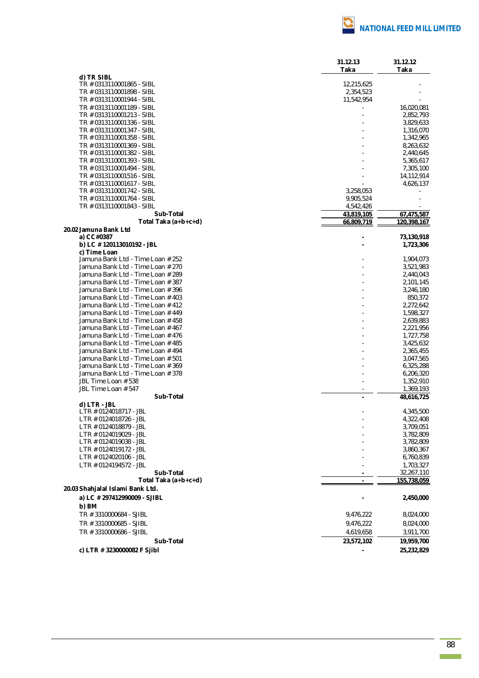

|                                                                        | 31.12.13<br>Taka        | 31.12.12<br>Taka       |
|------------------------------------------------------------------------|-------------------------|------------------------|
| d) TR SIBL                                                             |                         |                        |
| TR # 0313110001865 - SIBL<br>TR # 0313110001898 - SIBL                 | 12,215,625              |                        |
| TR # 0313110001944 - SIBL                                              | 2,354,523<br>11,542,954 |                        |
| TR # 0313110001189 - SIBL                                              |                         | 16,020,081             |
| TR # 0313110001213 - SIBL                                              |                         | 2,852,793              |
| TR # 0313110001336 - SIBL                                              |                         | 3,829,633              |
| TR # 0313110001347 - SIBL                                              |                         | 1,316,070              |
| TR # 0313110001358 - SIBL                                              |                         | 1,342,965              |
| TR # 0313110001369 - SIBL<br>TR # 0313110001382 - SIBL                 |                         | 8,263,632              |
| TR # 0313110001393 - SIBL                                              |                         | 2,440,645<br>5,365,617 |
| TR # 0313110001494 - SIBL                                              |                         | 7,305,100              |
| TR # 0313110001516 - SIBL                                              |                         | 14,112,914             |
| TR # 0313110001617 - SIBL                                              |                         | 4,626,137              |
| TR # 0313110001742 - SIBL                                              | 3,258,053               |                        |
| TR # 0313110001764 - SIBL                                              | 9,905,524               |                        |
| TR # 0313110001843 - SIBL                                              | 4,542,426               |                        |
| Sub-Total                                                              | 43,819,105              | 67,475,587             |
| Total Taka (a+b+c+d)<br>20.02 Jamuna Bank Ltd                          | 66,809,719              | 120,398,167            |
| a) CC#0387                                                             |                         | 73,130,918             |
| b) LC #120113010192 - JBL                                              |                         | 1,723,306              |
| c) Time Loan                                                           |                         |                        |
| Jamuna Bank Ltd - Time Loan # 252                                      |                         | 1,904,073              |
| Jamuna Bank Ltd - Time Loan # 270<br>Jamuna Bank Ltd - Time Loan # 289 |                         | 3,521,983              |
| Jamuna Bank Ltd - Time Loan # 387                                      |                         | 2,440,043<br>2,101,145 |
| Jamuna Bank Ltd - Time Loan # 396                                      |                         | 3,246,180              |
| Jamuna Bank Ltd - Time Loan # 403                                      |                         | 850,372                |
| Jamuna Bank Ltd - Time Loan # 412                                      |                         | 2,272,642              |
| Jamuna Bank Ltd - Time Loan # 449                                      |                         | 1,598,327              |
| Jamuna Bank Ltd - Time Loan # 458                                      |                         | 2,639,883              |
| Jamuna Bank Ltd - Time Loan # 467                                      |                         | 2,221,956              |
| Jamuna Bank Ltd - Time Loan # 476                                      |                         | 1,727,758              |
| Jamuna Bank Ltd - Time Loan # 485                                      |                         | 3,425,632              |
| Jamuna Bank Ltd - Time Loan # 494                                      |                         | 2,365,455              |
| Jamuna Bank Ltd - Time Loan # 501<br>Jamuna Bank Ltd - Time Loan # 369 |                         | 3,047,565              |
| Jamuna Bank Ltd - Time Loan # 378                                      |                         | 6,325,288<br>6,206,320 |
| JBL Time Loan #538                                                     |                         | 1,352,910              |
| JBL Time Loan # 547                                                    |                         | 1,369,193              |
| Sub-Total                                                              |                         | 48,616,725             |
| d) LTR - JBL                                                           |                         |                        |
| LTR # 0124018717 - JBL                                                 |                         | 4,345,500              |
| LTR # 0124018726 - JBL                                                 |                         | 4,322,408              |
| LTR # 0124018879 - JBL<br>LTR # 0124019029 - JBL                       |                         | 3,709,051<br>3,782,809 |
| $LTR # 0124019038 - JBL$                                               |                         | 3,782,809              |
| $LTR # 0124019172 - JBL$                                               |                         | 3,860,367              |
| $LTR # 0124020106 - JBL$                                               |                         | 6,760,839              |
| $LTR # 0124194572 - JBL$                                               |                         | 1,703,327              |
| Sub-Total                                                              |                         | 32,267,110             |
| Total Taka (a+b+c+d)                                                   |                         | 155,738,059            |
| 20.03 Shahjalal Islami Bank Ltd.                                       |                         |                        |
| a) LC # 297412990009 - SJIBL                                           |                         | 2,450,000              |
| b) BM                                                                  |                         |                        |
| TR # 3310000684 - SJIBL                                                | 9,476,222               | 8,024,000              |
| TR # 3310000685 - SJIBL                                                | 9,476,222               | 8,024,000              |
| TR #3310000686 - SJIBL                                                 | 4,619,658               | 3,911,700              |
| Sub-Total                                                              | 23,572,102              | 19,959,700             |
| c) LTR # 3230000082 F Sjibl                                            |                         | 25,232,829             |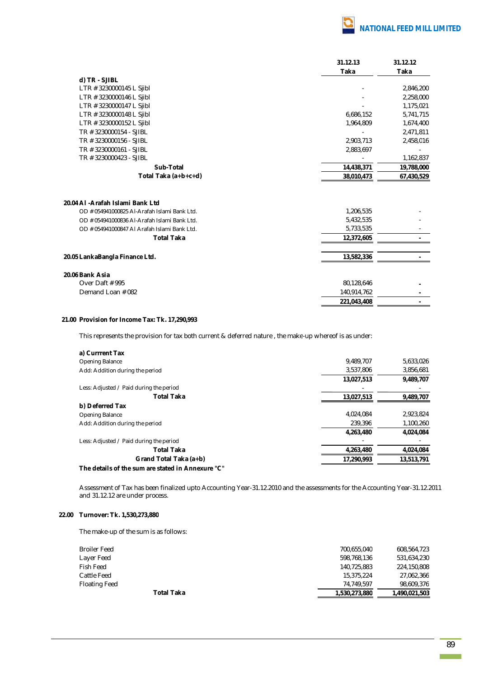

|                                              | 31.12.13   | 31.12.12   |  |
|----------------------------------------------|------------|------------|--|
|                                              | Taka       | Taka       |  |
| d) TR - SJIBL                                |            |            |  |
| LTR # 3230000145 L Sjibl                     |            | 2,846,200  |  |
| LTR # 3230000146 L Sjibl                     |            | 2,258,000  |  |
| LTR # 3230000147 L Sjibl                     |            | 1,175,021  |  |
| LTR # 3230000148 L Sjibl                     | 6,686,152  | 5,741,715  |  |
| LTR # 3230000152 L Sjibl                     | 1,964,809  | 1,674,400  |  |
| TR #3230000154 - SJIBL                       |            | 2,471,811  |  |
| TR # 3230000156 - SJIBL                      | 2,903,713  | 2,458,016  |  |
| TR #3230000161 - SJIBL                       | 2,883,697  |            |  |
| TR # 3230000423 - SJIBL                      |            | 1,162,837  |  |
| Sub-Total                                    | 14,438,371 | 19,788,000 |  |
| Total Taka (a+b+c+d)                         | 38,010,473 | 67,430,529 |  |
| 20.04 Al -Arafah Islami Bank Ltd             |            |            |  |
| OD # 054941000825 AI-Arafah Islami Bank Ltd. | 1,206,535  |            |  |
| OD # 054941000836 AI-Arafah Islami Bank Ltd. | 5,432,535  |            |  |
|                                              | E 700 FOF  |            |  |

| OD # 054941000847 AI Arafah Islami Bank Ltd. | 5,733,535   | - |
|----------------------------------------------|-------------|---|
| <b>Total Taka</b>                            | 12,372,605  | ۰ |
| 20.05 LankaBangla Finance Ltd.               | 13,582,336  | ۰ |
| 20.06 Bank Asia                              |             |   |
| Over Daft $#$ 995                            | 80,128,646  |   |
| Demand Loan # 082                            | 140.914.762 |   |
|                                              | 221,043,408 |   |
|                                              |             |   |

# **21.00 Provision for Income Tax: Tk. 17,290,993**

This represents the provision for tax both current & deferred nature , the make-up whereof is as under:

| a) Currrent Tax                                   |            |            |
|---------------------------------------------------|------------|------------|
| Opening Balance                                   | 9,489,707  | 5,633,026  |
| Add: Addition during the period                   | 3,537,806  | 3,856,681  |
|                                                   | 13,027,513 | 9,489,707  |
| Less: Adjusted / Paid during the period           |            |            |
| <b>Total Taka</b>                                 | 13,027,513 | 9,489,707  |
| b) Deferred Tax                                   |            |            |
| Opening Balance                                   | 4,024,084  | 2,923,824  |
| Add: Addition during the period                   | 239,396    | 1,100,260  |
|                                                   | 4,263,480  | 4,024,084  |
| Less: Adjusted / Paid during the period           |            |            |
| <b>Total Taka</b>                                 | 4,263,480  | 4,024,084  |
| Grand Total Taka (a+b)                            | 17,290,993 | 13,513,791 |
| The details of the sum are stated in Annexure "C" |            |            |

Assessment of Tax has been finalized upto Accounting Year-31.12.2010 and the assessments for the Accounting Year-31.12.2011 and 31.12.12 are under process.

### **22.00 Turnover: Tk. 1,530,273,880**

The make-up of the sum is as follows:

| Total Taka    | 1,530,273,880 | 1,490,021,503 |
|---------------|---------------|---------------|
| Floating Feed | 74.749.597    | 98,609,376    |
| Cattle Feed   | 15,375,224    | 27,062,366    |
| Fish Feed     | 140,725,883   | 224,150,808   |
| Layer Feed    | 598,768,136   | 531,634,230   |
| Broiler Feed  | 700.655.040   | 608,564,723   |
|               |               |               |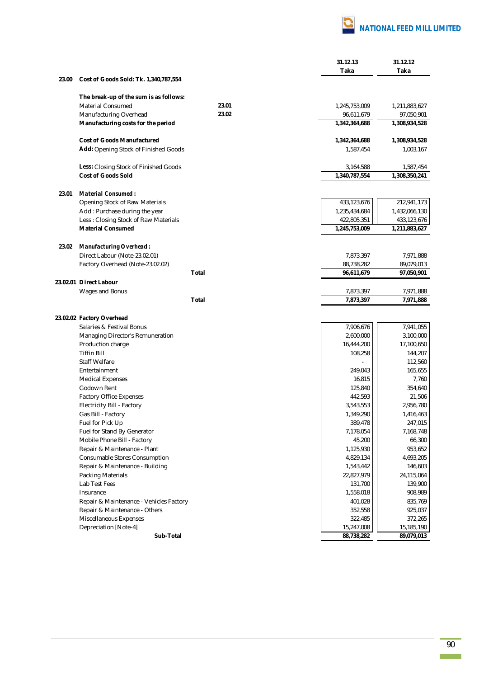

|       |                                             |              | 31.12.13<br>Taka | 31.12.12<br>Taka |
|-------|---------------------------------------------|--------------|------------------|------------------|
| 23.00 | Cost of Goods Sold: Tk. 1,340,787,554       |              |                  |                  |
|       |                                             |              |                  |                  |
|       | The break-up of the sum is as follows:      |              |                  |                  |
|       | Material Consumed                           | 23.01        | 1,245,753,009    | 1,211,883,627    |
|       | Manufacturing Overhead                      | 23.02        | 96,611,679       | 97,050,901       |
|       | Manufacturing costs for the period          |              | 1,342,364,688    | 1,308,934,528    |
|       | <b>Cost of Goods Manufactured</b>           |              | 1,342,364,688    | 1,308,934,528    |
|       | <b>Add:</b> Opening Stock of Finished Goods |              | 1,587,454        | 1,003,167        |
|       | Less: Closing Stock of Finished Goods       |              | 3,164,588        | 1,587,454        |
|       | <b>Cost of Goods Sold</b>                   |              | 1,340,787,554    | 1,308,350,241    |
| 23.01 | Material Consumed:                          |              |                  |                  |
|       | Opening Stock of Raw Materials              |              | 433,123,676      | 212,941,173      |
|       | Add: Purchase during the year               |              | 1,235,434,684    | 1,432,066,130    |
|       | Less: Closing Stock of Raw Materials        |              | 422,805,351      | 433,123,676      |
|       | <b>Material Consumed</b>                    |              | 1,245,753,009    | 1,211,883,627    |
| 23.02 | Manufacturing Overhead:                     |              |                  |                  |
|       | Direct Labour (Note-23.02.01)               |              | 7,873,397        | 7,971,888        |
|       | Factory Overhead (Note-23.02.02)            |              | 88,738,282       | 89,079,013       |
|       |                                             | Total        | 96,611,679       | 97,050,901       |
|       | 23.02.01 Direct Labour                      |              |                  |                  |
|       | Wages and Bonus                             |              | 7,873,397        | 7,971,888        |
|       |                                             | <b>Total</b> | 7,873,397        | 7,971,888        |
|       |                                             |              |                  |                  |
|       | 23.02.02 Factory Overhead                   |              |                  |                  |
|       | Salaries & Festival Bonus                   |              | 7,906,676        | 7,941,055        |
|       | Managing Director's Remuneration            |              | 2,600,000        | 3,100,000        |
|       | Production charge                           |              | 16,444,200       | 17,100,650       |
|       | <b>Tiffin Bill</b>                          |              | 108,258          | 144,207          |
|       | <b>Staff Welfare</b>                        |              |                  | 112,560          |
|       | Entertainment                               |              | 249,043          | 165,655          |
|       | <b>Medical Expenses</b>                     |              | 16,815           | 7,760            |
|       | Godown Rent                                 |              | 125,840          | 354,640          |
|       | <b>Factory Office Expenses</b>              |              | 442,593          | 21,506           |
|       | Electricity Bill - Factory                  |              | 3,543,553        | 2,956,780        |
|       | Gas Bill - Factory                          |              | 1,349,290        | 1,416,463        |
|       | Fuel for Pick Up                            |              | 389,478          | 247,015          |
|       | Fuel for Stand By Generator                 |              | 7,178,054        | 7,168,748        |
|       | Mobile Phone Bill - Factory                 |              | 45,200           | 66,300           |
|       | Repair & Maintenance - Plant                |              | 1,125,930        | 953,652          |
|       | Consumable Stores Consumption               |              | 4,829,134        | 4,693,205        |
|       | Repair & Maintenance - Building             |              | 1,543,442        | 146,603          |
|       | Packing Materials                           |              | 22,827,979       | 24,115,064       |
|       | Lab Test Fees                               |              | 131,700          | 139,900          |
|       | Insurance                                   |              | 1,558,018        | 908,989          |
|       | Repair & Maintenance - Vehicles Factory     |              | 401,028          | 835,769          |
|       | Repair & Maintenance - Others               |              | 352,558          | 925,037          |
|       | Miscellaneous Expenses                      |              | 322,485          | 372,265          |
|       | Depreciation [Note-4]                       |              | 15,247,008       | 15,185,190       |
|       | Sub-Total                                   |              | 88,738,282       | 89,079,013       |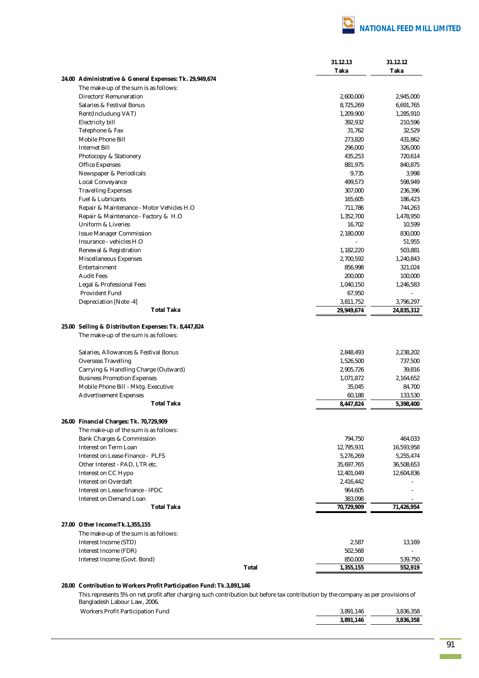

|                                                                                               |       | 31.12.13<br>Taka        | 31.12.12<br>Taka   |
|-----------------------------------------------------------------------------------------------|-------|-------------------------|--------------------|
| 24.00 Administrative & General Expenses: Tk. 29,949,674                                       |       |                         |                    |
| The make-up of the sum is as follows:                                                         |       |                         |                    |
| Directors' Remuneration                                                                       |       | 2,600,000               | 2,945,000          |
| Salaries & Festival Bonus                                                                     |       | 8,725,269               | 6,691,765          |
| Rent(Includung VAT)                                                                           |       | 1,209,900               | 1,285,910          |
| Electricity bill                                                                              |       | 392,932                 | 210,596            |
| Telephone & Fax                                                                               |       | 31,762                  | 32,529             |
| Mobile Phone Bill                                                                             |       | 273,820                 | 431,862            |
| <b>Internet Bill</b>                                                                          |       | 296,000                 | 326,000            |
| Photocopy & Stationery                                                                        |       | 435,253                 | 720,614            |
| <b>Office Expenses</b>                                                                        |       | 881,975                 | 840,875            |
| Newspaper & Periodicals                                                                       |       | 9,735                   | 3,998              |
| Local Conveyance                                                                              |       | 499,573                 | 598,949            |
| <b>Travelling Expenses</b>                                                                    |       | 307,000                 | 236,396            |
| Fuel & Lubricants                                                                             |       | 165,605                 | 186,423            |
| Repair & Maintenance - Motor Vehicles H.O.                                                    |       | 711,786                 | 744,263            |
| Repair & Maintenance - Factory & H.O                                                          |       | 1,352,700               | 1,478,950          |
| Uniform & Liveries                                                                            |       | 16,702                  | 10,599             |
| <b>Issue Manager Commission</b>                                                               |       | 2,180,000               | 830,000            |
| Insurance - vehicles H.O                                                                      |       |                         | 51,955             |
| Renewal & Registration                                                                        |       | 1,182,220               | 503,881            |
| Miscellaneous Expenses                                                                        |       | 2,700,592               | 1,240,843          |
| Entertainment                                                                                 |       | 856,998                 | 321,024            |
| <b>Audit Fees</b>                                                                             |       | 200,000                 | 100,000            |
| Legal & Professional Fees                                                                     |       | 1,040,150               | 1,246,583          |
| Provident Fund                                                                                |       | 67,950                  |                    |
| Depreciation [Note -4]                                                                        |       | 3,811,752               | 3,796,297          |
| <b>Total Taka</b>                                                                             |       | 29,949,674              | 24,835,312         |
| 25.00 Selling & Distribution Expenses: Tk. 8,447,824<br>The make-up of the sum is as follows: |       |                         |                    |
| Salaries, Allowances & Festival Bonus                                                         |       | 2,848,493               | 2,238,202          |
| <b>Overseas Travelling</b>                                                                    |       | 1,526,500               | 737,500            |
| Carrying & Handling Charge (Outward)                                                          |       | 2,905,726               | 39,816             |
| <b>Business Promotion Expenses</b>                                                            |       | 1,071,872               | 2,164,652          |
| Mobile Phone Bill - Mktg. Executive                                                           |       | 35,045                  | 84,700             |
| <b>Advertisement Expenses</b>                                                                 |       | 60,188                  | 133,530            |
| <b>Total Taka</b>                                                                             |       | 8,447,824               | 5,398,400          |
| 26.00 Financial Charges: Tk. 70,729,909<br>The make-up of the sum is as follows:              |       |                         |                    |
| Bank Charges & Commission                                                                     |       | 794,750                 | 464,033            |
| Interest on Term Loan                                                                         |       | 12,795,931              | 16,593,958         |
| Interest on Lease Finance - PLFS                                                              |       | 5,276,269               | 5,255,474          |
| Other Interest - PAD, LTR etc.                                                                |       |                         |                    |
|                                                                                               |       | 35,697,765              | 36,508,653         |
| Interest on CC Hypo<br>Interest on Overdaft                                                   |       | 12,401,049<br>2,416,442 | 12,604,836         |
| Interest on Lease finance - IPDC                                                              |       | 964,605                 |                    |
|                                                                                               |       |                         |                    |
| Interest on Demand Loan<br><b>Total Taka</b>                                                  |       | 383,098<br>70,729,909   | 71,426,954         |
|                                                                                               |       |                         |                    |
| 27.00 Other Income: Tk.1,355,155                                                              |       |                         |                    |
| The make-up of the sum is as follows:                                                         |       |                         |                    |
| Interest Income (STD)                                                                         |       | 2,587                   | 13,169             |
|                                                                                               |       | 502,568                 |                    |
| Interest Income (FDR)                                                                         |       |                         |                    |
| Interest Income (Govt. Bond)                                                                  | Total | 850,000<br>1,355,155    | 539,750<br>552,919 |

Workers Profit Participation Fund 3,891,146 3,891,146 3,836,358 3,836,358  **3,891,146 3,836,358** Bangladesh Labour Law, 2006.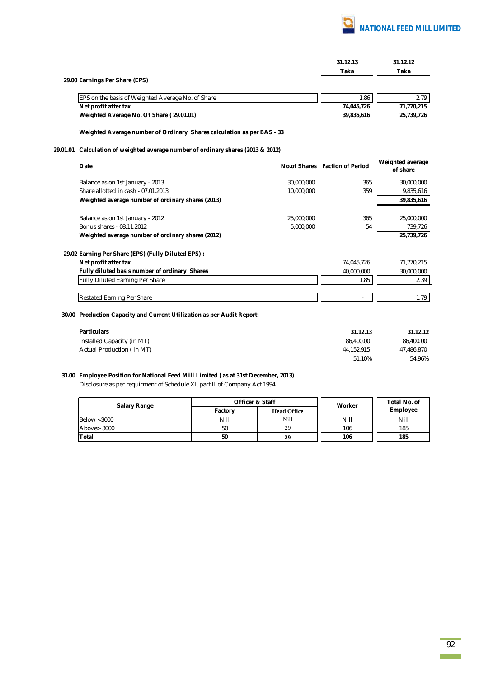

|          |                                                                         |            | 31.12.13<br>Taka               | 31.12.12<br>Taka                    |
|----------|-------------------------------------------------------------------------|------------|--------------------------------|-------------------------------------|
|          | 29.00 Earnings Per Share (EPS)                                          |            |                                |                                     |
|          | EPS on the basis of Weighted Average No. of Share                       |            | 1.86                           | 2.79                                |
|          | Net profit after tax                                                    |            | 74,045,726                     | 71,770,215                          |
|          | Weighted Average No. Of Share (29.01.01)                                |            | 39,835,616                     | 25,739,726                          |
|          | Weighted Average number of Ordinary Shares calculation as per BAS - 33  |            |                                |                                     |
| 29.01.01 | Calculation of weighted average number of ordinary shares (2013 & 2012) |            |                                |                                     |
|          | Date                                                                    |            | No.of Shares Faction of Period | <b>Weighted average</b><br>of share |
|          | Balance as on 1st January - 2013                                        | 30,000,000 | 365                            | 30,000,000                          |
|          | Share allotted in cash - 07.01.2013                                     | 10,000,000 | 359                            | 9,835,616                           |
|          | Weighted average number of ordinary shares (2013)                       |            |                                | 39,835,616                          |
|          | Balance as on 1st January - 2012                                        | 25,000,000 | 365                            | 25,000,000                          |
|          | Bonus shares - 08.11.2012                                               | 5,000,000  | 54                             | 739,726                             |
|          | Weighted average number of ordinary shares (2012)                       |            |                                | 25,739,726                          |
|          | 29.02 Earning Per Share (EPS) (Fully Diluted EPS):                      |            |                                |                                     |
|          | Net profit after tax                                                    |            | 74,045,726                     | 71,770,215                          |
|          | Fully diluted basis number of ordinary Shares                           |            | 40,000,000                     | 30,000,000                          |
|          | Fully Diluted Earning Per Share                                         |            | 1.85                           | 2.39                                |
|          | <b>Restated Earning Per Share</b>                                       |            |                                | 1.79                                |

| Particulars                | 31.12.13   | 31.12.12   |
|----------------------------|------------|------------|
| Installed Capacity (in MT) | 86,400.00  | 86,400.00  |
| Actual Production (in MT)  | 44.152.915 | 47.486.870 |
|                            | 51.10%     | 54.96%     |

### **31.00 Employee Position for National Feed Mill Limited ( as at 31st December, 2013)**

Disclosure as per requirment of Schedule XI, part II of Company Act 1994

| <b>Salary Range</b> | Officer & Staff |                    | Worker | Total No. of    |
|---------------------|-----------------|--------------------|--------|-----------------|
|                     | Factory         | <b>Head Office</b> |        | <b>Employee</b> |
| Below < 3000        | Nill            | Nill               | Nill   | Nill            |
| Above> 3000         | 50              | 29                 | 106    | 185             |
| <b>Total</b>        | 50              | 29                 | 106    | 185             |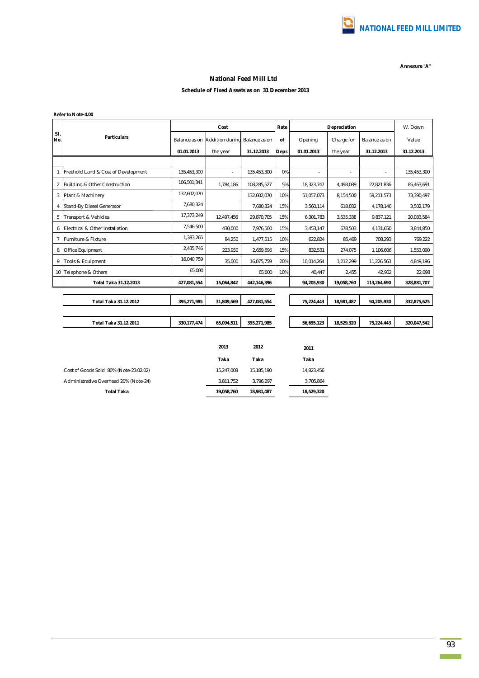**Annexure "A"**

### **National Feed Mill Ltd**

#### **Schedule of Fixed Assets as on 31 December 2013**

|                 | Refer to Note-4.00                  |               |                        |               |       |                          |              |               |             |
|-----------------|-------------------------------------|---------------|------------------------|---------------|-------|--------------------------|--------------|---------------|-------------|
|                 |                                     |               | Cost                   |               | Rate  |                          | Depreciation |               | W. Down     |
| SI.<br>No.      | <b>Particulars</b>                  | Balance as on | <b>Addition during</b> | Balance as on | of    | Opening                  | Charge for   | Balance as on | Value       |
|                 |                                     | 01.01.2013    | the year               | 31.12.2013    | Depr. | 01.01.2013               | the year     | 31.12.2013    | 31.12.2013  |
|                 |                                     |               |                        |               |       |                          |              |               |             |
|                 | Freehold Land & Cost of Development | 135,453,300   |                        | 135,453,300   | 0%    | $\overline{\phantom{a}}$ | ٠            | ×.            | 135,453,300 |
| $\overline{a}$  | Building & Other Construction       | 106,501,341   | 1,784,186              | 108,285,527   | 5%    | 18,323,747               | 4,498,089    | 22,821,836    | 85,463,691  |
| 3               | Plant & Machinery                   | 132,602,070   |                        | 132,602,070   | 10%   | 51,057,073               | 8,154,500    | 59,211,573    | 73,390,497  |
| $\overline{4}$  | Stand-By Diesel Generator           | 7,680,324     |                        | 7,680,324     | 15%   | 3,560,114                | 618,032      | 4,178,146     | 3,502,179   |
| 5               | Transport & Vehicles                | 17,373,249    | 12.497.456             | 29,870,705    | 15%   | 6,301,783                | 3,535,338    | 9,837,121     | 20,033,584  |
| 6               | Electrical & Other Installation     | 7,546,500     | 430.000                | 7,976,500     | 15%   | 3,453,147                | 678,503      | 4,131,650     | 3,844,850   |
| $\overline{7}$  | Furniture & Fixture                 | 1,383,265     | 94,250                 | 1,477,515     | 10%   | 622,824                  | 85,469       | 708,293       | 769,222     |
| 8               | Office Equipment                    | 2,435,746     | 223,950                | 2,659,696     | 15%   | 832,531                  | 274,075      | 1,106,606     | 1,553,090   |
| 9               | Tools & Equipment                   | 16,040,759    | 35,000                 | 16,075,759    | 20%   | 10,014,264               | 1,212,299    | 11,226,563    | 4,849,196   |
| 10 <sup>°</sup> | Telephone & Others                  | 65,000        |                        | 65,000        | 10%   | 40,447                   | 2,455        | 42,902        | 22,098      |
|                 | <b>Total Taka 31.12.2013</b>        | 427,081,554   | 15,064,842             | 442,146,396   |       | 94,205,930               | 19,058,760   | 113,264,690   | 328,881,707 |
|                 |                                     |               |                        |               |       |                          |              |               |             |
|                 | <b>Total Taka 31.12.2012</b>        | 395,271,985   | 31,809,569             | 427,081,554   |       | 75,224,443               | 18,981,487   | 94,205,930    | 332,875,625 |
|                 |                                     |               |                        |               |       |                          |              |               |             |
|                 | <b>Total Taka 31.12.2011</b>        | 330.177.474   | 65.094.511             | 395,271,985   |       | 56.695.123               | 18.529.320   | 75.224.443    | 320.047.542 |

|                                        | 2013       | 2012       | 2011       |
|----------------------------------------|------------|------------|------------|
|                                        | Taka       | Taka       | Taka       |
| Cost of Goods Sold 80% (Note-23.02.02) | 15,247,008 | 15.185.190 | 14,823,456 |
| Administrative Overhead 20% (Note-24)  | 3.811.752  | 3.796.297  | 3,705,864  |
| <b>Total Taka</b>                      | 19,058,760 | 18,981,487 | 18,529,320 |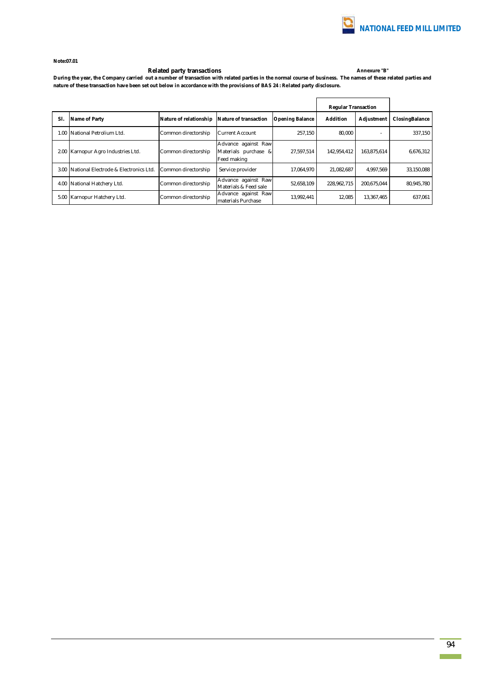#### **Note:07.01**

**Annexure "B" Related party transactions** During the year, the Company carried out a number of transaction with related parties in the normal course of business. The names of these related parties and **nature of these transaction have been set out below in accordance with the provisions of BAS 24 : Related party disclosure.**

|     |                                            |                               |                                                            |                        |             | <b>Regular Transaction</b> |                |
|-----|--------------------------------------------|-------------------------------|------------------------------------------------------------|------------------------|-------------|----------------------------|----------------|
| SI. | Name of Party                              | <b>Nature of relationship</b> | Nature of transaction                                      | <b>Opening Balance</b> | Addition    | <b>Adjustment</b>          | ClosingBalance |
|     | 1.00 National Petrolium Ltd.               | Common directorship           | <b>Current Account</b>                                     | 257,150                | 80.000      |                            | 337.150        |
|     | 2.00 Karnopur Agro Industries Ltd.         | Common directorship           | Advance against Raw<br>Materials purchase &<br>Feed making | 27.597.514             | 142.954.412 | 163.875.614                | 6,676,312      |
|     | 3.00 National Electrode & Electronics Ltd. | Common directorship           | Service provider                                           | 17.064.970             | 21.082.687  | 4.997.569                  | 33,150,088     |
|     | 4.00 National Hatchery Ltd.                | Common directorship           | Advance against Raw<br>Materials & Feed sale               | 52,658,109             | 228.962.715 | 200.675.044                | 80,945,780     |
|     | 5.00 Karnopur Hatchery Ltd.                | Common directorship           | Advance against Raw<br>materials Purchase                  | 13.992.441             | 12.085      | 13.367.465                 | 637.061        |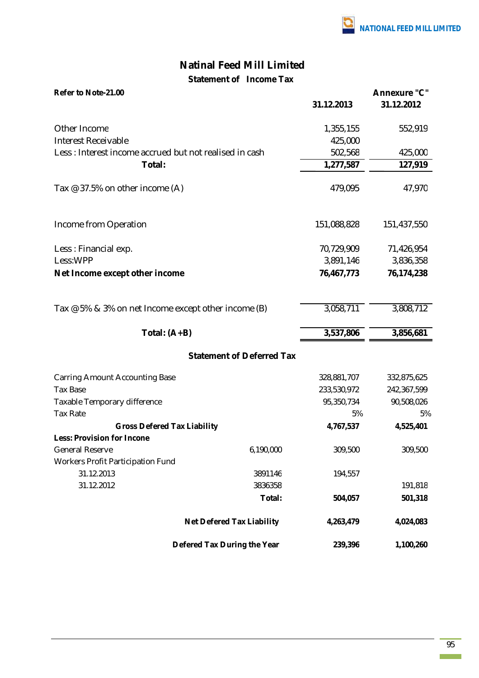# **Natinal Feed Mill Limited Statement of Income Tax**

| Refer to Note-21.00                                     |                                  |             | <b>Annexure "C"</b> |
|---------------------------------------------------------|----------------------------------|-------------|---------------------|
|                                                         |                                  | 31.12.2013  | 31.12.2012          |
| Other Income                                            |                                  | 1,355,155   | 552,919             |
| <b>Interest Receivable</b>                              |                                  | 425,000     |                     |
| Less : Interest income accrued but not realised in cash |                                  | 502,568     | 425,000             |
| Total:                                                  |                                  | 1,277,587   | 127,919             |
| Tax $\infty$ 37.5% on other income (A)                  |                                  | 479,095     | 47,970              |
| Income from Operation                                   |                                  | 151,088,828 | 151,437,550         |
| Less : Financial exp.                                   |                                  | 70,729,909  | 71,426,954          |
| Less:WPP                                                |                                  | 3,891,146   | 3,836,358           |
| Net Income except other income                          |                                  | 76,467,773  | 76,174,238          |
|                                                         |                                  |             |                     |
| Tax @ 5% & 3% on net Income except other income (B)     |                                  | 3,058,711   | 3,808,712           |
| Total: $(A+B)$                                          |                                  | 3,537,806   | 3,856,681           |
|                                                         | <b>Statement of Deferred Tax</b> |             |                     |
| <b>Carring Amount Accounting Base</b>                   |                                  | 328,881,707 | 332,875,625         |
| <b>Tax Base</b>                                         |                                  | 233,530,972 | 242,367,599         |
| Taxable Temporary difference                            |                                  | 95,350,734  | 90,508,026          |
| Tax Rate                                                |                                  | 5%          | 5%                  |
| <b>Gross Defered Tax Liability</b>                      |                                  | 4,767,537   | 4,525,401           |
| <b>Less: Provision for Incone</b>                       |                                  |             |                     |
| General Reserve                                         | 6,190,000                        | 309,500     | 309,500             |
| Workers Profit Participation Fund                       |                                  |             |                     |
| 31.12.2013                                              | 3891146                          | 194,557     |                     |
| 31.12.2012                                              | 3836358                          |             | 191,818             |
|                                                         | Total:                           | 504,057     | 501,318             |
|                                                         | <b>Net Defered Tax Liability</b> | 4,263,479   | 4,024,083           |
|                                                         | Defered Tax During the Year      | 239,396     | 1,100,260           |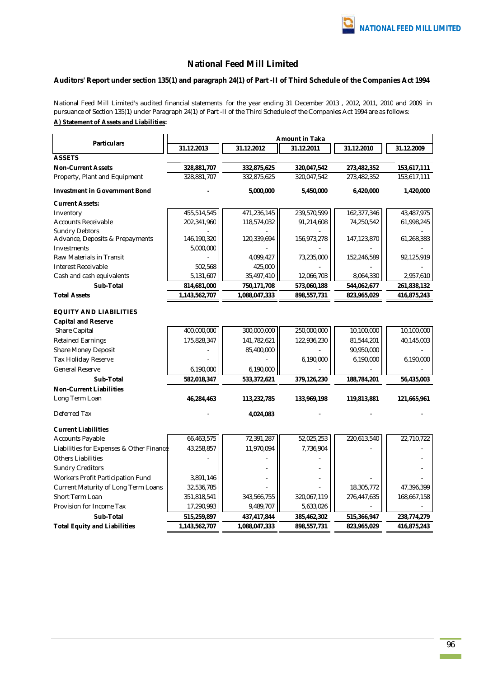# **National Feed Mill Limited**

### **Auditors' Report under section 135(1) and paragraph 24(1) of Part -II of Third Schedule of the Companies Act 1994**

National Feed Mill Limited's audited financial statements for the year ending 31 December 2013 , 2012, 2011, 2010 and 2009 in pursuance of Section 135(1) under Paragraph 24(1) of Part -II of the Third Schedule of the Companies Act 1994 are as follows: **A) Statement of Assets and Liabilities:**

| <b>Particulars</b>                       | <b>Amount in Taka</b> |               |             |             |             |
|------------------------------------------|-----------------------|---------------|-------------|-------------|-------------|
|                                          | 31.12.2013            | 31.12.2012    | 31.12.2011  | 31.12.2010  | 31.12.2009  |
| <b>ASSETS</b>                            |                       |               |             |             |             |
| <b>Non-Current Assets</b>                | 328,881,707           | 332,875,625   | 320,047,542 | 273,482,352 | 153,617,111 |
| Property, Plant and Equipment            | 328,881,707           | 332,875,625   | 320,047,542 | 273,482,352 | 153,617,111 |
| <b>Investment in Government Bond</b>     |                       | 5,000,000     | 5,450,000   | 6,420,000   | 1,420,000   |
| <b>Current Assets:</b>                   |                       |               |             |             |             |
| Inventory                                | 455,514,545           | 471,236,145   | 239,570,599 | 162,377,346 | 43,487,975  |
| <b>Accounts Receivable</b>               | 202,341,960           | 118,574,032   | 91,214,608  | 74,250,542  | 61,998,245  |
| <b>Sundry Debtors</b>                    |                       |               |             |             |             |
| Advance, Deposits & Prepayments          | 146,190,320           | 120,339,694   | 156,973,278 | 147,123,870 | 61,268,383  |
| Investments                              | 5,000,000             |               |             |             |             |
| Raw Materials in Transit                 |                       | 4,099,427     | 73,235,000  | 152,246,589 | 92,125,919  |
| Interest Receivable                      | 502,568               | 425,000       |             |             |             |
| Cash and cash equivalents                | 5,131,607             | 35,497,410    | 12,066,703  | 8,064,330   | 2,957,610   |
| Sub-Total                                | 814,681,000           | 750,171,708   | 573,060,188 | 544,062,677 | 261,838,132 |
| <b>Total Assets</b>                      | 1,143,562,707         | 1,088,047,333 | 898,557,731 | 823,965,029 | 416,875,243 |
| <b>EQUITY AND LIABILITIES</b>            |                       |               |             |             |             |
| <b>Capital and Reserve</b>               |                       |               |             |             |             |
| Share Capital                            | 400,000,000           | 300,000,000   | 250,000,000 | 10,100,000  | 10,100,000  |
| <b>Retained Earnings</b>                 | 175,828,347           | 141,782,621   | 122,936,230 | 81,544,201  | 40,145,003  |
| <b>Share Money Deposit</b>               |                       | 85,400,000    |             | 90,950,000  |             |
| <b>Tax Holiday Reserve</b>               |                       |               | 6,190,000   | 6,190,000   | 6,190,000   |
| General Reserve                          | 6,190,000             | 6,190,000     |             |             |             |
| Sub-Total                                | 582,018,347           | 533,372,621   | 379,126,230 | 188,784,201 | 56,435,003  |
| <b>Non-Current Liabilities</b>           |                       |               |             |             |             |
| Long Term Loan                           | 46,284,463            | 113,232,785   | 133,969,198 | 119,813,881 | 121,665,961 |
| Deferred Tax                             |                       | 4,024,083     |             |             |             |
| <b>Current Liabilities</b>               |                       |               |             |             |             |
| <b>Accounts Payable</b>                  | 66,463,575            | 72,391,287    | 52,025,253  | 220,613,540 | 22,710,722  |
| Liabilities for Expenses & Other Finance | 43,258,857            | 11,970,094    | 7,736,904   |             |             |
| <b>Others Liabilities</b>                |                       |               |             |             |             |
| <b>Sundry Creditors</b>                  |                       |               |             |             |             |
| Workers Profit Participation Fund        | 3,891,146             |               |             |             |             |
| Current Maturity of Long Term Loans      | 32,536,785            |               |             | 18,305,772  | 47,396,399  |
| Short Term Loan                          | 351,818,541           | 343,566,755   | 320,067,119 | 276,447,635 | 168,667,158 |
| Provision for Income Tax                 | 17,290,993            | 9,489,707     | 5,633,026   |             |             |
| Sub-Total                                | 515,259,897           | 437,417,844   | 385,462,302 | 515,366,947 | 238,774,279 |
| <b>Total Equity and Liabilities</b>      | 1,143,562,707         | 1,088,047,333 | 898,557,731 | 823,965,029 | 416,875,243 |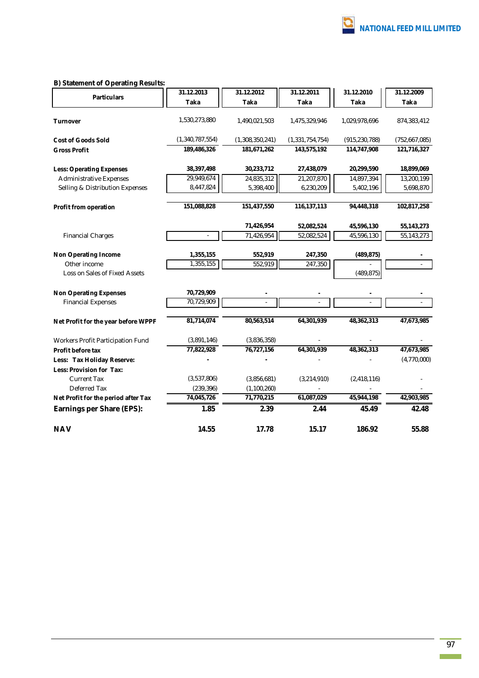### **B) Statement of Operating Results:**

| <b>Particulars</b>                  | 31.12.2013      | 31.12.2012      | 31.12.2011         | 31.12.2010      | 31.12.2009    |
|-------------------------------------|-----------------|-----------------|--------------------|-----------------|---------------|
|                                     | Taka            | Taka            | Taka               | Taka            | Taka          |
| <b>Turnover</b>                     | 1,530,273,880   | 1,490,021,503   | 1,475,329,946      | 1,029,978,696   | 874,383,412   |
| <b>Cost of Goods Sold</b>           | (1,340,787,554) | (1,308,350,241) | (1, 331, 754, 754) | (915, 230, 788) | (752,667,085) |
| <b>Gross Profit</b>                 | 189,486,326     | 181,671,262     | 143,575,192        | 114,747,908     | 121,716,327   |
| <b>Less: Operating Expenses</b>     | 38,397,498      | 30,233,712      | 27,438,079         | 20,299,590      | 18,899,069    |
| Administrative Expenses             | 29,949,674      | 24,835,312      | 21,207,870         | 14,897,394      | 13,200,199    |
| Selling & Distribution Expenses     | 8,447,824       | 5,398,400       | 6,230,209          | 5,402,196       | 5,698,870     |
| Profit from operation               | 151,088,828     | 151,437,550     | 116,137,113        | 94,448,318      | 102,817,258   |
|                                     |                 | 71,426,954      | 52,082,524         | 45,596,130      | 55, 143, 273  |
| <b>Financial Charges</b>            |                 | 71,426,954      | 52,082,524         | 45,596,130      | 55,143,273    |
| <b>Non Operating Income</b>         | 1,355,155       | 552,919         | 247,350            | (489, 875)      |               |
| Other income                        | 1,355,155       | 552,919         | 247,350            |                 | ÷.            |
| Loss on Sales of Fixed Assets       |                 |                 |                    | (489, 875)      |               |
| <b>Non Operating Expenses</b>       | 70,729,909      |                 |                    |                 |               |
| <b>Financial Expenses</b>           | 70,729,909      |                 |                    |                 |               |
| Net Profit for the year before WPPF | 81,714,074      | 80,563,514      | 64,301,939         | 48,362,313      | 47,673,985    |
| Workers Profit Participation Fund   | (3,891,146)     | (3,836,358)     |                    |                 |               |
| Profit before tax                   | 77,822,928      | 76,727,156      | 64,301,939         | 48,362,313      | 47,673,985    |
| Less: Tax Holiday Reserve:          |                 |                 |                    |                 | (4,770,000)   |
| Less: Provision for Tax:            |                 |                 |                    |                 |               |
| <b>Current Tax</b>                  | (3,537,806)     | (3,856,681)     | (3,214,910)        | (2,418,116)     |               |
| Deferred Tax                        | (239, 396)      | (1, 100, 260)   |                    |                 |               |
| Net Profit for the period after Tax | 74,045,726      | 71,770,215      | 61,087,029         | 45,944,198      | 42,903,985    |
| Earnings per Share (EPS):           | 1.85            | 2.39            | 2.44               | 45.49           | 42.48         |
| <b>NAV</b>                          | 14.55           | 17.78           | 15.17              | 186.92          | 55.88         |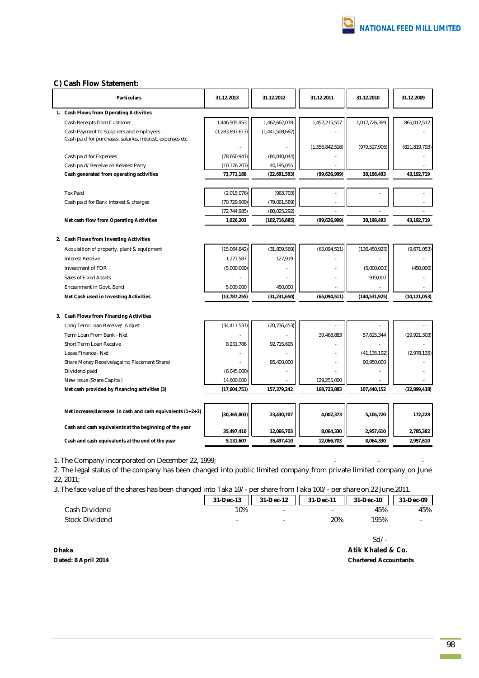### **C) Cash Flow Statement:**

| <b>Particulars</b>                                         | 31.12.2013         | 31.12.2012      | 31.12.2011      | 31.12.2010      | 31.12.2009      |
|------------------------------------------------------------|--------------------|-----------------|-----------------|-----------------|-----------------|
| 1. Cash Flows from Operating Activities                    |                    |                 |                 |                 |                 |
| Cash Receipts from Customer                                | 1,446,505,953      | 1,462,662,078   | 1,457,215,517   | 1,017,726,399   | 865,012,512     |
| Cash Payment to Suppliers and employees                    | (1, 283, 897, 617) | (1,441,508,682) |                 |                 |                 |
| Cash paid for purchases, salaries, interest, expenses etc. |                    |                 |                 |                 |                 |
|                                                            |                    |                 | (1,556,842,516) | (979, 527, 906) | (821, 819, 793) |
| Cash paid for Expenses                                     | (78,660,941)       | (84,040,044)    |                 |                 |                 |
| Cash paid/Receive on Related Party                         | (10, 176, 207)     | 40,195,055      |                 |                 |                 |
| Cash generated from operating activities                   | 73,771,188         | (22,691,593)    | (99,626,999)    | 38,198,493      | 43,192,719      |
| <b>Tax Paid</b>                                            | (2,015,076)        | (963, 703)      |                 |                 |                 |
| Cash paid for Bank interest & charges                      | (70, 729, 909)     | (79,061,589)    |                 |                 |                 |
|                                                            | (72, 744, 985)     | (80,025,292)    |                 |                 |                 |
| Net cash flow from Operating Activities                    | 1,026,203          | (102, 716, 885) | (99,626,999)    | 38.198.493      | 43,192,719      |
|                                                            |                    |                 |                 |                 |                 |
| 2. Cash Flows from Investing Activities                    |                    |                 |                 |                 |                 |
| Acquisition of property, plant & equipment                 | (15,064,842)       | (31, 809, 569)  | (65,094,511)    | (136, 450, 925) | (9,671,053)     |
| <b>Interest Receive</b>                                    | 1,277,587          | 127,919         |                 |                 |                 |
| Investment of FDR                                          | (5,000,000)        |                 |                 | (5,000,000)     | (450,000)       |
| Sales of Fixed Assets                                      |                    |                 |                 | 919,000         |                 |
| Encashment in Govt. Bond                                   | 5,000,000          | 450.000         |                 |                 |                 |
| Net Cash used in Investing Activities                      | (13, 787, 255)     | (31, 231, 650)  | (65,094,511)    | (140, 531, 925) | (10, 121, 053)  |
| 3. Cash Flows from Financing Activities                    |                    |                 |                 |                 |                 |
| Long Term Loan Receive/ Adjust                             | (34, 411, 537)     | (20, 736, 453)  |                 |                 |                 |
| Term Loan From Bank - Net                                  |                    |                 | 39,468,883      | 57,625,344      | (29, 921, 303)  |
| Short Term Loan Receive                                    | 8,251,786          | 92,715,695      |                 |                 |                 |
| Lease Finance - Net                                        |                    |                 |                 | (41, 135, 192)  | (2,978,135)     |
| Share Money Receive(against Placement Share)               |                    | 85,400,000      |                 | 90,950,000      |                 |
| Dividend paid                                              | (6,045,000)        |                 |                 |                 |                 |
| New Issue (Share Capital)                                  | 14,600,000         |                 | 129,255,000     |                 |                 |
| Net cash provided by financing activities (3)              | (17,604,751)       | 157.379.242     | 168,723,883     | 107,440,152     | (32,899,438)    |
|                                                            |                    |                 |                 |                 |                 |
| Net increase/decrease in cash and cash equivalents (1+2+3) | (30, 365, 803)     | 23,430,707      | 4,002,373       | 5,106,720       | 172,228         |
| Cash and cash equivalents at the beginning of the year     | 35,497,410         | 12,066,703      | 8,064,330       | 2,957,610       | 2,785,382       |
| Cash and cash equivalents at the end of the year           | 5,131,607          | 35,497,410      | 12,066,703      | 8,064,330       | 2,957,610       |
|                                                            |                    |                 |                 |                 |                 |

1. The Company incorporated on December 22, 1999;

2. The legal status of the company has been changed into public limited company from private limited company on June 22, 2011;

3. The face value of the shares has been changed into Taka 10/- per share from Taka 100/- per share on,22 June,2011.

|                | 31-Dec-13                | 31-Dec-12                | 31-Dec-11<br>Ш | 31-Dec-10      | 31-Dec-09 |
|----------------|--------------------------|--------------------------|----------------|----------------|-----------|
| Cash Dividend  | 10%                      | -                        | -              | 45%            | 45%       |
| Stock Dividend | $\overline{\phantom{a}}$ | $\overline{\phantom{a}}$ | 20%            | 195%           |           |
|                |                          |                          |                | $C_{\rm pl}$ / |           |

Sd/- **Dhaka Atik Khaled & Co. Atik Khaled & Co. Atik Khaled & Co. Atik Khaled & Co.** 

**Dated: 8 April 2014 Chartered Accountants**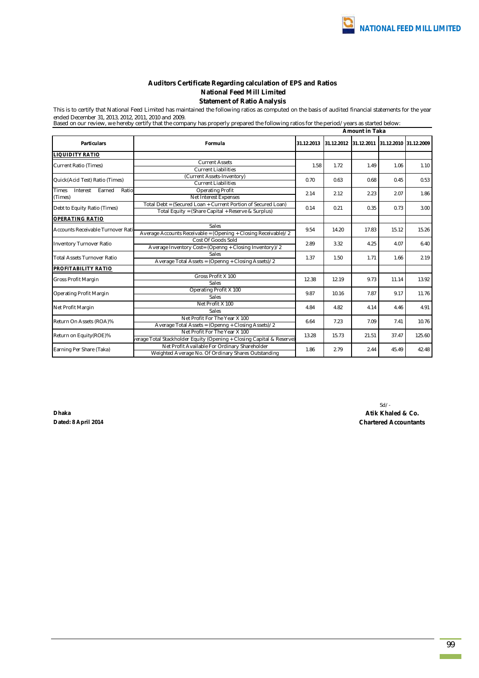# **Auditors Certificate Regarding calculation of EPS and Ratios National Feed Mill Limited**

#### **Statement of Ratio Analysis**

This is to certify that National Feed Limited has maintained the following ratios as computed on the basis of audited financial statements for the year

ended December 31, 2013, 2012, 2011, 2010 and 2009. Based on our review, we hereby certify that the company has properly prepared the following ratios for the period/years as started below:

|                                                 |                                                                                                                     |            |                                             | <b>Amount in Taka</b> |       |        |
|-------------------------------------------------|---------------------------------------------------------------------------------------------------------------------|------------|---------------------------------------------|-----------------------|-------|--------|
| <b>Particulars</b>                              | Formula                                                                                                             | 31.12.2013 | 31.12.2012 31.12.2011 31.12.2010 31.12.2009 |                       |       |        |
| <b>LIQUIDITY RATIO</b>                          |                                                                                                                     |            |                                             |                       |       |        |
| Current Ratio (Times)                           | <b>Current Assets</b><br><b>Current Liabilities</b>                                                                 | 1.58       | 1.72                                        | 1.49                  | 1.06  | 1.10   |
| Quick(Acid Test) Ratio (Times)                  | (Current Assets-Inventory)<br><b>Current Liabilities</b>                                                            | 0.70       | 0.63                                        | 0.68                  | 0.45  | 0.53   |
| Interest<br>Earned<br>Ratio<br>Times<br>(Times) | Operating Profit<br>Net Interest Expenses                                                                           | 2.14       | 2.12                                        | 2.23                  | 2.07  | 1.86   |
| Debt to Equity Ratio (Times)                    | Total Debt = (Secured Loan + Current Portion of Secured Loan)<br>Total Equity = (Share Capital + Reserve & Surplus) | 0.14       | 0.21                                        | 0.35                  | 0.73  | 3.00   |
| OPERATING RATIO                                 |                                                                                                                     |            |                                             |                       |       |        |
| Accounts Receivable Turnover Rati               | <b>Sales</b><br>Average Accounts Receivable = (Opening + Closing Receivable)/2                                      | 9.54       | 14.20                                       | 17.83                 | 15.12 | 15.26  |
| <b>Inventory Turnover Ratio</b>                 | Cost Of Goods Sold<br>Average Inventory Cost= (Openng + Closing Inventory)/2                                        | 2.89       | 3.32                                        | 4.25                  | 4.07  | 6.40   |
| <b>Total Assets Turnover Ratio</b>              | <b>Sales</b><br>Average Total Assets = (Openng + Closing Assets)/2                                                  | 1.37       | 1.50                                        | 1.71                  | 1.66  | 2.19   |
| <b>PROFITABILITY RATIO</b>                      |                                                                                                                     |            |                                             |                       |       |        |
| Gross Profit Margin                             | Gross Profit X 100<br><b>Sales</b>                                                                                  | 12.38      | 12.19                                       | 9.73                  | 11.14 | 13.92  |
| <b>Operating Profit Margin</b>                  | Operating Profit X 100<br>Sales                                                                                     | 9.87       | 10.16                                       | 7.87                  | 9.17  | 11.76  |
| Net Profit Margin                               | Net Profit X 100<br><b>Sales</b>                                                                                    | 4.84       | 4.82                                        | 4.14                  | 4.46  | 4.91   |
| Return On Assets (ROA)%                         | Net Profit For The Year X 100<br>Average Total Assets = (Openng + Closing Assets)/2                                 | 6.64       | 7.23                                        | 7.09                  | 7.41  | 10.76  |
| Return on Equity(ROE)%                          | Net Profit For The Year X 100<br>erage Total Stackholder Equity (Opening + Closing Capital & Reserve)               | 13.28      | 15.73                                       | 21.51                 | 37.47 | 125.60 |
| Earning Per Share (Taka)                        | Net Profit Available For Ordinary Shareholder<br>Weighted Average No. Of Ordinary Shares Outstanding                | 1.86       | 2.79                                        | 2.44                  | 45.49 | 42.48  |

**Dhaka Dated: 8 April 2014**

Sd/- **Chartered Accountants Atik Khaled & Co.**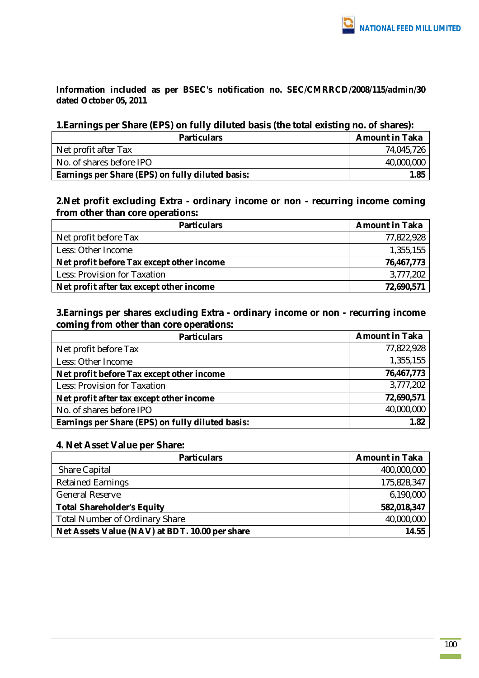**Information included as per BSEC's notification no. SEC/CMRRCD/2008/115/admin/30 dated October 05, 2011**

# **1.Earnings per Share (EPS) on fully diluted basis (the total existing no. of shares):**

| <b>Particulars</b>                               | <b>Amount in Taka</b> |
|--------------------------------------------------|-----------------------|
| Net profit after Tax                             | 74,045,726            |
| No. of shares before IPO                         | 40,000,000            |
| Earnings per Share (EPS) on fully diluted basis: | 1.85                  |

# **2.Net profit excluding Extra - ordinary income or non - recurring income coming from other than core operations:**

| <b>Particulars</b>                        | <b>Amount in Taka</b> |
|-------------------------------------------|-----------------------|
| Net profit before Tax                     | 77,822,928            |
| Less: Other Income                        | 1,355,155             |
| Net profit before Tax except other income | 76,467,773            |
| Less: Provision for Taxation              | 3,777,202             |
| Net profit after tax except other income  | 72,690,571            |

# **3.Earnings per shares excluding Extra - ordinary income or non - recurring income coming from other than core operations:**

| <b>Particulars</b>                               | <b>Amount in Taka</b> |
|--------------------------------------------------|-----------------------|
| Net profit before Tax                            | 77,822,928            |
| Less: Other Income                               | 1,355,155             |
| Net profit before Tax except other income        | 76,467,773            |
| Less: Provision for Taxation                     | 3,777,202             |
| Net profit after tax except other income         | 72,690,571            |
| No. of shares before IPO                         | 40,000,000            |
| Earnings per Share (EPS) on fully diluted basis: | 1.82                  |

# **4. Net Asset Value per Share:**

| <b>Particulars</b>                             | <b>Amount in Taka</b> |
|------------------------------------------------|-----------------------|
| <b>Share Capital</b>                           | 400,000,000           |
| <b>Retained Earnings</b>                       | 175,828,347           |
| General Reserve                                | 6,190,000             |
| <b>Total Shareholder's Equity</b>              | 582,018,347           |
| <b>Total Number of Ordinary Share</b>          | 40,000,000            |
| Net Assets Value (NAV) at BDT. 10.00 per share | 14.55                 |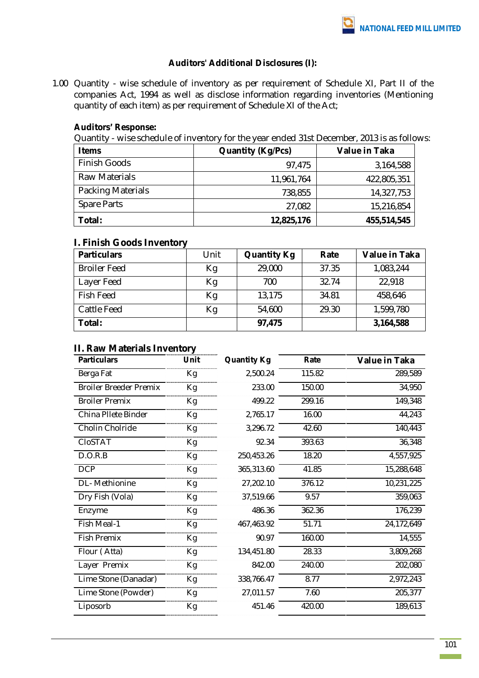# **Auditors' Additional Disclosures (I):**

1.00 Quantity - wise schedule of inventory as per requirement of Schedule XI, Part II of the companies Act, 1994 as well as disclose information regarding inventories (Mentioning quantity of each item) as per requirement of Schedule XI of the Act;

# **Auditors' Response:**

Quantity - wise schedule of inventory for the year ended 31st December, 2013 is as follows:

| <b>Items</b>             | <b>Quantity (Kg/Pcs)</b> | <b>Value in Taka</b> |
|--------------------------|--------------------------|----------------------|
| Finish Goods             | 97,475                   | 3,164,588            |
| Raw Materials            | 11,961,764               | 422,805,351          |
| <b>Packing Materials</b> | 738,855                  | 14,327,753           |
| <b>Spare Parts</b>       | 27,082                   | 15,216,854           |
| Total:                   | 12,825,176               | 455,514,545          |

# **I. Finish Goods Inventory**

| <b>Particulars</b>  | Unit | Quantity Kg | Rate  | <b>Value in Taka</b> |
|---------------------|------|-------------|-------|----------------------|
| <b>Broiler Feed</b> | Кg   | 29,000      | 37.35 | 1,083,244            |
| Layer Feed          | Кg   | 700         | 32.74 | 22,918               |
| <b>Fish Feed</b>    | Kg   | 13,175      | 34.81 | 458,646              |
| <b>Cattle Feed</b>  | Kg   | 54,600      | 29.30 | 1,599,780            |
| Total:              |      | 97,475      |       | 3,164,588            |

# **II. Raw Materials Inventory**

| <b>Particulars</b>            | Unit | <b>Quantity Kg</b> | Rate   | <b>Value in Taka</b> |
|-------------------------------|------|--------------------|--------|----------------------|
| Berga Fat                     | Kg   | 2,500.24           | 115.82 | 289,589              |
| <b>Broiler Breeder Premix</b> | Kg   | 233.00             | 150.00 | 34,950               |
| <b>Broiler Premix</b>         | Kg   | 499.22             | 299.16 | 149,348              |
| China Pllete Binder           | Kg   | 2,765.17           | 16.00  | 44,243               |
| Cholin Cholride               | Кg   | 3,296.72           | 42.60  | 140,443              |
| CloSTAT                       | Кg   | 92.34              | 393.63 | 36,348               |
| D.O.R.B                       | Kg   | 250,453.26         | 18.20  | 4,557,925            |
| <b>DCP</b>                    | Кg   | 365,313.60         | 41.85  | 15,288,648           |
| DL-Methionine                 | Kg   | 27,202.10          | 376.12 | 10,231,225           |
| Dry Fish (Vola)               | Kg   | 37,519.66          | 9.57   | 359,063              |
| Enzyme                        | Кg   | 486.36             | 362.36 | 176,239              |
| Fish Meal-1                   | Kg   | 467,463.92         | 51.71  | 24,172,649           |
| <b>Fish Premix</b>            | Kg   | 90.97              | 160.00 | 14,555               |
| Flour (Atta)                  | Кg   | 134,451.80         | 28.33  | 3,809,268            |
| Layer Premix                  | Kg   | 842.00             | 240.00 | 202,080              |
| Lime Stone (Danadar)          | Kg   | 338,766.47         | 8.77   | 2,972,243            |
| Lime Stone (Powder)           | Kg   | 27,011.57          | 7.60   | 205,377              |
| Liposorb                      | Kg   | 451.46             | 420.00 | 189,613              |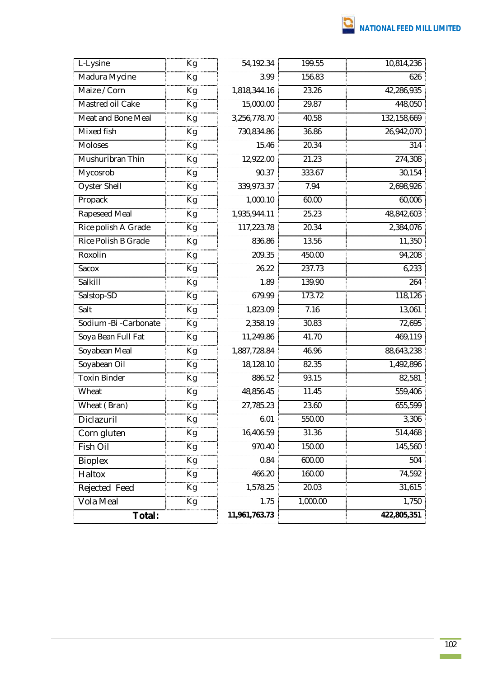

| L-Lysine                | Kg | 54,192.34     | 199.55   | 10,814,236  |
|-------------------------|----|---------------|----------|-------------|
| Madura Mycine           | Kg | 3.99          | 156.83   | 626         |
| Maize / Corn            | Kg | 1,818,344.16  | 23.26    | 42,286,935  |
| Mastred oil Cake        | Kg | 15,000.00     | 29.87    | 448,050     |
| Meat and Bone Meal      | Kg | 3,256,778.70  | 40.58    | 132,158,669 |
| Mixed fish              | Кg | 730,834.86    | 36.86    | 26,942,070  |
| Moloses                 | Kg | 15.46         | 20.34    | 314         |
| Mushuribran Thin        | Kg | 12,922.00     | 21.23    | 274,308     |
| Mycosrob                | Kg | 90.37         | 333.67   | 30,154      |
| <b>Oyster Shell</b>     | Kg | 339,973.37    | 7.94     | 2,698,926   |
| Propack                 | Kg | 1,000.10      | 60.00    | 60,006      |
| Rapeseed Meal           | Kg | 1,935,944.11  | 25.23    | 48,842,603  |
| Rice polish A Grade     | Kg | 117,223.78    | 20.34    | 2,384,076   |
| Rice Polish B Grade     | Kg | 836.86        | 13.56    | 11,350      |
| Roxolin                 | Kg | 209.35        | 450.00   | 94,208      |
| Sacox                   | Kg | 26.22         | 237.73   | 6,233       |
| Salkill                 | Kg | 1.89          | 139.90   | 264         |
| Salstop-SD              | Kg | 679.99        | 173.72   | 118,126     |
| Salt                    | Kg | 1,823.09      | 7.16     | 13,061      |
| Sodium - Bi - Carbonate | Kg | 2,358.19      | 30.83    | 72,695      |
| Soya Bean Full Fat      | Kg | 11,249.86     | 41.70    | 469,119     |
| Soyabean Meal           | Kg | 1,887,728.84  | 46.96    | 88,643,238  |
| Soyabean Oil            | Kg | 18,128.10     | 82.35    | 1,492,896   |
| <b>Toxin Binder</b>     | Кg | 886.52        | 93.15    | 82,581      |
| Wheat                   | Кg | 48,856.45     | 11.45    | 559,406     |
| Wheat (Bran)            | Kg | 27,785.23     | 23.60    | 655,599     |
| Diclazuril              | Кg | 6.01          | 550.00   | 3,306       |
| Corn gluten             | Kg | 16,406.59     | 31.36    | 514,468     |
| <b>Fish Oil</b>         | Kg | 970.40        | 150.00   | 145,560     |
| <b>Bioplex</b>          | Kg | 0.84          | 600.00   | 504         |
| Haltox                  | Kg | 466.20        | 160.00   | 74,592      |
| Rejected Feed           | Kg | 1,578.25      | 20.03    | 31,615      |
| Vola Meal               | Kg | 1.75          | 1,000.00 | 1,750       |
| Total:                  |    | 11,961,763.73 |          | 422,805,351 |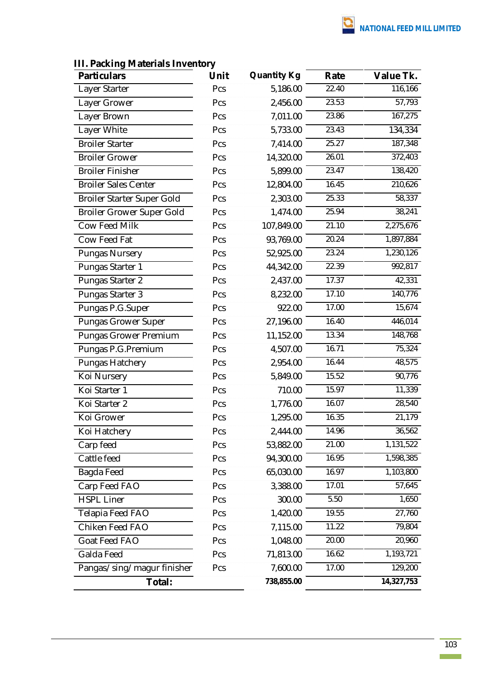# **III. Packing Materials Inventory**

| <b>Particulars</b>          | Unit | <b>Quantity Kg</b> | Rate  | Value Tk.  |
|-----------------------------|------|--------------------|-------|------------|
| Layer Starter               | Pcs  | 5,186.00           | 22.40 | 116,166    |
| Layer Grower                | Pcs  | 2,456.00           | 23.53 | 57,793     |
| Layer Brown                 | Pcs  | 7,011.00           | 23.86 | 167,275    |
| Layer White                 | Pcs  | 5,733.00           | 23.43 | 134,334    |
| <b>Broiler Starter</b>      | Pcs  | 7,414.00           | 25.27 | 187,348    |
| <b>Broiler Grower</b>       | Pcs  | 14,320.00          | 26.01 | 372,403    |
| <b>Broiler Finisher</b>     | Pcs  | 5,899.00           | 23.47 | 138,420    |
| <b>Broiler Sales Center</b> | Pcs  | 12,804.00          | 16.45 | 210,626    |
| Broiler Starter Super Gold  | Pcs  | 2,303.00           | 25.33 | 58,337     |
| Broiler Grower Super Gold   | Pcs  | 1,474.00           | 25.94 | 38,241     |
| Cow Feed Milk               | Pcs  | 107,849.00         | 21.10 | 2,275,676  |
| Cow Feed Fat                | Pcs  | 93,769.00          | 20.24 | 1,897,884  |
| Pungas Nursery              | Pcs  | 52,925.00          | 23.24 | 1,230,126  |
| Pungas Starter 1            | Pcs  | 44,342.00          | 22.39 | 992,817    |
| Pungas Starter 2            | Pcs  | 2,437.00           | 17.37 | 42,331     |
| Pungas Starter 3            | Pcs  | 8,232.00           | 17.10 | 140,776    |
| Pungas P.G.Super            | Pcs  | 922.00             | 17.00 | 15,674     |
| Pungas Grower Super         | Pcs  | 27,196.00          | 16.40 | 446,014    |
| Pungas Grower Premium       | Pcs  | 11,152.00          | 13.34 | 148,768    |
| Pungas P.G.Premium          | Pcs  | 4,507.00           | 16.71 | 75,324     |
| Pungas Hatchery             | Pcs  | 2,954.00           | 16.44 | 48,575     |
| Koi Nursery                 | Pcs  | 5,849.00           | 15.52 | 90,776     |
| Koi Starter 1               | Pcs  | 710.00             | 15.97 | 11,339     |
| Koi Starter 2               | Pcs  | 1,776.00           | 16.07 | 28,540     |
| Koi Grower                  | Pcs  | 1,295.00           | 16.35 | 21,179     |
| Koi Hatchery                | Pcs  | 2,444.00           | 14.96 | 36,562     |
| Carp feed                   | Pcs  | 53,882.00          | 21.00 | 1,131,522  |
| Cattle feed                 | Pcs  | 94,300.00          | 16.95 | 1,598,385  |
| Bagda Feed                  | Pcs  | 65,030.00          | 16.97 | 1,103,800  |
| Carp Feed FAO               | Pcs  | 3,388.00           | 17.01 | 57,645     |
| <b>HSPL Liner</b>           | Pcs  | 300.00             | 5.50  | 1,650      |
| Telapia Feed FAO            | Pcs  | 1,420.00           | 19.55 | 27,760     |
| Chiken Feed FAO             | Pcs  | 7,115.00           | 11.22 | 79,804     |
| Goat Feed FAO               | Pcs  | 1,048.00           | 20.00 | 20,960     |
| Galda Feed                  | Pcs  | 71,813.00          | 16.62 | 1,193,721  |
| Pangas/sing/magur finisher  | Pcs  | 7,600.00           | 17.00 | 129,200    |
| Total:                      |      | 738,855.00         |       | 14,327,753 |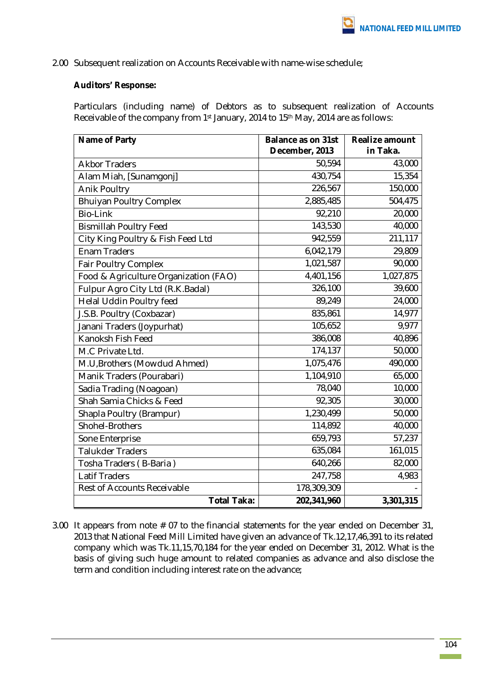2.00 Subsequent realization on Accounts Receivable with name-wise schedule;

# **Auditors' Response:**

Particulars (including name) of Debtors as to subsequent realization of Accounts Receivable of the company from 1<sup>st</sup> January, 2014 to 15<sup>th</sup> May, 2014 are as follows:

| <b>Name of Party</b>                  | <b>Balance as on 31st</b> | <b>Realize amount</b> |
|---------------------------------------|---------------------------|-----------------------|
|                                       | December, 2013            | in Taka.              |
| <b>Akbor Traders</b>                  | 50,594                    | 43,000                |
| Alam Miah, [Sunamgonj]                | 430,754                   | 15,354                |
| <b>Anik Poultry</b>                   | 226,567                   | 150,000               |
| <b>Bhuiyan Poultry Complex</b>        | 2,885,485                 | 504,475               |
| <b>Bio-Link</b>                       | 92,210                    | 20,000                |
| <b>Bismillah Poultry Feed</b>         | 143,530                   | 40,000                |
| City King Poultry & Fish Feed Ltd     | 942,559                   | 211,117               |
| <b>Enam Traders</b>                   | 6,042,179                 | 29,809                |
| <b>Fair Poultry Complex</b>           | 1,021,587                 | 90,000                |
| Food & Agriculture Organization (FAO) | 4,401,156                 | 1,027,875             |
| Fulpur Agro City Ltd (R.K.Badal)      | 326,100                   | 39,600                |
| <b>Helal Uddin Poultry feed</b>       | 89,249                    | 24,000                |
| J.S.B. Poultry (Coxbazar)             | 835,861                   | 14,977                |
| Janani Traders (Joypurhat)            | 105,652                   | 9,977                 |
| Kanoksh Fish Feed                     | 386,008                   | 40,896                |
| M.C Private Ltd.                      | 174,137                   | 50,000                |
| M.U, Brothers (Mowdud Ahmed)          | 1,075,476                 | 490,000               |
| Manik Traders (Pourabari)             | 1,104,910                 | 65,000                |
| Sadia Trading (Noagoan)               | 78,040                    | 10,000                |
| Shah Samia Chicks & Feed              | 92,305                    | 30,000                |
| Shapla Poultry (Brampur)              | 1,230,499                 | 50,000                |
| Shohel-Brothers                       | 114,892                   | 40,000                |
| Sone Enterprise                       | 659,793                   | 57,237                |
| <b>Talukder Traders</b>               | 635,084                   | 161,015               |
| Tosha Traders (B-Baria)               | 640,266                   | 82,000                |
| <b>Latif Traders</b>                  | 247,758                   | 4,983                 |
| Rest of Accounts Receivable           | 178,309,309               |                       |
| <b>Total Taka:</b>                    | 202,341,960               | 3,301,315             |

3.00 It appears from note # 07 to the financial statements for the year ended on December 31, 2013 that National Feed Mill Limited have given an advance of Tk.12,17,46,391 to its related company which was Tk.11,15,70,184 for the year ended on December 31, 2012. What is the basis of giving such huge amount to related companies as advance and also disclose the term and condition including interest rate on the advance;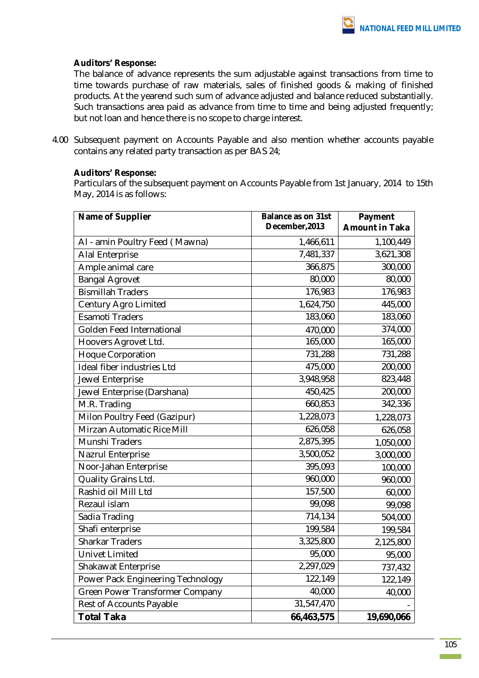# **Auditors' Response:**

The balance of advance represents the sum adjustable against transactions from time to time towards purchase of raw materials, sales of finished goods & making of finished products. At the yearend such sum of advance adjusted and balance reduced substantially. Such transactions area paid as advance from time to time and being adjusted frequently; but not loan and hence there is no scope to charge interest.

4.00 Subsequent payment on Accounts Payable and also mention whether accounts payable contains any related party transaction as per BAS 24;

# **Auditors' Response:**

Particulars of the subsequent payment on Accounts Payable from 1st January, 2014 to 15th May, 2014 is as follows:

| <b>Name of Supplier</b>           | <b>Balance as on 31st</b><br>December, 2013 | Payment<br><b>Amount in Taka</b> |
|-----------------------------------|---------------------------------------------|----------------------------------|
| Al - amin Poultry Feed (Mawna)    | 1,466,611                                   | 1,100,449                        |
| Alal Enterprise                   | 7,481,337                                   | 3,621,308                        |
| Ample animal care                 | 366,875                                     | 300,000                          |
| <b>Bangal Agrovet</b>             | 80,000                                      | 80,000                           |
| <b>Bismillah Traders</b>          | 176,983                                     | 176,983                          |
| Century Agro Limited              | 1,624,750                                   | 445,000                          |
| <b>Esamoti Traders</b>            | 183,060                                     | 183,060                          |
| Golden Feed International         | 470,000                                     | 374,000                          |
| Hoovers Agrovet Ltd.              | 165,000                                     | 165,000                          |
| <b>Hoque Corporation</b>          | 731,288                                     | 731,288                          |
| Ideal fiber industries Ltd        | 475,000                                     | 200,000                          |
| Jewel Enterprise                  | 3,948,958                                   | 823,448                          |
| Jewel Enterprise (Darshana)       | 450,425                                     | 200,000                          |
| M.R. Trading                      | 660,853                                     | 342,336                          |
| Milon Poultry Feed (Gazipur)      | 1,228,073                                   | 1,228,073                        |
| Mirzan Automatic Rice Mill        | 626,058                                     | 626,058                          |
| Munshi Traders                    | 2,875,395                                   | 1,050,000                        |
| Nazrul Enterprise                 | 3,500,052                                   | 3,000,000                        |
| Noor-Jahan Enterprise             | 395,093                                     | 100,000                          |
| Quality Grains Ltd.               | 960,000                                     | 960,000                          |
| Rashid oil Mill Ltd               | 157,500                                     | 60,000                           |
| Rezaul islam                      | 99,098                                      | 99,098                           |
| Sadia Trading                     | 714,134                                     | 504,000                          |
| Shafi enterprise                  | 199,584                                     | 199,584                          |
| <b>Sharkar Traders</b>            | 3,325,800                                   | 2,125,800                        |
| <b>Univet Limited</b>             | 95,000                                      | 95,000                           |
| Shakawat Enterprise               | 2,297,029                                   | 737,432                          |
| Power Pack Engineering Technology | 122,149                                     | 122,149                          |
| Green Power Transformer Company   | 40,000                                      | 40,000                           |
| Rest of Accounts Payable          | 31,547,470                                  |                                  |
| <b>Total Taka</b>                 | 66,463,575                                  | 19,690,066                       |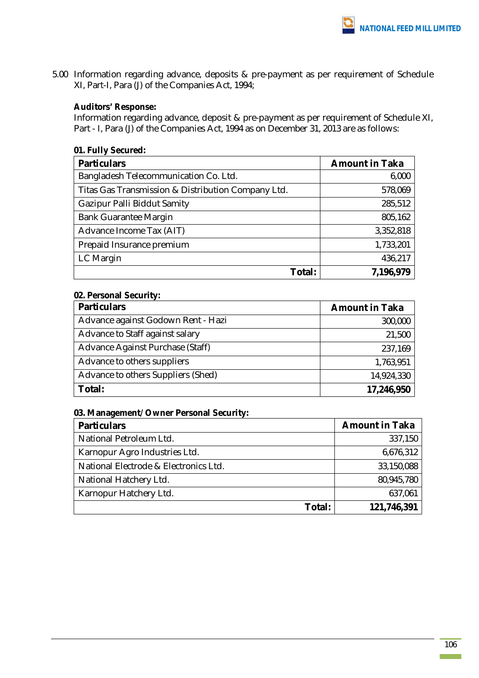5.00 Information regarding advance, deposits & pre-payment as per requirement of Schedule XI, Part-I, Para (J) of the Companies Act, 1994;

# **Auditors' Response:**

Information regarding advance, deposit & pre-payment as per requirement of Schedule XI, Part - I, Para (J) of the Companies Act, 1994 as on December 31, 2013 are as follows:

# **01. Fully Secured:**

| <b>Particulars</b>                                 | <b>Amount in Taka</b> |
|----------------------------------------------------|-----------------------|
| Bangladesh Telecommunication Co. Ltd.              | 6,000                 |
| Titas Gas Transmission & Distribution Company Ltd. | 578,069               |
| <b>Gazipur Palli Biddut Samity</b>                 | 285,512               |
| <b>Bank Guarantee Margin</b>                       | 805,162               |
| Advance Income Tax (AIT)                           | 3,352,818             |
| Prepaid Insurance premium                          | 1,733,201             |
| LC Margin                                          | 436,217               |
| Total:                                             | 7,196,979             |

# **02. Personal Security:**

| <b>Particulars</b>                 | <b>Amount in Taka</b> |
|------------------------------------|-----------------------|
| Advance against Godown Rent - Hazi | 300,000               |
| Advance to Staff against salary    | 21,500                |
| Advance Against Purchase (Staff)   | 237,169               |
| Advance to others suppliers        | 1,763,951             |
| Advance to others Suppliers (Shed) | 14,924,330            |
| Total:                             | 17,246,950            |

# **03. Management/ Owner Personal Security:**

| <b>Particulars</b>                    | <b>Amount in Taka</b> |
|---------------------------------------|-----------------------|
| National Petroleum Ltd.               | 337,150               |
| Karnopur Agro Industries Ltd.         | 6,676,312             |
| National Electrode & Electronics Ltd. | 33,150,088            |
| National Hatchery Ltd.                | 80,945,780            |
| Karnopur Hatchery Ltd.                | 637,061               |
| Total:                                | 121,746,391           |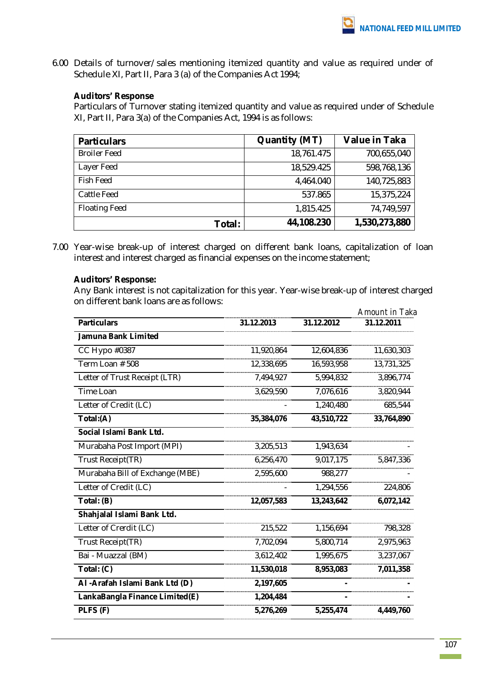6.00 Details of turnover/sales mentioning itemized quantity and value as required under of Schedule XI, Part II, Para 3 (a) of the Companies Act 1994;

# **Auditors' Response**

Particulars of Turnover stating itemized quantity and value as required under of Schedule XI, Part II, Para 3(a) of the Companies Act, 1994 is as follows:

| <b>Particulars</b>   | <b>Quantity (MT)</b> | <b>Value in Taka</b> |
|----------------------|----------------------|----------------------|
| <b>Broiler Feed</b>  | 18,761.475           | 700,655,040          |
| Layer Feed           | 18,529.425           | 598,768,136          |
| Fish Feed            | 4,464.040            | 140,725,883          |
| Cattle Feed          | 537.865              | 15,375,224           |
| <b>Floating Feed</b> | 1,815.425            | 74,749,597           |
| Total:               | 44,108.230           | 1,530,273,880        |

7.00 Year-wise break-up of interest charged on different bank loans, capitalization of loan interest and interest charged as financial expenses on the income statement;

# **Auditors' Response:**

Any Bank interest is not capitalization for this year. Year-wise break-up of interest charged on different bank loans are as follows:

|                                 |            | Amount in Taka |            |  |
|---------------------------------|------------|----------------|------------|--|
| <b>Particulars</b>              | 31.12.2013 | 31.12.2012     | 31.12.2011 |  |
| Jamuna Bank Limited             |            |                |            |  |
| CC Hypo #0387                   | 11,920,864 | 12,604,836     | 11,630,303 |  |
| Term Loan # 508                 | 12,338,695 | 16,593,958     | 13,731,325 |  |
| Letter of Trust Receipt (LTR)   | 7,494,927  | 5,994,832      | 3,896,774  |  |
| Time Loan                       | 3,629,590  | 7,076,616      | 3,820,944  |  |
| Letter of Credit (LC)           |            | 1,240,480      | 685,544    |  |
| Total:(A)                       | 35,384,076 | 43,510,722     | 33,764,890 |  |
| Social Islami Bank Ltd.         |            |                |            |  |
| Murabaha Post Import (MPI)      | 3,205,513  | 1,943,634      |            |  |
| Trust Receipt(TR)               | 6,256,470  | 9,017,175      | 5,847,336  |  |
| Murabaha Bill of Exchange (MBE) | 2,595,600  | 988,277        |            |  |
| Letter of Credit (LC)           |            | 1,294,556      | 224,806    |  |
| Total: (B)                      | 12,057,583 | 13,243,642     | 6,072,142  |  |
| Shahjalal Islami Bank Ltd.      |            |                |            |  |
| Letter of Crerdit (LC)          | 215,522    | 1,156,694      | 798,328    |  |
| Trust Receipt(TR)               | 7,702,094  | 5,800,714      | 2,975,963  |  |
| Bai - Muazzal (BM)              | 3,612,402  | 1,995,675      | 3,237,067  |  |
| Total: (C)                      | 11,530,018 | 8,953,083      | 7,011,358  |  |
| Al - Arafah Islami Bank Ltd (D) | 2,197,605  |                |            |  |
| LankaBangla Finance Limited(E)  | 1,204,484  |                |            |  |
| PLFS (F)                        | 5,276,269  | 5,255,474      | 4,449,760  |  |
|                                 |            |                |            |  |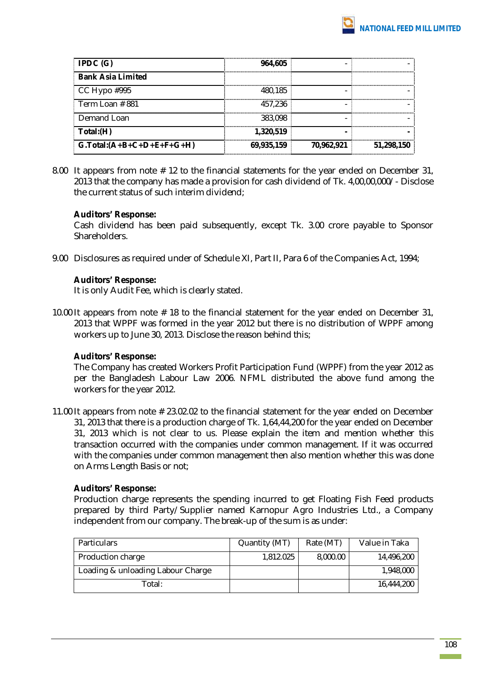

| IPDC(G)                     | 964,605    |            |            |
|-----------------------------|------------|------------|------------|
| <b>Bank Asia Limited</b>    |            |            |            |
| CC Hypo #995                | 480.185    |            |            |
| Term Loan $#$ 881           | 457.236    |            |            |
| Demand Loan                 | 383.098    |            |            |
| Total:(H)                   | 1,320,519  |            |            |
| $G.Total:(A+B+C+D+E+F+G+H)$ | 69,935,159 | 70,962,921 | 51,298,150 |

8.00 It appears from note #12 to the financial statements for the year ended on December 31, 2013 that the company has made a provision for cash dividend of Tk. 4,00,00,000/- Disclose the current status of such interim dividend;

## **Auditors' Response:**

Cash dividend has been paid subsequently, except Tk. 3.00 crore payable to Sponsor **Shareholders** 

9.00 Disclosures as required under of Schedule XI, Part II, Para 6 of the Companies Act, 1994;

# **Auditors' Response:**

It is only Audit Fee, which is clearly stated.

10.00 It appears from note # 18 to the financial statement for the year ended on December 31, 2013 that WPPF was formed in the year 2012 but there is no distribution of WPPF among workers up to June 30, 2013. Disclose the reason behind this;

# **Auditors' Response:**

The Company has created Workers Profit Participation Fund (WPPF) from the year 2012 as per the Bangladesh Labour Law 2006. NFML distributed the above fund among the workers for the year 2012.

11.00 It appears from note # 23.02.02 to the financial statement for the year ended on December 31, 2013 that there is a production charge of Tk. 1,64,44,200 for the year ended on December 31, 2013 which is not clear to us. Please explain the item and mention whether this transaction occurred with the companies under common management. If it was occurred with the companies under common management then also mention whether this was done on Arms Length Basis or not;

# **Auditors' Response:**

Production charge represents the spending incurred to get Floating Fish Feed products prepared by third Party/Supplier named Karnopur Agro Industries Ltd., a Company independent from our company. The break-up of the sum is as under:

| <b>Particulars</b>                | Quantity (MT) | Rate (MT) | Value in Taka |
|-----------------------------------|---------------|-----------|---------------|
| Production charge                 | 1,812.025     | 8,000.00  | 14,496,200    |
| Loading & unloading Labour Charge |               |           | 1.948.000     |
| Total:                            |               |           | 16,444,200    |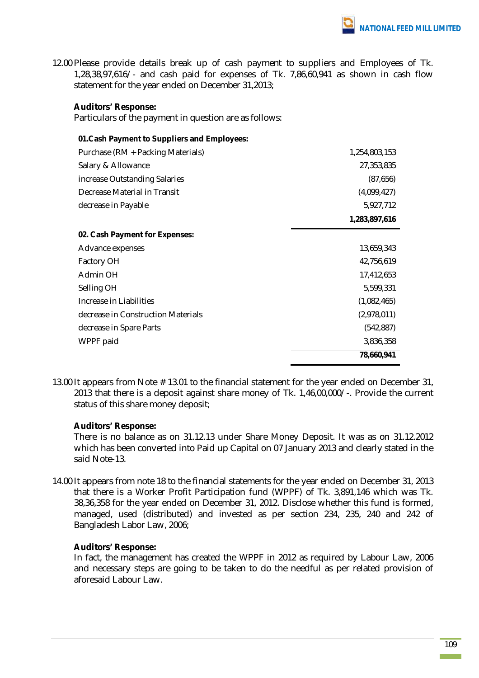12.00 Please provide details break up of cash payment to suppliers and Employees of Tk. 1,28,38,97,616/- and cash paid for expenses of Tk. 7,86,60,941 as shown in cash flow statement for the year ended on December 31,2013;

## **Auditors' Response:**

Particulars of the payment in question are as follows:

| 01. Cash Payment to Suppliers and Employees: |               |
|----------------------------------------------|---------------|
| Purchase (RM + Packing Materials)            | 1,254,803,153 |
| Salary & Allowance                           | 27,353,835    |
| increase Outstanding Salaries                | (87, 656)     |
| Decrease Material in Transit                 | (4,099,427)   |
| decrease in Payable                          | 5,927,712     |
|                                              | 1,283,897,616 |
| 02. Cash Payment for Expenses:               |               |
| Advance expenses                             | 13,659,343    |
| <b>Factory OH</b>                            | 42,756,619    |
| Admin OH                                     | 17,412,653    |
| Selling OH                                   | 5,599,331     |
| Increase in Liabilities                      | (1,082,465)   |
| decrease in Construction Materials           | (2,978,011)   |
| decrease in Spare Parts                      | (542, 887)    |
| WPPF paid                                    | 3,836,358     |
|                                              | 78,660,941    |

13.00 It appears from Note # 13.01 to the financial statement for the year ended on December 31, 2013 that there is a deposit against share money of Tk. 1,46,00,000/-. Provide the current status of this share money deposit;

## **Auditors' Response:**

There is no balance as on 31.12.13 under Share Money Deposit. It was as on 31.12.2012 which has been converted into Paid up Capital on 07 January 2013 and clearly stated in the said Note-13.

14.00 It appears from note 18 to the financial statements for the year ended on December 31, 2013 that there is a Worker Profit Participation fund (WPPF) of Tk. 3,891,146 which was Tk. 38,36,358 for the year ended on December 31, 2012. Disclose whether this fund is formed, managed, used (distributed) and invested as per section 234, 235, 240 and 242 of Bangladesh Labor Law, 2006;

## **Auditors' Response:**

In fact, the management has created the WPPF in 2012 as required by Labour Law, 2006 and necessary steps are going to be taken to do the needful as per related provision of aforesaid Labour Law.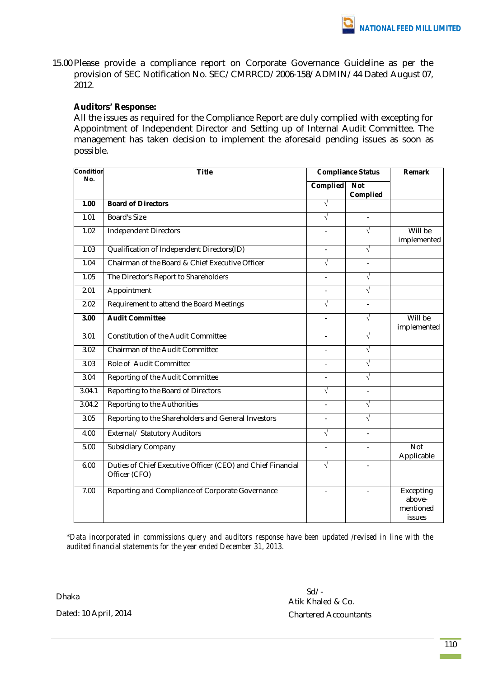15.00 Please provide a compliance report on Corporate Governance Guideline as per the provision of SEC Notification No. SEC/CMRRCD/2006-158/ADMIN/44 Dated August 07,  $2012.$ 

## **Auditors' Response:**

All the issues as required for the Compliance Report are duly complied with excepting for Appointment of Independent Director and Setting up of Internal Audit Committee. The management has taken decision to implement the aforesaid pending issues as soon as possible.

| <b>Condition</b> | <b>Title</b>                                                                 |                | <b>Compliance Status</b> | Remark                                     |
|------------------|------------------------------------------------------------------------------|----------------|--------------------------|--------------------------------------------|
| No.              |                                                                              | Complied       | <b>Not</b><br>Complied   |                                            |
| 1.00             | <b>Board of Directors</b>                                                    | $\sqrt{}$      |                          |                                            |
| 1.01             | <b>Board's Size</b>                                                          | $\sqrt{ }$     |                          |                                            |
| 1.02             | <b>Independent Directors</b>                                                 | ÷,             | $\sqrt{}$                | Will be<br>implemented                     |
| 1.03             | Qualification of Independent Directors(ID)                                   | ä,             | $\sqrt{}$                |                                            |
| 1.04             | Chairman of the Board & Chief Executive Officer                              | $\sqrt{}$      | $\overline{\phantom{a}}$ |                                            |
| 1.05             | The Director's Report to Shareholders                                        | ä,             | $\sqrt{}$                |                                            |
| 2.01             | Appointment                                                                  | ÷,             | $\sqrt{}$                |                                            |
| 2.02             | Requirement to attend the Board Meetings                                     | $\sqrt{}$      |                          |                                            |
| 3.00             | <b>Audit Committee</b>                                                       |                | $\sqrt{}$                | Will be<br>implemented                     |
| 3.01             | <b>Constitution of the Audit Committee</b>                                   | ä,             | $\sqrt{ }$               |                                            |
| 3.02             | Chairman of the Audit Committee                                              | ä,             | $\sqrt{}$                |                                            |
| 3.03             | Role of Audit Committee                                                      | ä,             | $\sqrt{}$                |                                            |
| 3.04             | Reporting of the Audit Committee                                             | $\overline{a}$ | $\sqrt{}$                |                                            |
| 3.04.1           | Reporting to the Board of Directors                                          | $\sqrt{}$      |                          |                                            |
| 3.04.2           | Reporting to the Authorities                                                 | ÷.             | $\sqrt{}$                |                                            |
| 3.05             | Reporting to the Shareholders and General Investors                          |                | $\sqrt{}$                |                                            |
| 4.00             | External/ Statutory Auditors                                                 | $\sqrt{}$      | $\overline{a}$           |                                            |
| 5.00             | <b>Subsidiary Company</b>                                                    |                |                          | <b>Not</b><br>Applicable                   |
| 6.00             | Duties of Chief Executive Officer (CEO) and Chief Financial<br>Officer (CFO) | $\sqrt{}$      |                          |                                            |
| 7.00             | Reporting and Compliance of Corporate Governance                             | ä,             |                          | Excepting<br>above-<br>mentioned<br>issues |

*\*Data incorporated in commissions query and auditors response have been updated /revised in line with the audited financial statements for the year ended December 31, 2013.* 

Dhaka Sd/- Atik Khaled & Co. Dated: 10 April, 2014 Chartered Accountants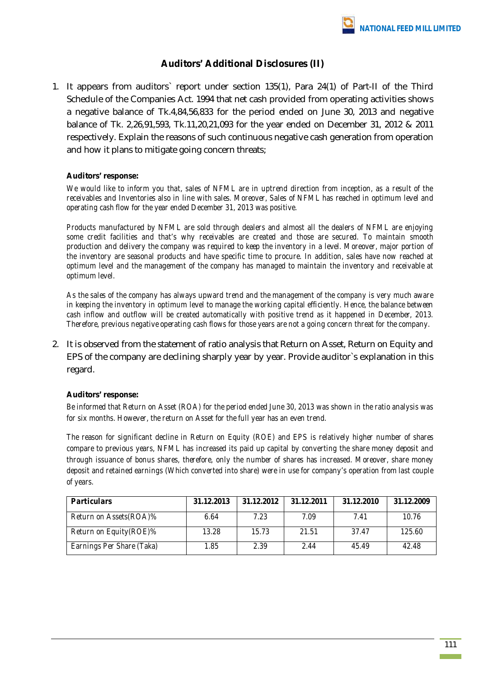# **Auditors' Additional Disclosures (II)**

1. It appears from auditors` report under section 135(1), Para 24(1) of Part-II of the Third Schedule of the Companies Act. 1994 that net cash provided from operating activities shows a negative balance of Tk.4,84,56,833 for the period ended on June 30, 2013 and negative balance of Tk. 2,26,91,593, Tk.11,20,21,093 for the year ended on December 31, 2012 & 2011 respectively. Explain the reasons of such continuous negative cash generation from operation and how it plans to mitigate going concern threats;

## **Auditors' response:**

*We would like to inform you that, sales of NFML are in uptrend direction from inception, as a result of the receivables and Inventories also in line with sales. Moreover, Sales of NFML has reached in optimum level and operating cash flow for the year ended December 31, 2013 was positive.* 

*Products manufactured by NFML are sold through dealers and almost all the dealers of NFML are enjoying some credit facilities and that's why receivables are created and those are secured. To maintain smooth production and delivery the company was required to keep the inventory in a level. Moreover, major portion of the inventory are seasonal products and have specific time to procure. In addition, sales have now reached at optimum level and the management of the company has managed to maintain the inventory and receivable at optimum level.* 

*As the sales of the company has always upward trend and the management of the company is very much aware in keeping the inventory in optimum level to manage the working capital efficiently. Hence, the balance between cash inflow and outflow will be created automatically with positive trend as it happened in December, 2013. Therefore, previous negative operating cash flows for those years are not a going concern threat for the company.*

2. It is observed from the statement of ratio analysis that Return on Asset, Return on Equity and EPS of the company are declining sharply year by year. Provide auditor`s explanation in this regard.

## **Auditors' response:**

*Be informed that Return on Asset (ROA) for the period ended June 30, 2013 was shown in the ratio analysis was for six months. However, the return on Asset for the full year has an even trend.* 

*The reason for significant decline in Return on Equity (ROE) and EPS is relatively higher number of shares compare to previous years, NFML has increased its paid up capital by converting the share money deposit and through issuance of bonus shares, therefore, only the number of shares has increased. Moreover, share money deposit and retained earnings (Which converted into share) were in use for company's operation from last couple of years.* 

| <b>Particulars</b>        | 31.12.2013 | 31.12.2012 | 31.12.2011 | 31.12.2010 | 31.12.2009 |
|---------------------------|------------|------------|------------|------------|------------|
| Return on Assets (ROA)%   | 6.64       | 7.23       | 7.09       | 7.41       | 10.76      |
| Return on Equity(ROE)%    | 13.28      | 15.73      | 21.51      | 37.47      | 125.60     |
| Earnings Per Share (Taka) | 1.85       | 2.39       | 2.44       | 45.49      | 42.48      |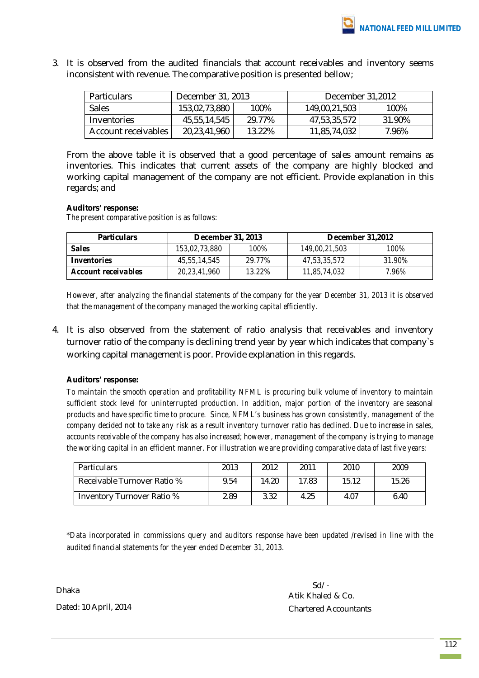3. It is observed from the audited financials that account receivables and inventory seems inconsistent with revenue. The comparative position is presented bellow;

| <b>Particulars</b>  | December 31, 2013 |        | December 31,2012 |        |  |  |
|---------------------|-------------------|--------|------------------|--------|--|--|
| Sales               | 153,02,73,880     | 100%   | 149,00,21,503    | 100%   |  |  |
| Inventories         | 45,55,14,545      | 29.77% | 47,53,35,572     | 31.90% |  |  |
| Account receivables | 20,23,41,960      | 13.22% | 11,85,74,032     | 7.96%  |  |  |

From the above table it is observed that a good percentage of sales amount remains as inventories. This indicates that current assets of the company are highly blocked and working capital management of the company are not efficient. Provide explanation in this regards; and

## **Auditors' response:**

*The present comparative position is as follows:*

| <b>Particulars</b>               | December 31, 2013 |        | December 31,2012 |        |  |  |  |
|----------------------------------|-------------------|--------|------------------|--------|--|--|--|
| <b>Sales</b>                     | 153,02,73,880     | 100%   | 149,00,21,503    | 100%   |  |  |  |
| <i><u><b>Inventories</b></u></i> | 45,55,14,545      | 29.77% | 47,53,35,572     | 31.90% |  |  |  |
| <b>Account receivables</b>       | 20,23,41,960      | 13.22% | 11,85,74,032     | 7.96%  |  |  |  |

*However, after analyzing the financial statements of the company for the year December 31, 2013 it is observed that the management of the company managed the working capital efficiently.*

4. It is also observed from the statement of ratio analysis that receivables and inventory turnover ratio of the company is declining trend year by year which indicates that company`s working capital management is poor. Provide explanation in this regards.

## **Auditors' response:**

*To maintain the smooth operation and profitability NFML is procuring bulk volume of inventory to maintain sufficient stock level for uninterrupted production. In addition, major portion of the inventory are seasonal products and have specific time to procure. Since, NFML's business has grown consistently, management of the company decided not to take any risk as a result inventory turnover ratio has declined. Due to increase in sales, accounts receivable of the company has also increased; however, management of the company is trying to manage the working capital in an efficient manner. For illustration we are providing comparative data of last five years:* 

| <b>Particulars</b>          | 2013 | 2012  | 2011  | 2010  | 2009  |
|-----------------------------|------|-------|-------|-------|-------|
| Receivable Turnover Ratio % | 9.54 | 14.20 | 17.83 | 15.12 | 15.26 |
| Inventory Turnover Ratio %  | 2.89 | 3.32  | 4.25  | 4.07  | 6.40  |

*\*Data incorporated in commissions query and auditors response have been updated /revised in line with the audited financial statements for the year ended December 31, 2013.* 

Dhaka Sd/- Atik Khaled & Co. Dated: 10 April, 2014 Chartered Accountants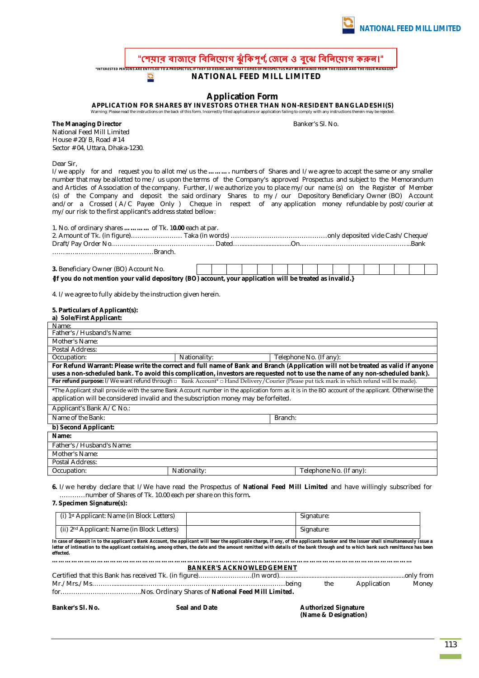| "শেয়ার বাজারে বিনিয়োগ ঝুঁকিপূর্ণ,জেনে ও বুঝে বিনিয়োগ করুন।"                                                                                            |  |
|-----------------------------------------------------------------------------------------------------------------------------------------------------------|--|
| "INTERESTED PERSONS ARE ENTITLED TO A PROSPECTUS. IF THEY SO DESIRE. AND THAT COPIES OF PROSPECTUS MAY BE OBTAINED FROM THE ISSUER AND THE ISSUE MANAGER" |  |
| <b>NATIONAL FEED MILL LIMITED</b>                                                                                                                         |  |

#### **Application Form**

**APPLICATION FOR SHARES BY INVESTORS OTHER THAN NON-RESIDENT BANGLADESHI(S)** Warning: Please read the instructions on the back of this form. Incorrectly filled applications or application failing to comply with any instructions therein may be rejected.

#### **The Managing Director**

Banker's Sl. No.

National Feed Mill Limited House # 20/B, Road # 14 Sector # 04, Uttara, Dhaka-1230.

Dear Sir,

I/we apply for and request you to allot me/us the **……….** numbers of Shares and I/we agree to accept the same or any smaller number that may be allotted to me / us upon the terms of the Company's approved Prospectus and subject to the Memorandum and Articles of Association of the company. Further, I/we authorize you to place my/our name (s) on the Register of Member (s) of the Company and deposit the said ordinary Shares to my / our Depository Beneficiary Owner (BO) Account and/or a Crossed ( A/C Payee Only ) Cheque in respect of any application money refundable by post/courier at my/our risk to the first applicant's address stated bellow:

| 1. No. of ordinary shares  of Tk. 10.00 each at par. |  |  |
|------------------------------------------------------|--|--|
|                                                      |  |  |
|                                                      |  |  |
|                                                      |  |  |

| 3. Beneficiary Owner (BO) Account No.                                                                    |  |  |  |  |  |  |  |  |
|----------------------------------------------------------------------------------------------------------|--|--|--|--|--|--|--|--|
| {If you do not mention your valid depository (BO) account, your application will be treated as invalid.} |  |  |  |  |  |  |  |  |

4. I/we agree to fully abide by the instruction given herein.

#### **5. Particulars of Applicant(s):**

|  |  | a) Sole/First Applicant: |
|--|--|--------------------------|
|--|--|--------------------------|

| Nationality:                                                                                                                      |         | Telephone No. (If any):                                                                                                                                                                                                                    |  |  |  |
|-----------------------------------------------------------------------------------------------------------------------------------|---------|--------------------------------------------------------------------------------------------------------------------------------------------------------------------------------------------------------------------------------------------|--|--|--|
| For Refund Warrant: Please write the correct and full name of Bank and Branch (Application will not be treated as valid if anyone |         |                                                                                                                                                                                                                                            |  |  |  |
|                                                                                                                                   |         | uses a non-scheduled bank. To avoid this complication, investors are requested not to use the name of any non-scheduled bank).                                                                                                             |  |  |  |
|                                                                                                                                   |         |                                                                                                                                                                                                                                            |  |  |  |
|                                                                                                                                   |         | *The Applicant shall provide with the same Bank Account number in the application form as it is in the BO account of the applicant. Otherwise the                                                                                          |  |  |  |
|                                                                                                                                   |         |                                                                                                                                                                                                                                            |  |  |  |
|                                                                                                                                   |         |                                                                                                                                                                                                                                            |  |  |  |
|                                                                                                                                   | Branch: |                                                                                                                                                                                                                                            |  |  |  |
|                                                                                                                                   |         |                                                                                                                                                                                                                                            |  |  |  |
|                                                                                                                                   |         |                                                                                                                                                                                                                                            |  |  |  |
|                                                                                                                                   |         |                                                                                                                                                                                                                                            |  |  |  |
|                                                                                                                                   |         |                                                                                                                                                                                                                                            |  |  |  |
|                                                                                                                                   |         |                                                                                                                                                                                                                                            |  |  |  |
| Nationality:                                                                                                                      |         | Telephone No. (If any):                                                                                                                                                                                                                    |  |  |  |
|                                                                                                                                   |         | For refund purpose: I/We want refund through $\Box$ Bank Account* $\Box$ Hand Delivery/Courier (Please put tick mark in which refund will be made).<br>application will be considered invalid and the subscription money may be forfeited. |  |  |  |

**6.** I/we hereby declare that I/We have read the Prospectus of **National Feed Mill Limited** and have willingly subscribed for …………number of Shares of Tk. 10.00 each per share on this form**.**

#### **7. Specimen Signature(s):**

| (i) 1 <sup>st</sup> Applicant: Name (in Block Letters)                                                                                                                                                                                                                                                                                                                          |                                 | Signature: |             |       |
|---------------------------------------------------------------------------------------------------------------------------------------------------------------------------------------------------------------------------------------------------------------------------------------------------------------------------------------------------------------------------------|---------------------------------|------------|-------------|-------|
| (ii) 2 <sup>nd</sup> Applicant: Name (in Block Letters)                                                                                                                                                                                                                                                                                                                         |                                 | Signature: |             |       |
| In case of deposit in to the applicant's Bank Account, the applicant will bear the applicable charge, if any, of the applicants banker and the issuer shall simultaneously issue a<br>letter of intimation to the applicant containing, among others, the date and the amount remitted with details of the bank through and to which bank such remittance has been<br>effected. |                                 |            |             |       |
|                                                                                                                                                                                                                                                                                                                                                                                 |                                 |            |             |       |
|                                                                                                                                                                                                                                                                                                                                                                                 | <b>BANKER'S ACKNOWLEDGEMENT</b> |            |             |       |
|                                                                                                                                                                                                                                                                                                                                                                                 |                                 |            |             |       |
|                                                                                                                                                                                                                                                                                                                                                                                 |                                 | the        | Application | Money |

**Banker's Sl. No. Seal and Date Authorized Signature (Name & Designation)**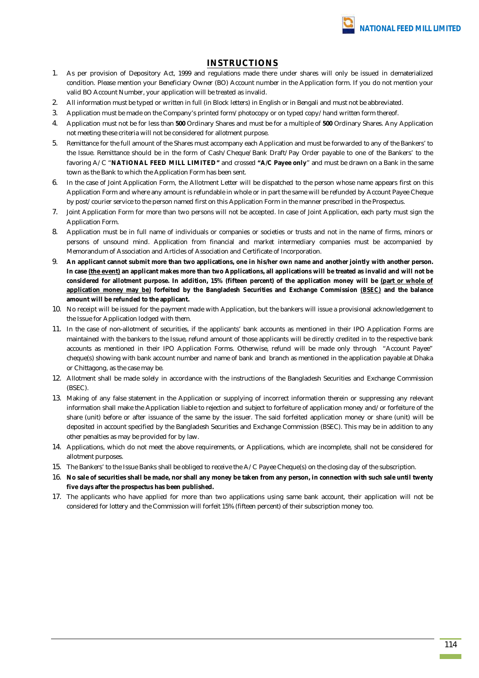### **INSTRUCTIONS**

- 1. As per provision of Depository Act, 1999 and regulations made there under shares will only be issued in dematerialized condition. Please mention your Beneficiary Owner (BO) Account number in the Application form. If you do not mention your valid BO Account Number, your application will be treated as invalid.
- 2. All information must be typed or written in full (in Block letters) in English or in Bengali and must not be abbreviated.
- 3. Application must be made on the Company's printed form/photocopy or on typed copy/hand written form thereof.
- 4. Application must not be for less than **500** Ordinary Shares and must be for a multiple of **500** Ordinary Shares. Any Application not meeting these criteria will not be considered for allotment purpose.
- 5. Remittance for the full amount of the Shares must accompany each Application and must be forwarded to any of the Bankers' to the Issue. Remittance should be in the form of Cash/Cheque/Bank Draft/Pay Order payable to one of the Bankers' to the favoring A/C "**NATIONAL FEED MILL LIMITED"** and crossed **"A/C Payee only**" and must be drawn on a Bank in the same town as the Bank to which the Application Form has been sent.
- 6. In the case of Joint Application Form, the Allotment Letter will be dispatched to the person whose name appears first on this Application Form and where any amount is refundable in whole or in part the same will be refunded by Account Payee Cheque by post/courier service to the person named first on this Application Form in the manner prescribed in the Prospectus.
- 7. Joint Application Form for more than two persons will not be accepted. In case of Joint Application, each party must sign the Application Form.
- 8. Application must be in full name of individuals or companies or societies or trusts and not in the name of firms, minors or persons of unsound mind. Application from financial and market intermediary companies must be accompanied by Memorandum of Association and Articles of Association and Certificate of Incorporation.
- 9. **An applicant cannot submit more than two applications, one in his/her own name and another jointly with another person. In case (the event) an applicant makes more than two Applications, all applications will be treated as invalid and will not be considered for allotment purpose. In addition, 15% (fifteen percent) of the application money will be (part or whole of application money may be) forfeited by the Bangladesh Securities and Exchange Commission** *(BSEC)* **and the balance amount will be refunded to the applicant.**
- 10. No receipt will be issued for the payment made with Application, but the bankers will issue a provisional acknowledgement to the Issue for Application lodged with them.
- 11. In the case of non-allotment of securities, if the applicants' bank accounts as mentioned in their IPO Application Forms are maintained with the bankers to the Issue, refund amount of those applicants will be directly credited in to the respective bank accounts as mentioned in their IPO Application Forms. Otherwise, refund will be made only through "Account Payee" cheque(s) showing with bank account number and name of bank and branch as mentioned in the application payable at Dhaka or Chittagong, as the case may be.
- 12. Allotment shall be made solely in accordance with the instructions of the Bangladesh Securities and Exchange Commission (BSEC).
- 13. Making of any false statement in the Application or supplying of incorrect information therein or suppressing any relevant information shall make the Application liable to rejection and subject to forfeiture of application money and/or forfeiture of the share (unit) before or after issuance of the same by the issuer. The said forfeited application money or share (unit) will be deposited in account specified by the Bangladesh Securities and Exchange Commission (BSEC). This may be in addition to any other penalties as may be provided for by law.
- 14. Applications, which do not meet the above requirements, or Applications, which are incomplete, shall not be considered for allotment purposes.
- 15. The Bankers' to the Issue Banks shall be obliged to receive the A/C Payee Cheque(s) on the closing day of the subscription.
- 16. **No sale of securities shall be made, nor shall any money be taken from any person, in connection with such sale until twenty five days after the prospectus has been published.**
- 17. The applicants who have applied for more than two applications using same bank account, their application will not be considered for lottery and the Commission will forfeit 15% (fifteen percent) of their subscription money too.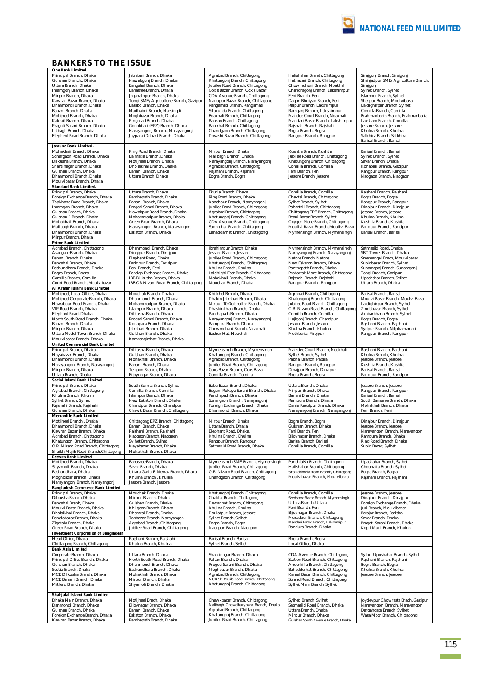# **BANKERS TO THE ISSUE**

| One Bank Limited                                                                                                                                                                                                                                                                                                                                                                 |                                                                                                                                                                                                                                                                                                                                                                                               |                                                                                                                                                                                                                                                                                                                                                                                                                                      |                                                                                                                                                                                                                                                                                                                                                                                                   |                                                                                                                                                                                                                                                                                                                                                                                                         |
|----------------------------------------------------------------------------------------------------------------------------------------------------------------------------------------------------------------------------------------------------------------------------------------------------------------------------------------------------------------------------------|-----------------------------------------------------------------------------------------------------------------------------------------------------------------------------------------------------------------------------------------------------------------------------------------------------------------------------------------------------------------------------------------------|--------------------------------------------------------------------------------------------------------------------------------------------------------------------------------------------------------------------------------------------------------------------------------------------------------------------------------------------------------------------------------------------------------------------------------------|---------------------------------------------------------------------------------------------------------------------------------------------------------------------------------------------------------------------------------------------------------------------------------------------------------------------------------------------------------------------------------------------------|---------------------------------------------------------------------------------------------------------------------------------------------------------------------------------------------------------------------------------------------------------------------------------------------------------------------------------------------------------------------------------------------------------|
| Principal Branch, Dhaka<br>Gulshan Branch., Dhaka<br>Uttara Branch, Dhaka<br>Imamgonj Branch. Dhaka<br>Mirpur Branch, Dhaka<br>Kawran Bazar Branch, Dhaka<br>Dhanmondi Branch. Dhaka<br>Banani Branch, Dhaka<br>Motijheel Branch, Dhaka<br>Kakrail Branch, Dhaka<br>Pragoti Sarani Branch, Dhaka<br>Lalbagh Branch, Dhaka<br>Elephent Road Branch, Dhaka<br>Jamuna Bank Limited. | Jatrabari Branch, Dhaka<br>Nawabqonj Branch, Dhaka<br>Bangshal Branch, Dhaka<br>Banasree Branch, Dhaka<br>Jaganathpur Branch, Dhaka<br>Tongi SME/Agriculture Branch, Gazipur<br>Basabo Branch, Dhaka<br>Madhabdi Branch, Narsingdi<br>Moghbazar Branch, Dhaka<br>Ringroad Branch, Dhaka<br>Gonokbari (EPZ) Branch, Dhaka<br>Narayangonj Branch., Narayangonj<br>Joypara (Dohar) Branch, Dhaka | Agrabad Branch, Chittagong<br>Khatungonj Branch, Chittagong<br>Jubilee Road Branch, Chittagong<br>Cox's Bazar Branch, Cox's Bazar<br>CDA Avenue Branch, Chittagong<br>Nanupur Bazar Branch, Chittagong<br>Rangamati Branch, Rangamati<br>Sitakunda Branch, Chittagong<br>Boakhali Branch, Chittagong<br>Raozan Branch, Chittagong<br>Ranirhat Branch, Chittagong<br>Chandgaon Branch, Chittagong<br>Dovashi Bazar Branch, Chittagong | Halishahar Branch, Chittagong<br>Hathazari Branch, Chittagong<br>Chowmuhuni Branch, Noakhali<br>Chandragonj Branch, Lakshimpur<br>Feni Branch, Feni<br>Dagon Bhuiyan Branch, Feni<br>Raipur Branch, Lakshimpur<br>Ramganj Branch, Lakshimpur<br>Maijdee Court Branch, Noakhali<br>Mandari Bazar Branch, Lakshimpur<br>Rajshahi Branch, Rajshahi<br>Bogra Branch, Bogra<br>Rangpur Branch, Rangpur | Sirajgonj Branch, Sirajgonj<br>Shahjadpur SME/Agriculture Branch,<br>Sirajgonj<br>Sylhet Branch, Sylhet<br>Islampur Branch, Sylhet<br>Sherpur Branch, Moulvibazar<br>Laldighirpar Branch, Sylhet<br>Comilla Branch, Comilla<br>Brahmanbaria Branch, Brahmanbaria<br>Laksham Branch, Comilla<br>Jessore Branch, Jessore<br>Khulna Branch, Khulna<br>Satkhira Branch, Satkhira<br>Barisal Branch, Barisal |
| Mohakhali Branch, Dhaka<br>Sonargaon Road Branch, Dhaka<br>Dilkusha Branch, Dhaka<br>Shantinagar Branch, Dhaka<br>Gulshan Branch, Dhaka<br>Dhanmondi Branch, Dhaka<br>Moulvibazar Branch, Dhaka<br><b>Standard Bank Limited.</b>                                                                                                                                                 | Ring Road Branch, Dhaka<br>Lalmatia Branch, Dhaka<br>Motijheel Branch, Dhaka<br>Dholaikhal Branch, Dhaka<br>Banani Branch, Dhaka<br>Uttara Branch, Dhaka                                                                                                                                                                                                                                      | Mirpur Branch, Dhaka<br>Malibagh Branch, Dhaka<br>Narayangonj Branch, Narayangonj<br>Agrabad Branch, Chittagong<br>Rajshahi Branch, Rajshahi<br>Bogra Branch, Bogra                                                                                                                                                                                                                                                                  | Kushtia Branch, Kushtia<br>Jubilee Road Branch, Chittagong<br>Khatungonj Branch. Chittagong<br>Comilla Branch, Comilla<br>Feni Branch, Feni<br>Jessore Branch, Jessore                                                                                                                                                                                                                            | Barisal Branch, Barisal<br>Sylhet Branch, Sylhet<br>Savar Branch, Dhaka<br>Konabari Branch, Gazipur<br>Rangpur Branch, Rangpur<br>Naogaon Branch, Naogaon                                                                                                                                                                                                                                               |
| Principal Branch, Dhaka<br>Foreign Exchange Branch, Dhaka<br>Topkhana Road Branch, Dhaka<br>Imamgonj Branch, Dhaka<br>Gulshan Branch, Dhaka<br>Gulshan-1 Branch, Dhaka<br>Mohakhali Branch, Dhaka<br>Malibagh Branch, Dhaka<br>Dhanmondi Branch, Dhaka<br>Mirpur Branch, Dhaka                                                                                                   | Uttara Branch, Dhaka<br>Panthapath Branch, Dhaka<br>Banani Branch, Dhaka<br>Pragoti Sarani Branch, Dhaka<br>Nawabpur Road Branch, Dhaka<br>Mohammadpur Branch, Dhaka<br>Green Road Branch, Dhaka<br>Narayangonj Branch, Narayangonj<br>Eskaton Branch, Dhaka                                                                                                                                  | Ekuria Branch, Dhaka<br>Ring Road Branch, Dhaka<br>Kanchpur Branch, Narayangonj<br>Jubilee Road Branch, Chittagong<br>Agrabad Branch, Chittagong<br>Khatungonj Branch, Chittagong<br>CDA Avenue Branch, Chittagong<br>Sadarghat Branch, Chittagong<br>Bahaddarhat Branch, Chittagong                                                                                                                                                 | Comilla Branch, Comilla<br>Chaktai Branch, Chittagong<br>Sylhet Branch, Sylhet<br>Pahartali Branch, Chittagong<br>Chittagong EPZ Branch, Chittagong<br>Beani Bazar Branch, Sylhet<br>Oxygen More Branch, Chittagong<br>Moulivi Bazar Branch, Moulivi Bazar<br>Mymensingh Branch, Mymensingh                                                                                                       | Rajshahi Branch, Rajshahi<br>Bogra Branch, Bogra<br>Rangpur Branch, Rangpur<br>Dinajpur Branch, Dinajpur<br>Jessore Branch, Jessore<br>Khulna Branch, Khulna<br>Kushtia Branch, Kushtia<br>Faridpur Branch, Faridpur<br>Barisal Branch, Barisal                                                                                                                                                         |
| <b>Prime Bank Limited</b><br>Agrabad Branch, Chittagong<br>Asadqate Branch, Dhaka<br>Banani Branch, Dhaka<br>Bangshal Branch, Dhaka<br>Bashundhara Branch, Dhaka<br>Bogra Branch, Bogra<br>Comilla Branch, Comilla<br>Court Road Branch, Moulvibazar                                                                                                                             | Dhanmondi Branch, Dhaka<br>Dinajpur Branch, Dinajpur<br>Elephant Road, Dhaka<br>Faridpur Branch, Faridpur<br>Feni Branch, Feni<br>Foreign Exchange Branch, Dhaka<br>IBB Dilkusha Branch, Dhaka<br>IBB OR Nizam Road Branch, Chittagong                                                                                                                                                        | Ibrahimpur Branch, Dhaka<br>Jessore Branch, Jessore<br>Jubilee Road Branch, Chittagong<br>Khatungonj Branch, Chittagong<br>Khulna Branch, Khulna<br>Laldhighi East Branch, Chittagong<br>Mohakhali Branch, Dhaka<br>Mouchak Branch, Dhaka                                                                                                                                                                                            | Mymensingh Branch, Mymensingh<br>Narayangonj Branch, Narayangonj<br>Natore Branch, Natore<br>New Eskaton Branch, Dhaka<br>Panthapath Branch, Dhaka<br>Prabartak More Branch, Chittagong<br>Rajshahi Branch, Rajshahi<br>Rangpur Branch, Rangpur                                                                                                                                                   | Satmasjid Road, Dhaka<br>SBC Tower Branch, Dhaka<br>Sreemangal Brach, Moulvibazar<br>Subidbazar Branch, Sylhet<br>Sunamganj Branch, Sunamganj<br>Tongi Branch, Gazipur<br>Upashshar Branch, Sylhet<br>Uttara Branch, Dhaka                                                                                                                                                                              |
| Al Arafah Islami Bank Limited<br>Motiiheel, Local Office, Dhaka<br>Motijheel Corporate Branch, Dhaka<br>Nawabpur Road Branch, Dhaka<br>VIP Road Branch, Dhaka<br>Elephant Road, Dhaka<br>North South Road Branch, Dhaka<br>Banani Branch, Dhaka<br>Mirpur Branch, Dhaka<br>Uttara Model Town Branch, Dhaka<br>Moulvibazar Branch, Dhaka<br><b>United Commercial Bank Limited</b> | Mouchak Branch, Dhaka<br>Dhanmondi Branch, Dhaka<br>Mohammadpur Branch, Dhaka<br>Islampur Branch, Dhaka<br>Dilkusha Branch, Dhaka<br>Progati Sarani Branch, Dhaka<br>Konapara Branch, Dhaka<br>Jatrabari Branch, Dhaka<br>Gulshan Branch, Dhaka<br>Kamrangirchar Branch, Dhaka                                                                                                                | Khilkhet Branch, Dhaka<br>Dhakin Jatrabari Branch, Dhaka<br>Mirpur-10 Golchattar Branch, Dhaka<br>Dhaskinkhan Branch, Dhaka<br>Panthapath Branch, Dhaka<br>Narayangonj Branch, Narayangonj<br>Rampura Branch, Dhaka<br>Chowmohani Branch, Noakhali<br>Bashur Hat, Noakhali                                                                                                                                                           | Agrabad Branch, Chittagong<br>Khatungonj Branch, Chittagong<br>Jubilee Road Branch, Chittagong<br>O.R. Nizam Road Branch, Chittagong<br>Comilla Branch, Comilla<br>Hajigonj Branch, Chandpur<br>Jessore Branch, Jessore<br>Khulna Branch, Khulna<br>Mothbaria, Pirojpur                                                                                                                           | Barisal Branch, Barisal<br>Moulvi Bazar Branch, Moulvi Bazar<br>Laldighirpar Branch, Sylhet<br>Zindabazar Branch, Sylhet<br>Ambarkhana Branch, Sylhet<br>Bogra Branch, Bogra<br>Rajshahi Branch, Rajshahi<br>Sydpur Branch, Nilphamamari<br>Rangpur Branch, Rangpur                                                                                                                                     |
| Principal Branch, Dhaka.<br>Nayabazar Branch, Dhaka<br>Dhanmondi Branch, Dhaka<br>Narayangonj Branch, Narayangonj<br>Mirpur Branch, Dhaka<br>Uttara Branch, Dhaka<br>Social Islami Bank Limited                                                                                                                                                                                  | Dilkusha Branch, Dhaka<br>Gulshan Branch, Dhaka<br>Mohakhali Branch, Dhaka<br>Banani Branch, Dhaka<br>Tejgaon Branch, Dhaka<br>Bijoynagar Branch, Dhaka                                                                                                                                                                                                                                       | Mymensingh Branch, Mymensingh<br>Khatungonj Branch, Chittagong<br>Agrabad Branch, Chittagong<br>Jubilee Road Branch, Chittagong<br>Coxs Bazar Branch, Coxs Bazar<br>Comilla Branch, Comilla                                                                                                                                                                                                                                          | Maizdee Court Branch, Noakhali<br>Sylhet Branch, Sylhet<br>Pabna Branch, Pabna<br>Rangpur Branch, Rangpur<br>Dinajpur Branch, Dinajpur<br>Bogra Branch, Bogra                                                                                                                                                                                                                                     | Rajshahi Branch, Rajshahi<br>Khulna Branch, Khulna<br>Jessore Branch, Jessore<br>Kushtia Branch, Kushtia<br>Barisal Branch, Barisal<br>Faridpur Branch, Faridpur                                                                                                                                                                                                                                        |
| Principal Branch, Dhaka<br>Agrabad Branch, Chittagong<br>Khulna Branch, Khulna<br>Sylhet Branch, Sylhet<br>Rajshahi Branch, Rajshahi<br>Gulshan Branch, Dhaka<br><b>Mercantile Bank Limited</b>                                                                                                                                                                                  | South Surma Branch, Sylhet<br>Comilla Branch, Comilla<br>Islampur Branch, Dhaka<br>New Eskaton Branch, Dhaka<br>Chandpur Branch, Chandpur<br>Chawk Bazar Branch, Chittagong                                                                                                                                                                                                                   | Babu Bazar Branch, Dhaka<br>Begum Rokeya Sarani Branch, Dhaka<br>Panthapath Branch, Dhaka<br>Sonargaon Branch, Narayangonj<br>Foreign Exchange Branch, Dhaka<br>Dhanmondi Branch, Dhaka                                                                                                                                                                                                                                              | Uttara Branch, Dhaka<br>Mirpur Branch, Dhaka<br>Banani Branch, Dhaka<br>Rampura Branch, Dhaka<br>Dania Rasulpur Branch, Dhaka<br>Narayangonj Branch, Narayangonj                                                                                                                                                                                                                                  | Jessore Branch, Jessore<br>Rangpur Branch, Rangpur<br>Barisal Branch, Barisal<br>South Banasree Branch, Dhaka<br>Mohakhali Branch. Dhaka<br>Feni Branch, Feni                                                                                                                                                                                                                                           |
| Motijheel Branch, Dhaka<br>Dhanmondi Branch, Dhaka<br>Kawran Bazar Branch, Dhaka<br>Agrabad Branch, Chittagong<br>Khatungonj Branch, Chittagong<br>O.R. Nizam Road Branch, Chittagong<br>Shaikh Mujib Road Branch, Chittagong<br><b>Eastern Bank Limited</b>                                                                                                                     | Chittagong EPZ Branch, Chittagong<br>Banani Branch, Dhaka<br>Rajshahi Branch, Rajshahi<br>Naogaon Branch, Naogaon<br>Sylhet Branch, Sylhet<br>Nayabazar Branch, Dhaka<br>Mohakhali Branch, Dhaka                                                                                                                                                                                              | Mirpur Branch, Dhaka<br>Uttara Branch, Dhaka<br>Elephant Road, Dhaka.<br>Khulna Branch, Khulna<br>Rangpur Branch, Rangpur<br>Satmasjid Road Branch, Dhaka                                                                                                                                                                                                                                                                            | Bogra Branch, Bogra<br>Gulshan Branch, Dhaka<br>Feni Branch, Feni<br>Bijoynagar Branch, Dhaka<br>Barisal Branch, Barisal<br>Comilla Branch, Comilla                                                                                                                                                                                                                                               | Dinajpur Branch, Dinajpur<br>Jessore Branch, Jessore<br>Narayangonj Branch, Narayangonj<br>Rampura Branch, Dhaka<br>Ring Road Branch, Dhaka<br>Subid Bazar, Sylhet                                                                                                                                                                                                                                      |
| Motijheel Branch, Dhaka<br>Shyamoli Branch, Dhaka<br>Bashundhara, Dhaka<br>Moghbazar Branch, Dhaka<br>Narayangonj Branch, Narayangonj<br><b>Bangladesh Commerce Bank Limited</b>                                                                                                                                                                                                 | Banasree Branch, Dhaka<br>Savar Branch, Dhaka<br>Uttara Garib-E-Newaz Branch, Dhaka<br>Khulna Branch, Khulna<br>Jessore Branch, Jessore                                                                                                                                                                                                                                                       | Mymensingh SME Branch, Mymensingh<br>Jubilee Road Branch, Chittagong<br>O.R. Nizam Road Branch, Chittagong<br>Chandgaon Branch, Chittagong                                                                                                                                                                                                                                                                                           | Panchlaish Branch, Chittagong<br>Halishahar Branch, Chittagong<br>Sirajuddowla Road Branch, Chittagong<br>Moulvibazar Branch, Moulvibazar                                                                                                                                                                                                                                                         | Upashahar Branch, Sylhet<br>Chouhatta Branch, Sylhet<br>Bogra Branch, Bogra<br>Rajshahi Branch, Rajshahi                                                                                                                                                                                                                                                                                                |
| Principal Branch, Dhaka<br>Dilkusha Branch, Dhaka<br>Bangshal Branh, Dhaka<br>Moulvi Bazar Branch, Dhaka<br>Dholaikhal Branch, Dhaka<br>Banglabazar Branch, Dhaka<br>Zigatola Branch, Dhaka<br>Green Road Branch, Dhaka<br><b>Investment Corporation of Bangladesh</b>                                                                                                           | Mouchak Branch, Dhaka<br>Mirpur Branch, Dhaka<br>Gulshan Branch, Dhaka<br>Khilgaon Branch, Dhaka<br>Dhamrai Branch, Dhaka<br>Tanbazar Branch, Narayangon<br>Agrabad Branch, Chittagong<br>Jubilee Road Branch, Chittagong                                                                                                                                                                     | Khatungonj Branch, Chittagong<br>Chaktai Branch, Chittagong<br>Dewanhat Branch, Chittagong<br>Khulna Branch, Khulna<br>Doulatpur Branch, Jessore<br>Sylhet Branch, Sylhet<br>Bogra Branch, Bogra<br>Naogaon Branch, Naogaon                                                                                                                                                                                                          | Comilla Branch, Comilla<br>Seedstore Bazar Branch, Mymensingh<br>Uttara Branch, Uttara<br>Feni Branch, Feni<br>Bijoynagar Branch, Dhaka<br>Muradpur Branch, Chittagong<br>Mandari Bazar Branch, Lakshmipur<br>Bandura Branch, Dhaka                                                                                                                                                               | Jessore Branch, Jessore<br>Dinajpur Branch, Dinajpur<br>Foreign Exchange Branch, Dhaka<br>Juri Branch, Moulvibazar<br>Batajor Branch, Barishal<br>Savar Branch, Dhaka<br>Pragati Sarani Branch, Dhaka<br>Kopil Muni Branch, Khulna                                                                                                                                                                      |
| Head Office, Dhaka<br>Chittagong Branch, Chittagong                                                                                                                                                                                                                                                                                                                              | Rajshahi Branch, Rajshahi<br>Khulna Branch, Khulna                                                                                                                                                                                                                                                                                                                                            | Barisal Branch, Barisal<br>Sylhet Branch, Sylhet                                                                                                                                                                                                                                                                                                                                                                                     | Bogra Branch, Bogra<br>Local Office, Dhaka                                                                                                                                                                                                                                                                                                                                                        |                                                                                                                                                                                                                                                                                                                                                                                                         |
| <b>Bank Asia Limited</b><br>Corporate Branch, Dhaka<br>Principal Office Branch, Dhaka<br>Gulshan Branch, Dhaka<br>Scotia Branch, Dhaka<br>MCB Dilkusha Branch, Dhaka<br>MCB Banani Branch, Dhaka<br>Mitford Branch, Dhaka                                                                                                                                                        | Uttara Branch, Dhaka<br>North South Road Branch, Dhaka<br>Dhanmondi Branch, Dhaka<br>Bashundhara Branch, Dhaka<br>Mohakhali Branch, Dhaka<br>Mirpur Branch, Dhaka<br>Shyamoli Branch, Dhaka                                                                                                                                                                                                   | Shantinagar Branch, Dhaka<br>Paltan Branch, Dhaka<br>Progoti Sarani Branch, Dhaka<br>Moghbazar Branch, Dhaka<br>Agrabad Branch, Chittagong<br>MCB Sk. Mujib Road Branch, Chittagong<br>Khatunganj Branch, Chittagong                                                                                                                                                                                                                 | CDA Avenue Branch, Chittagong<br>Station Road Branch, Chittagong<br>Anderkilla Branch, Chittagong<br>Bahadderhat Branch, Chittagong<br>Kamal Bazar Branch, Chittagong<br>Strand Road Branch, Chittagong<br>Sylhet Main Branch, Sylhet                                                                                                                                                             | Sylhet Uposhahar Branch, Sylhet<br>Rajshahi Branch, Rajshahi<br>Bogra Branch, Bogra<br>Khulna Branch, Khulna<br>Jessore Branch, Jessore                                                                                                                                                                                                                                                                 |
| Shahjalal Islami Bank Limited<br>Dhaka Main Branch, Dhaka<br>Danmondi Branch, Dhaka<br>Gulshan Branch, Dhaka<br>Foreign Exchange Branch, Dhaka<br>Kawran Bazar Branch, Dhaka                                                                                                                                                                                                     | Motijheel Brach, Dhaka<br>Bijoynagar Branch, Dhaka<br>Banani Branch, Dhaka<br>Eskaton Branch, Dhaka<br>Panthapath Branch, Dhaka                                                                                                                                                                                                                                                               | Chawkbazar Branch, Chittagong.<br>Malibagh Chowdhurypara Branch, Dhaka<br>Agrabad Branch, Chittagong<br>Khatunganj Branch, Chittagong<br>Jubilee Road Branch, Chittagong                                                                                                                                                                                                                                                             | Sylhet Branch, Sylhet<br>Satmasjid Road Branch, Dhaka<br>Uttara Branch, Dhaka<br>Mirpur Branch, Dhaka<br>Gulshan South Avenue Branch, Dhaka                                                                                                                                                                                                                                                       | Joydevpur Chowrasta Brach, Gazipur<br>Narayangonj Branch, Narayangonj<br>Dargahgate Branch, Sylhet<br>Wasa Moor Branch, Chittagong                                                                                                                                                                                                                                                                      |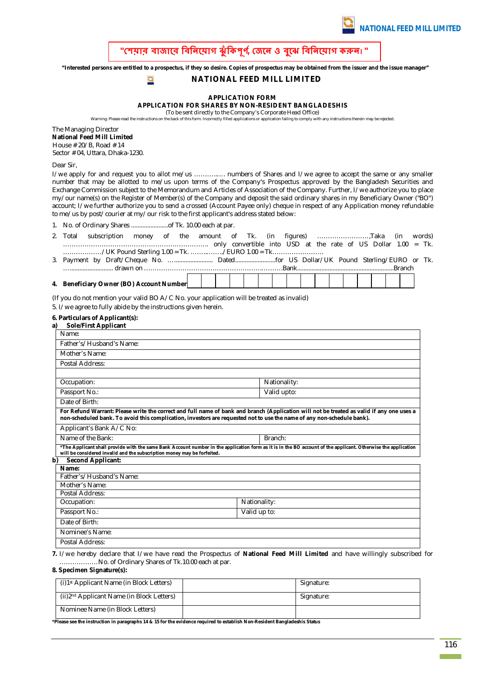# **"ĺশয়ার বাজাের িবিনেয়াগ ঝুঁ িকপূণŪ, ĺজেন ও বুেঝ িবিনেয়াগ ক˙ন। "**

**"Interested persons are entitled to a prospectus, if they so desire. Copies of prospectus may be obtained from the issuer and the issue manager"**

**NATIONAL FEED MILL LIMITED**

#### **APPLICATION FORM**

**APPLICATION FOR SHARES BY NON-RESIDENT BANGLADESHIS**

(To be sent directly to the Company's Corporate Head Office)

Warning: Please read the instructions on the back of this form. Incorrectly filled applications or application failing to comply with any instructions therein may be rejected.

#### The Managing Director **National Feed Mill Limited** House # 20/B, Road # 14

Sector # 04, Uttara, Dhaka-1230.

#### Dear Sir,

I/we apply for and request you to allot me/us ………..…. numbers of Shares and I/we agree to accept the same or any smaller number that may be allotted to me/us upon terms of the Company's Prospectus approved by the Bangladesh Securities and Exchange Commission subject to the Memorandum and Articles of Association of the Company. Further, I/we authorize you to place my/our name(s) on the Register of Member(s) of the Company and deposit the said ordinary shares in my Beneficiary Owner ("BO") account; I/we further authorize you to send a crossed (Account Payee only) cheque in respect of any Application money refundable to me/us by post/courier at my/our risk to the first applicant's address stated below:

1. No. of Ordinary Shares .......................of Tk. 10.00 each at par.

|  | 2. Total subscription money of the amount of Tk. (in figures) Taka (in words) |  |  |  |  |  |  |  |  |  |
|--|-------------------------------------------------------------------------------|--|--|--|--|--|--|--|--|--|
|  |                                                                               |  |  |  |  |  |  |  |  |  |
|  |                                                                               |  |  |  |  |  |  |  |  |  |

3. Payment by Draft/Cheque No. …........................ Dated.........................for US Dollar/UK Pound Sterling/EURO or Tk. …........................... drawn on ……………………………………………….……….Bank............................................................Branch

#### **4. Beneficiary Owner (BO) Account Number**

(If you do not mention your valid BO A/C No. your application will be treated as invalid)

5. I/we agree to fully abide by the instructions given herein.

#### **6. Particulars of Applicant(s):**

| <b>Sole/First Applicant</b><br>a)                                                                                                                                                                                                                                   |              |              |  |  |  |
|---------------------------------------------------------------------------------------------------------------------------------------------------------------------------------------------------------------------------------------------------------------------|--------------|--------------|--|--|--|
| Name:                                                                                                                                                                                                                                                               |              |              |  |  |  |
| Father's/Husband's Name:                                                                                                                                                                                                                                            |              |              |  |  |  |
| Mother's Name:                                                                                                                                                                                                                                                      |              |              |  |  |  |
| Postal Address:                                                                                                                                                                                                                                                     |              |              |  |  |  |
|                                                                                                                                                                                                                                                                     |              |              |  |  |  |
| Occupation:                                                                                                                                                                                                                                                         |              | Nationality: |  |  |  |
| Passport No.:                                                                                                                                                                                                                                                       |              | Valid upto:  |  |  |  |
| Date of Birth:                                                                                                                                                                                                                                                      |              |              |  |  |  |
| For Refund Warrant: Please write the correct and full name of bank and branch (Application will not be treated as valid if any one uses a<br>non-scheduled bank. To avoid this complication, investors are requested not to use the name of any non-schedule bank). |              |              |  |  |  |
| Applicant's Bank A/C No:                                                                                                                                                                                                                                            |              |              |  |  |  |
| Name of the Bank:                                                                                                                                                                                                                                                   |              | Branch:      |  |  |  |
| *The Applicant shall provide with the same Bank Account number in the application form as it is in the BO account of the applicant. Otherwise the application<br>will be considered invalid and the subscription money may be forfeited.                            |              |              |  |  |  |
| <b>Second Applicant:</b><br>b)                                                                                                                                                                                                                                      |              |              |  |  |  |
| Name:                                                                                                                                                                                                                                                               |              |              |  |  |  |
| Father's/Husband's Name:                                                                                                                                                                                                                                            |              |              |  |  |  |
| Mother's Name:                                                                                                                                                                                                                                                      |              |              |  |  |  |
| Postal Address:                                                                                                                                                                                                                                                     |              |              |  |  |  |
| Nationality:<br>Occupation:                                                                                                                                                                                                                                         |              |              |  |  |  |
| Passport No.:                                                                                                                                                                                                                                                       | Valid up to: |              |  |  |  |
| Date of Birth:                                                                                                                                                                                                                                                      |              |              |  |  |  |
| Nominee's Name:                                                                                                                                                                                                                                                     |              |              |  |  |  |
| Postal Address:                                                                                                                                                                                                                                                     |              |              |  |  |  |

**7.** I/we hereby declare that I/we have read the Prospectus of **National Feed Mill Limited** and have willingly subscribed for ………………No. of Ordinary Shares of Tk.10.00 each at par.

## **8. Specimen Signature(s):**

| (i) 1 <sup>st</sup> Applicant Name (in Block Letters) | Signature: |
|-------------------------------------------------------|------------|
| (ii)2 <sup>nd</sup> Applicant Name (in Block Letters) | Signature: |
| Nominee Name (in Block Letters)                       |            |

**\*Please see the instruction in paragraphs 14 & 15 for the evidence required to establish Non-Resident Bangladeshis Status**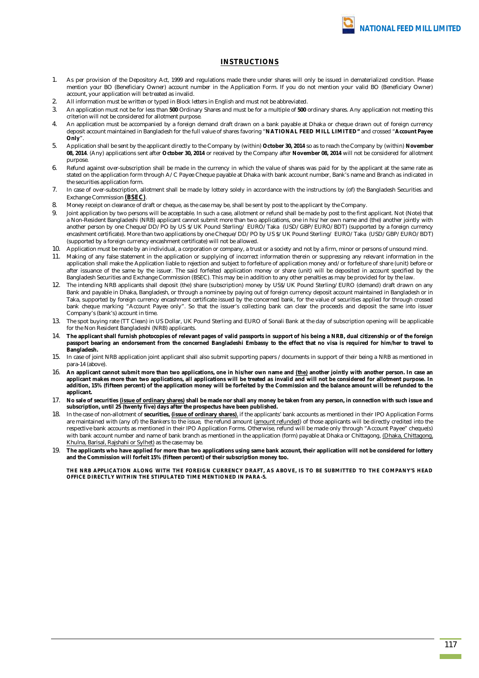#### **INSTRUCTIONS**

- 1. As per provision of the Depository Act, 1999 and regulations made there under shares will only be issued in dematerialized condition. Please mention your BO (Beneficiary Owner) account number in the Application Form. If you do not mention your valid BO (Beneficiary Owner) account, your application will be treated as invalid.
- 2. All information must be written or typed in Block letters in English and must not be abbreviated.
- 3. An application must not be for less than **500** Ordinary Shares and must be for a multiple of **500** ordinary shares. Any application not meeting this criterion will not be considered for allotment purpose.
- 4. An application must be accompanied by a foreign demand draft drawn on a bank payable at Dhaka or cheque drawn out of foreign currency deposit account maintained in Bangladesh for the full value of shares favoring "**NATIONAL FEED MILL LIMITED"** and crossed "**Account Payee Only**".
- 5. Application shall be sent by the applicant directly to the Company by (within) **October 30, 2014** so as to reach the Company by (within) **November 08, 2014**. (Any) applications sent after **October 30, 2014** or received by the Company after **November 08, 2014** will not be considered for allotment purpose.
- 6. Refund against over-subscription shall be made in the currency in which the value of shares was paid for by the applicant at the same rate as stated on the application form through A/C Payee Cheque payable at Dhaka with bank account number, Bank's name and Branch as indicated in the securities application form.
- 7. In case of over-subscription, allotment shall be made by lottery solely in accordance with the instructions by (of) the Bangladesh Securities and Exchange Commission *(BSEC)*.
- 8. Money receipt on clearance of draft or cheque, as the case may be, shall be sent by post to the applicant by the Company.
- Joint application by two persons will be acceptable. In such a case, allotment or refund shall be made by post to the first applicant. Not (Note) that a Non-Resident Bangladeshi (NRB) applicant cannot submit more than two applications, one in his/her own name and (the) another jointly with another person by one Cheque/DD/PO by US \$/UK Pound Sterling/ EURO/Taka (USD/GBP/EURO/BDT) (supported by a foreign currency encashment certificate). More than two applications by one Cheque/DD/PO by US \$/UK Pound Sterling/ EURO/Taka (USD/GBP/EURO/BDT) (supported by a foreign currency encashment certificate) will not be allowed.
- 10. Application must be made by an individual, a corporation or company, a trust or a society and not by a firm, minor or persons of unsound mind.<br>11. Making of any false statement in the application or supplying of incorr Making of any false statement in the application or supplying of incorrect information therein or suppressing any relevant information in the application shall make the Application liable to rejection and subject to forfeiture of application money and/or forfeiture of share (unit) before or after issuance of the same by the issuer. The said forfeited application money or share (unit) will be deposited in account specified by the Bangladesh Securities and Exchange Commission (BSEC). This may be in addition to any other penalties as may be provided for by the law.
- 12. The intending NRB applicants shall deposit (the) share (subscription) money by US\$/UK Pound Sterling/EURO (demand) draft drawn on any Bank and payable in Dhaka, Bangladesh, or through a nominee by paying out of foreign currency deposit account maintained in Bangladesh or in Taka, supported by foreign currency encashment certificate issued by the concerned bank, for the value of securities applied for through crossed bank cheque marking "Account Payee only". So that the issuer's collecting bank can clear the proceeds and deposit the same into issuer Company's (bank's) account in time.
- 13. The spot buying rate (TT Clean) in US Dollar, UK Pound Sterling and EURO of Sonali Bank at the day of subscription opening will be applicable for the Non Resident Bangladeshi (NRB) applicants.
- 14. **The applicant shall furnish photocopies of relevant pages of valid passports in support of his being a NRB, dual citizenship or of the foreign passport bearing an endorsement from the concerned Bangladeshi Embassy to the effect that no visa is required for him/her to travel to Bangladesh.**
- 15. In case of joint NRB application joint applicant shall also submit supporting papers /documents in support of their being a NRB as mentioned in para-14 (above).
- 16. **An applicant cannot submit more than two applications, one in his/her own name and (the) another jointly with another person. In case an applicant makes more than two applications, all applications will be treated as invalid and will not be considered for allotment purpose. In addition, 15% (fifteen percent) of the application money will be forfeited by the Commission and the balance amount will be refunded to the applicant.**
- 17. No sale of securities <u>(issue of ordinary shares)</u> shall be made nor shall any money be taken from any person, in connection with such issue and<br>subscription, until 25 (twenty five) days after the prospectus have been
- 18. In the case of non-allotment of **securities, (issue of ordinary shares)**, if the applicants' bank accounts as mentioned in their IPO Application Forms are maintained with (any of) the Bankers to the issue, the refund amount (amount refunded) of those applicants will be directly credited into the respective bank accounts as mentioned in their IPO Application Forms. Otherwise, refund will be made only through "Account Payee" cheque(s) with bank account number and name of bank branch as mentioned in the application (form) payable at Dhaka or Chittagong, (Dhaka, Chittagong, Khulna, Barisal, Rajshahi or Sylhet) as the case may be.
- 19. **The applicants who have applied for more than two applications using same bank account, their application will not be considered for lottery and the Commission will forfeit 15% (fifteen percent) of their subscription money too.**

**THE NRB APPLICATION ALONG WITH THE FOREIGN CURRENCY DRAFT, AS ABOVE, IS TO BE SUBMITTED TO THE COMPANY'S HEAD OFFICE DIRECTLY WITHIN THE STIPULATED TIME MENTIONED IN PARA-5.**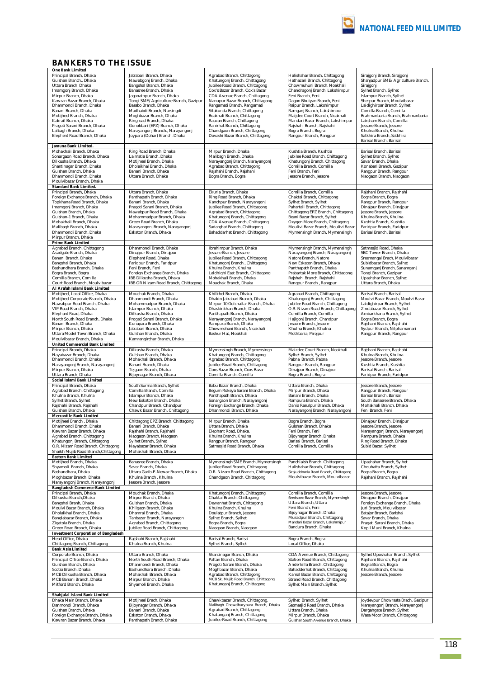# **BANKERS TO THE ISSUE**

| One Bank Limited                                                                                                                                                                                                                                                                                                                                                                 |                                                                                                                                                                                                                                                                                                                                                                                               |                                                                                                                                                                                                                                                                                                                                                                                                                                      |                                                                                                                                                                                                                                                                                                                                                                                                   |                                                                                                                                                                                                                                                                                                                                                                                                         |
|----------------------------------------------------------------------------------------------------------------------------------------------------------------------------------------------------------------------------------------------------------------------------------------------------------------------------------------------------------------------------------|-----------------------------------------------------------------------------------------------------------------------------------------------------------------------------------------------------------------------------------------------------------------------------------------------------------------------------------------------------------------------------------------------|--------------------------------------------------------------------------------------------------------------------------------------------------------------------------------------------------------------------------------------------------------------------------------------------------------------------------------------------------------------------------------------------------------------------------------------|---------------------------------------------------------------------------------------------------------------------------------------------------------------------------------------------------------------------------------------------------------------------------------------------------------------------------------------------------------------------------------------------------|---------------------------------------------------------------------------------------------------------------------------------------------------------------------------------------------------------------------------------------------------------------------------------------------------------------------------------------------------------------------------------------------------------|
| Principal Branch, Dhaka<br>Gulshan Branch., Dhaka<br>Uttara Branch, Dhaka<br>Imamgonj Branch. Dhaka<br>Mirpur Branch, Dhaka<br>Kawran Bazar Branch, Dhaka<br>Dhanmondi Branch. Dhaka<br>Banani Branch, Dhaka<br>Motijheel Branch, Dhaka<br>Kakrail Branch, Dhaka<br>Pragoti Sarani Branch, Dhaka<br>Lalbagh Branch, Dhaka<br>Elephent Road Branch, Dhaka<br>Jamuna Bank Limited. | Jatrabari Branch, Dhaka<br>Nawabqonj Branch, Dhaka<br>Bangshal Branch, Dhaka<br>Banasree Branch, Dhaka<br>Jaganathpur Branch, Dhaka<br>Tongi SME/Agriculture Branch, Gazipur<br>Basabo Branch, Dhaka<br>Madhabdi Branch, Narsingdi<br>Moghbazar Branch, Dhaka<br>Ringroad Branch, Dhaka<br>Gonokbari (EPZ) Branch, Dhaka<br>Narayangonj Branch., Narayangonj<br>Joypara (Dohar) Branch, Dhaka | Agrabad Branch, Chittagong<br>Khatungonj Branch, Chittagong<br>Jubilee Road Branch, Chittagong<br>Cox's Bazar Branch, Cox's Bazar<br>CDA Avenue Branch, Chittagong<br>Nanupur Bazar Branch, Chittagong<br>Rangamati Branch, Rangamati<br>Sitakunda Branch, Chittagong<br>Boakhali Branch, Chittagong<br>Raozan Branch, Chittagong<br>Ranirhat Branch, Chittagong<br>Chandgaon Branch, Chittagong<br>Dovashi Bazar Branch, Chittagong | Halishahar Branch, Chittagong<br>Hathazari Branch, Chittagong<br>Chowmuhuni Branch, Noakhali<br>Chandragonj Branch, Lakshimpur<br>Feni Branch, Feni<br>Dagon Bhuiyan Branch, Feni<br>Raipur Branch, Lakshimpur<br>Ramganj Branch, Lakshimpur<br>Maijdee Court Branch, Noakhali<br>Mandari Bazar Branch, Lakshimpur<br>Rajshahi Branch, Rajshahi<br>Bogra Branch, Bogra<br>Rangpur Branch, Rangpur | Sirajgonj Branch, Sirajgonj<br>Shahjadpur SME/Agriculture Branch,<br>Sirajgonj<br>Sylhet Branch, Sylhet<br>Islampur Branch, Sylhet<br>Sherpur Branch, Moulvibazar<br>Laldighirpar Branch, Sylhet<br>Comilla Branch, Comilla<br>Brahmanbaria Branch, Brahmanbaria<br>Laksham Branch, Comilla<br>Jessore Branch, Jessore<br>Khulna Branch, Khulna<br>Satkhira Branch, Satkhira<br>Barisal Branch, Barisal |
| Mohakhali Branch, Dhaka<br>Sonargaon Road Branch, Dhaka<br>Dilkusha Branch, Dhaka<br>Shantinagar Branch, Dhaka<br>Gulshan Branch, Dhaka<br>Dhanmondi Branch, Dhaka<br>Moulvibazar Branch, Dhaka<br><b>Standard Bank Limited.</b>                                                                                                                                                 | Ring Road Branch, Dhaka<br>Lalmatia Branch, Dhaka<br>Motijheel Branch, Dhaka<br>Dholaikhal Branch, Dhaka<br>Banani Branch, Dhaka<br>Uttara Branch, Dhaka                                                                                                                                                                                                                                      | Mirpur Branch, Dhaka<br>Malibagh Branch, Dhaka<br>Narayangonj Branch, Narayangonj<br>Agrabad Branch, Chittagong<br>Rajshahi Branch, Rajshahi<br>Bogra Branch, Bogra                                                                                                                                                                                                                                                                  | Kushtia Branch, Kushtia<br>Jubilee Road Branch, Chittagong<br>Khatungonj Branch. Chittagong<br>Comilla Branch, Comilla<br>Feni Branch, Feni<br>Jessore Branch, Jessore                                                                                                                                                                                                                            | Barisal Branch, Barisal<br>Sylhet Branch, Sylhet<br>Savar Branch, Dhaka<br>Konabari Branch, Gazipur<br>Rangpur Branch, Rangpur<br>Naogaon Branch, Naogaon                                                                                                                                                                                                                                               |
| Principal Branch, Dhaka<br>Foreign Exchange Branch, Dhaka<br>Topkhana Road Branch, Dhaka<br>Imamgonj Branch, Dhaka<br>Gulshan Branch, Dhaka<br>Gulshan-1 Branch, Dhaka<br>Mohakhali Branch, Dhaka<br>Malibagh Branch, Dhaka<br>Dhanmondi Branch, Dhaka<br>Mirpur Branch, Dhaka                                                                                                   | Uttara Branch, Dhaka<br>Panthapath Branch, Dhaka<br>Banani Branch, Dhaka<br>Pragoti Sarani Branch, Dhaka<br>Nawabpur Road Branch, Dhaka<br>Mohammadpur Branch, Dhaka<br>Green Road Branch, Dhaka<br>Narayangonj Branch, Narayangonj<br>Eskaton Branch, Dhaka                                                                                                                                  | Ekuria Branch, Dhaka<br>Ring Road Branch, Dhaka<br>Kanchpur Branch, Narayangonj<br>Jubilee Road Branch, Chittagong<br>Agrabad Branch, Chittagong<br>Khatungonj Branch, Chittagong<br>CDA Avenue Branch, Chittagong<br>Sadarghat Branch, Chittagong<br>Bahaddarhat Branch, Chittagong                                                                                                                                                 | Comilla Branch, Comilla<br>Chaktai Branch, Chittagong<br>Sylhet Branch, Sylhet<br>Pahartali Branch, Chittagong<br>Chittagong EPZ Branch, Chittagong<br>Beani Bazar Branch, Sylhet<br>Oxygen More Branch, Chittagong<br>Moulivi Bazar Branch, Moulivi Bazar<br>Mymensingh Branch, Mymensingh                                                                                                       | Rajshahi Branch, Rajshahi<br>Bogra Branch, Bogra<br>Rangpur Branch, Rangpur<br>Dinajpur Branch, Dinajpur<br>Jessore Branch, Jessore<br>Khulna Branch, Khulna<br>Kushtia Branch, Kushtia<br>Faridpur Branch, Faridpur<br>Barisal Branch, Barisal                                                                                                                                                         |
| <b>Prime Bank Limited</b><br>Agrabad Branch, Chittagong<br>Asadgate Branch, Dhaka<br>Banani Branch, Dhaka<br>Bangshal Branch, Dhaka<br>Bashundhara Branch, Dhaka<br>Bogra Branch, Bogra<br>Comilla Branch, Comilla<br>Court Road Branch, Moulvibazar<br>Al Arafah Islami Bank Limited                                                                                            | Dhanmondi Branch, Dhaka<br>Dinajpur Branch, Dinajpur<br>Elephant Road, Dhaka<br>Faridpur Branch, Faridpur<br>Feni Branch, Feni<br>Foreign Exchange Branch, Dhaka<br>IBB Dilkusha Branch, Dhaka<br>IBB OR Nizam Road Branch, Chittagong                                                                                                                                                        | Ibrahimpur Branch, Dhaka<br>Jessore Branch, Jessore<br>Jubilee Road Branch, Chittagong<br>Khatungonj Branch, Chittagong<br>Khulna Branch, Khulna<br>Laldhighi East Branch, Chittagong<br>Mohakhali Branch, Dhaka<br>Mouchak Branch, Dhaka                                                                                                                                                                                            | Mymensingh Branch, Mymensingh<br>Narayangonj Branch, Narayangonj<br>Natore Branch, Natore<br>New Eskaton Branch, Dhaka<br>Panthapath Branch, Dhaka<br>Prabartak More Branch, Chittagong<br>Rajshahi Branch, Rajshahi<br>Rangpur Branch, Rangpur                                                                                                                                                   | Satmasjid Road, Dhaka<br>SBC Tower Branch, Dhaka<br>Sreemangal Brach, Moulvibazar<br>Subidbazar Branch, Sylhet<br>Sunamganj Branch, Sunamganj<br>Tongi Branch, Gazipur<br>Upashshar Branch, Sylhet<br>Uttara Branch, Dhaka                                                                                                                                                                              |
| Motiiheel, Local Office, Dhaka<br>Motijheel Corporate Branch, Dhaka<br>Nawabpur Road Branch, Dhaka<br>VIP Road Branch, Dhaka<br>Elephant Road, Dhaka<br>North South Road Branch, Dhaka<br>Banani Branch, Dhaka<br>Mirpur Branch, Dhaka<br>Uttara Model Town Branch, Dhaka<br>Moulvibazar Branch, Dhaka<br><b>United Commercial Bank Limited</b>                                  | Mouchak Branch, Dhaka<br>Dhanmondi Branch, Dhaka<br>Mohammadpur Branch, Dhaka<br>Islampur Branch, Dhaka<br>Dilkusha Branch, Dhaka<br>Progati Sarani Branch, Dhaka<br>Konapara Branch, Dhaka<br>Jatrabari Branch, Dhaka<br>Gulshan Branch, Dhaka<br>Kamrangirchar Branch, Dhaka                                                                                                                | Khilkhet Branch, Dhaka<br>Dhakin Jatrabari Branch, Dhaka<br>Mirpur-10 Golchattar Branch, Dhaka<br>Dhaskinkhan Branch, Dhaka<br>Panthapath Branch, Dhaka<br>Narayangonj Branch, Narayangonj<br>Rampura Branch, Dhaka<br>Chowmohani Branch, Noakhali<br>Bashur Hat, Noakhali                                                                                                                                                           | Agrabad Branch, Chittagong<br>Khatungonj Branch, Chittagong<br>Jubilee Road Branch, Chittagong<br>O.R. Nizam Road Branch, Chittagong<br>Comilla Branch, Comilla<br>Hajigonj Branch, Chandpur<br>Jessore Branch, Jessore<br>Khulna Branch, Khulna<br>Mothbaria, Pirojpur                                                                                                                           | Barisal Branch, Barisal<br>Moulvi Bazar Branch, Moulvi Bazar<br>Laldighirpar Branch, Sylhet<br>Zindabazar Branch, Sylhet<br>Ambarkhana Branch, Sylhet<br>Bogra Branch, Bogra<br>Rajshahi Branch, Rajshahi<br>Sydpur Branch, Nilphamamari<br>Rangpur Branch, Rangpur                                                                                                                                     |
| Principal Branch, Dhaka.<br>Nayabazar Branch, Dhaka<br>Dhanmondi Branch, Dhaka<br>Narayangonj Branch, Narayangonj<br>Mirpur Branch, Dhaka<br>Uttara Branch, Dhaka<br>Social Islami Bank Limited                                                                                                                                                                                  | Dilkusha Branch, Dhaka<br>Gulshan Branch, Dhaka<br>Mohakhali Branch, Dhaka<br>Banani Branch, Dhaka<br>Tejgaon Branch, Dhaka<br>Bijoynagar Branch, Dhaka                                                                                                                                                                                                                                       | Mymensingh Branch, Mymensingh<br>Khatungonj Branch, Chittagong<br>Agrabad Branch, Chittagong<br>Jubilee Road Branch, Chittagong<br>Coxs Bazar Branch, Coxs Bazar<br>Comilla Branch, Comilla                                                                                                                                                                                                                                          | Maizdee Court Branch, Noakhali<br>Sylhet Branch, Sylhet<br>Pabna Branch, Pabna<br>Rangpur Branch, Rangpur<br>Dinajpur Branch, Dinajpur<br>Bogra Branch, Bogra                                                                                                                                                                                                                                     | Rajshahi Branch, Rajshahi<br>Khulna Branch, Khulna<br>Jessore Branch, Jessore<br>Kushtia Branch, Kushtia<br>Barisal Branch, Barisal<br>Faridpur Branch, Faridpur                                                                                                                                                                                                                                        |
| Principal Branch, Dhaka<br>Agrabad Branch, Chittagong<br>Khulna Branch, Khulna<br>Sylhet Branch, Sylhet<br>Rajshahi Branch, Rajshahi<br>Gulshan Branch, Dhaka<br><b>Mercantile Bank Limited</b>                                                                                                                                                                                  | South Surma Branch, Sylhet<br>Comilla Branch, Comilla<br>Islampur Branch, Dhaka<br>New Eskaton Branch, Dhaka<br>Chandpur Branch, Chandpur<br>Chawk Bazar Branch, Chittagong                                                                                                                                                                                                                   | Babu Bazar Branch, Dhaka<br>Begum Rokeya Sarani Branch, Dhaka<br>Panthapath Branch, Dhaka<br>Sonargaon Branch, Narayangonj<br>Foreign Exchange Branch, Dhaka<br>Dhanmondi Branch, Dhaka                                                                                                                                                                                                                                              | Uttara Branch, Dhaka<br>Mirpur Branch, Dhaka<br>Banani Branch, Dhaka<br>Rampura Branch, Dhaka<br>Dania Rasulpur Branch, Dhaka<br>Narayangonj Branch, Narayangonj                                                                                                                                                                                                                                  | Jessore Branch, Jessore<br>Rangpur Branch, Rangpur<br>Barisal Branch, Barisal<br>South Banasree Branch, Dhaka<br>Mohakhali Branch. Dhaka<br>Feni Branch, Feni                                                                                                                                                                                                                                           |
| Motijheel Branch, Dhaka<br>Dhanmondi Branch, Dhaka<br>Kawran Bazar Branch, Dhaka<br>Agrabad Branch, Chittagong<br>Khatungonj Branch, Chittagong<br>O.R. Nizam Road Branch, Chittagong<br>Shaikh Mujib Road Branch, Chittagong<br><b>Eastern Bank Limited</b>                                                                                                                     | Chittagong EPZ Branch, Chittagong<br>Banani Branch, Dhaka<br>Rajshahi Branch, Rajshahi<br>Naogaon Branch, Naogaon<br>Sylhet Branch, Sylhet<br>Nayabazar Branch, Dhaka<br>Mohakhali Branch, Dhaka                                                                                                                                                                                              | Mirpur Branch, Dhaka<br>Uttara Branch, Dhaka<br>Elephant Road, Dhaka.<br>Khulna Branch, Khulna<br>Rangpur Branch, Rangpur<br>Satmasjid Road Branch, Dhaka                                                                                                                                                                                                                                                                            | Bogra Branch, Bogra<br>Gulshan Branch, Dhaka<br>Feni Branch, Feni<br>Bijoynagar Branch, Dhaka<br>Barisal Branch, Barisal<br>Comilla Branch, Comilla                                                                                                                                                                                                                                               | Dinajpur Branch, Dinajpur<br>Jessore Branch, Jessore<br>Narayangonj Branch, Narayangonj<br>Rampura Branch, Dhaka<br>Ring Road Branch, Dhaka<br>Subid Bazar, Sylhet                                                                                                                                                                                                                                      |
| Motijheel Branch, Dhaka<br>Shyamoli Branch, Dhaka<br>Bashundhara, Dhaka<br>Moghbazar Branch, Dhaka<br>Narayangonj Branch, Narayangonj<br><b>Bangladesh Commerce Bank Limited</b>                                                                                                                                                                                                 | Banasree Branch, Dhaka<br>Savar Branch, Dhaka<br>Uttara Garib-E-Newaz Branch, Dhaka<br>Khulna Branch, Khulna<br>Jessore Branch, Jessore                                                                                                                                                                                                                                                       | Mymensingh SME Branch, Mymensingh<br>Jubilee Road Branch, Chittagong<br>O.R. Nizam Road Branch, Chittagong<br>Chandgaon Branch, Chittagong                                                                                                                                                                                                                                                                                           | Panchlaish Branch, Chittagong<br>Halishahar Branch, Chittagong<br>Sirajuddowla Road Branch, Chittagong<br>Moulvibazar Branch, Moulvibazar                                                                                                                                                                                                                                                         | Upashahar Branch, Sylhet<br>Chouhatta Branch, Sylhet<br>Bogra Branch, Bogra<br>Rajshahi Branch, Rajshahi                                                                                                                                                                                                                                                                                                |
| Principal Branch, Dhaka<br>Dilkusha Branch, Dhaka<br>Bangshal Branh, Dhaka<br>Moulvi Bazar Branch, Dhaka<br>Dholaikhal Branch, Dhaka<br>Banglabazar Branch, Dhaka<br>Zigatola Branch, Dhaka<br>Green Road Branch, Dhaka<br><b>Investment Corporation of Bangladesh</b>                                                                                                           | Mouchak Branch, Dhaka<br>Mirpur Branch, Dhaka<br>Gulshan Branch, Dhaka<br>Khilgaon Branch, Dhaka<br>Dhamrai Branch, Dhaka<br>Tanbazar Branch, Narayangon<br>Agrabad Branch, Chittagong<br>Jubilee Road Branch, Chittagong                                                                                                                                                                     | Khatungonj Branch, Chittagong<br>Chaktai Branch, Chittagong<br>Dewanhat Branch, Chittagong<br>Khulna Branch, Khulna<br>Doulatpur Branch, Jessore<br>Sylhet Branch, Sylhet<br>Bogra Branch, Bogra<br>Naogaon Branch, Naogaon                                                                                                                                                                                                          | Comilla Branch, Comilla<br>Seedstore Bazar Branch, Mymensingh<br>Uttara Branch, Uttara<br>Feni Branch, Feni<br>Bijoynagar Branch, Dhaka<br>Muradpur Branch, Chittagong<br>Mandari Bazar Branch, Lakshmipur<br>Bandura Branch, Dhaka                                                                                                                                                               | Jessore Branch, Jessore<br>Dinajpur Branch, Dinajpur<br>Foreign Exchange Branch, Dhaka<br>Juri Branch, Moulvibazar<br>Batajor Branch, Barishal<br>Savar Branch, Dhaka<br>Pragati Sarani Branch, Dhaka<br>Kopil Muni Branch, Khulna                                                                                                                                                                      |
| Head Office, Dhaka<br>Chittagong Branch, Chittagong                                                                                                                                                                                                                                                                                                                              | Rajshahi Branch, Rajshahi<br>Khulna Branch, Khulna                                                                                                                                                                                                                                                                                                                                            | Barisal Branch, Barisal<br>Sylhet Branch, Sylhet                                                                                                                                                                                                                                                                                                                                                                                     | Bogra Branch, Bogra<br>Local Office, Dhaka                                                                                                                                                                                                                                                                                                                                                        |                                                                                                                                                                                                                                                                                                                                                                                                         |
| <b>Bank Asia Limited</b><br>Corporate Branch, Dhaka<br>Principal Office Branch, Dhaka<br>Gulshan Branch, Dhaka<br>Scotia Branch, Dhaka<br>MCB Dilkusha Branch, Dhaka<br>MCB Banani Branch, Dhaka<br>Mitford Branch, Dhaka                                                                                                                                                        | Uttara Branch, Dhaka<br>North South Road Branch, Dhaka<br>Dhanmondi Branch, Dhaka<br>Bashundhara Branch, Dhaka<br>Mohakhali Branch, Dhaka<br>Mirpur Branch, Dhaka<br>Shyamoli Branch, Dhaka                                                                                                                                                                                                   | Shantinagar Branch, Dhaka<br>Paltan Branch, Dhaka<br>Progoti Sarani Branch, Dhaka<br>Moghbazar Branch, Dhaka<br>Agrabad Branch, Chittagong<br>MCB Sk. Mujib Road Branch, Chittagong<br>Khatunganj Branch, Chittagong                                                                                                                                                                                                                 | CDA Avenue Branch, Chittagong<br>Station Road Branch, Chittagong<br>Anderkilla Branch, Chittagong<br>Bahadderhat Branch, Chittagong<br>Kamal Bazar Branch, Chittagong<br>Strand Road Branch, Chittagong<br>Sylhet Main Branch, Sylhet                                                                                                                                                             | Sylhet Uposhahar Branch, Sylhet<br>Rajshahi Branch, Rajshahi<br>Bogra Branch, Bogra<br>Khulna Branch, Khulna<br>Jessore Branch, Jessore                                                                                                                                                                                                                                                                 |
| Shahjalal Islami Bank Limited<br>Dhaka Main Branch, Dhaka<br>Danmondi Branch, Dhaka<br>Gulshan Branch, Dhaka<br>Foreign Exchange Branch, Dhaka<br>Kawran Bazar Branch, Dhaka                                                                                                                                                                                                     | Motijheel Brach, Dhaka<br>Bijoynagar Branch, Dhaka<br>Banani Branch, Dhaka<br>Eskaton Branch, Dhaka<br>Panthapath Branch, Dhaka                                                                                                                                                                                                                                                               | Chawkbazar Branch, Chittagong.<br>Malibagh Chowdhurypara Branch, Dhaka<br>Agrabad Branch, Chittagong<br>Khatunganj Branch, Chittagong<br>Jubilee Road Branch, Chittagong                                                                                                                                                                                                                                                             | Sylhet Branch, Sylhet<br>Satmasjid Road Branch, Dhaka<br>Uttara Branch, Dhaka<br>Mirpur Branch, Dhaka<br>Gulshan South Avenue Branch, Dhaka                                                                                                                                                                                                                                                       | Joydevpur Chowrasta Brach, Gazipur<br>Narayangonj Branch, Narayangonj<br>Dargahgate Branch, Sylhet<br>Wasa Moor Branch, Chittagong                                                                                                                                                                                                                                                                      |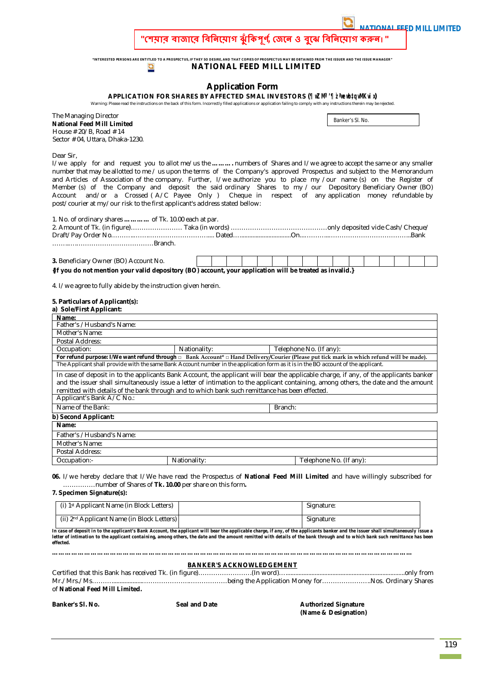|                                                                  |  | <b>NATIONAL FEED MILL LIMITED</b> |
|------------------------------------------------------------------|--|-----------------------------------|
|                                                                  |  |                                   |
| "শেয়ার বাজারে বিনিয়োগ ঝুঁকিপূর্ণ, জেনে ও বুঝে বিনিয়োগ করুন। " |  |                                   |
|                                                                  |  |                                   |

**"INTERESTED PERSONS ARE ENTITLED TO A PROSPECTUS, IF THEY SO DESIRE, AND THAT COPIES OF PROSPECTUS MAY BE OBTAINED FROM THE ISSUER AND THE ISSUE MANAGER" NATIONAL FEED MILL LIMITED**

**Application Form**

| \PPLICATION FOR SHARES BY AFFECTED SMAL INVESTORS (¶WZM*'¶i *wewbtavMKv |  |
|-------------------------------------------------------------------------|--|

**APPLICATION FOR SHARES BY AFFECTED SMAL INVESTORS (¶wZMª¯' ¶z`ª wewb‡qvMKvix)** Warning: Please read the instructions on the back of this form. Incorrectly filled applications or application failing to comply with any instructions therein may be rejected.

The Managing Director **National Feed Mill Limited** House # 20/B, Road # 14 Sector # 04, Uttara, Dhaka-1230.

Banker's Sl. No.

Dear Sir,

I/we apply for and request you to allot me/us the **……….** numbers of Shares and I/we agree to accept the same or any smaller number that may be allotted to me / us upon the terms of the Company's approved Prospectus and subject to the Memorandum and Articles of Association of the company. Further, I/we authorize you to place my /our name (s) on the Register of Member (s) of the Company and deposit the said ordinary Shares to my / our Depository Beneficiary Owner (BO) Account and/or a Crossed (A/C Payee Only ) Cheque in respect of any application money refundable by post/courier at my/our risk to the first applicant's address stated bellow:

| 1. No. of ordinary shares  of Tk. 10.00 each at par. |  |  |
|------------------------------------------------------|--|--|
|                                                      |  |  |
|                                                      |  |  |
|                                                      |  |  |
|                                                      |  |  |

**3.** Beneficiary Owner (BO) Account No. **{If you do not mention your valid depository (BO) account, your application will be treated as invalid.}**

4. I/we agree to fully abide by the instruction given herein.

#### **5. Particulars of Applicant(s):**

| a) Sole/First Applicant:   |                                                                                                                                    |         |                                                                                                                                                                                                                                                                              |
|----------------------------|------------------------------------------------------------------------------------------------------------------------------------|---------|------------------------------------------------------------------------------------------------------------------------------------------------------------------------------------------------------------------------------------------------------------------------------|
| Name:                      |                                                                                                                                    |         |                                                                                                                                                                                                                                                                              |
| Father's / Husband's Name: |                                                                                                                                    |         |                                                                                                                                                                                                                                                                              |
| Mother's Name:             |                                                                                                                                    |         |                                                                                                                                                                                                                                                                              |
| Postal Address:            |                                                                                                                                    |         |                                                                                                                                                                                                                                                                              |
| Occupation:                | Nationality:                                                                                                                       |         | Telephone No. (If any):                                                                                                                                                                                                                                                      |
|                            |                                                                                                                                    |         | For refund purpose: I/We want refund through $\Box$ Bank Account* $\Box$ Hand Delivery/Courier (Please put tick mark in which refund will be made).                                                                                                                          |
|                            | The Applicant shall provide with the same Bank Account number in the application form as it is in the BO account of the applicant. |         |                                                                                                                                                                                                                                                                              |
| Applicant's Bank A/C No.:  | remitted with details of the bank through and to which bank such remittance has been effected.                                     |         | In case of deposit in to the applicants Bank Account, the applicant will bear the applicable charge, if any, of the applicants banker<br>and the issuer shall simultaneously issue a letter of intimation to the applicant containing, among others, the date and the amount |
| Name of the Bank:          |                                                                                                                                    | Branch: |                                                                                                                                                                                                                                                                              |
| b) Second Applicant:       |                                                                                                                                    |         |                                                                                                                                                                                                                                                                              |
| Name:                      |                                                                                                                                    |         |                                                                                                                                                                                                                                                                              |
| Father's / Husband's Name: |                                                                                                                                    |         |                                                                                                                                                                                                                                                                              |
| Mother's Name:             |                                                                                                                                    |         |                                                                                                                                                                                                                                                                              |
| Postal Address:            |                                                                                                                                    |         |                                                                                                                                                                                                                                                                              |
| Occupation:-               | Nationality:                                                                                                                       |         | Telephone No. (If any):                                                                                                                                                                                                                                                      |
|                            |                                                                                                                                    |         |                                                                                                                                                                                                                                                                              |

**06.** I/we hereby declare that I/We have read the Prospectus of **National Feed Mill Limited** and have willingly subscribed for ……………number of Shares of **Tk. 10.00** per share on this form**.**

**7. Specimen Signature(s):**

| (i) 1st Applicant Name (in Block Letters)              | Signature: |
|--------------------------------------------------------|------------|
| (ii) 2 <sup>nd</sup> Applicant Name (in Block Letters) | Signature: |

*In case of deposit in to the applicant's Bank Account, the applicant will bear the applicable charge, if any, of the applicants banker and the issuer shall simultaneously issue a*  letter of intimation to the applicant containing, among others, the date and the amount remitted with details of the bank through and to which bank such remittance has been *effected.*

**……………………………………………………………………………………………………………………………………………………**

#### **BANKER'S ACKNOWLEDGEMENT**

| of National Feed Mill Limited. |  |
|--------------------------------|--|

**Banker's Sl. No. Seal and Date Authorized Signature (Name & Designation)**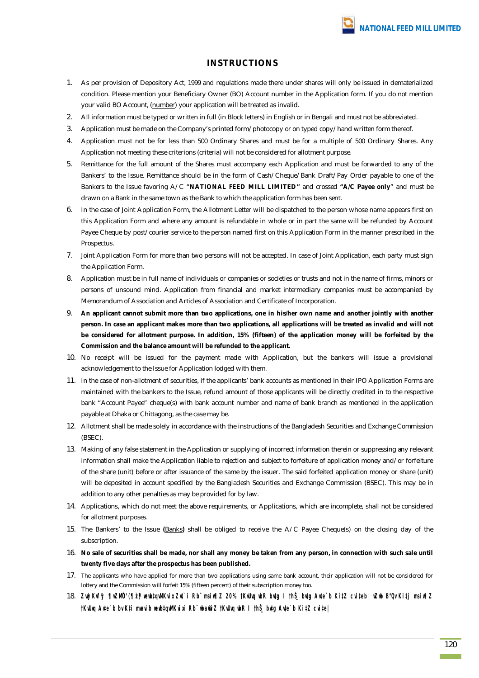#### **INSTRUCTIONS**

- 1. As per provision of Depository Act, 1999 and regulations made there under shares will only be issued in dematerialized condition. Please mention your Beneficiary Owner (BO) Account number in the Application form. If you do not mention your valid BO Account, (number) your application will be treated as invalid.
- 2. All information must be typed or written in full (in Block letters) in English or in Bengali and must not be abbreviated.
- 3. Application must be made on the Company's printed form/photocopy or on typed copy/hand written form thereof.
- 4. Application must not be for less than 500 Ordinary Shares and must be for a multiple of 500 Ordinary Shares. Any Application not meeting these criterions (criteria) will not be considered for allotment purpose.
- 5. Remittance for the full amount of the Shares must accompany each Application and must be forwarded to any of the Bankers' to the Issue. Remittance should be in the form of Cash/Cheque/Bank Draft/Pay Order payable to one of the Bankers to the Issue favoring A/C "**NATIONAL FEED MILL LIMITED"** and crossed **"A/C Payee only**" and must be drawn on a Bank in the same town as the Bank to which the application form has been sent.
- 6. In the case of Joint Application Form, the Allotment Letter will be dispatched to the person whose name appears first on this Application Form and where any amount is refundable in whole or in part the same will be refunded by Account Payee Cheque by post/courier service to the person named first on this Application Form in the manner prescribed in the Prospectus.
- 7. Joint Application Form for more than two persons will not be accepted. In case of Joint Application, each party must sign the Application Form.
- 8. Application must be in full name of individuals or companies or societies or trusts and not in the name of firms, minors or persons of unsound mind. Application from financial and market intermediary companies must be accompanied by Memorandum of Association and Articles of Association and Certificate of Incorporation.
- 9. **An applicant cannot submit more than two applications, one in his/her own name and another jointly with another person. In case an applicant makes more than two applications, all applications will be treated as invalid and will not be considered for allotment purpose. In addition, 15% (fifteen) of the application money will be forfeited by the Commission and the balance amount will be refunded to the applicant.**
- 10. No receipt will be issued for the payment made with Application, but the bankers will issue a provisional acknowledgement to the Issue for Application lodged with them.
- 11. In the case of non-allotment of securities, if the applicants' bank accounts as mentioned in their IPO Application Forms are maintained with the bankers to the Issue, refund amount of those applicants will be directly credited in to the respective bank "Account Payee" cheque(s) with bank account number and name of bank branch as mentioned in the application payable at Dhaka or Chittagong, as the case may be.
- 12. Allotment shall be made solely in accordance with the instructions of the Bangladesh Securities and Exchange Commission (BSEC).
- 13. Making of any false statement in the Application or supplying of incorrect information therein or suppressing any relevant information shall make the Application liable to rejection and subject to forfeiture of application money and/or forfeiture of the share (unit) before or after issuance of the same by the issuer. The said forfeited application money or share (unit) will be deposited in account specified by the Bangladesh Securities and Exchange Commission (BSEC). This may be in addition to any other penalties as may be provided for by law.
- 14. Applications, which do not meet the above requirements, or Applications, which are incomplete, shall not be considered for allotment purposes.
- 15. The Bankers' to the Issue **(**Banks**)** shall be obliged to receive the A/C Payee Cheque(s) on the closing day of the subscription.
- 16. **No sale of securities shall be made, nor shall any money be taken from any person, in connection with such sale until twenty five days after the prospectus has been published.**
- 17. The applicants who have applied for more than two applications using same bank account, their application will not be considered for lottery and the Commission will forfeit 15% (fifteen percent) of their subscription money too.
- 18. *ZvwjKvfy³ ¶wZMÖ¯' (¶z`ª) wewb‡qvMKvix Zv‡`i Rb¨ msiw¶Z 20% †KvUvq wbR bv‡g I †hŠ\_ bv‡g Av‡e`b Ki‡Z cvi‡eb| wZwb B"Qv Ki‡j msiw¶Z †KvUvq Av‡e`b bv K‡i mvavib wewb‡qvMKvixi Rb¨ wba©vwiZ †KvUvq wbR I †hŠ\_ bv‡g Av‡e`b Ki‡Z cvi‡e|*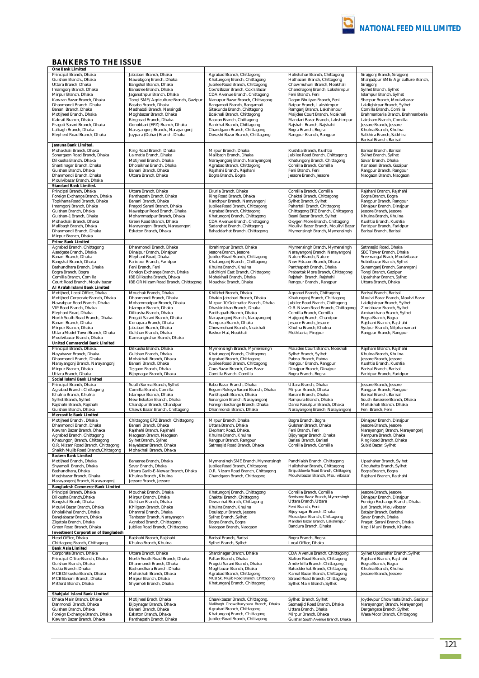#### **BANKERS TO THE ISSUE**

| One Bank Limited                                                                                                                                                                                                                                                                                                                                                                 |                                                                                                                                                                                                                                                                                                                                                                                               |                                                                                                                                                                                                                                                                                                                                                                                                                                      |                                                                                                                                                                                                                                                                                                                                                                                                   |                                                                                                                                                                                                                                                                                                                                                                                                         |
|----------------------------------------------------------------------------------------------------------------------------------------------------------------------------------------------------------------------------------------------------------------------------------------------------------------------------------------------------------------------------------|-----------------------------------------------------------------------------------------------------------------------------------------------------------------------------------------------------------------------------------------------------------------------------------------------------------------------------------------------------------------------------------------------|--------------------------------------------------------------------------------------------------------------------------------------------------------------------------------------------------------------------------------------------------------------------------------------------------------------------------------------------------------------------------------------------------------------------------------------|---------------------------------------------------------------------------------------------------------------------------------------------------------------------------------------------------------------------------------------------------------------------------------------------------------------------------------------------------------------------------------------------------|---------------------------------------------------------------------------------------------------------------------------------------------------------------------------------------------------------------------------------------------------------------------------------------------------------------------------------------------------------------------------------------------------------|
| Principal Branch, Dhaka<br>Gulshan Branch., Dhaka<br>Uttara Branch, Dhaka<br>Imamgonj Branch. Dhaka<br>Mirpur Branch, Dhaka<br>Kawran Bazar Branch, Dhaka<br>Dhanmondi Branch. Dhaka<br>Banani Branch, Dhaka<br>Motijheel Branch, Dhaka<br>Kakrail Branch, Dhaka<br>Pragoti Sarani Branch, Dhaka<br>Lalbagh Branch, Dhaka<br>Elephent Road Branch, Dhaka<br>Jamuna Bank Limited. | Jatrabari Branch, Dhaka<br>Nawabgonj Branch, Dhaka<br>Bangshal Branch, Dhaka<br>Banasree Branch, Dhaka<br>Jaganathpur Branch, Dhaka<br>Tongi SME/Agriculture Branch, Gazipur<br>Basabo Branch, Dhaka<br>Madhabdi Branch, Narsingdi<br>Moghbazar Branch, Dhaka<br>Ringroad Branch, Dhaka<br>Gonokbari (EPZ) Branch, Dhaka<br>Narayangonj Branch., Narayangonj<br>Joypara (Dohar) Branch, Dhaka | Agrabad Branch, Chittagong<br>Khatungonj Branch, Chittagong<br>Jubilee Road Branch, Chittagong<br>Cox's Bazar Branch, Cox's Bazar<br>CDA Avenue Branch, Chittagong<br>Nanupur Bazar Branch, Chittagong<br>Rangamati Branch, Rangamati<br>Sitakunda Branch, Chittagong<br>Boakhali Branch, Chittagong<br>Raozan Branch, Chittagong<br>Ranirhat Branch, Chittagong<br>Chandgaon Branch, Chittagong<br>Dovashi Bazar Branch, Chittagong | Halishahar Branch, Chittagong<br>Hathazari Branch, Chittagong<br>Chowmuhuni Branch, Noakhali<br>Chandragonj Branch, Lakshimpur<br>Feni Branch, Feni<br>Dagon Bhuiyan Branch, Feni<br>Raipur Branch, Lakshimpur<br>Ramganj Branch, Lakshimpur<br>Maijdee Court Branch, Noakhali<br>Mandari Bazar Branch, Lakshimpur<br>Rajshahi Branch, Rajshahi<br>Bogra Branch, Bogra<br>Rangpur Branch, Rangpur | Sirajgonj Branch, Sirajgonj<br>Shahjadpur SME/Agriculture Branch,<br>Sirajgonj<br>Sylhet Branch, Sylhet<br>Islampur Branch, Sylhet<br>Sherpur Branch, Moulvibazar<br>Laldighirpar Branch, Sylhet<br>Comilla Branch, Comilla<br>Brahmanbaria Branch, Brahmanbaria<br>Laksham Branch, Comilla<br>Jessore Branch, Jessore<br>Khulna Branch, Khulna<br>Satkhira Branch, Satkhira<br>Barisal Branch, Barisal |
| Mohakhali Branch, Dhaka<br>Sonargaon Road Branch, Dhaka<br>Dilkusha Branch, Dhaka<br>Shantinagar Branch, Dhaka<br>Gulshan Branch, Dhaka<br>Dhanmondi Branch, Dhaka<br>Moulvibazar Branch, Dhaka<br><b>Standard Bank Limited.</b>                                                                                                                                                 | Ring Road Branch, Dhaka<br>Lalmatia Branch, Dhaka<br>Motijheel Branch, Dhaka<br>Dholaikhal Branch, Dhaka<br>Banani Branch, Dhaka<br>Uttara Branch, Dhaka                                                                                                                                                                                                                                      | Mirpur Branch, Dhaka<br>Malibagh Branch, Dhaka<br>Narayangonj Branch, Narayangonj<br>Agrabad Branch, Chittagong<br>Rajshahi Branch, Rajshahi<br>Bogra Branch, Bogra                                                                                                                                                                                                                                                                  | Kushtia Branch, Kushtia<br>Jubilee Road Branch, Chittagong<br>Khatungonj Branch. Chittagong<br>Comilla Branch, Comilla<br>Feni Branch, Feni<br>Jessore Branch, Jessore                                                                                                                                                                                                                            | Barisal Branch, Barisal<br>Sylhet Branch, Sylhet<br>Savar Branch, Dhaka<br>Konabari Branch, Gazipur<br>Rangpur Branch, Rangpur<br>Naoqaon Branch, Naoqaon                                                                                                                                                                                                                                               |
| Principal Branch, Dhaka<br>Foreign Exchange Branch, Dhaka<br>Topkhana Road Branch, Dhaka<br>Imamgonj Branch, Dhaka<br>Gulshan Branch, Dhaka<br>Gulshan-1 Branch, Dhaka<br>Mohakhali Branch, Dhaka<br>Malibagh Branch, Dhaka<br>Dhanmondi Branch, Dhaka<br>Mirpur Branch, Dhaka<br><b>Prime Bank Limited</b>                                                                      | Uttara Branch, Dhaka<br>Panthapath Branch, Dhaka<br>Banani Branch, Dhaka<br>Pragoti Sarani Branch, Dhaka<br>Nawabpur Road Branch, Dhaka<br>Mohammadpur Branch, Dhaka<br>Green Road Branch, Dhaka<br>Narayangonj Branch, Narayangonj<br>Eskaton Branch, Dhaka                                                                                                                                  | Ekuria Branch, Dhaka<br>Ring Road Branch, Dhaka<br>Kanchpur Branch, Narayangonj<br>Jubilee Road Branch, Chittagong<br>Agrabad Branch, Chittagong<br>Khatungonj Branch, Chittagong<br>CDA Avenue Branch, Chittagong<br>Sadarghat Branch, Chittagong<br>Bahaddarhat Branch, Chittagong                                                                                                                                                 | Comilla Branch, Comilla<br>Chaktai Branch, Chittagong<br>Sylhet Branch, Sylhet<br>Pahartali Branch, Chittagong<br>Chittagong EPZ Branch, Chittagong<br>Beani Bazar Branch, Sylhet<br>Oxygen More Branch, Chittagong<br>Moulivi Bazar Branch, Moulivi Bazar<br>Mymensingh Branch, Mymensingh                                                                                                       | Rajshahi Branch, Rajshahi<br>Bogra Branch, Bogra<br>Rangpur Branch, Rangpur<br>Dinajpur Branch, Dinajpur<br>Jessore Branch, Jessore<br>Khulna Branch, Khulna<br>Kushtia Branch, Kushtia<br>Faridpur Branch, Faridpur<br>Barisal Branch, Barisal                                                                                                                                                         |
| Agrabad Branch, Chittagong<br>Asadgate Branch, Dhaka<br>Banani Branch, Dhaka<br>Bangshal Branch, Dhaka<br>Bashundhara Branch, Dhaka<br>Bogra Branch, Bogra<br>Comilla Branch, Comilla<br>Court Road Branch, Moulvibazar                                                                                                                                                          | Dhanmondi Branch, Dhaka<br>Dinajpur Branch, Dinajpur<br>Elephant Road, Dhaka<br>Faridpur Branch, Faridpur<br>Feni Branch, Feni<br>Foreign Exchange Branch, Dhaka<br>IBB Dilkusha Branch, Dhaka<br>IBB OR Nizam Road Branch, Chittagong                                                                                                                                                        | Ibrahimpur Branch, Dhaka<br>Jessore Branch, Jessore<br>Jubilee Road Branch, Chittagong<br>Khatungonj Branch, Chittagong<br>Khulna Branch, Khulna<br>Laldhighi East Branch, Chittagong<br>Mohakhali Branch, Dhaka<br>Mouchak Branch, Dhaka                                                                                                                                                                                            | Mymensingh Branch, Mymensingh<br>Narayangonj Branch, Narayangonj<br>Natore Branch, Natore<br>New Eskaton Branch, Dhaka<br>Panthapath Branch, Dhaka<br>Prabartak More Branch, Chittagong<br>Rajshahi Branch, Rajshahi<br>Rangpur Branch, Rangpur                                                                                                                                                   | Satmasjid Road, Dhaka<br>SBC Tower Branch, Dhaka<br>Sreemangal Brach, Moulvibazar<br>Subidbazar Branch, Sylhet<br>Sunamganj Branch, Sunamganj<br>Tongi Branch, Gazipur<br>Upashshar Branch, Sylhet<br>Uttara Branch, Dhaka                                                                                                                                                                              |
| Al Arafah Islami Bank Limited<br>Motijheel, Local Office, Dhaka<br>Motiiheel Corporate Branch, Dhaka<br>Nawabpur Road Branch, Dhaka<br>VIP Road Branch, Dhaka<br>Elephant Road, Dhaka<br>North South Road Branch, Dhaka<br>Banani Branch, Dhaka<br>Mirpur Branch, Dhaka                                                                                                          | Mouchak Branch, Dhaka<br>Dhanmondi Branch, Dhaka<br>Mohammadpur Branch, Dhaka<br>Islampur Branch, Dhaka<br>Dilkusha Branch, Dhaka<br>Progati Sarani Branch, Dhaka<br>Konapara Branch, Dhaka<br>Jatrabari Branch, Dhaka                                                                                                                                                                        | Khilkhet Branch, Dhaka<br>Dhakin Jatrabari Branch, Dhaka<br>Mirpur-10 Golchattar Branch, Dhaka<br>Dhaskinkhan Branch, Dhaka<br>Panthapath Branch, Dhaka<br>Narayangonj Branch, Narayangonj<br>Rampura Branch, Dhaka<br>Chowmohani Branch, Noakhali<br>Bashur Hat, Noakhali                                                                                                                                                           | Agrabad Branch, Chittagong<br>Khatungonj Branch, Chittagong<br>Jubilee Road Branch, Chittagong<br>O.R. Nizam Road Branch, Chittagong<br>Comilla Branch, Comilla<br>Hajigonj Branch, Chandpur<br>Jessore Branch, Jessore<br>Khulna Branch, Khulna<br>Mothbaria, Pirojpur                                                                                                                           | Barisal Branch, Barisal<br>Moulvi Bazar Branch, Moulvi Bazar<br>Laldighirpar Branch, Sylhet<br>Zindabazar Branch, Sylhet<br>Ambarkhana Branch, Sylhet<br>Bogra Branch, Bogra<br>Rajshahi Branch, Rajshahi<br>Sydpur Branch, Nilphamamari<br>Rangpur Branch, Rangpur                                                                                                                                     |
| Uttara Model Town Branch, Dhaka<br>Moulvibazar Branch, Dhaka                                                                                                                                                                                                                                                                                                                     | Gulshan Branch, Dhaka<br>Kamrangirchar Branch, Dhaka                                                                                                                                                                                                                                                                                                                                          |                                                                                                                                                                                                                                                                                                                                                                                                                                      |                                                                                                                                                                                                                                                                                                                                                                                                   |                                                                                                                                                                                                                                                                                                                                                                                                         |
| <b>United Commercial Bank Limited</b><br>Principal Branch, Dhaka.<br>Nayabazar Branch, Dhaka<br>Dhanmondi Branch, Dhaka<br>Narayangonj Branch, Narayangonj<br>Mirpur Branch, Dhaka<br>Uttara Branch, Dhaka                                                                                                                                                                       | Dilkusha Branch, Dhaka<br>Gulshan Branch, Dhaka<br>Mohakhali Branch, Dhaka<br>Banani Branch, Dhaka<br>Tejgaon Branch, Dhaka<br>Bijoynagar Branch, Dhaka                                                                                                                                                                                                                                       | Mymensingh Branch, Mymensingh<br>Khatungonj Branch, Chittagong<br>Agrabad Branch, Chittagong<br>Jubilee Road Branch, Chittagong<br>Coxs Bazar Branch, Coxs Bazar<br>Comilla Branch, Comilla                                                                                                                                                                                                                                          | Maizdee Court Branch, Noakhali<br>Sylhet Branch, Sylhet<br>Pabna Branch, Pabna<br>Rangpur Branch, Rangpur<br>Dinajpur Branch, Dinajpur<br>Bogra Branch, Bogra                                                                                                                                                                                                                                     | Rajshahi Branch, Rajshahi<br>Khulna Branch, Khulna<br>Jessore Branch, Jessore<br>Kushtia Branch, Kushtia<br>Barisal Branch, Barisal<br>Faridpur Branch, Faridpur                                                                                                                                                                                                                                        |
| Social Islami Bank Limited<br>Principal Branch, Dhaka<br>Agrabad Branch, Chittagong<br>Khulna Branch, Khulna<br>Sylhet Branch, Sylhet<br>Rajshahi Branch, Rajshahi<br>Gulshan Branch, Dhaka                                                                                                                                                                                      | South Surma Branch, Sylhet<br>Comilla Branch, Comilla<br>Islampur Branch, Dhaka<br>New Eskaton Branch, Dhaka<br>Chandpur Branch, Chandpur<br>Chawk Bazar Branch, Chittagong                                                                                                                                                                                                                   | Babu Bazar Branch, Dhaka<br>Begum Rokeva Sarani Branch, Dhaka<br>Panthapath Branch, Dhaka<br>Sonargaon Branch, Narayangonj<br>Foreign Exchange Branch, Dhaka<br>Dhanmondi Branch, Dhaka                                                                                                                                                                                                                                              | Uttara Branch, Dhaka<br>Mirpur Branch, Dhaka<br>Banani Branch, Dhaka<br>Rampura Branch, Dhaka<br>Dania Rasulpur Branch, Dhaka<br>Narayangonj Branch, Narayangonj                                                                                                                                                                                                                                  | Jessore Branch, Jessore<br>Rangpur Branch, Rangpur<br>Barisal Branch, Barisal<br>South Banasree Branch, Dhaka<br>Mohakhali Branch, Dhaka<br>Feni Branch, Feni                                                                                                                                                                                                                                           |
| <b>Mercantile Bank Limited</b><br>Motijheel Branch, Dhaka<br>Dhanmondi Branch, Dhaka<br>Kawran Bazar Branch, Dhaka<br>Agrabad Branch, Chittagong<br>Khatungoni Branch, Chittagong<br>O.R. Nizam Road Branch, Chittagong<br>Shaikh Mujib Road Branch, Chittagong                                                                                                                  | Chittagong EPZ Branch, Chittagong<br>Banani Branch, Dhaka<br>Rajshahi Branch, Rajshahi<br>Naogaon Branch, Naogaon<br>Sylhet Branch, Sylhet<br>Nayabazar Branch, Dhaka<br>Mohakhali Branch, Dhaka                                                                                                                                                                                              | Mirpur Branch, Dhaka<br>Uttara Branch, Dhaka<br>Elephant Road, Dhaka.<br>Khulna Branch, Khulna<br>Rangpur Branch, Rangpur<br>Satmasjid Road Branch, Dhaka                                                                                                                                                                                                                                                                            | Bogra Branch, Bogra<br>Gulshan Branch, Dhaka<br>Feni Branch, Feni<br>Bijoynagar Branch, Dhaka<br>Barisal Branch, Barisal<br>Comilla Branch, Comilla                                                                                                                                                                                                                                               | Dinajpur Branch, Dinajpur<br>Jessore Branch, Jessore<br>Narayangonj Branch, Narayangonj<br>Rampura Branch, Dhaka<br>Ring Road Branch, Dhaka<br>Subid Bazar, Sylhet                                                                                                                                                                                                                                      |
| <b>Eastern Bank Limited</b><br>Motijheel Branch, Dhaka<br>Shyamoli Branch, Dhaka<br>Bashundhara, Dhaka<br>Moghbazar Branch, Dhaka<br>Narayangonj Branch, Narayangonj                                                                                                                                                                                                             | Banasree Branch, Dhaka<br>Savar Branch, Dhaka<br>Uttara Garib-E-Newaz Branch, Dhaka<br>Khulna Branch, Khulna<br>Jessore Branch, Jessore                                                                                                                                                                                                                                                       | Mymensingh SME Branch, Mymensingh<br>Jubilee Road Branch, Chittagong<br>O.R. Nizam Road Branch, Chittagong<br>Chandgaon Branch, Chittagong                                                                                                                                                                                                                                                                                           | Panchlaish Branch, Chittagong<br>Halishahar Branch, Chittagong<br>Sirajuddowla Road Branch, Chittagong<br>Moulvibazar Branch, Moulvibazar                                                                                                                                                                                                                                                         | Upashahar Branch, Sylhet<br>Chouhatta Branch, Sylhet<br>Bogra Branch, Bogra<br>Rajshahi Branch, Rajshahi                                                                                                                                                                                                                                                                                                |
| <b>Bangladesh Commerce Bank Limited</b><br>Principal Branch, Dhaka<br>Dilkusha Branch, Dhaka<br>Bangshal Branh, Dhaka<br>Moulvi Bazar Branch, Dhaka<br>Dholaikhal Branch, Dhaka<br>Banglabazar Branch, Dhaka<br>Zigatola Branch, Dhaka<br>Green Road Branch, Dhaka                                                                                                               | Mouchak Branch, Dhaka<br>Mirpur Branch, Dhaka<br>Gulshan Branch, Dhaka<br>Khilgaon Branch, Dhaka<br>Dhamrai Branch, Dhaka<br>Tanbazar Branch, Narayangon<br>Agrabad Branch, Chittagong<br>Jubilee Road Branch, Chittagong                                                                                                                                                                     | Khatungonj Branch, Chittagong<br>Chaktai Branch, Chittagong<br>Dewanhat Branch, Chittagong<br>Khulna Branch, Khulna<br>Doulatpur Branch, Jessore<br>Sylhet Branch, Sylhet<br>Bogra Branch, Bogra<br>Naoqaon Branch, Naoqaon                                                                                                                                                                                                          | Comilla Branch, Comilla<br>Seedstore Bazar Branch, Mymensingh<br>Uttara Branch, Uttara<br>Feni Branch, Feni<br>Bijoynagar Branch, Dhaka<br>Muradpur Branch, Chittagong<br>Mandari Bazar Branch, Lakshmipur<br>Bandura Branch, Dhaka                                                                                                                                                               | Jessore Branch, Jessore<br>Dinajpur Branch, Dinajpur<br>Foreign Exchange Branch, Dhaka<br>Juri Branch, Moulvibazar<br>Batajor Branch, Barishal<br>Savar Branch, Dhaka<br>Pragati Sarani Branch, Dhaka<br>Kopil Muni Branch, Khulna                                                                                                                                                                      |
| <b>Investment Corporation of Bangladesh</b><br>Head Office, Dhaka<br>Chittagong Branch, Chittagong                                                                                                                                                                                                                                                                               | Rajshahi Branch, Rajshahi<br>Khulna Branch, Khulna                                                                                                                                                                                                                                                                                                                                            | Barisal Branch, Barisal<br>Sylhet Branch, Sylhet                                                                                                                                                                                                                                                                                                                                                                                     | Bogra Branch, Bogra<br>Local Office, Dhaka                                                                                                                                                                                                                                                                                                                                                        |                                                                                                                                                                                                                                                                                                                                                                                                         |
| <b>Bank Asia Limited</b><br>Corporate Branch, Dhaka<br>Principal Office Branch, Dhaka<br>Gulshan Branch, Dhaka<br>Scotia Branch, Dhaka<br>MCB Dilkusha Branch, Dhaka<br>MCB Banani Branch, Dhaka<br>Mitford Branch, Dhaka<br>Shahjalal Islami Bank Limited                                                                                                                       | Uttara Branch, Dhaka<br>North South Road Branch, Dhaka<br>Dhanmondi Branch, Dhaka<br>Bashundhara Branch, Dhaka<br>Mohakhali Branch, Dhaka<br>Mirpur Branch, Dhaka<br>Shyamoli Branch, Dhaka                                                                                                                                                                                                   | Shantinagar Branch, Dhaka<br>Paltan Branch, Dhaka<br>Progoti Sarani Branch, Dhaka<br>Moghbazar Branch, Dhaka<br>Agrabad Branch, Chittagong<br>MCB Sk. Mujib Road Branch, Chittagong<br>Khatunganj Branch, Chittagong                                                                                                                                                                                                                 | CDA Avenue Branch, Chittagong<br>Station Road Branch, Chittagong<br>Anderkilla Branch, Chittagong<br>Bahadderhat Branch, Chittagong<br>Kamal Bazar Branch, Chittagong<br>Strand Road Branch, Chittagong<br>Sylhet Main Branch, Sylhet                                                                                                                                                             | Sylhet Uposhahar Branch, Sylhet<br>Rajshahi Branch, Rajshahi<br>Bogra Branch, Bogra<br>Khulna Branch, Khulna<br>Jessore Branch, Jessore                                                                                                                                                                                                                                                                 |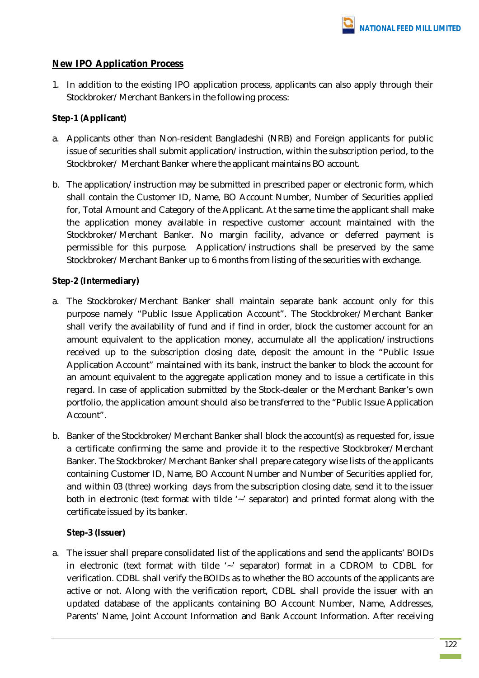# **New IPO Application Process**

1. In addition to the existing IPO application process, applicants can also apply through their Stockbroker/Merchant Bankers in the following process:

# **Step-1 (Applicant)**

- a. Applicants other than Non-resident Bangladeshi (NRB) and Foreign applicants for public issue of securities shall submit application/instruction, within the subscription period, to the Stockbroker/ Merchant Banker where the applicant maintains BO account.
- b. The application/instruction may be submitted in prescribed paper or electronic form, which shall contain the Customer ID, Name, BO Account Number, Number of Securities applied for, Total Amount and Category of the Applicant. At the same time the applicant shall make the application money available in respective customer account maintained with the Stockbroker/Merchant Banker. No margin facility, advance or deferred payment is permissible for this purpose. Application/instructions shall be preserved by the same Stockbroker/Merchant Banker up to 6 months from listing of the securities with exchange.

# **Step-2 (Intermediary)**

- a. The Stockbroker/Merchant Banker shall maintain separate bank account only for this purpose namely "Public Issue Application Account". The Stockbroker/Merchant Banker shall verify the availability of fund and if find in order, block the customer account for an amount equivalent to the application money, accumulate all the application/instructions received up to the subscription closing date, deposit the amount in the "Public Issue Application Account" maintained with its bank, instruct the banker to block the account for an amount equivalent to the aggregate application money and to issue a certificate in this regard. In case of application submitted by the Stock-dealer or the Merchant Banker's own portfolio, the application amount should also be transferred to the "Public Issue Application Account".
- b. Banker of the Stockbroker/Merchant Banker shall block the account(s) as requested for, issue a certificate confirming the same and provide it to the respective Stockbroker/Merchant Banker. The Stockbroker/Merchant Banker shall prepare category wise lists of the applicants containing Customer ID, Name, BO Account Number and Number of Securities applied for, and within 03 (three) working days from the subscription closing date, send it to the issuer both in electronic (text format with tilde '~' separator) and printed format along with the certificate issued by its banker.

# **Step-3 (Issuer)**

a. The issuer shall prepare consolidated list of the applications and send the applicants' BOIDs in electronic (text format with tilde '~' separator) format in a CDROM to CDBL for verification. CDBL shall verify the BOIDs as to whether the BO accounts of the applicants are active or not. Along with the verification report, CDBL shall provide the issuer with an updated database of the applicants containing BO Account Number, Name, Addresses, Parents' Name, Joint Account Information and Bank Account Information. After receiving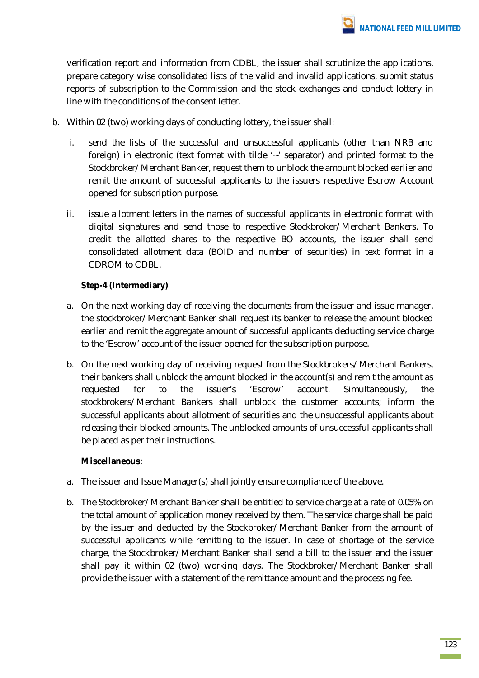verification report and information from CDBL, the issuer shall scrutinize the applications, prepare category wise consolidated lists of the valid and invalid applications, submit status reports of subscription to the Commission and the stock exchanges and conduct lottery in line with the conditions of the consent letter.

- b. Within 02 (two) working days of conducting lottery, the issuer shall:
	- i. send the lists of the successful and unsuccessful applicants (other than NRB and foreign) in electronic (text format with tilde '~' separator) and printed format to the Stockbroker/Merchant Banker, request them to unblock the amount blocked earlier and remit the amount of successful applicants to the issuers respective Escrow Account opened for subscription purpose.
	- ii. issue allotment letters in the names of successful applicants in electronic format with digital signatures and send those to respective Stockbroker/Merchant Bankers. To credit the allotted shares to the respective BO accounts, the issuer shall send consolidated allotment data (BOID and number of securities) in text format in a CDROM to CDBL.

# **Step-4 (Intermediary)**

- a. On the next working day of receiving the documents from the issuer and issue manager, the stockbroker/Merchant Banker shall request its banker to release the amount blocked earlier and remit the aggregate amount of successful applicants deducting service charge to the 'Escrow' account of the issuer opened for the subscription purpose.
- b. On the next working day of receiving request from the Stockbrokers/Merchant Bankers, their bankers shall unblock the amount blocked in the account(s) and remit the amount as requested for to the issuer's 'Escrow' account. Simultaneously, the stockbrokers/Merchant Bankers shall unblock the customer accounts; inform the successful applicants about allotment of securities and the unsuccessful applicants about releasing their blocked amounts. The unblocked amounts of unsuccessful applicants shall be placed as per their instructions.

## **Miscellaneous**:

- a. The issuer and Issue Manager(s) shall jointly ensure compliance of the above.
- b. The Stockbroker/Merchant Banker shall be entitled to service charge at a rate of 0.05% on the total amount of application money received by them. The service charge shall be paid by the issuer and deducted by the Stockbroker/Merchant Banker from the amount of successful applicants while remitting to the issuer. In case of shortage of the service charge, the Stockbroker/Merchant Banker shall send a bill to the issuer and the issuer shall pay it within 02 (two) working days. The Stockbroker/Merchant Banker shall provide the issuer with a statement of the remittance amount and the processing fee.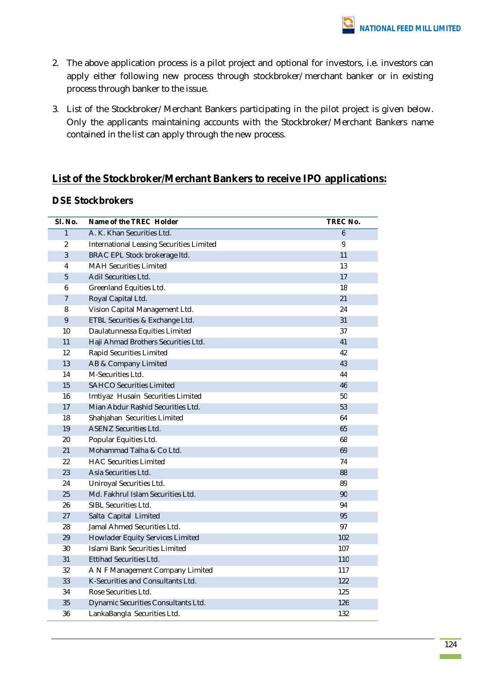

- 2. The above application process is a pilot project and optional for investors, i.e. investors can apply either following new process through stockbroker/merchant banker or in existing process through banker to the issue.
- 3. List of the Stockbroker/Merchant Bankers participating in the pilot project is given below. Only the applicants maintaining accounts with the Stockbroker/Merchant Bankers name contained in the list can apply through the new process.

# **List of the Stockbroker/Merchant Bankers to receive IPO applications:**

# **DSE Stockbrokers**

| SI. No.        | Name of the TREC Holder                         | <b>TREC No.</b> |
|----------------|-------------------------------------------------|-----------------|
| $\mathbf{1}$   | A. K. Khan Securities Ltd.                      | 6               |
| $\overline{2}$ | <b>International Leasing Securities Limited</b> | 9               |
| 3              | BRAC EPL Stock brokerage Itd.                   | 11              |
| 4              | <b>MAH Securities Limited</b>                   | 13              |
| 5              | Adil Securities Ltd.                            | 17              |
| 6              | Greenland Equities Ltd.                         | 18              |
| $\overline{7}$ | Royal Capital Ltd.                              | 21              |
| 8              | Vision Capital Management Ltd.                  | 24              |
| 9              | ETBL Securities & Exchange Ltd.                 | 31              |
| 10             | Daulatunnessa Equities Limited                  | 37              |
| 11             | Haji Ahmad Brothers Securities Ltd.             | 41              |
| 12             | Rapid Securities Limited                        | 42              |
| 13             | AB & Company Limited                            | 43              |
| 14             | M-Securities Ltd.                               | 44              |
| 15             | <b>SAHCO Securities Limited</b>                 | 46              |
| 16             | Imtiyaz Husain Securities Limited               | 50              |
| 17             | Mian Abdur Rashid Securities Ltd.               | 53              |
| 18             | Shahjahan Securities Limited                    | 64              |
| 19             | <b>ASENZ Securities Ltd.</b>                    | 65              |
| 20             | Popular Equities Ltd.                           | 68              |
| 21             | Mohammad Talha & Co Ltd.                        | 69              |
| 22             | <b>HAC Securities Limited</b>                   | 74              |
| 23             | Asia Securities Ltd.                            | 88              |
| 24             | Uniroyal Securities Ltd.                        | 89              |
| 25             | Md. Fakhrul Islam Securities Ltd.               | 90              |
| 26             | <b>SIBL Securities Ltd.</b>                     | 94              |
| 27             | Salta Capital Limited                           | 95              |
| 28             | Jamal Ahmed Securities Ltd.                     | 97              |
| 29             | Howlader Equity Services Limited                | 102             |
| 30             | Islami Bank Securities Limited                  | 107             |
| 31             | <b>Ettihad Securities Ltd.</b>                  | 110             |
| 32             | A N F Management Company Limited                | 117             |
| 33             | K-Securities and Consultants Ltd.               | 122             |
| 34             | Rose Securities Ltd.                            | 125             |
| 35             | Dynamic Securities Consultants Ltd.             | 126             |
| 36             | LankaBangla Securities Ltd.                     | 132             |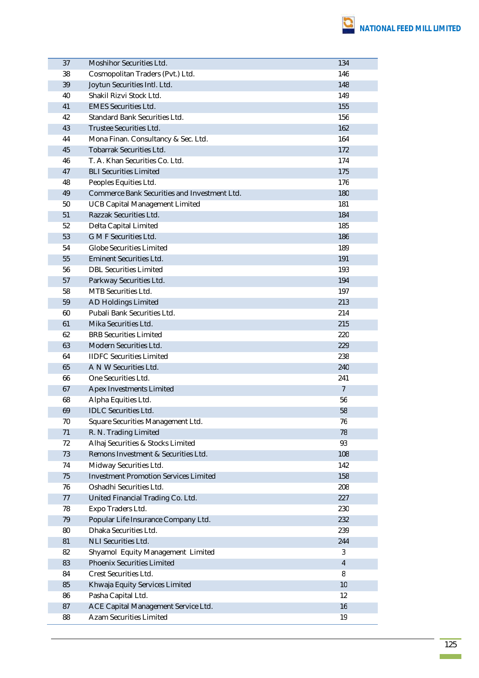

| 37 | Moshihor Securities Ltd.                     | 134            |
|----|----------------------------------------------|----------------|
| 38 | Cosmopolitan Traders (Pvt.) Ltd.             | 146            |
| 39 | Joytun Securities Intl. Ltd.                 | 148            |
| 40 | Shakil Rizvi Stock Ltd.                      | 149            |
| 41 | <b>EMES Securities Ltd.</b>                  | 155            |
| 42 | <b>Standard Bank Securities Ltd.</b>         | 156            |
| 43 | Trustee Securities Ltd.                      | 162            |
| 44 | Mona Finan. Consultancy & Sec. Ltd.          | 164            |
| 45 | <b>Tobarrak Securities Ltd.</b>              | 172            |
| 46 | T. A. Khan Securities Co. Ltd.               | 174            |
| 47 | <b>BLI Securities Limited</b>                | 175            |
| 48 | Peoples Equities Ltd.                        | 176            |
| 49 | Commerce Bank Securities and Investment Ltd. | 180            |
| 50 | <b>UCB Capital Management Limited</b>        | 181            |
| 51 | Razzak Securities Ltd.                       | 184            |
| 52 | Delta Capital Limited                        | 185            |
| 53 | G M F Securities Ltd.                        | 186            |
| 54 | <b>Globe Securities Limited</b>              | 189            |
| 55 | <b>Eminent Securities Ltd.</b>               | 191            |
| 56 | <b>DBL Securities Limited</b>                | 193            |
| 57 | Parkway Securities Ltd.                      | 194            |
| 58 | MTB Securities Ltd.                          | 197            |
| 59 | <b>AD Holdings Limited</b>                   | 213            |
| 60 | Pubali Bank Securities Ltd.                  | 214            |
| 61 | Mika Securities Ltd.                         | 215            |
| 62 | <b>BRB Securities Limited</b>                | 220            |
| 63 | Modern Securities Ltd.                       | 229            |
| 64 | <b>IIDFC Securities Limited</b>              | 238            |
| 65 | A N W Securities Ltd.                        | 240            |
| 66 | One Securities Ltd.                          | 241            |
| 67 | Apex Investments Limited                     | $7^{\circ}$    |
| 68 | Alpha Equities Ltd.                          | 56             |
| 69 | <b>IDLC Securities Ltd.</b>                  | 58             |
| 70 | Square Securities Management Ltd.            | 76             |
| 71 | R. N. Trading Limited                        | 78             |
| 72 | Alhaj Securities & Stocks Limited            | 93             |
| 73 | Remons Investment & Securities Ltd.          | 108            |
| 74 | Midway Securities Ltd.                       | 142            |
| 75 | <b>Investment Promotion Services Limited</b> | 158            |
| 76 | Oshadhi Securities Ltd.                      | 208            |
| 77 | United Financial Trading Co. Ltd.            | 227            |
| 78 | Expo Traders Ltd.                            | 230            |
| 79 | Popular Life Insurance Company Ltd.          | 232            |
| 80 | Dhaka Securities Ltd.                        | 239            |
| 81 | <b>NLI Securities Ltd.</b>                   | 244            |
| 82 | Shyamol Equity Management Limited            | 3              |
| 83 | <b>Phoenix Securities Limited</b>            | $\overline{4}$ |
| 84 | Crest Securities Ltd.                        | 8              |
| 85 | Khwaja Equity Services Limited               | 10             |
| 86 | Pasha Capital Ltd.                           | 12             |
| 87 | ACE Capital Management Service Ltd.          | 16             |
| 88 | <b>Azam Securities Limited</b>               | 19             |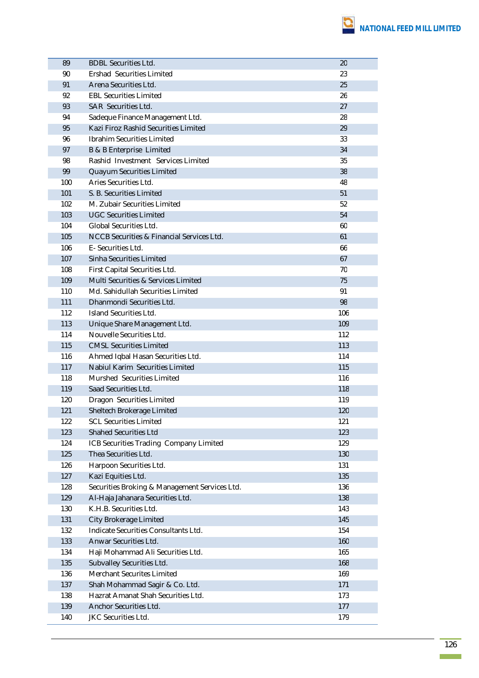| 89  | <b>BDBL Securities Ltd.</b>                   | 20  |
|-----|-----------------------------------------------|-----|
| 90  | <b>Ershad Securities Limited</b>              | 23  |
| 91  | Arena Securities Ltd.                         | 25  |
| 92  | <b>EBL Securities Limited</b>                 | 26  |
| 93  | <b>SAR Securities Ltd.</b>                    | 27  |
| 94  | Sadeque Finance Management Ltd.               | 28  |
| 95  | Kazi Firoz Rashid Securities Limited          | 29  |
| 96  | <b>Ibrahim Securities Limited</b>             | 33  |
| 97  | <b>B &amp; B Enterprise Limited</b>           | 34  |
| 98  | Rashid Investment Services Limited            | 35  |
| 99  | Quayum Securities Limited                     | 38  |
| 100 | Aries Securities Ltd.                         | 48  |
| 101 | S. B. Securities Limited                      | 51  |
| 102 | M. Zubair Securities Limited                  | 52  |
| 103 | <b>UGC Securities Limited</b>                 | 54  |
| 104 | <b>Global Securities Ltd.</b>                 | 60  |
| 105 | NCCB Securities & Financial Services Ltd.     | 61  |
| 106 | E- Securities Ltd.                            | 66  |
| 107 | Sinha Securities Limited                      | 67  |
| 108 | First Capital Securities Ltd.                 | 70  |
| 109 | Multi Securities & Services Limited           | 75  |
| 110 | Md. Sahidullah Securities Limited             | 91  |
| 111 | Dhanmondi Securities Ltd.                     | 98  |
| 112 | Island Securities Ltd.                        | 106 |
| 113 | Unique Share Management Ltd.                  | 109 |
| 114 | Nouvelle Securities Ltd.                      | 112 |
| 115 | <b>CMSL Securities Limited</b>                | 113 |
| 116 | Ahmed Iqbal Hasan Securities Ltd.             | 114 |
| 117 | Nabiul Karim Securities Limited               | 115 |
| 118 | <b>Murshed Securities Limited</b>             | 116 |
| 119 | Saad Securities Ltd.                          | 118 |
| 120 | Dragon Securities Limited                     | 119 |
| 121 | Sheltech Brokerage Limited                    | 120 |
| 122 | <b>SCL Securities Limited</b>                 | 121 |
| 123 | <b>Shahed Securities Ltd</b>                  | 123 |
| 124 | ICB Securities Trading Company Limited        | 129 |
| 125 | Thea Securities Ltd.                          | 130 |
| 126 | Harpoon Securities Ltd.                       | 131 |
| 127 | Kazi Equities Ltd.                            | 135 |
| 128 | Securities Broking & Management Services Ltd. | 136 |
| 129 | Al-Haja Jahanara Securities Ltd.              | 138 |
| 130 | K.H.B. Securities Ltd.                        | 143 |
| 131 | City Brokerage Limited                        | 145 |
| 132 | Indicate Securities Consultants Ltd.          | 154 |
| 133 | Anwar Securities Ltd.                         | 160 |
| 134 | Haji Mohammad Ali Securities Ltd.             | 165 |
| 135 | Subvalley Securities Ltd.                     | 168 |
| 136 | Merchant Securites Limited                    | 169 |
| 137 | Shah Mohammad Sagir & Co. Ltd.                | 171 |
| 138 | Hazrat Amanat Shah Securities Ltd.            | 173 |
| 139 | Anchor Securities Ltd.                        | 177 |
| 140 | JKC Securities Ltd.                           | 179 |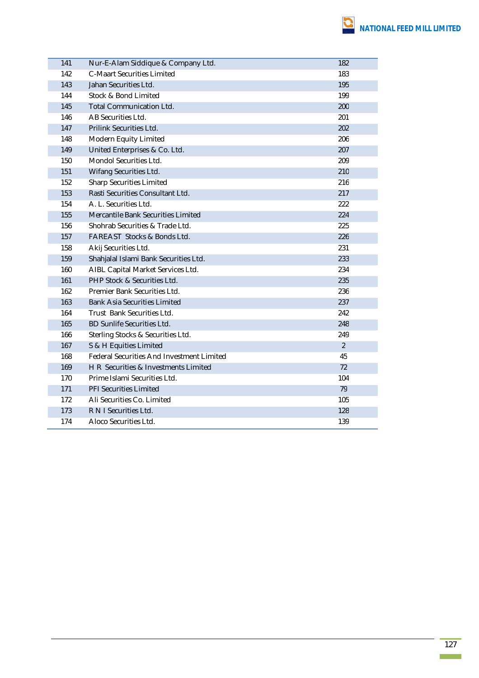

| 141 | Nur-E-Alam Siddique & Company Ltd.               | 182            |
|-----|--------------------------------------------------|----------------|
| 142 | <b>C-Maart Securities Limited</b>                | 183            |
| 143 | Jahan Securities Ltd.                            | 195            |
| 144 | Stock & Bond Limited                             | 199            |
| 145 | Total Communication Ltd.                         | 200            |
| 146 | AB Securities Ltd.                               | 201            |
| 147 | Prilink Securities Ltd.                          | 202            |
| 148 | Modern Equity Limited                            | 206            |
| 149 | United Enterprises & Co. Ltd.                    | 207            |
| 150 | Mondol Securities Ltd.                           | 209            |
| 151 | Wifang Securities Ltd.                           | 210            |
| 152 | <b>Sharp Securities Limited</b>                  | 216            |
| 153 | Rasti Securities Consultant Ltd.                 | 217            |
| 154 | A. L. Securities Ltd.                            | 222            |
| 155 | Mercantile Bank Securities Limited               | 224            |
| 156 | Shohrab Securities & Trade Ltd.                  | 225            |
| 157 | FAREAST Stocks & Bonds Ltd.                      | 226            |
| 158 | Akij Securities Ltd.                             | 231            |
| 159 | Shahjalal Islami Bank Securities Ltd.            | 233            |
| 160 | AIBL Capital Market Services Ltd.                | 234            |
| 161 | PHP Stock & Securities Ltd.                      | 235            |
| 162 | Premier Bank Securities Ltd.                     | 236            |
| 163 | <b>Bank Asia Securities Limited</b>              | 237            |
| 164 | Trust Bank Securities Ltd.                       | 242            |
| 165 | <b>BD Sunlife Securities Ltd.</b>                | 248            |
| 166 | Sterling Stocks & Securities Ltd.                | 249            |
| 167 | S & H Equities Limited                           | $\overline{2}$ |
| 168 | <b>Federal Securities And Investment Limited</b> | 45             |
| 169 | H R Securities & Investments Limited             | 72             |
| 170 | Prime Islami Securities Ltd.                     | 104            |
| 171 | <b>PFI Securities Limited</b>                    | 79             |
| 172 | Ali Securities Co. Limited                       | 105            |
| 173 | R N I Securities Ltd.                            | 128            |
| 174 | Aloco Securities Ltd.                            | 139            |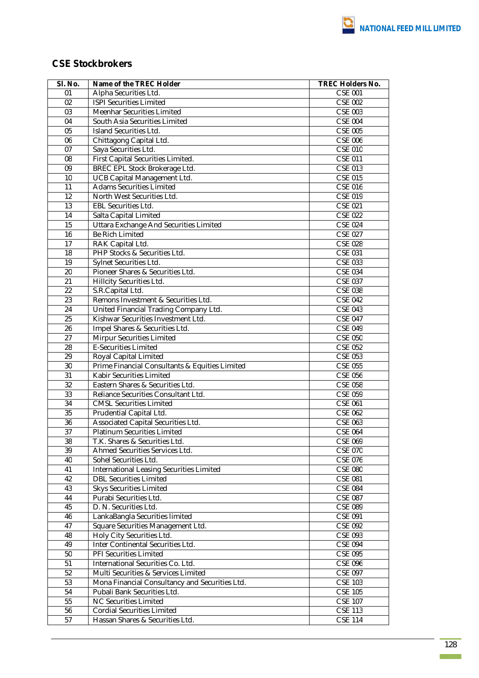# **CSE Stockbrokers**

| SI. No.         | Name of the TREC Holder                        | <b>TREC Holders No.</b> |
|-----------------|------------------------------------------------|-------------------------|
| 01              | Alpha Securities Ltd.                          | <b>CSE 001</b>          |
| 02              | <b>ISPI Securities Limited</b>                 | <b>CSE 002</b>          |
| $\overline{03}$ | Meenhar Securities Limited                     | CSE 003                 |
| 04              | South Asia Securities Limited                  | <b>CSE 004</b>          |
| 05              | <b>Island Securities Ltd.</b>                  | <b>CSE 005</b>          |
| 06              | Chittagong Capital Ltd.                        | <b>CSE 006</b>          |
| 07              | Saya Securities Ltd.                           | <b>CSE 010</b>          |
| 08              | First Capital Securities Limited.              | <b>CSE 011</b>          |
| 09              | BREC EPL Stock Brokerage Ltd.                  | <b>CSE 013</b>          |
| 10              | UCB Capital Management Ltd.                    | <b>CSE 015</b>          |
| 11              | <b>Adams Securities Limited</b>                | <b>CSE 016</b>          |
| 12              | North West Securities Ltd.                     | <b>CSE 019</b>          |
| 13              | <b>EBL Securities Ltd.</b>                     | CSE 021                 |
| 14              | Salta Capital Limited                          | <b>CSE 022</b>          |
| 15              | <b>Uttara Exchange And Securities Limited</b>  | <b>CSE 024</b>          |
| 16              | <b>Be Rich Limited</b>                         | CSE $0\overline{27}$    |
| 17              | RAK Capital Ltd.                               | <b>CSE 028</b>          |
| 18              | PHP Stocks & Securities Ltd.                   | CSE 031                 |
| 19              | <b>Sylnet Securities Ltd.</b>                  | CSE 033                 |
| 20              | Pioneer Shares & Securities Ltd.               | <b>CSE 034</b>          |
| $\overline{21}$ | Hillcity Securities Ltd.                       | CSE 037                 |
| 22              | S.R.Capital Ltd.                               | <b>CSE 038</b>          |
| 23              | Remons Investment & Securities Ltd.            | <b>CSE 042</b>          |
| 24              | United Financial Trading Company Ltd.          | <b>CSE 043</b>          |
| 25              | Kishwar Securities Investment Ltd.             | <b>CSE 047</b>          |
| 26              | Impel Shares & Securities Ltd.                 | CSE 049                 |
| 27              | Mirpur Securities Limited                      | <b>CSE 050</b>          |
| 28              | <b>E-Securities Limited</b>                    | <b>CSE 052</b>          |
| 29              | Royal Capital Limited                          | <b>CSE 053</b>          |
| $\overline{30}$ | Prime Financial Consultants & Equities Limited | CSE 055                 |
| 31              | Kabir Securities Limited                       | CSE 056                 |
| 32              | Eastern Shares & Securities Ltd.               | <b>CSE 058</b>          |
| 33              | Reliance Securities Consultant Ltd.            | CSE 059                 |
| 34              | <b>CMSL Securities Limited</b>                 | <b>CSE 061</b>          |
| $\overline{35}$ | Prudential Capital Ltd.                        | <b>CSE 062</b>          |
| 36              | Associated Capital Securities Ltd.             | CSE 063                 |
| $\overline{37}$ | <b>Platinum Securities Limited</b>             | <b>CSE 064</b>          |
| 38              | T.K. Shares & Securities Ltd.                  | <b>CSE 069</b>          |
| 39              | Ahmed Securities Services Ltd.                 | <b>CSE 070</b>          |
| 40              | Sohel Securities Ltd.                          | CSE 076                 |
| 41              | International Leasing Securities Limited       | <b>CSE 080</b>          |
| 42              | <b>DBL Securities Limited</b>                  | <b>CSE 081</b>          |
| 43              | <b>Skys Securities Limited</b>                 | <b>CSE 084</b>          |
| 44              | Purabi Securities Ltd.                         | <b>CSE 087</b>          |
| 45              | D. N. Securities Ltd.                          | <b>CSE 089</b>          |
| 46              | LankaBangla Securities limited                 | CSE 091                 |
| 47              | Square Securities Management Ltd.              | CSE 092                 |
| 48              | Holy City Securities Ltd.                      | CSE 093                 |
| 49              | Inter Continental Securities Ltd.              | <b>CSE 094</b>          |
| 50              | PFI Securities Limited                         | CSE 095                 |
| 51              | International Securities Co. Ltd.              | <b>CSE 096</b>          |
| 52              | Multi Securities & Services Limited            | CSE 097                 |
| 53              | Mona Financial Consultancy and Securities Ltd. | <b>CSE 103</b>          |
| 54              | Pubali Bank Securities Ltd.                    | <b>CSE 105</b>          |
| 55              | <b>NC Securities Limited</b>                   | <b>CSE 107</b>          |
| 56              | <b>Cordial Securities Limited</b>              | <b>CSE 113</b>          |
| 57              | Hassan Shares & Securities Ltd.                | <b>CSE 114</b>          |